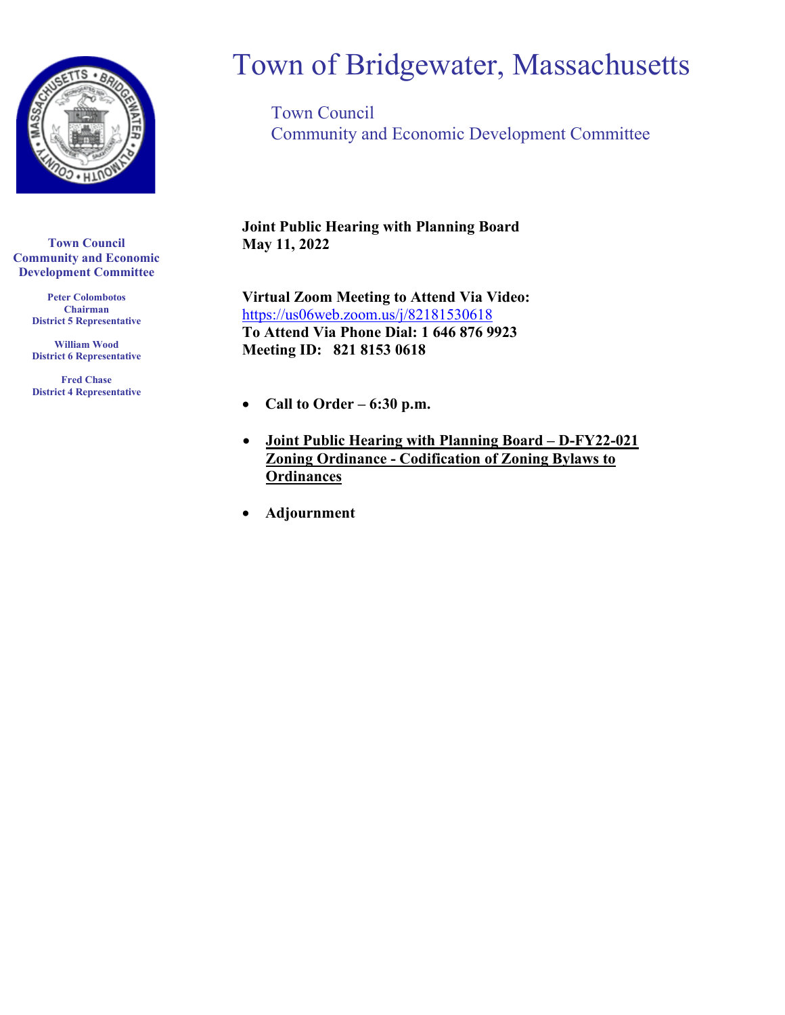

**Town Council Community and Economic Development Committee**

> **Peter Colombotos Chairman District 5 Representative**

> **William Wood District 6 Representative**

> **Fred Chase District 4 Representative**

# Town of Bridgewater, Massachusetts

Town Council Community and Economic Development Committee

**Joint Public Hearing with Planning Board May 11, 2022**

**Virtual Zoom Meeting to Attend Via Video:** <https://us06web.zoom.us/j/82181530618> **To Attend Via Phone Dial: 1 646 876 9923 Meeting ID: 821 8153 0618**

- **Call to Order – 6:30 p.m.**
- **Joint Public Hearing with Planning Board – D-FY22-021 Zoning Ordinance - Codification of Zoning Bylaws to Ordinances**
- **Adjournment**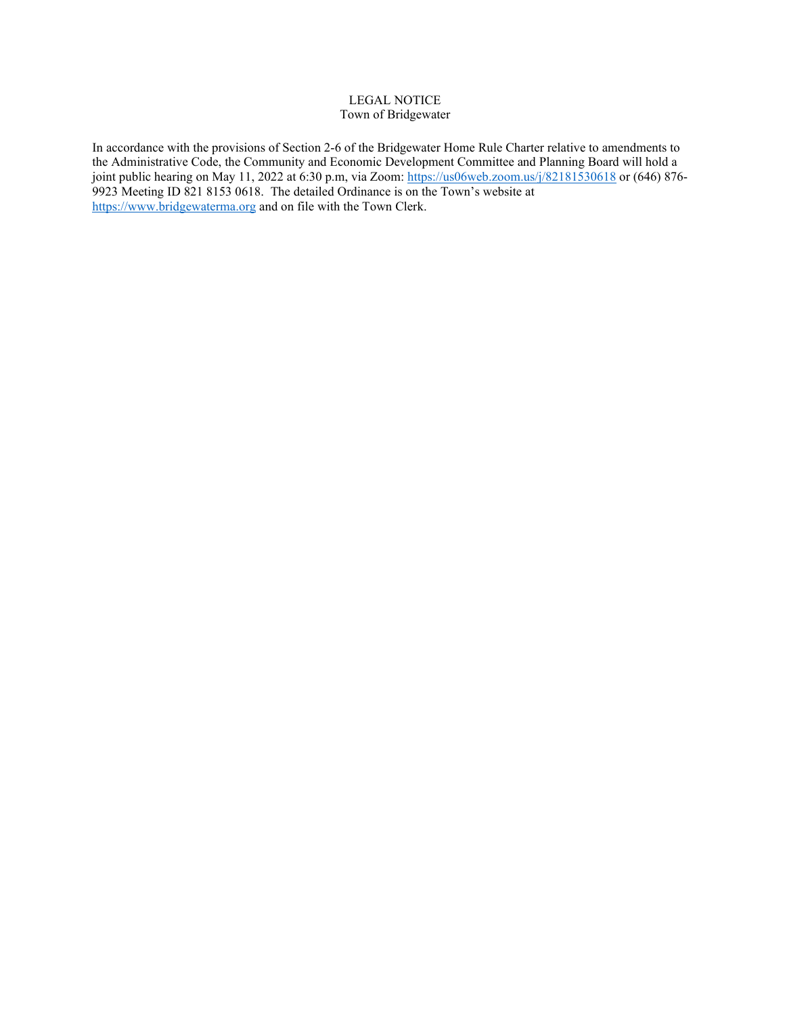# LEGAL NOTICE Town of Bridgewater

In accordance with the provisions of Section 2-6 of the Bridgewater Home Rule Charter relative to amendments to the Administrative Code, the Community and Economic Development Committee and Planning Board will hold a joint public hearing on May 11, 2022 at 6:30 p.m, via Zoom:<https://us06web.zoom.us/j/82181530618> or (646) 876-9923 Meeting ID 821 8153 0618. The detailed Ordinance is on the Town's website at [https://www.bridgewaterma.org](https://www.bridgewaterma.org/) and on file with the Town Clerk.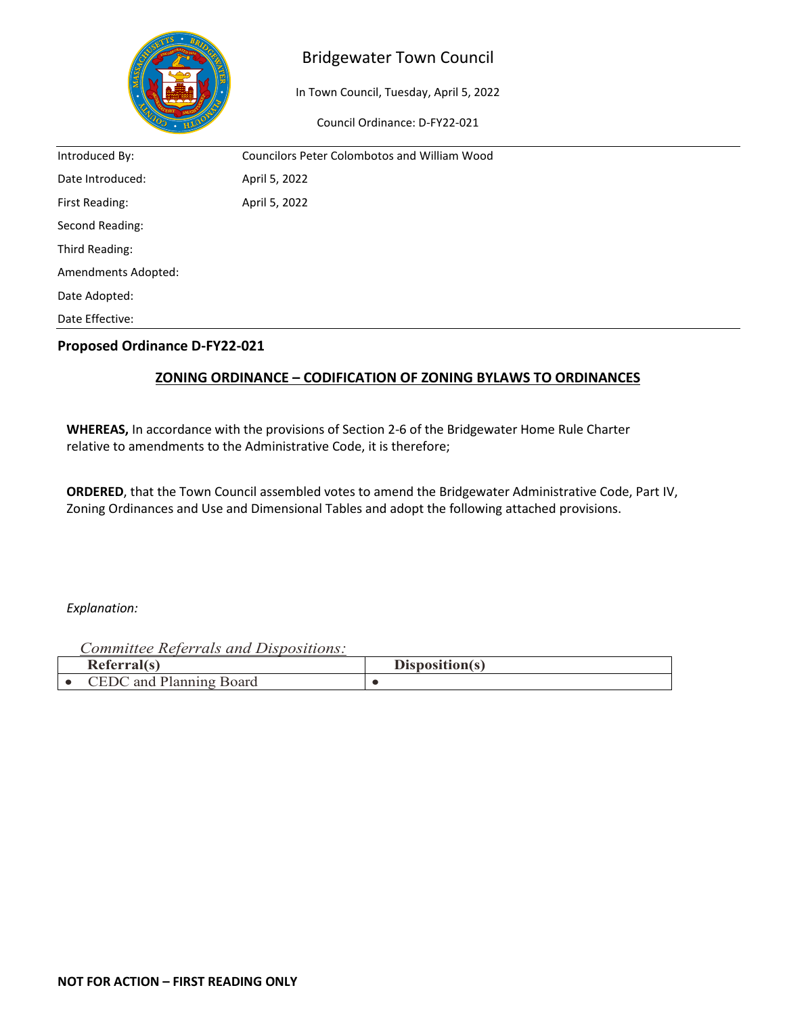

# Bridgewater Town Council

In Town Council, Tuesday, April 5, 2022

Council Ordinance: D-FY22-021

| Introduced By:      | <b>Councilors Peter Colombotos and William Wood</b> |
|---------------------|-----------------------------------------------------|
| Date Introduced:    | April 5, 2022                                       |
| First Reading:      | April 5, 2022                                       |
| Second Reading:     |                                                     |
| Third Reading:      |                                                     |
| Amendments Adopted: |                                                     |
| Date Adopted:       |                                                     |
| Date Effective:     |                                                     |

# **Proposed Ordinance D-FY22-021**

# **ZONING ORDINANCE – CODIFICATION OF ZONING BYLAWS TO ORDINANCES**

**WHEREAS,** In accordance with the provisions of Section 2-6 of the Bridgewater Home Rule Charter relative to amendments to the Administrative Code, it is therefore;

**ORDERED**, that the Town Council assembled votes to amend the Bridgewater Administrative Code, Part IV, Zoning Ordinances and Use and Dimensional Tables and adopt the following attached provisions.

# *Explanation:*

*Committee Referrals and Dispositions:*

| Referral(s)                                              | Disposition(s) |
|----------------------------------------------------------|----------------|
| ר $\cap$<br>$\lnot$ $\blacksquare$<br>and Planning Board |                |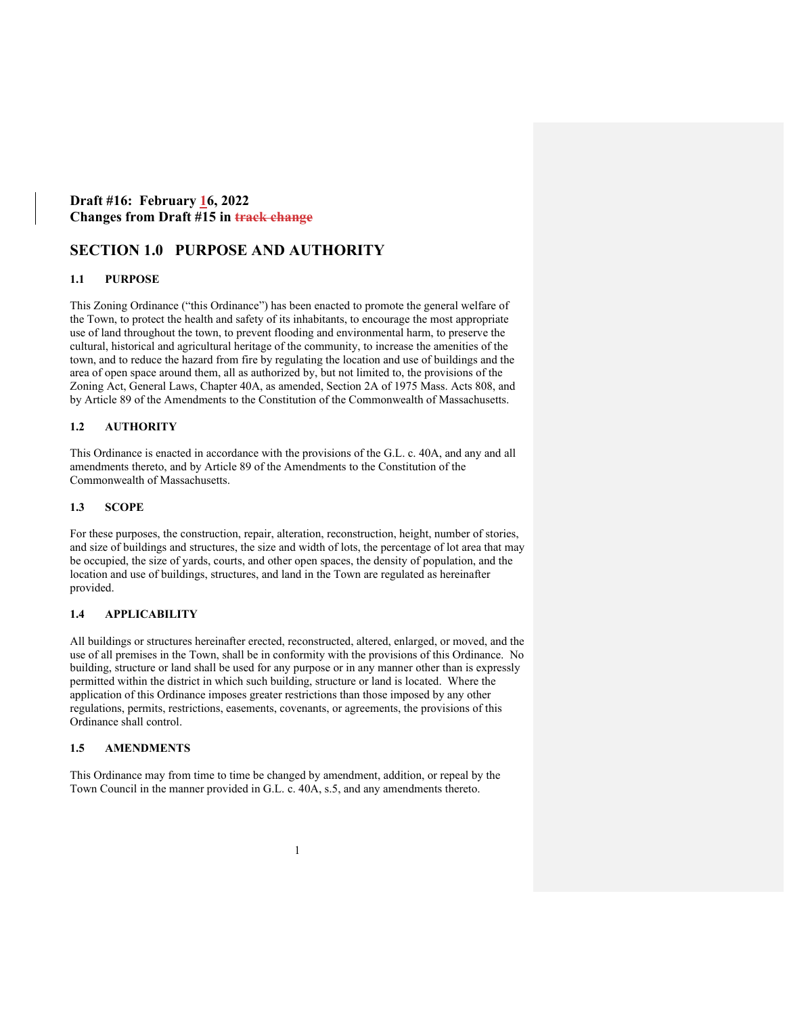# **Draft #16: February 16, 2022 Changes from Draft #15 in track change**

# **SECTION 1.0 PURPOSE AND AUTHORITY**

## **1.1 PURPOSE**

This Zoning Ordinance ("this Ordinance") has been enacted to promote the general welfare of the Town, to protect the health and safety of its inhabitants, to encourage the most appropriate use of land throughout the town, to prevent flooding and environmental harm, to preserve the cultural, historical and agricultural heritage of the community, to increase the amenities of the town, and to reduce the hazard from fire by regulating the location and use of buildings and the area of open space around them, all as authorized by, but not limited to, the provisions of the Zoning Act, General Laws, Chapter 40A, as amended, Section 2A of 1975 Mass. Acts 808, and by Article 89 of the Amendments to the Constitution of the Commonwealth of Massachusetts.

# **1.2 AUTHORITY**

This Ordinance is enacted in accordance with the provisions of the G.L. c. 40A, and any and all amendments thereto, and by Article 89 of the Amendments to the Constitution of the Commonwealth of Massachusetts.

## **1.3 SCOPE**

For these purposes, the construction, repair, alteration, reconstruction, height, number of stories, and size of buildings and structures, the size and width of lots, the percentage of lot area that may be occupied, the size of yards, courts, and other open spaces, the density of population, and the location and use of buildings, structures, and land in the Town are regulated as hereinafter provided.

# **1.4 APPLICABILITY**

All buildings or structures hereinafter erected, reconstructed, altered, enlarged, or moved, and the use of all premises in the Town, shall be in conformity with the provisions of this Ordinance. No building, structure or land shall be used for any purpose or in any manner other than is expressly permitted within the district in which such building, structure or land is located. Where the application of this Ordinance imposes greater restrictions than those imposed by any other regulations, permits, restrictions, easements, covenants, or agreements, the provisions of this Ordinance shall control.

## **1.5 AMENDMENTS**

This Ordinance may from time to time be changed by amendment, addition, or repeal by the Town Council in the manner provided in G.L. c. 40A, s.5, and any amendments thereto.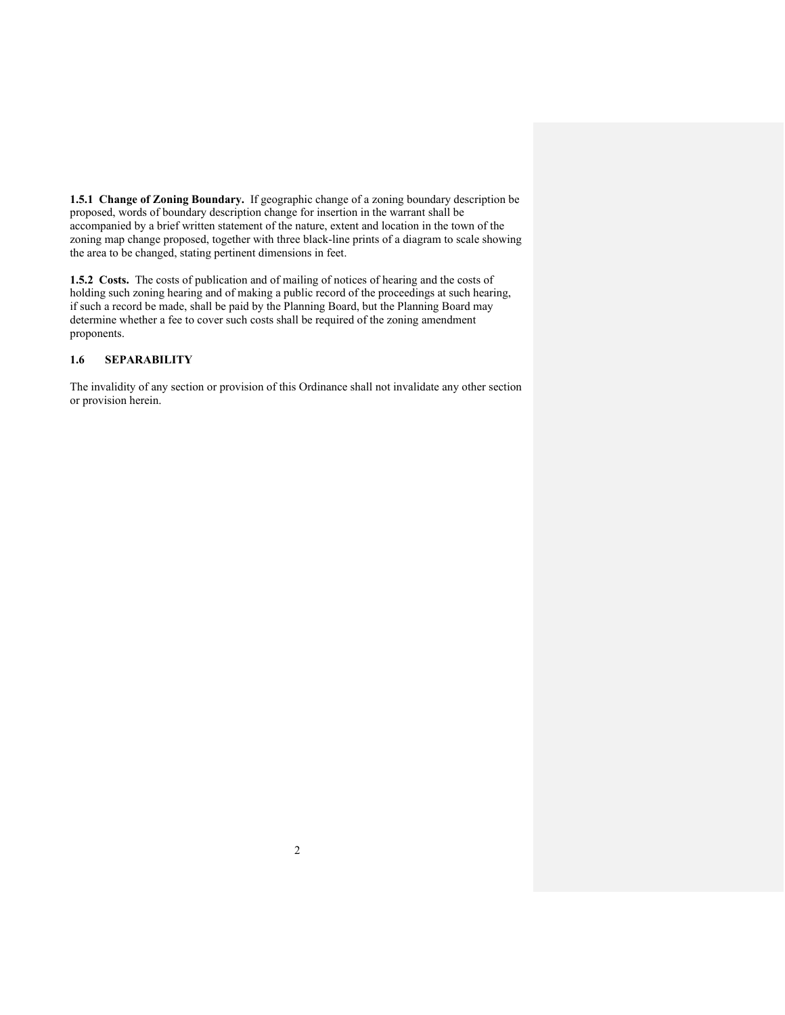**1.5.1 Change of Zoning Boundary.** If geographic change of a zoning boundary description be proposed, words of boundary description change for insertion in the warrant shall be accompanied by a brief written statement of the nature, extent and location in the town of the zoning map change proposed, together with three black-line prints of a diagram to scale showing the area to be changed, stating pertinent dimensions in feet.

**1.5.2 Costs.** The costs of publication and of mailing of notices of hearing and the costs of holding such zoning hearing and of making a public record of the proceedings at such hearing, if such a record be made, shall be paid by the Planning Board, but the Planning Board may determine whether a fee to cover such costs shall be required of the zoning amendment proponents.

# **1.6 SEPARABILITY**

The invalidity of any section or provision of this Ordinance shall not invalidate any other section or provision herein.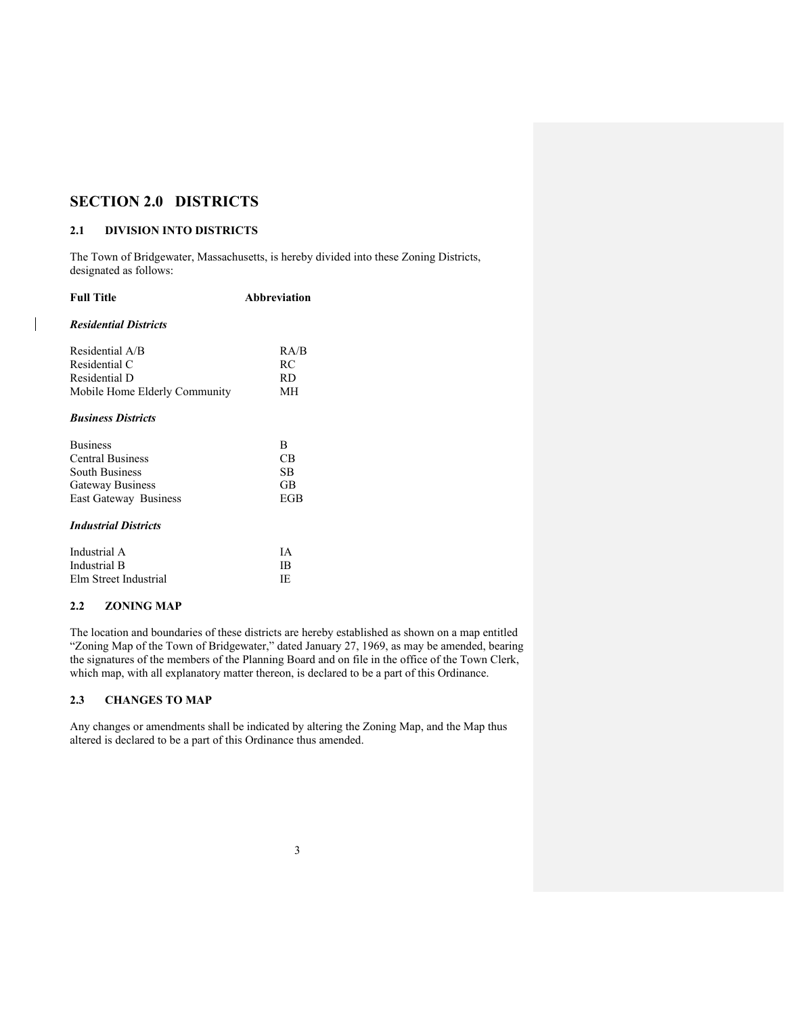# **SECTION 2.0 DISTRICTS**

#### **2.1 DIVISION INTO DISTRICTS**

The Town of Bridgewater, Massachusetts, is hereby divided into these Zoning Districts, designated as follows:

| <b>Full Title</b>                | <b>Abbreviation</b> |  |  |
|----------------------------------|---------------------|--|--|
| <b>Residential Districts</b>     |                     |  |  |
| Residential A/B<br>Residential C | R A/B<br>RC         |  |  |
| Residential D                    | RD.                 |  |  |
| Mobile Home Elderly Community    | MН                  |  |  |
| <b>Business Districts</b>        |                     |  |  |
| <b>Business</b>                  | R                   |  |  |
| <b>Central Business</b>          | СB                  |  |  |
| <b>South Business</b>            | SB                  |  |  |
| <b>Gateway Business</b>          | GB                  |  |  |
| <b>East Gateway Business</b>     | EGB                 |  |  |
| <b>Industrial Districts</b>      |                     |  |  |
| Industrial A                     | <b>TA</b>           |  |  |
| Industrial B                     | IB                  |  |  |
| Elm Street Industrial            | IE                  |  |  |

# **2.2 ZONING MAP**

 $\overline{\phantom{a}}$ 

The location and boundaries of these districts are hereby established as shown on a map entitled "Zoning Map of the Town of Bridgewater," dated January 27, 1969, as may be amended, bearing the signatures of the members of the Planning Board and on file in the office of the Town Clerk, which map, with all explanatory matter thereon, is declared to be a part of this Ordinance.

# **2.3 CHANGES TO MAP**

Any changes or amendments shall be indicated by altering the Zoning Map, and the Map thus altered is declared to be a part of this Ordinance thus amended.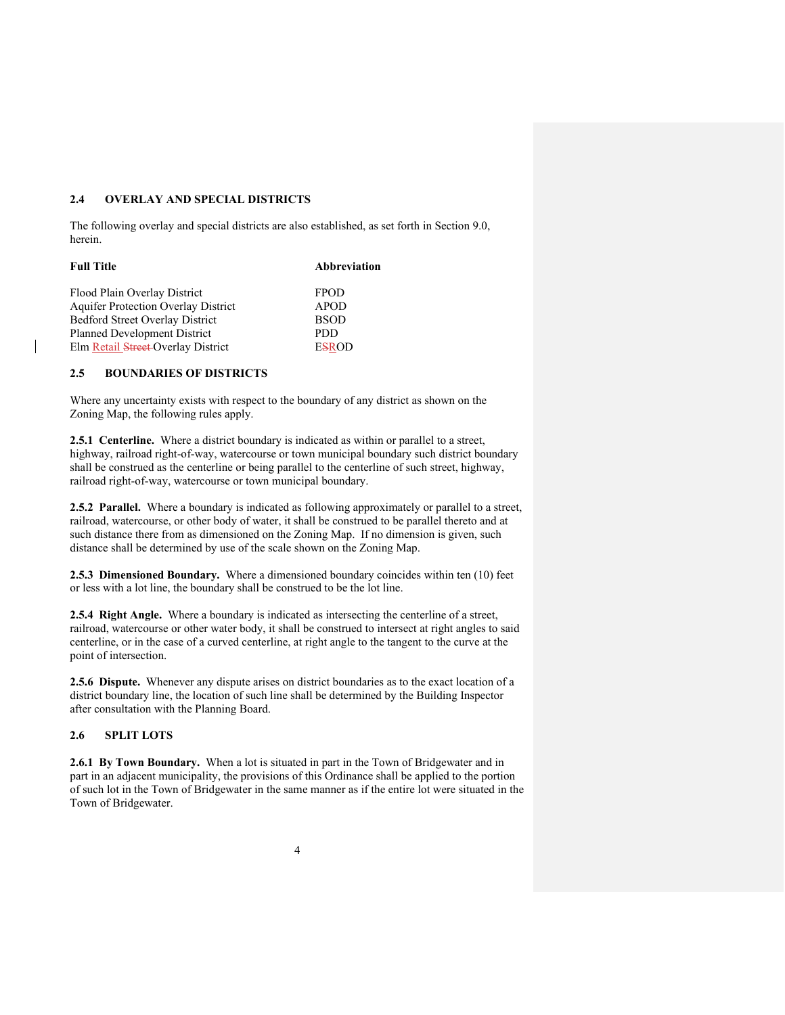## **2.4 OVERLAY AND SPECIAL DISTRICTS**

The following overlay and special districts are also established, as set forth in Section 9.0, herein.

| Abbreviation |  |  |
|--------------|--|--|
| <b>FPOD</b>  |  |  |
| <b>APOD</b>  |  |  |
| <b>BSOD</b>  |  |  |
| <b>PDD</b>   |  |  |
| <b>ESROD</b> |  |  |
|              |  |  |

# **2.5 BOUNDARIES OF DISTRICTS**

Where any uncertainty exists with respect to the boundary of any district as shown on the Zoning Map, the following rules apply.

**2.5.1 Centerline.** Where a district boundary is indicated as within or parallel to a street, highway, railroad right-of-way, watercourse or town municipal boundary such district boundary shall be construed as the centerline or being parallel to the centerline of such street, highway, railroad right-of-way, watercourse or town municipal boundary.

**2.5.2 Parallel.** Where a boundary is indicated as following approximately or parallel to a street, railroad, watercourse, or other body of water, it shall be construed to be parallel thereto and at such distance there from as dimensioned on the Zoning Map. If no dimension is given, such distance shall be determined by use of the scale shown on the Zoning Map.

**2.5.3 Dimensioned Boundary.** Where a dimensioned boundary coincides within ten (10) feet or less with a lot line, the boundary shall be construed to be the lot line.

**2.5.4 Right Angle.** Where a boundary is indicated as intersecting the centerline of a street, railroad, watercourse or other water body, it shall be construed to intersect at right angles to said centerline, or in the case of a curved centerline, at right angle to the tangent to the curve at the point of intersection.

**2.5.6 Dispute.** Whenever any dispute arises on district boundaries as to the exact location of a district boundary line, the location of such line shall be determined by the Building Inspector after consultation with the Planning Board.

#### **2.6 SPLIT LOTS**

**2.6.1 By Town Boundary.** When a lot is situated in part in the Town of Bridgewater and in part in an adjacent municipality, the provisions of this Ordinance shall be applied to the portion of such lot in the Town of Bridgewater in the same manner as if the entire lot were situated in the Town of Bridgewater.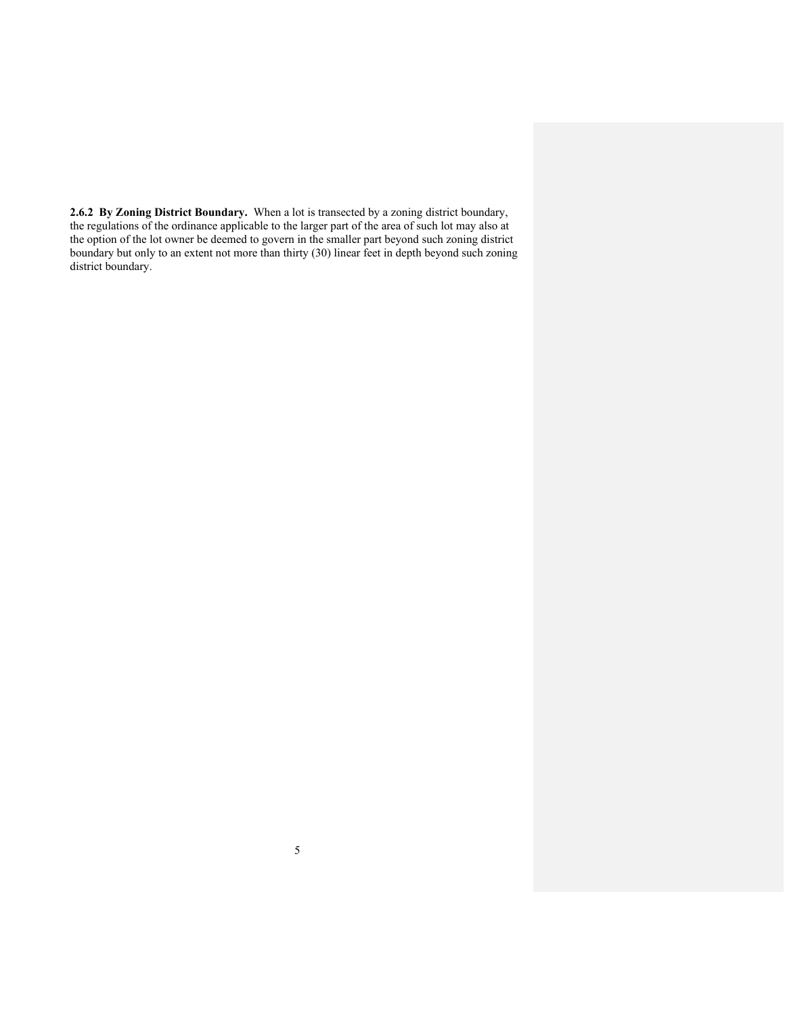**2.6.2 By Zoning District Boundary.** When a lot is transected by a zoning district boundary, the regulations of the ordinance applicable to the larger part of the area of such lot may also at the option of the lot owner be deemed to govern in the smaller part beyond such zoning district boundary but only to an extent not more than thirty (30) linear feet in depth beyond such zoning district boundary.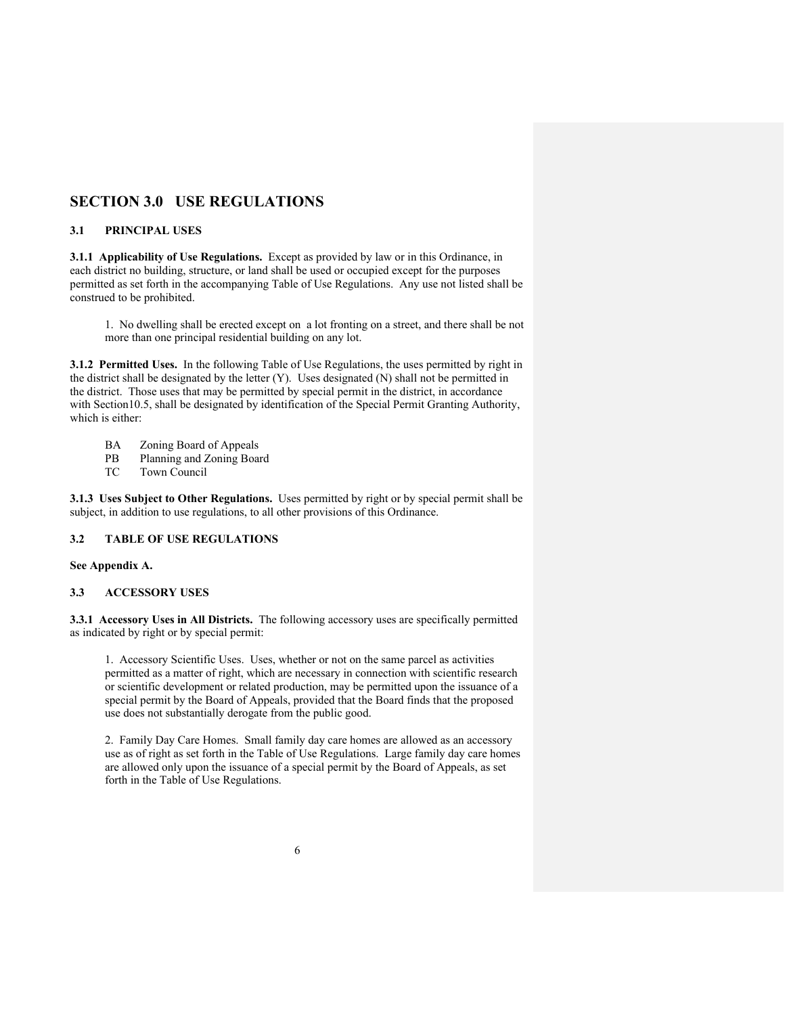# **SECTION 3.0 USE REGULATIONS**

## **3.1 PRINCIPAL USES**

**3.1.1 Applicability of Use Regulations.** Except as provided by law or in this Ordinance, in each district no building, structure, or land shall be used or occupied except for the purposes permitted as set forth in the accompanying Table of Use Regulations. Any use not listed shall be construed to be prohibited.

1. No dwelling shall be erected except on a lot fronting on a street, and there shall be not more than one principal residential building on any lot.

**3.1.2 Permitted Uses.** In the following Table of Use Regulations, the uses permitted by right in the district shall be designated by the letter (Y). Uses designated (N) shall not be permitted in the district. Those uses that may be permitted by special permit in the district, in accordance with Section10.5, shall be designated by identification of the Special Permit Granting Authority, which is either:

- BA Zoning Board of Appeals<br>PB Planning and Zoning Boar
- PB Planning and Zoning Board<br>TC Town Council
- Town Council

**3.1.3 Uses Subject to Other Regulations.** Uses permitted by right or by special permit shall be subject, in addition to use regulations, to all other provisions of this Ordinance.

# **3.2 TABLE OF USE REGULATIONS**

#### **See Appendix A.**

# **3.3 ACCESSORY USES**

**3.3.1 Accessory Uses in All Districts.** The following accessory uses are specifically permitted as indicated by right or by special permit:

1. Accessory Scientific Uses. Uses, whether or not on the same parcel as activities permitted as a matter of right, which are necessary in connection with scientific research or scientific development or related production, may be permitted upon the issuance of a special permit by the Board of Appeals, provided that the Board finds that the proposed use does not substantially derogate from the public good.

2. Family Day Care Homes. Small family day care homes are allowed as an accessory use as of right as set forth in the Table of Use Regulations. Large family day care homes are allowed only upon the issuance of a special permit by the Board of Appeals, as set forth in the Table of Use Regulations.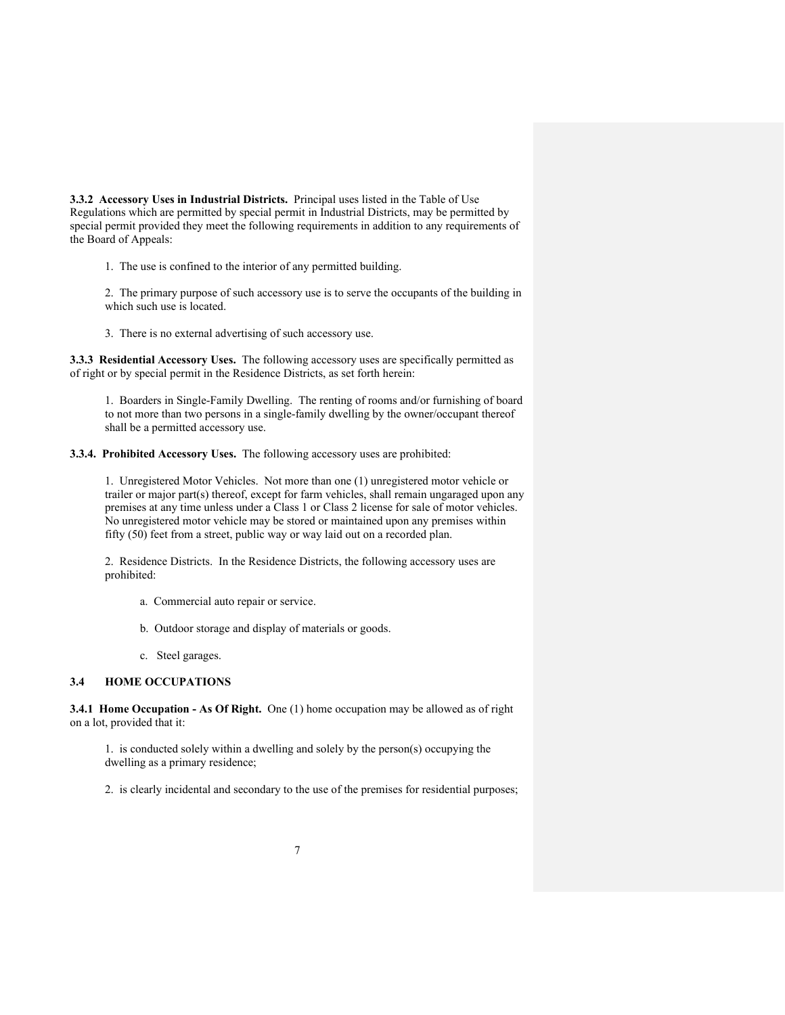**3.3.2 Accessory Uses in Industrial Districts.** Principal uses listed in the Table of Use Regulations which are permitted by special permit in Industrial Districts, may be permitted by special permit provided they meet the following requirements in addition to any requirements of the Board of Appeals:

1. The use is confined to the interior of any permitted building.

2. The primary purpose of such accessory use is to serve the occupants of the building in which such use is located.

3. There is no external advertising of such accessory use.

**3.3.3 Residential Accessory Uses.** The following accessory uses are specifically permitted as of right or by special permit in the Residence Districts, as set forth herein:

1. Boarders in Single-Family Dwelling. The renting of rooms and/or furnishing of board to not more than two persons in a single-family dwelling by the owner/occupant thereof shall be a permitted accessory use.

**3.3.4. Prohibited Accessory Uses.** The following accessory uses are prohibited:

1. Unregistered Motor Vehicles. Not more than one (1) unregistered motor vehicle or trailer or major part(s) thereof, except for farm vehicles, shall remain ungaraged upon any premises at any time unless under a Class 1 or Class 2 license for sale of motor vehicles. No unregistered motor vehicle may be stored or maintained upon any premises within fifty (50) feet from a street, public way or way laid out on a recorded plan.

2. Residence Districts. In the Residence Districts, the following accessory uses are prohibited:

- a. Commercial auto repair or service.
- b. Outdoor storage and display of materials or goods.
- c. Steel garages.

## **3.4 HOME OCCUPATIONS**

**3.4.1 Home Occupation - As Of Right.** One (1) home occupation may be allowed as of right on a lot, provided that it:

1. is conducted solely within a dwelling and solely by the person(s) occupying the dwelling as a primary residence;

2. is clearly incidental and secondary to the use of the premises for residential purposes;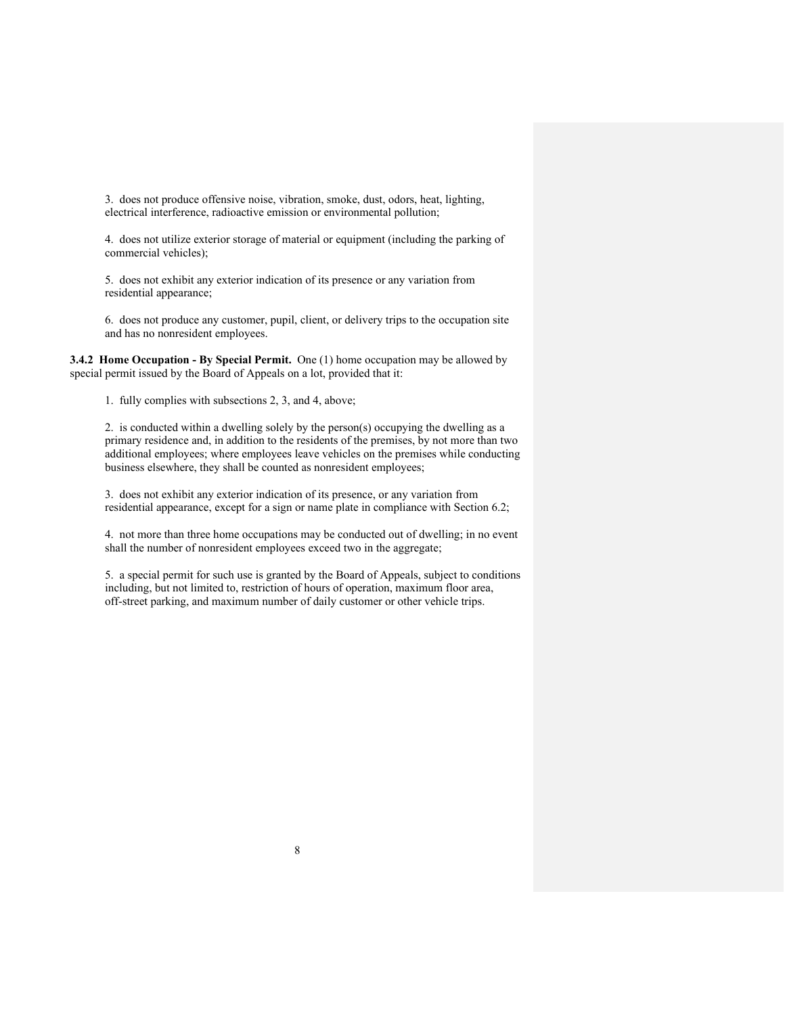3. does not produce offensive noise, vibration, smoke, dust, odors, heat, lighting, electrical interference, radioactive emission or environmental pollution;

4. does not utilize exterior storage of material or equipment (including the parking of commercial vehicles);

5. does not exhibit any exterior indication of its presence or any variation from residential appearance;

6. does not produce any customer, pupil, client, or delivery trips to the occupation site and has no nonresident employees.

**3.4.2 Home Occupation - By Special Permit.** One (1) home occupation may be allowed by special permit issued by the Board of Appeals on a lot, provided that it:

1. fully complies with subsections 2, 3, and 4, above;

2. is conducted within a dwelling solely by the person(s) occupying the dwelling as a primary residence and, in addition to the residents of the premises, by not more than two additional employees; where employees leave vehicles on the premises while conducting business elsewhere, they shall be counted as nonresident employees;

3. does not exhibit any exterior indication of its presence, or any variation from residential appearance, except for a sign or name plate in compliance with Section 6.2;

4. not more than three home occupations may be conducted out of dwelling; in no event shall the number of nonresident employees exceed two in the aggregate;

5. a special permit for such use is granted by the Board of Appeals, subject to conditions including, but not limited to, restriction of hours of operation, maximum floor area, off-street parking, and maximum number of daily customer or other vehicle trips.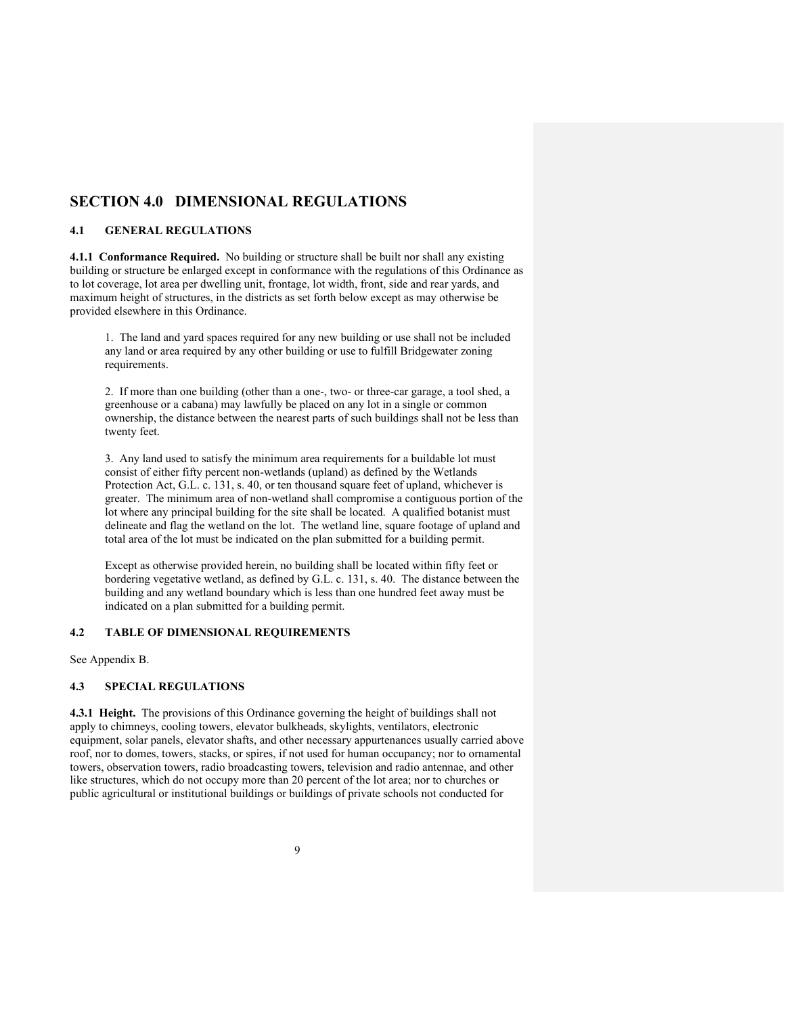# **SECTION 4.0 DIMENSIONAL REGULATIONS**

#### **4.1 GENERAL REGULATIONS**

**4.1.1 Conformance Required.** No building or structure shall be built nor shall any existing building or structure be enlarged except in conformance with the regulations of this Ordinance as to lot coverage, lot area per dwelling unit, frontage, lot width, front, side and rear yards, and maximum height of structures, in the districts as set forth below except as may otherwise be provided elsewhere in this Ordinance.

1. The land and yard spaces required for any new building or use shall not be included any land or area required by any other building or use to fulfill Bridgewater zoning requirements.

2. If more than one building (other than a one-, two- or three-car garage, a tool shed, a greenhouse or a cabana) may lawfully be placed on any lot in a single or common ownership, the distance between the nearest parts of such buildings shall not be less than twenty feet.

3. Any land used to satisfy the minimum area requirements for a buildable lot must consist of either fifty percent non-wetlands (upland) as defined by the Wetlands Protection Act, G.L. c. 131, s. 40, or ten thousand square feet of upland, whichever is greater. The minimum area of non-wetland shall compromise a contiguous portion of the lot where any principal building for the site shall be located. A qualified botanist must delineate and flag the wetland on the lot. The wetland line, square footage of upland and total area of the lot must be indicated on the plan submitted for a building permit.

 Except as otherwise provided herein, no building shall be located within fifty feet or bordering vegetative wetland, as defined by G.L. c. 131, s. 40. The distance between the building and any wetland boundary which is less than one hundred feet away must be indicated on a plan submitted for a building permit.

#### **4.2 TABLE OF DIMENSIONAL REQUIREMENTS**

See Appendix B.

## **4.3 SPECIAL REGULATIONS**

**4.3.1 Height.** The provisions of this Ordinance governing the height of buildings shall not apply to chimneys, cooling towers, elevator bulkheads, skylights, ventilators, electronic equipment, solar panels, elevator shafts, and other necessary appurtenances usually carried above roof, nor to domes, towers, stacks, or spires, if not used for human occupancy; nor to ornamental towers, observation towers, radio broadcasting towers, television and radio antennae, and other like structures, which do not occupy more than 20 percent of the lot area; nor to churches or public agricultural or institutional buildings or buildings of private schools not conducted for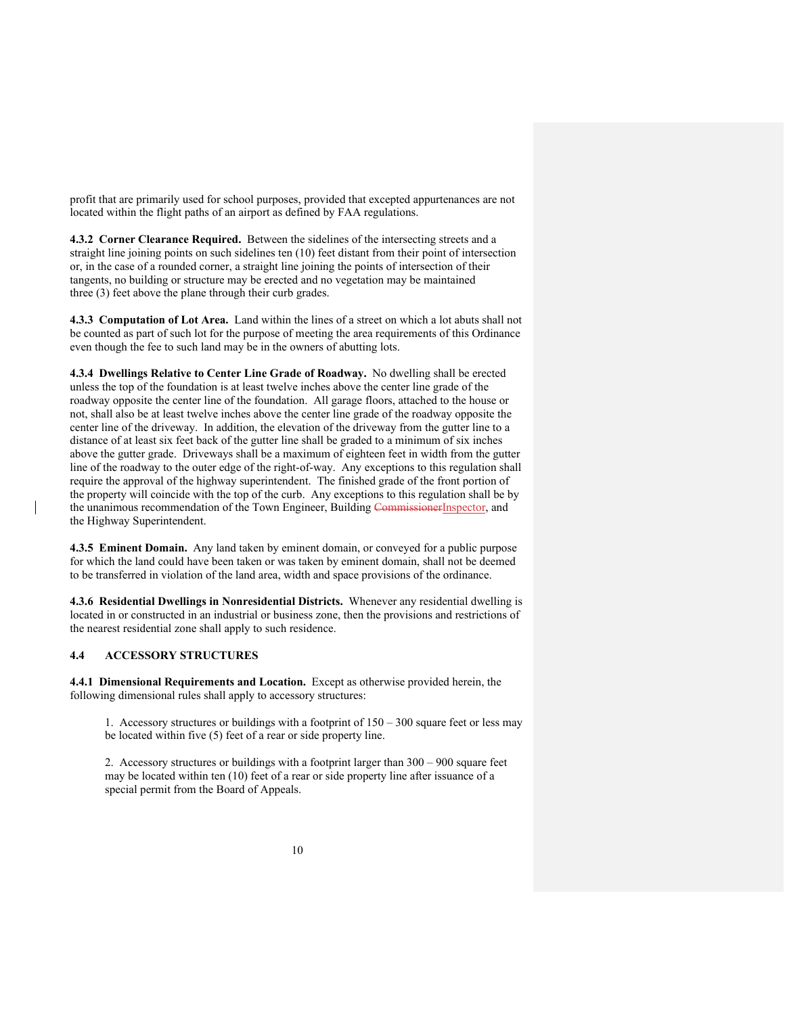profit that are primarily used for school purposes, provided that excepted appurtenances are not located within the flight paths of an airport as defined by FAA regulations.

**4.3.2 Corner Clearance Required.** Between the sidelines of the intersecting streets and a straight line joining points on such sidelines ten (10) feet distant from their point of intersection or, in the case of a rounded corner, a straight line joining the points of intersection of their tangents, no building or structure may be erected and no vegetation may be maintained three (3) feet above the plane through their curb grades.

**4.3.3 Computation of Lot Area.** Land within the lines of a street on which a lot abuts shall not be counted as part of such lot for the purpose of meeting the area requirements of this Ordinance even though the fee to such land may be in the owners of abutting lots.

**4.3.4 Dwellings Relative to Center Line Grade of Roadway.** No dwelling shall be erected unless the top of the foundation is at least twelve inches above the center line grade of the roadway opposite the center line of the foundation. All garage floors, attached to the house or not, shall also be at least twelve inches above the center line grade of the roadway opposite the center line of the driveway. In addition, the elevation of the driveway from the gutter line to a distance of at least six feet back of the gutter line shall be graded to a minimum of six inches above the gutter grade. Driveways shall be a maximum of eighteen feet in width from the gutter line of the roadway to the outer edge of the right-of-way. Any exceptions to this regulation shall require the approval of the highway superintendent. The finished grade of the front portion of the property will coincide with the top of the curb. Any exceptions to this regulation shall be by the unanimous recommendation of the Town Engineer, Building CommissionerInspector, and the Highway Superintendent.

**4.3.5 Eminent Domain.** Any land taken by eminent domain, or conveyed for a public purpose for which the land could have been taken or was taken by eminent domain, shall not be deemed to be transferred in violation of the land area, width and space provisions of the ordinance.

**4.3.6 Residential Dwellings in Nonresidential Districts.** Whenever any residential dwelling is located in or constructed in an industrial or business zone, then the provisions and restrictions of the nearest residential zone shall apply to such residence.

## **4.4 ACCESSORY STRUCTURES**

**4.4.1 Dimensional Requirements and Location.** Except as otherwise provided herein, the following dimensional rules shall apply to accessory structures:

1. Accessory structures or buildings with a footprint of  $150 - 300$  square feet or less may be located within five (5) feet of a rear or side property line.

2. Accessory structures or buildings with a footprint larger than 300 – 900 square feet may be located within ten (10) feet of a rear or side property line after issuance of a special permit from the Board of Appeals.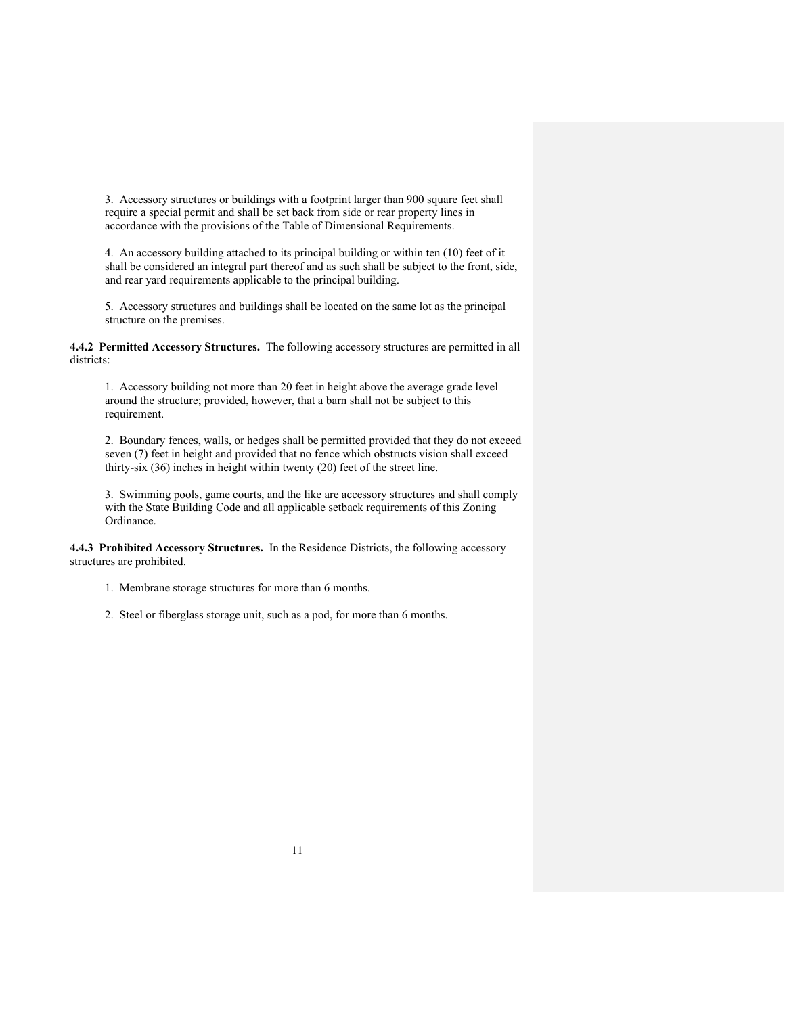3. Accessory structures or buildings with a footprint larger than 900 square feet shall require a special permit and shall be set back from side or rear property lines in accordance with the provisions of the Table of Dimensional Requirements.

4. An accessory building attached to its principal building or within ten (10) feet of it shall be considered an integral part thereof and as such shall be subject to the front, side, and rear yard requirements applicable to the principal building.

5. Accessory structures and buildings shall be located on the same lot as the principal structure on the premises.

**4.4.2 Permitted Accessory Structures.** The following accessory structures are permitted in all districts:

1. Accessory building not more than 20 feet in height above the average grade level around the structure; provided, however, that a barn shall not be subject to this requirement.

2. Boundary fences, walls, or hedges shall be permitted provided that they do not exceed seven (7) feet in height and provided that no fence which obstructs vision shall exceed thirty-six (36) inches in height within twenty (20) feet of the street line.

3. Swimming pools, game courts, and the like are accessory structures and shall comply with the State Building Code and all applicable setback requirements of this Zoning Ordinance.

**4.4.3 Prohibited Accessory Structures.** In the Residence Districts, the following accessory structures are prohibited.

1. Membrane storage structures for more than 6 months.

2. Steel or fiberglass storage unit, such as a pod, for more than 6 months.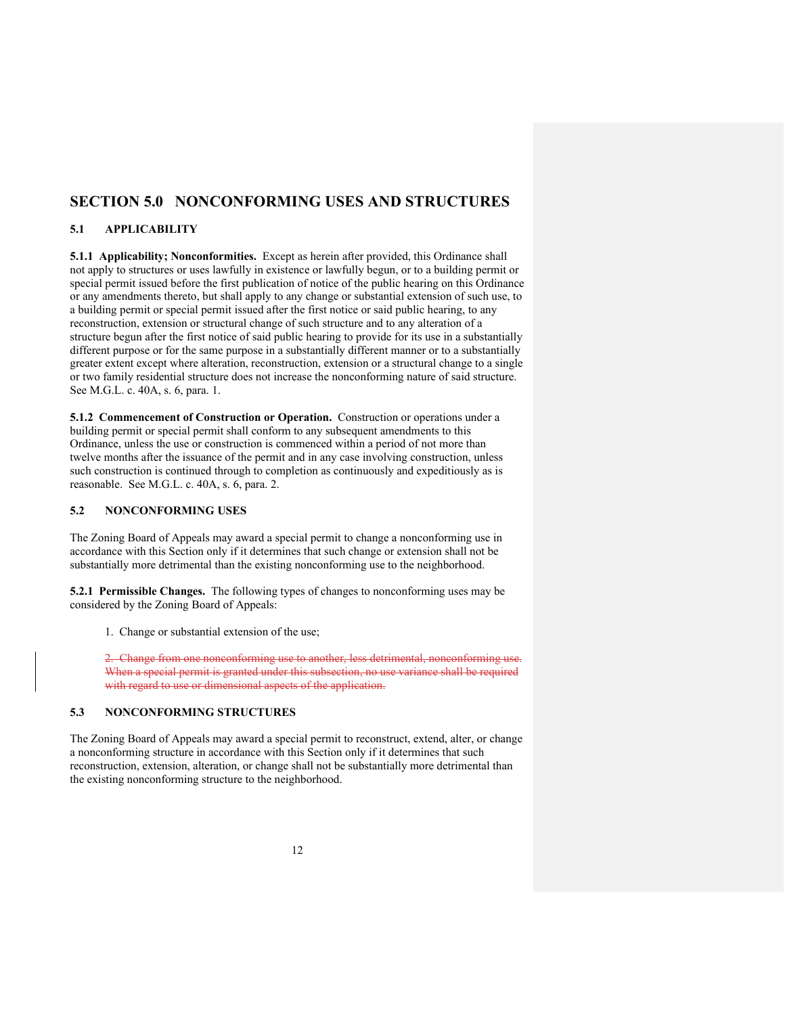# **SECTION 5.0 NONCONFORMING USES AND STRUCTURES**

# **5.1 APPLICABILITY**

**5.1.1 Applicability; Nonconformities.** Except as herein after provided, this Ordinance shall not apply to structures or uses lawfully in existence or lawfully begun, or to a building permit or special permit issued before the first publication of notice of the public hearing on this Ordinance or any amendments thereto, but shall apply to any change or substantial extension of such use, to a building permit or special permit issued after the first notice or said public hearing, to any reconstruction, extension or structural change of such structure and to any alteration of a structure begun after the first notice of said public hearing to provide for its use in a substantially different purpose or for the same purpose in a substantially different manner or to a substantially greater extent except where alteration, reconstruction, extension or a structural change to a single or two family residential structure does not increase the nonconforming nature of said structure. See M.G.L. c. 40A, s. 6, para. 1.

**5.1.2 Commencement of Construction or Operation.** Construction or operations under a building permit or special permit shall conform to any subsequent amendments to this Ordinance, unless the use or construction is commenced within a period of not more than twelve months after the issuance of the permit and in any case involving construction, unless such construction is continued through to completion as continuously and expeditiously as is reasonable. See M.G.L. c. 40A, s. 6, para. 2.

## **5.2 NONCONFORMING USES**

The Zoning Board of Appeals may award a special permit to change a nonconforming use in accordance with this Section only if it determines that such change or extension shall not be substantially more detrimental than the existing nonconforming use to the neighborhood.

**5.2.1 Permissible Changes.** The following types of changes to nonconforming uses may be considered by the Zoning Board of Appeals:

1. Change or substantial extension of the use;

2. Change from one nonconforming use to another, less detrimental, nonconforming use. When a special permit is granted under this subsection, no use variance shall be required with regard to use or dimensional aspects of the application.

# **5.3 NONCONFORMING STRUCTURES**

The Zoning Board of Appeals may award a special permit to reconstruct, extend, alter, or change a nonconforming structure in accordance with this Section only if it determines that such reconstruction, extension, alteration, or change shall not be substantially more detrimental than the existing nonconforming structure to the neighborhood.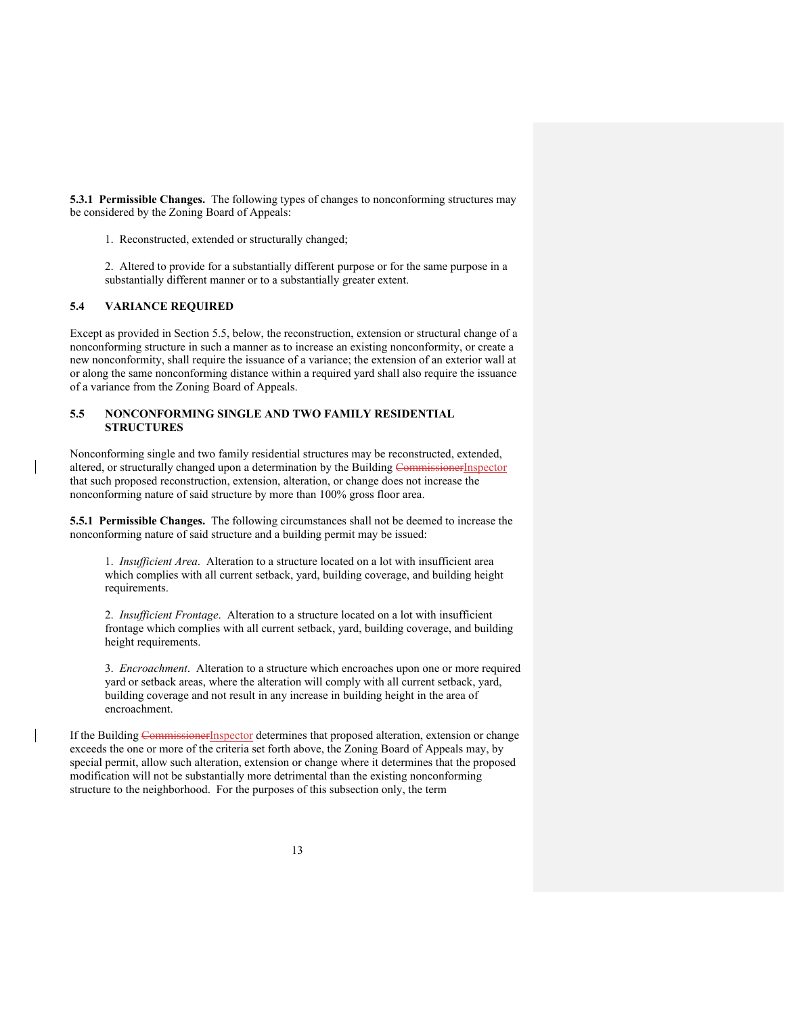**5.3.1 Permissible Changes.** The following types of changes to nonconforming structures may be considered by the Zoning Board of Appeals:

1. Reconstructed, extended or structurally changed;

2. Altered to provide for a substantially different purpose or for the same purpose in a substantially different manner or to a substantially greater extent.

# **5.4 VARIANCE REQUIRED**

Except as provided in Section 5.5, below, the reconstruction, extension or structural change of a nonconforming structure in such a manner as to increase an existing nonconformity, or create a new nonconformity, shall require the issuance of a variance; the extension of an exterior wall at or along the same nonconforming distance within a required yard shall also require the issuance of a variance from the Zoning Board of Appeals.

# **5.5 NONCONFORMING SINGLE AND TWO FAMILY RESIDENTIAL STRUCTURES**

Nonconforming single and two family residential structures may be reconstructed, extended, altered, or structurally changed upon a determination by the Building CommissionerInspector that such proposed reconstruction, extension, alteration, or change does not increase the nonconforming nature of said structure by more than 100% gross floor area.

**5.5.1 Permissible Changes.** The following circumstances shall not be deemed to increase the nonconforming nature of said structure and a building permit may be issued:

1. *Insufficient Area*. Alteration to a structure located on a lot with insufficient area which complies with all current setback, yard, building coverage, and building height requirements.

2. *Insufficient Frontage*. Alteration to a structure located on a lot with insufficient frontage which complies with all current setback, yard, building coverage, and building height requirements.

3. *Encroachment*. Alteration to a structure which encroaches upon one or more required yard or setback areas, where the alteration will comply with all current setback, yard, building coverage and not result in any increase in building height in the area of encroachment.

If the Building CommissionerInspector determines that proposed alteration, extension or change exceeds the one or more of the criteria set forth above, the Zoning Board of Appeals may, by special permit, allow such alteration, extension or change where it determines that the proposed modification will not be substantially more detrimental than the existing nonconforming structure to the neighborhood. For the purposes of this subsection only, the term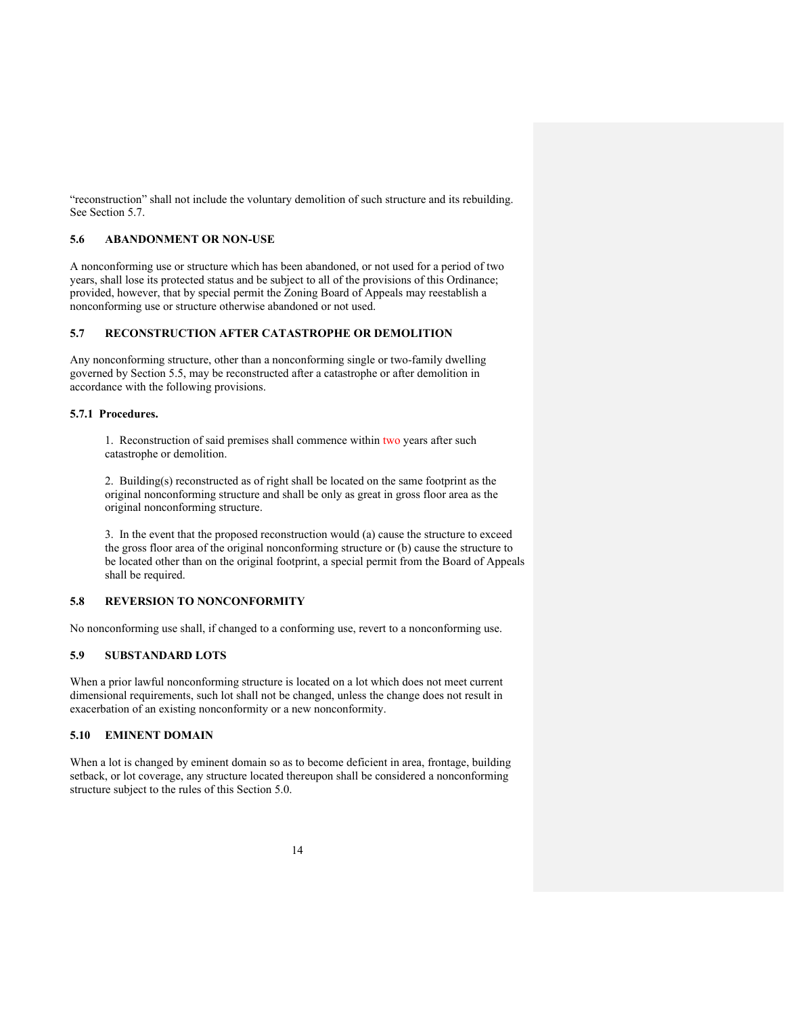"reconstruction" shall not include the voluntary demolition of such structure and its rebuilding. See Section 5.7.

#### **5.6 ABANDONMENT OR NON-USE**

A nonconforming use or structure which has been abandoned, or not used for a period of two years, shall lose its protected status and be subject to all of the provisions of this Ordinance; provided, however, that by special permit the Zoning Board of Appeals may reestablish a nonconforming use or structure otherwise abandoned or not used.

# **5.7 RECONSTRUCTION AFTER CATASTROPHE OR DEMOLITION**

Any nonconforming structure, other than a nonconforming single or two-family dwelling governed by Section 5.5, may be reconstructed after a catastrophe or after demolition in accordance with the following provisions.

## **5.7.1 Procedures.**

1. Reconstruction of said premises shall commence within two years after such catastrophe or demolition.

2. Building(s) reconstructed as of right shall be located on the same footprint as the original nonconforming structure and shall be only as great in gross floor area as the original nonconforming structure.

3. In the event that the proposed reconstruction would (a) cause the structure to exceed the gross floor area of the original nonconforming structure or (b) cause the structure to be located other than on the original footprint, a special permit from the Board of Appeals shall be required.

#### **5.8 REVERSION TO NONCONFORMITY**

No nonconforming use shall, if changed to a conforming use, revert to a nonconforming use.

# **5.9 SUBSTANDARD LOTS**

When a prior lawful nonconforming structure is located on a lot which does not meet current dimensional requirements, such lot shall not be changed, unless the change does not result in exacerbation of an existing nonconformity or a new nonconformity.

## **5.10 EMINENT DOMAIN**

When a lot is changed by eminent domain so as to become deficient in area, frontage, building setback, or lot coverage, any structure located thereupon shall be considered a nonconforming structure subject to the rules of this Section 5.0.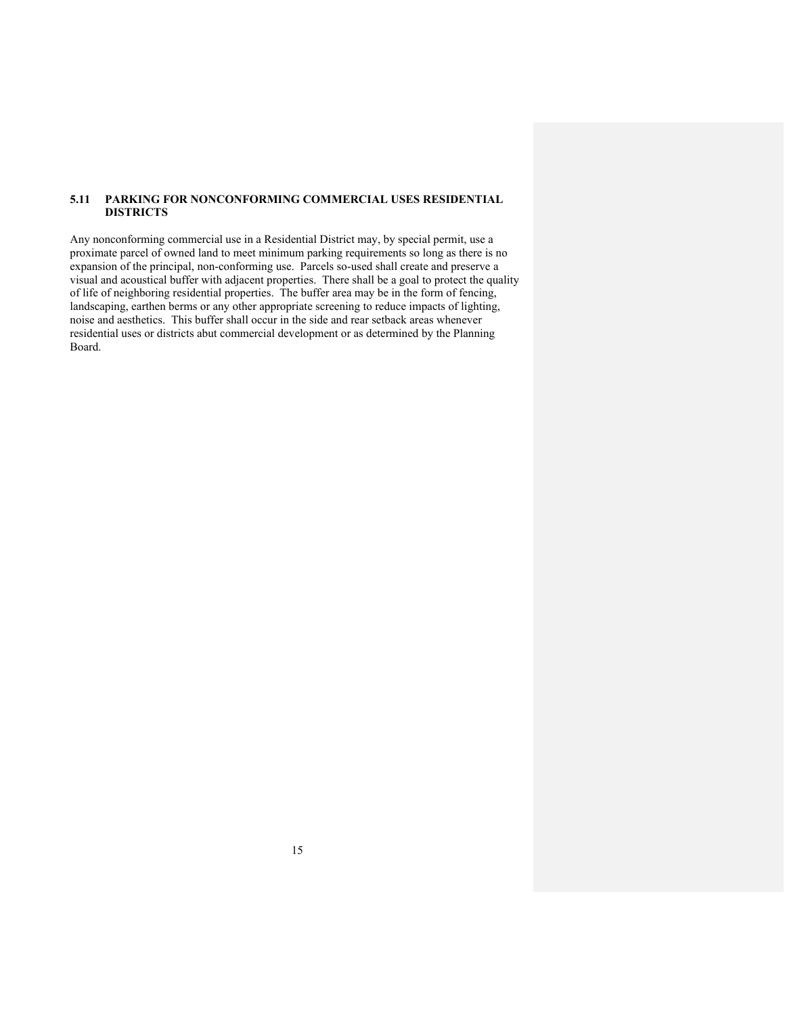# **5.11 PARKING FOR NONCONFORMING COMMERCIAL USES RESIDENTIAL DISTRICTS**

Any nonconforming commercial use in a Residential District may, by special permit, use a proximate parcel of owned land to meet minimum parking requirements so long as there is no expansion of the principal, non-conforming use. Parcels so-used shall create and preserve a visual and acoustical buffer with adjacent properties. There shall be a goal to protect the quality of life of neighboring residential properties. The buffer area may be in the form of fencing, landscaping, earthen berms or any other appropriate screening to reduce impacts of lighting, noise and aesthetics. This buffer shall occur in the side and rear setback areas whenever residential uses or districts abut commercial development or as determined by the Planning Board.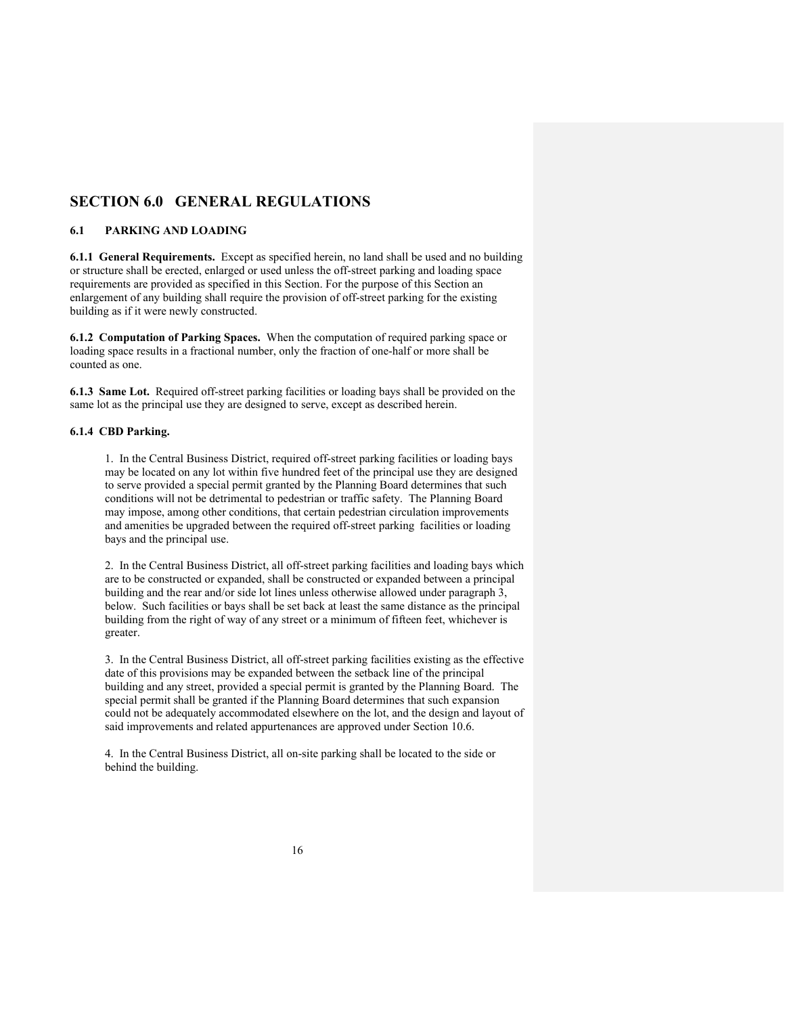# **SECTION 6.0 GENERAL REGULATIONS**

## **6.1 PARKING AND LOADING**

**6.1.1 General Requirements.** Except as specified herein, no land shall be used and no building or structure shall be erected, enlarged or used unless the off-street parking and loading space requirements are provided as specified in this Section. For the purpose of this Section an enlargement of any building shall require the provision of off-street parking for the existing building as if it were newly constructed.

**6.1.2 Computation of Parking Spaces.** When the computation of required parking space or loading space results in a fractional number, only the fraction of one-half or more shall be counted as one.

**6.1.3 Same Lot.** Required off-street parking facilities or loading bays shall be provided on the same lot as the principal use they are designed to serve, except as described herein.

## **6.1.4 CBD Parking.**

1. In the Central Business District, required off-street parking facilities or loading bays may be located on any lot within five hundred feet of the principal use they are designed to serve provided a special permit granted by the Planning Board determines that such conditions will not be detrimental to pedestrian or traffic safety. The Planning Board may impose, among other conditions, that certain pedestrian circulation improvements and amenities be upgraded between the required off-street parking facilities or loading bays and the principal use.

2. In the Central Business District, all off-street parking facilities and loading bays which are to be constructed or expanded, shall be constructed or expanded between a principal building and the rear and/or side lot lines unless otherwise allowed under paragraph 3, below. Such facilities or bays shall be set back at least the same distance as the principal building from the right of way of any street or a minimum of fifteen feet, whichever is greater.

3. In the Central Business District, all off-street parking facilities existing as the effective date of this provisions may be expanded between the setback line of the principal building and any street, provided a special permit is granted by the Planning Board. The special permit shall be granted if the Planning Board determines that such expansion could not be adequately accommodated elsewhere on the lot, and the design and layout of said improvements and related appurtenances are approved under Section 10.6.

4. In the Central Business District, all on-site parking shall be located to the side or behind the building.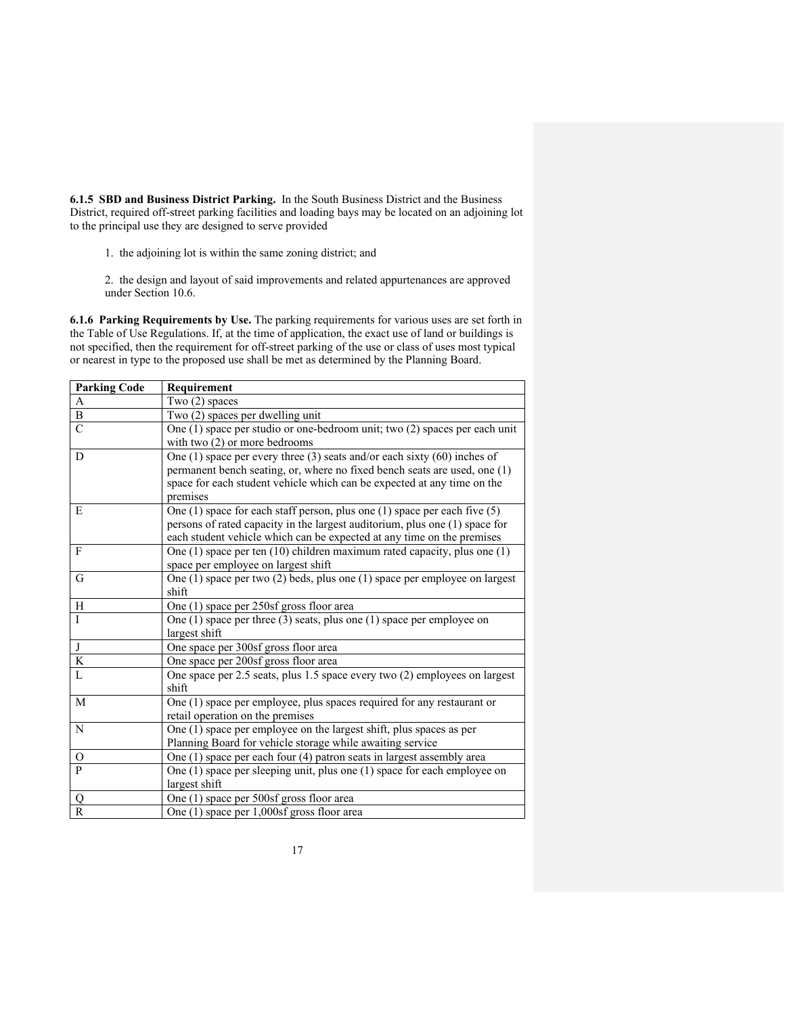**6.1.5 SBD and Business District Parking.** In the South Business District and the Business District, required off-street parking facilities and loading bays may be located on an adjoining lot to the principal use they are designed to serve provided

- 1. the adjoining lot is within the same zoning district; and
- 2. the design and layout of said improvements and related appurtenances are approved under Section 10.6.

**6.1.6 Parking Requirements by Use.** The parking requirements for various uses are set forth in the Table of Use Regulations. If, at the time of application, the exact use of land or buildings is not specified, then the requirement for off-street parking of the use or class of uses most typical or nearest in type to the proposed use shall be met as determined by the Planning Board.

| <b>Parking Code</b> | Requirement                                                                                                                                                                                                                                    |
|---------------------|------------------------------------------------------------------------------------------------------------------------------------------------------------------------------------------------------------------------------------------------|
| A                   | Two $(2)$ spaces                                                                                                                                                                                                                               |
| $\, {\bf B}$        | Two (2) spaces per dwelling unit                                                                                                                                                                                                               |
| $\overline{C}$      | One (1) space per studio or one-bedroom unit; two (2) spaces per each unit<br>with two $(2)$ or more bedrooms                                                                                                                                  |
| D                   | One (1) space per every three (3) seats and/or each sixty $(60)$ inches of<br>permanent bench seating, or, where no fixed bench seats are used, one (1)<br>space for each student vehicle which can be expected at any time on the<br>premises |
| E                   | One $(1)$ space for each staff person, plus one $(1)$ space per each five $(5)$<br>persons of rated capacity in the largest auditorium, plus one (1) space for<br>each student vehicle which can be expected at any time on the premises       |
| F                   | One $(1)$ space per ten $(10)$ children maximum rated capacity, plus one $(1)$<br>space per employee on largest shift                                                                                                                          |
| G                   | One $(1)$ space per two $(2)$ beds, plus one $(1)$ space per employee on largest<br>shift                                                                                                                                                      |
| H                   | One (1) space per 250sf gross floor area                                                                                                                                                                                                       |
| I                   | One $(1)$ space per three $(3)$ seats, plus one $(1)$ space per employee on<br>largest shift                                                                                                                                                   |
| J                   | One space per 300sf gross floor area                                                                                                                                                                                                           |
| $\bf K$             | One space per 200sf gross floor area                                                                                                                                                                                                           |
| L                   | One space per 2.5 seats, plus 1.5 space every two (2) employees on largest<br>shift                                                                                                                                                            |
| M                   | One (1) space per employee, plus spaces required for any restaurant or<br>retail operation on the premises                                                                                                                                     |
| N                   | One (1) space per employee on the largest shift, plus spaces as per<br>Planning Board for vehicle storage while awaiting service                                                                                                               |
| O                   | One $(1)$ space per each four $(4)$ patron seats in largest assembly area                                                                                                                                                                      |
| P                   | One $(1)$ space per sleeping unit, plus one $(1)$ space for each employee on<br>largest shift                                                                                                                                                  |
| Q                   | One (1) space per 500sf gross floor area                                                                                                                                                                                                       |
| R                   | One (1) space per 1,000sf gross floor area                                                                                                                                                                                                     |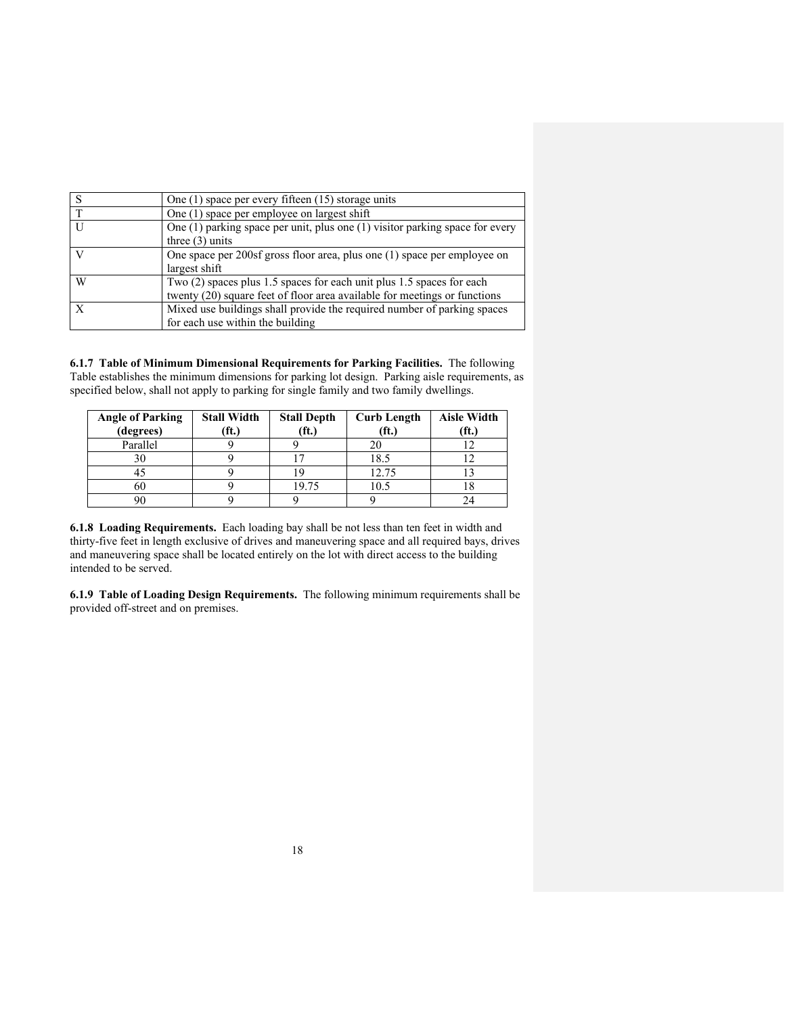| <sub>S</sub> | One $(1)$ space per every fifteen $(15)$ storage units                           |
|--------------|----------------------------------------------------------------------------------|
| T            | One (1) space per employee on largest shift                                      |
| II           | One $(1)$ parking space per unit, plus one $(1)$ visitor parking space for every |
|              | three $(3)$ units                                                                |
|              | One space per $200s$ gross floor area, plus one (1) space per employee on        |
|              | largest shift                                                                    |
| W            | Two $(2)$ spaces plus 1.5 spaces for each unit plus 1.5 spaces for each          |
|              | twenty (20) square feet of floor area available for meetings or functions        |
|              | Mixed use buildings shall provide the required number of parking spaces          |
|              | for each use within the building                                                 |

**6.1.7 Table of Minimum Dimensional Requirements for Parking Facilities.** The following Table establishes the minimum dimensions for parking lot design. Parking aisle requirements, as specified below, shall not apply to parking for single family and two family dwellings.

| <b>Angle of Parking</b><br>(degrees) | <b>Stall Width</b><br>$^{\circ}$ ft.) | <b>Stall Depth</b><br>(f <sub>t</sub> ) | <b>Curb Length</b><br>(ft.) | <b>Aisle Width</b><br>$(f\mathbf{t})$ |
|--------------------------------------|---------------------------------------|-----------------------------------------|-----------------------------|---------------------------------------|
| Parallel                             |                                       |                                         |                             |                                       |
| 30                                   |                                       |                                         | 18.5                        |                                       |
|                                      |                                       |                                         | 12.75                       |                                       |
| 60                                   |                                       | 19.75                                   | 10.5                        | 10                                    |
|                                      |                                       |                                         |                             |                                       |

**6.1.8 Loading Requirements.** Each loading bay shall be not less than ten feet in width and thirty-five feet in length exclusive of drives and maneuvering space and all required bays, drives and maneuvering space shall be located entirely on the lot with direct access to the building intended to be served.

**6.1.9 Table of Loading Design Requirements.** The following minimum requirements shall be provided off-street and on premises.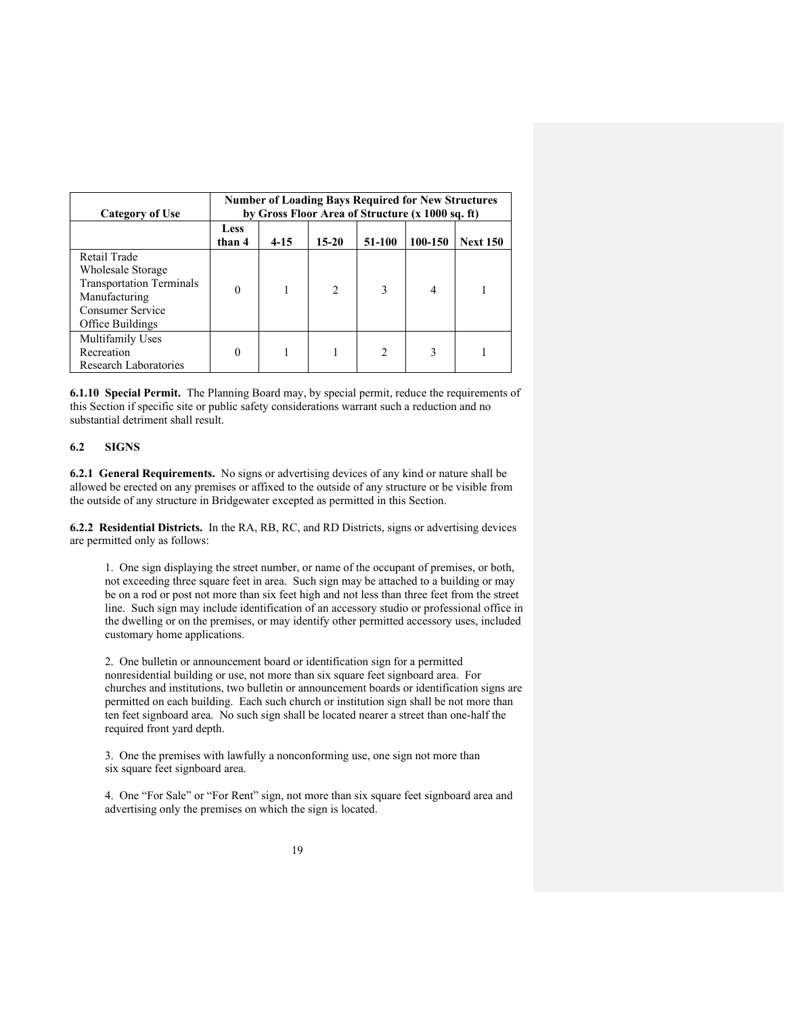| Category of Use                                                                                                               | <b>Number of Loading Bays Required for New Structures</b><br>by Gross Floor Area of Structure (x 1000 sq. ft) |          |           |                               |         |                 |  |
|-------------------------------------------------------------------------------------------------------------------------------|---------------------------------------------------------------------------------------------------------------|----------|-----------|-------------------------------|---------|-----------------|--|
|                                                                                                                               | <b>Less</b><br>than 4                                                                                         | $4 - 15$ | $15 - 20$ | 51-100                        | 100-150 | <b>Next 150</b> |  |
| Retail Trade<br>Wholesale Storage<br><b>Transportation Terminals</b><br>Manufacturing<br>Consumer Service<br>Office Buildings | $\theta$                                                                                                      |          | 2         | 3                             | 4       |                 |  |
| Multifamily Uses<br>Recreation<br><b>Research Laboratories</b>                                                                | 0                                                                                                             |          |           | $\mathfrak{D}_{\mathfrak{p}}$ | ٩       |                 |  |

**6.1.10 Special Permit.** The Planning Board may, by special permit, reduce the requirements of this Section if specific site or public safety considerations warrant such a reduction and no substantial detriment shall result.

# **6.2 SIGNS**

**6.2.1 General Requirements.** No signs or advertising devices of any kind or nature shall be allowed be erected on any premises or affixed to the outside of any structure or be visible from the outside of any structure in Bridgewater excepted as permitted in this Section.

**6.2.2 Residential Districts.** In the RA, RB, RC, and RD Districts, signs or advertising devices are permitted only as follows:

1. One sign displaying the street number, or name of the occupant of premises, or both, not exceeding three square feet in area. Such sign may be attached to a building or may be on a rod or post not more than six feet high and not less than three feet from the street line. Such sign may include identification of an accessory studio or professional office in the dwelling or on the premises, or may identify other permitted accessory uses, included customary home applications.

2. One bulletin or announcement board or identification sign for a permitted nonresidential building or use, not more than six square feet signboard area. For churches and institutions, two bulletin or announcement boards or identification signs are permitted on each building. Each such church or institution sign shall be not more than ten feet signboard area. No such sign shall be located nearer a street than one-half the required front yard depth.

3. One the premises with lawfully a nonconforming use, one sign not more than six square feet signboard area.

4. One "For Sale" or "For Rent" sign, not more than six square feet signboard area and advertising only the premises on which the sign is located.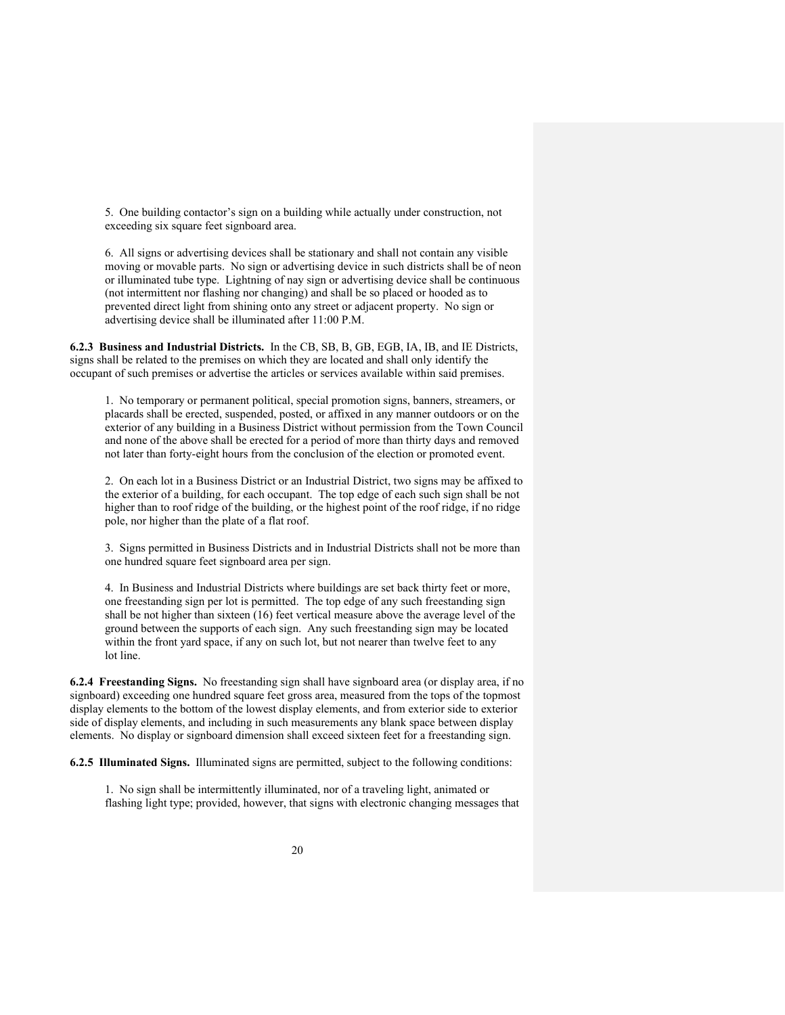5. One building contactor's sign on a building while actually under construction, not exceeding six square feet signboard area.

6. All signs or advertising devices shall be stationary and shall not contain any visible moving or movable parts. No sign or advertising device in such districts shall be of neon or illuminated tube type. Lightning of nay sign or advertising device shall be continuous (not intermittent nor flashing nor changing) and shall be so placed or hooded as to prevented direct light from shining onto any street or adjacent property. No sign or advertising device shall be illuminated after 11:00 P.M.

**6.2.3 Business and Industrial Districts.** In the CB, SB, B, GB, EGB, IA, IB, and IE Districts, signs shall be related to the premises on which they are located and shall only identify the occupant of such premises or advertise the articles or services available within said premises.

1. No temporary or permanent political, special promotion signs, banners, streamers, or placards shall be erected, suspended, posted, or affixed in any manner outdoors or on the exterior of any building in a Business District without permission from the Town Council and none of the above shall be erected for a period of more than thirty days and removed not later than forty-eight hours from the conclusion of the election or promoted event.

2. On each lot in a Business District or an Industrial District, two signs may be affixed to the exterior of a building, for each occupant. The top edge of each such sign shall be not higher than to roof ridge of the building, or the highest point of the roof ridge, if no ridge pole, nor higher than the plate of a flat roof.

3. Signs permitted in Business Districts and in Industrial Districts shall not be more than one hundred square feet signboard area per sign.

4. In Business and Industrial Districts where buildings are set back thirty feet or more, one freestanding sign per lot is permitted. The top edge of any such freestanding sign shall be not higher than sixteen (16) feet vertical measure above the average level of the ground between the supports of each sign. Any such freestanding sign may be located within the front yard space, if any on such lot, but not nearer than twelve feet to any lot line.

**6.2.4 Freestanding Signs.** No freestanding sign shall have signboard area (or display area, if no signboard) exceeding one hundred square feet gross area, measured from the tops of the topmost display elements to the bottom of the lowest display elements, and from exterior side to exterior side of display elements, and including in such measurements any blank space between display elements. No display or signboard dimension shall exceed sixteen feet for a freestanding sign.

**6.2.5 Illuminated Signs.** Illuminated signs are permitted, subject to the following conditions:

1. No sign shall be intermittently illuminated, nor of a traveling light, animated or flashing light type; provided, however, that signs with electronic changing messages that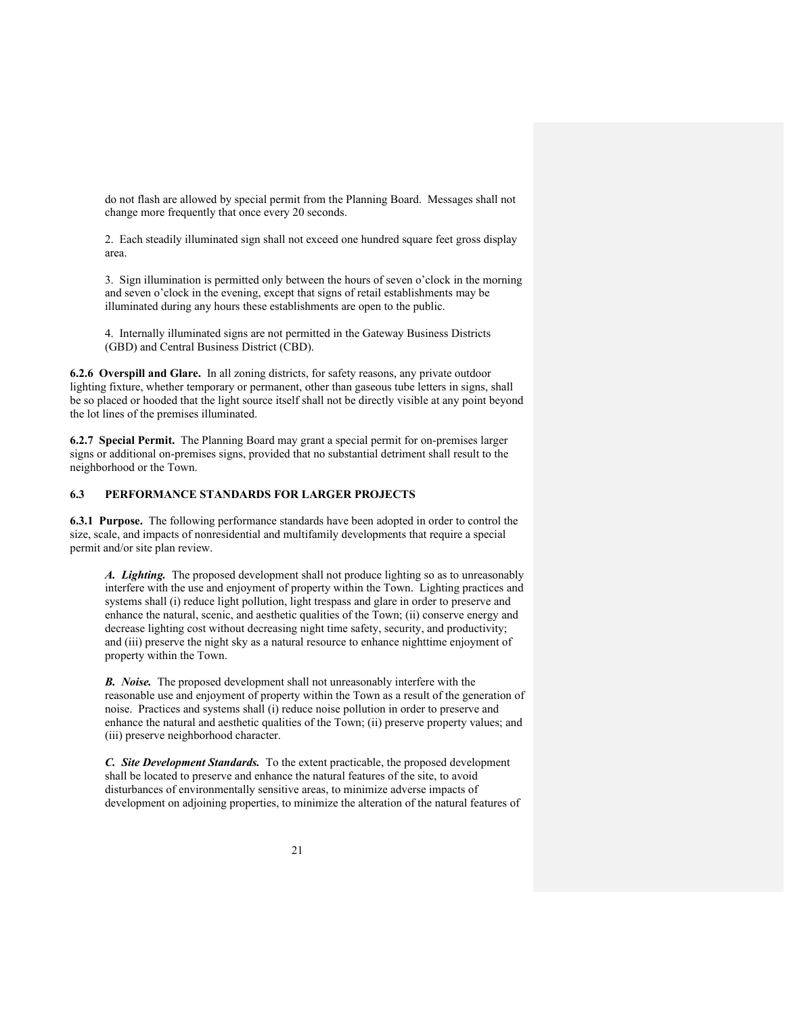do not flash are allowed by special permit from the Planning Board. Messages shall not change more frequently that once every 20 seconds.

2. Each steadily illuminated sign shall not exceed one hundred square feet gross display area.

3. Sign illumination is permitted only between the hours of seven o'clock in the morning and seven o'clock in the evening, except that signs of retail establishments may be illuminated during any hours these establishments are open to the public.

4. Internally illuminated signs are not permitted in the Gateway Business Districts (GBD) and Central Business District (CBD).

**6.2.6 Overspill and Glare.** In all zoning districts, for safety reasons, any private outdoor lighting fixture, whether temporary or permanent, other than gaseous tube letters in signs, shall be so placed or hooded that the light source itself shall not be directly visible at any point beyond the lot lines of the premises illuminated.

**6.2.7 Special Permit.** The Planning Board may grant a special permit for on-premises larger signs or additional on-premises signs, provided that no substantial detriment shall result to the neighborhood or the Town.

# **6.3 PERFORMANCE STANDARDS FOR LARGER PROJECTS**

**6.3.1 Purpose.** The following performance standards have been adopted in order to control the size, scale, and impacts of nonresidential and multifamily developments that require a special permit and/or site plan review.

*A. Lighting.* The proposed development shall not produce lighting so as to unreasonably interfere with the use and enjoyment of property within the Town. Lighting practices and systems shall (i) reduce light pollution, light trespass and glare in order to preserve and enhance the natural, scenic, and aesthetic qualities of the Town; (ii) conserve energy and decrease lighting cost without decreasing night time safety, security, and productivity; and (iii) preserve the night sky as a natural resource to enhance nighttime enjoyment of property within the Town.

*B. Noise.* The proposed development shall not unreasonably interfere with the reasonable use and enjoyment of property within the Town as a result of the generation of noise. Practices and systems shall (i) reduce noise pollution in order to preserve and enhance the natural and aesthetic qualities of the Town; (ii) preserve property values; and (iii) preserve neighborhood character.

*C. Site Development Standards.* To the extent practicable, the proposed development shall be located to preserve and enhance the natural features of the site, to avoid disturbances of environmentally sensitive areas, to minimize adverse impacts of development on adjoining properties, to minimize the alteration of the natural features of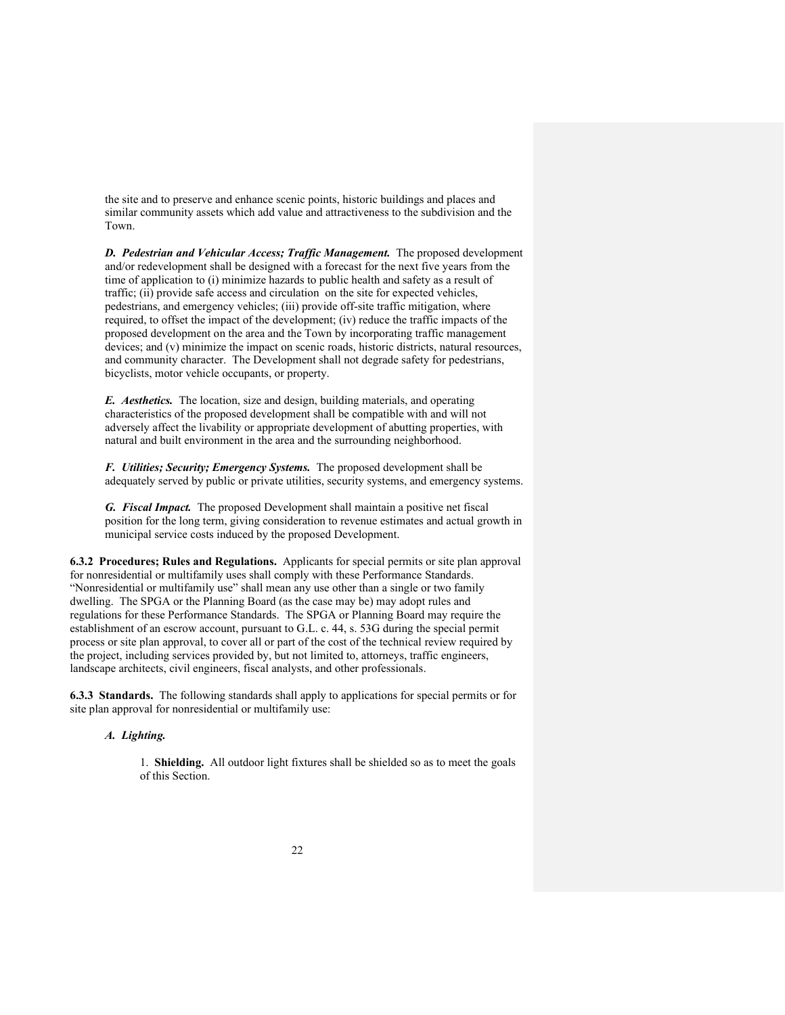the site and to preserve and enhance scenic points, historic buildings and places and similar community assets which add value and attractiveness to the subdivision and the Town.

*D. Pedestrian and Vehicular Access; Traffic Management.* The proposed development and/or redevelopment shall be designed with a forecast for the next five years from the time of application to (i) minimize hazards to public health and safety as a result of traffic; (ii) provide safe access and circulation on the site for expected vehicles, pedestrians, and emergency vehicles; (iii) provide off-site traffic mitigation, where required, to offset the impact of the development; (iv) reduce the traffic impacts of the proposed development on the area and the Town by incorporating traffic management devices; and (v) minimize the impact on scenic roads, historic districts, natural resources, and community character. The Development shall not degrade safety for pedestrians, bicyclists, motor vehicle occupants, or property.

*E. Aesthetics.* The location, size and design, building materials, and operating characteristics of the proposed development shall be compatible with and will not adversely affect the livability or appropriate development of abutting properties, with natural and built environment in the area and the surrounding neighborhood.

*F. Utilities; Security; Emergency Systems.* The proposed development shall be adequately served by public or private utilities, security systems, and emergency systems.

*G. Fiscal Impact.* The proposed Development shall maintain a positive net fiscal position for the long term, giving consideration to revenue estimates and actual growth in municipal service costs induced by the proposed Development.

**6.3.2 Procedures; Rules and Regulations.** Applicants for special permits or site plan approval for nonresidential or multifamily uses shall comply with these Performance Standards. "Nonresidential or multifamily use" shall mean any use other than a single or two family dwelling. The SPGA or the Planning Board (as the case may be) may adopt rules and regulations for these Performance Standards. The SPGA or Planning Board may require the establishment of an escrow account, pursuant to G.L. c. 44, s. 53G during the special permit process or site plan approval, to cover all or part of the cost of the technical review required by the project, including services provided by, but not limited to, attorneys, traffic engineers, landscape architects, civil engineers, fiscal analysts, and other professionals.

**6.3.3 Standards.** The following standards shall apply to applications for special permits or for site plan approval for nonresidential or multifamily use:

# *A. Lighting.*

1. **Shielding.** All outdoor light fixtures shall be shielded so as to meet the goals of this Section.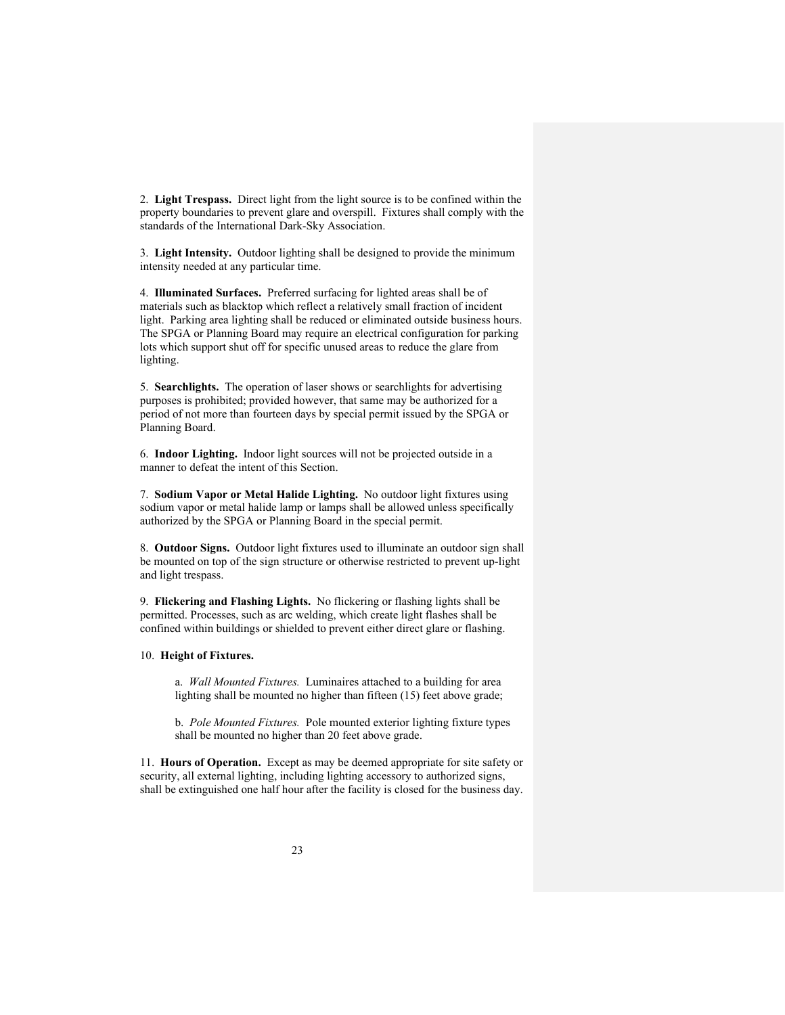2. **Light Trespass.** Direct light from the light source is to be confined within the property boundaries to prevent glare and overspill. Fixtures shall comply with the standards of the International Dark-Sky Association.

3. **Light Intensity.** Outdoor lighting shall be designed to provide the minimum intensity needed at any particular time.

4. **Illuminated Surfaces.** Preferred surfacing for lighted areas shall be of materials such as blacktop which reflect a relatively small fraction of incident light. Parking area lighting shall be reduced or eliminated outside business hours. The SPGA or Planning Board may require an electrical configuration for parking lots which support shut off for specific unused areas to reduce the glare from lighting.

5. **Searchlights.** The operation of laser shows or searchlights for advertising purposes is prohibited; provided however, that same may be authorized for a period of not more than fourteen days by special permit issued by the SPGA or Planning Board.

6. **Indoor Lighting.** Indoor light sources will not be projected outside in a manner to defeat the intent of this Section.

7. **Sodium Vapor or Metal Halide Lighting.** No outdoor light fixtures using sodium vapor or metal halide lamp or lamps shall be allowed unless specifically authorized by the SPGA or Planning Board in the special permit.

8. **Outdoor Signs.** Outdoor light fixtures used to illuminate an outdoor sign shall be mounted on top of the sign structure or otherwise restricted to prevent up-light and light trespass.

9. **Flickering and Flashing Lights.** No flickering or flashing lights shall be permitted. Processes, such as arc welding, which create light flashes shall be confined within buildings or shielded to prevent either direct glare or flashing.

#### 10. **Height of Fixtures.**

a. *Wall Mounted Fixtures.* Luminaires attached to a building for area lighting shall be mounted no higher than fifteen (15) feet above grade;

b. *Pole Mounted Fixtures.* Pole mounted exterior lighting fixture types shall be mounted no higher than 20 feet above grade.

11. **Hours of Operation.** Except as may be deemed appropriate for site safety or security, all external lighting, including lighting accessory to authorized signs, shall be extinguished one half hour after the facility is closed for the business day.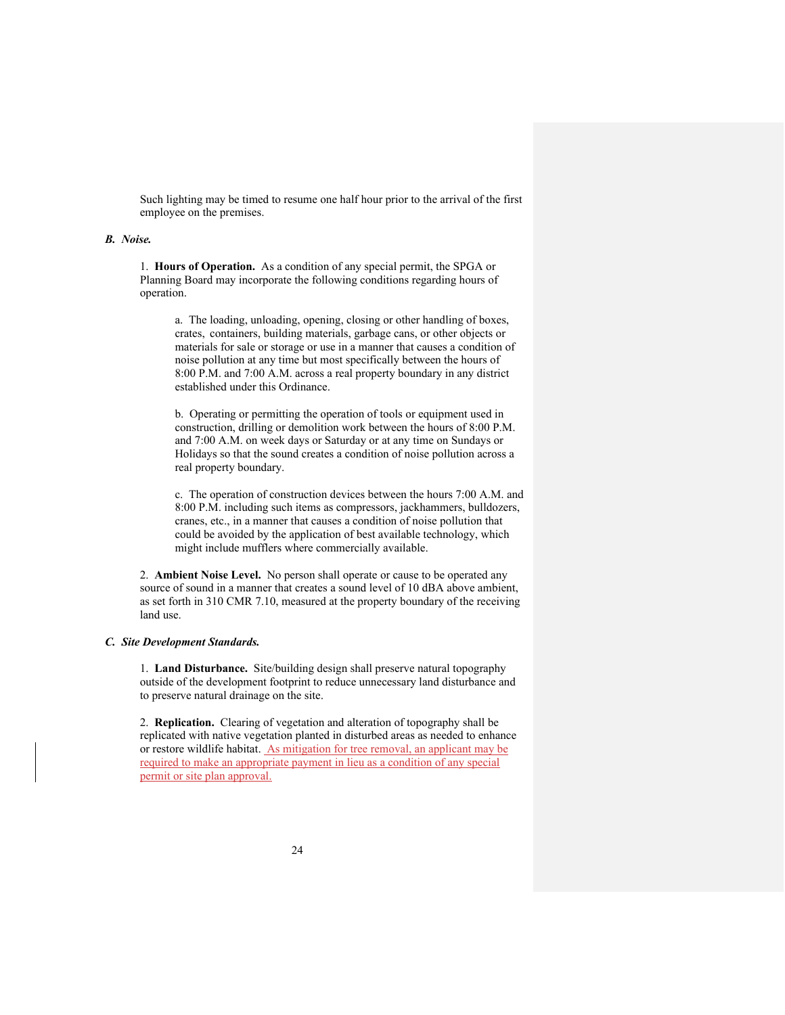Such lighting may be timed to resume one half hour prior to the arrival of the first employee on the premises.

#### *B. Noise.*

1. **Hours of Operation.** As a condition of any special permit, the SPGA or Planning Board may incorporate the following conditions regarding hours of operation.

a. The loading, unloading, opening, closing or other handling of boxes, crates, containers, building materials, garbage cans, or other objects or materials for sale or storage or use in a manner that causes a condition of noise pollution at any time but most specifically between the hours of 8:00 P.M. and 7:00 A.M. across a real property boundary in any district established under this Ordinance.

b. Operating or permitting the operation of tools or equipment used in construction, drilling or demolition work between the hours of 8:00 P.M. and 7:00 A.M. on week days or Saturday or at any time on Sundays or Holidays so that the sound creates a condition of noise pollution across a real property boundary.

c. The operation of construction devices between the hours 7:00 A.M. and 8:00 P.M. including such items as compressors, jackhammers, bulldozers, cranes, etc., in a manner that causes a condition of noise pollution that could be avoided by the application of best available technology, which might include mufflers where commercially available.

2. **Ambient Noise Level.** No person shall operate or cause to be operated any source of sound in a manner that creates a sound level of 10 dBA above ambient, as set forth in 310 CMR 7.10, measured at the property boundary of the receiving land use.

#### *C. Site Development Standards.*

1. **Land Disturbance.** Site/building design shall preserve natural topography outside of the development footprint to reduce unnecessary land disturbance and to preserve natural drainage on the site.

2. **Replication.** Clearing of vegetation and alteration of topography shall be replicated with native vegetation planted in disturbed areas as needed to enhance or restore wildlife habitat. As mitigation for tree removal, an applicant may be required to make an appropriate payment in lieu as a condition of any special permit or site plan approval.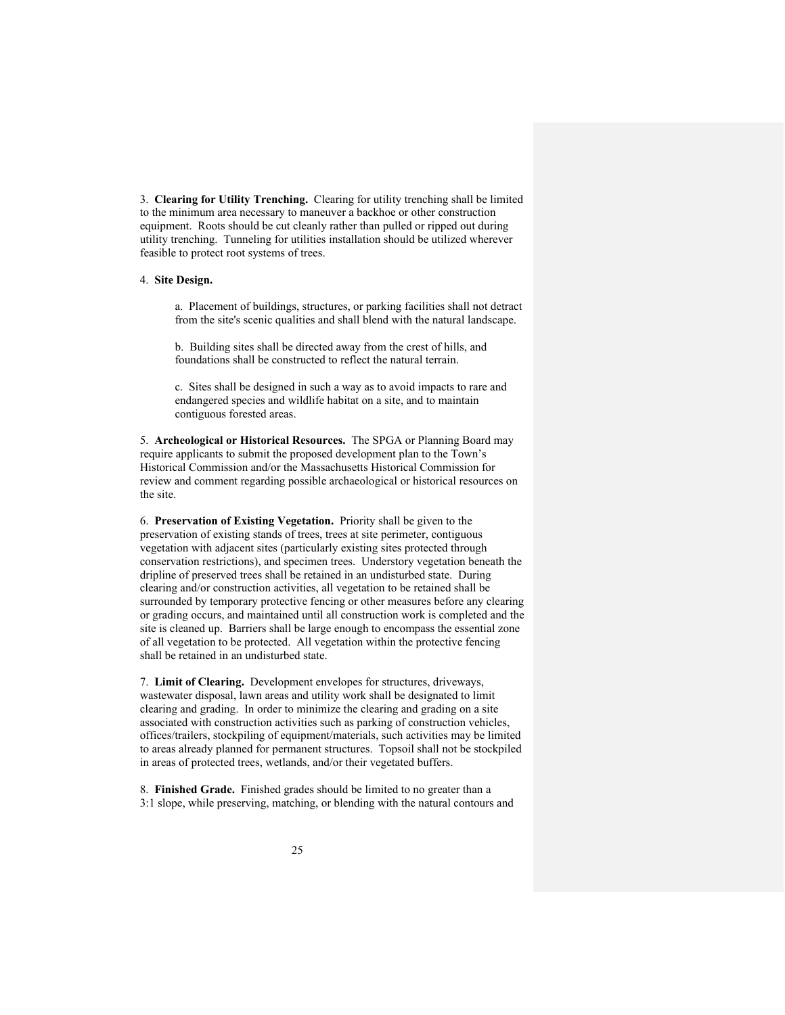3. **Clearing for Utility Trenching.** Clearing for utility trenching shall be limited to the minimum area necessary to maneuver a backhoe or other construction equipment. Roots should be cut cleanly rather than pulled or ripped out during utility trenching. Tunneling for utilities installation should be utilized wherever feasible to protect root systems of trees.

#### 4. **Site Design.**

a. Placement of buildings, structures, or parking facilities shall not detract from the site's scenic qualities and shall blend with the natural landscape.

b. Building sites shall be directed away from the crest of hills, and foundations shall be constructed to reflect the natural terrain.

c. Sites shall be designed in such a way as to avoid impacts to rare and endangered species and wildlife habitat on a site, and to maintain contiguous forested areas.

5. **Archeological or Historical Resources.** The SPGA or Planning Board may require applicants to submit the proposed development plan to the Town's Historical Commission and/or the Massachusetts Historical Commission for review and comment regarding possible archaeological or historical resources on the site.

6. **Preservation of Existing Vegetation.** Priority shall be given to the preservation of existing stands of trees, trees at site perimeter, contiguous vegetation with adjacent sites (particularly existing sites protected through conservation restrictions), and specimen trees. Understory vegetation beneath the dripline of preserved trees shall be retained in an undisturbed state. During clearing and/or construction activities, all vegetation to be retained shall be surrounded by temporary protective fencing or other measures before any clearing or grading occurs, and maintained until all construction work is completed and the site is cleaned up. Barriers shall be large enough to encompass the essential zone of all vegetation to be protected. All vegetation within the protective fencing shall be retained in an undisturbed state.

7. **Limit of Clearing.** Development envelopes for structures, driveways, wastewater disposal, lawn areas and utility work shall be designated to limit clearing and grading. In order to minimize the clearing and grading on a site associated with construction activities such as parking of construction vehicles, offices/trailers, stockpiling of equipment/materials, such activities may be limited to areas already planned for permanent structures. Topsoil shall not be stockpiled in areas of protected trees, wetlands, and/or their vegetated buffers.

8. **Finished Grade.** Finished grades should be limited to no greater than a 3:1 slope, while preserving, matching, or blending with the natural contours and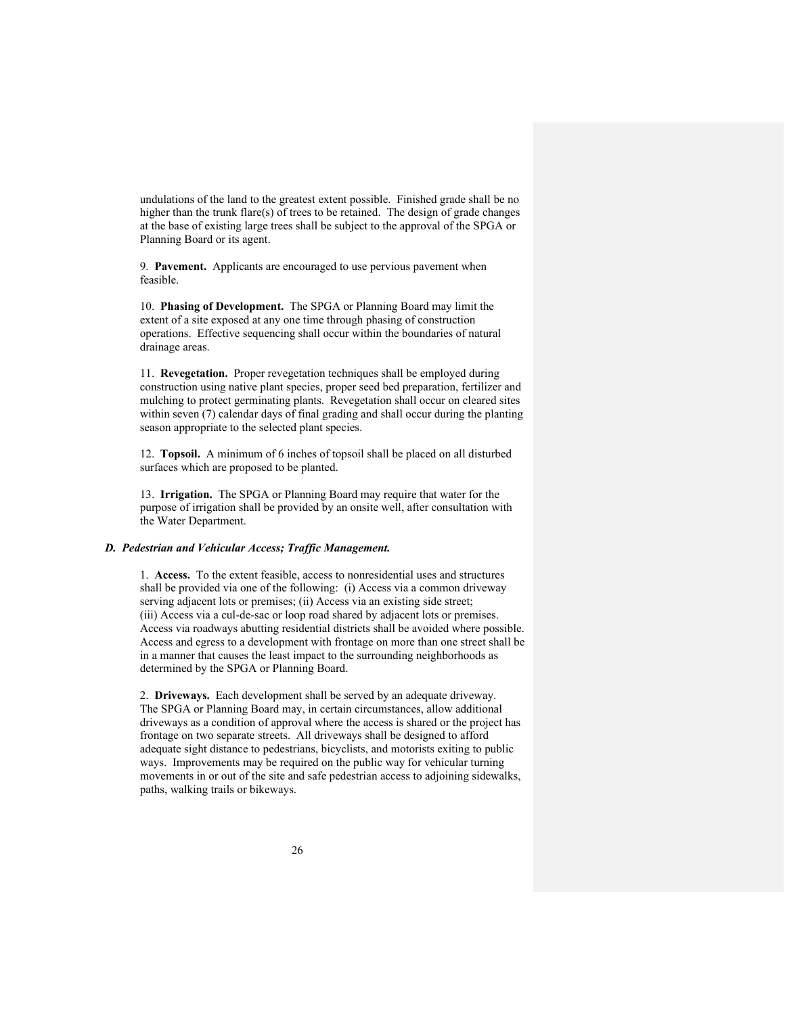undulations of the land to the greatest extent possible. Finished grade shall be no higher than the trunk flare(s) of trees to be retained. The design of grade changes at the base of existing large trees shall be subject to the approval of the SPGA or Planning Board or its agent.

9. **Pavement.** Applicants are encouraged to use pervious pavement when feasible.

10. **Phasing of Development.** The SPGA or Planning Board may limit the extent of a site exposed at any one time through phasing of construction operations. Effective sequencing shall occur within the boundaries of natural drainage areas.

11. **Revegetation.** Proper revegetation techniques shall be employed during construction using native plant species, proper seed bed preparation, fertilizer and mulching to protect germinating plants. Revegetation shall occur on cleared sites within seven (7) calendar days of final grading and shall occur during the planting season appropriate to the selected plant species.

12. **Topsoil.** A minimum of 6 inches of topsoil shall be placed on all disturbed surfaces which are proposed to be planted.

13. **Irrigation.** The SPGA or Planning Board may require that water for the purpose of irrigation shall be provided by an onsite well, after consultation with the Water Department.

#### *D. Pedestrian and Vehicular Access; Traffic Management.*

1. **Access.** To the extent feasible, access to nonresidential uses and structures shall be provided via one of the following: (i) Access via a common driveway serving adjacent lots or premises; (ii) Access via an existing side street; (iii) Access via a cul-de-sac or loop road shared by adjacent lots or premises. Access via roadways abutting residential districts shall be avoided where possible. Access and egress to a development with frontage on more than one street shall be in a manner that causes the least impact to the surrounding neighborhoods as determined by the SPGA or Planning Board.

2. **Driveways.** Each development shall be served by an adequate driveway. The SPGA or Planning Board may, in certain circumstances, allow additional driveways as a condition of approval where the access is shared or the project has frontage on two separate streets. All driveways shall be designed to afford adequate sight distance to pedestrians, bicyclists, and motorists exiting to public ways. Improvements may be required on the public way for vehicular turning movements in or out of the site and safe pedestrian access to adjoining sidewalks, paths, walking trails or bikeways.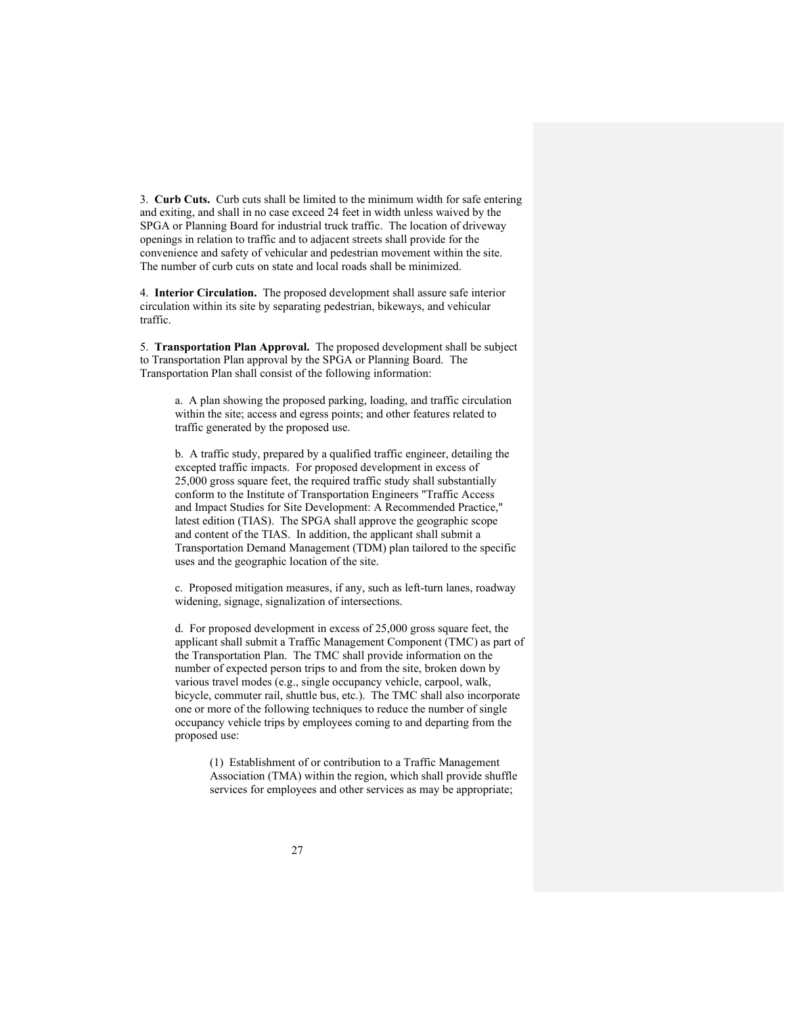3. **Curb Cuts.** Curb cuts shall be limited to the minimum width for safe entering and exiting, and shall in no case exceed 24 feet in width unless waived by the SPGA or Planning Board for industrial truck traffic. The location of driveway openings in relation to traffic and to adjacent streets shall provide for the convenience and safety of vehicular and pedestrian movement within the site. The number of curb cuts on state and local roads shall be minimized.

4. **Interior Circulation.** The proposed development shall assure safe interior circulation within its site by separating pedestrian, bikeways, and vehicular traffic.

5. **Transportation Plan Approval.** The proposed development shall be subject to Transportation Plan approval by the SPGA or Planning Board. The Transportation Plan shall consist of the following information:

a. A plan showing the proposed parking, loading, and traffic circulation within the site; access and egress points; and other features related to traffic generated by the proposed use.

b. A traffic study, prepared by a qualified traffic engineer, detailing the excepted traffic impacts. For proposed development in excess of 25,000 gross square feet, the required traffic study shall substantially conform to the Institute of Transportation Engineers "Traffic Access and Impact Studies for Site Development: A Recommended Practice," latest edition (TIAS). The SPGA shall approve the geographic scope and content of the TIAS. In addition, the applicant shall submit a Transportation Demand Management (TDM) plan tailored to the specific uses and the geographic location of the site.

c. Proposed mitigation measures, if any, such as left-turn lanes, roadway widening, signage, signalization of intersections.

d. For proposed development in excess of 25,000 gross square feet, the applicant shall submit a Traffic Management Component (TMC) as part of the Transportation Plan. The TMC shall provide information on the number of expected person trips to and from the site, broken down by various travel modes (e.g., single occupancy vehicle, carpool, walk, bicycle, commuter rail, shuttle bus, etc.). The TMC shall also incorporate one or more of the following techniques to reduce the number of single occupancy vehicle trips by employees coming to and departing from the proposed use:

(1) Establishment of or contribution to a Traffic Management Association (TMA) within the region, which shall provide shuffle services for employees and other services as may be appropriate;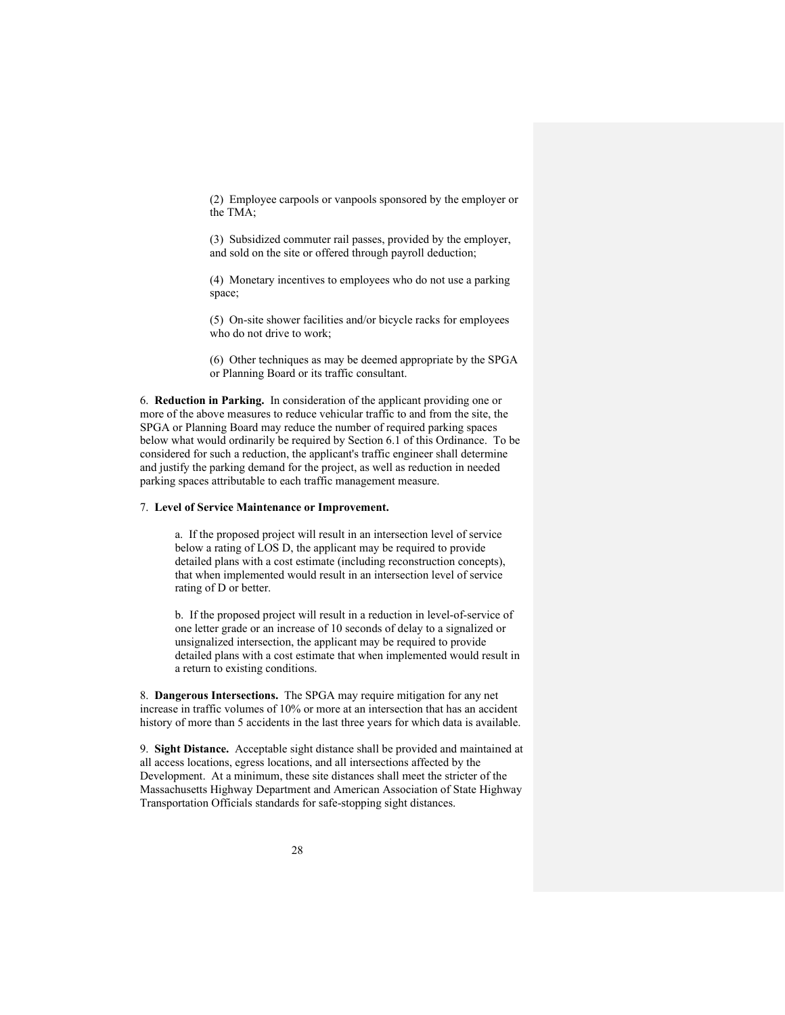(2) Employee carpools or vanpools sponsored by the employer or the TMA;

(3) Subsidized commuter rail passes, provided by the employer, and sold on the site or offered through payroll deduction;

(4) Monetary incentives to employees who do not use a parking space;

(5) On-site shower facilities and/or bicycle racks for employees who do not drive to work;

(6) Other techniques as may be deemed appropriate by the SPGA or Planning Board or its traffic consultant.

6. **Reduction in Parking.** In consideration of the applicant providing one or more of the above measures to reduce vehicular traffic to and from the site, the SPGA or Planning Board may reduce the number of required parking spaces below what would ordinarily be required by Section 6.1 of this Ordinance. To be considered for such a reduction, the applicant's traffic engineer shall determine and justify the parking demand for the project, as well as reduction in needed parking spaces attributable to each traffic management measure.

## 7. **Level of Service Maintenance or Improvement.**

a. If the proposed project will result in an intersection level of service below a rating of LOS D, the applicant may be required to provide detailed plans with a cost estimate (including reconstruction concepts), that when implemented would result in an intersection level of service rating of D or better.

b. If the proposed project will result in a reduction in level-of-service of one letter grade or an increase of 10 seconds of delay to a signalized or unsignalized intersection, the applicant may be required to provide detailed plans with a cost estimate that when implemented would result in a return to existing conditions.

8. **Dangerous Intersections.** The SPGA may require mitigation for any net increase in traffic volumes of 10% or more at an intersection that has an accident history of more than 5 accidents in the last three years for which data is available.

9. **Sight Distance.** Acceptable sight distance shall be provided and maintained at all access locations, egress locations, and all intersections affected by the Development. At a minimum, these site distances shall meet the stricter of the Massachusetts Highway Department and American Association of State Highway Transportation Officials standards for safe-stopping sight distances.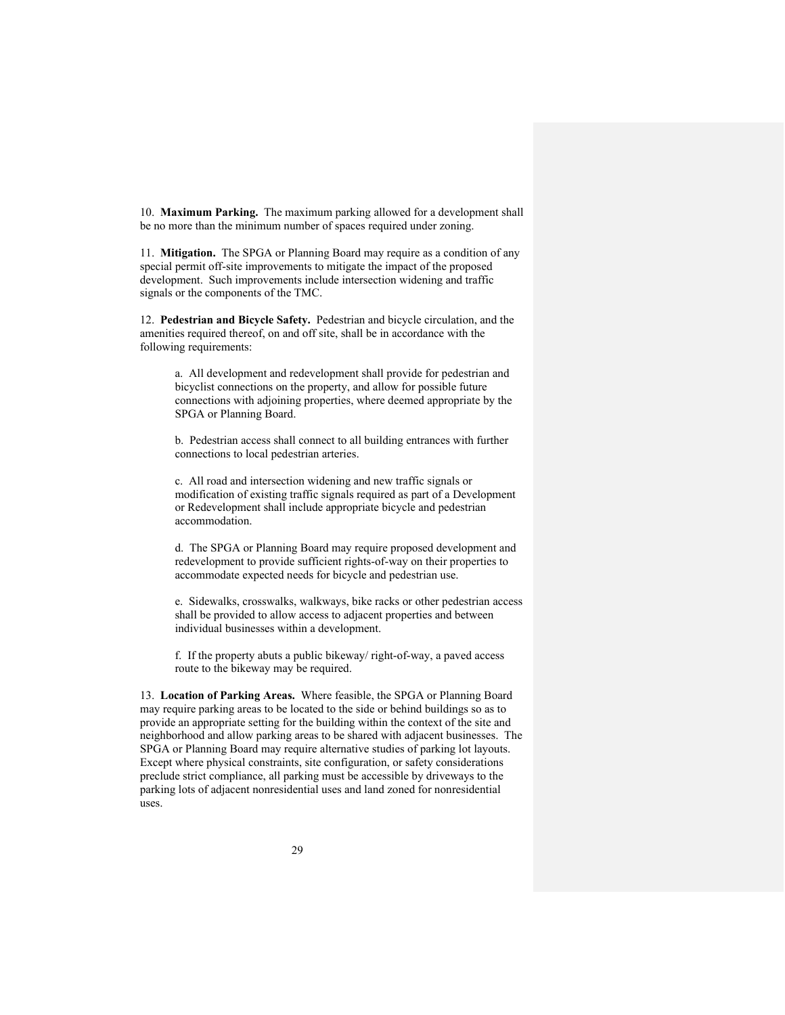10. **Maximum Parking.** The maximum parking allowed for a development shall be no more than the minimum number of spaces required under zoning.

11. **Mitigation.** The SPGA or Planning Board may require as a condition of any special permit off-site improvements to mitigate the impact of the proposed development. Such improvements include intersection widening and traffic signals or the components of the TMC.

12. **Pedestrian and Bicycle Safety.** Pedestrian and bicycle circulation, and the amenities required thereof, on and off site, shall be in accordance with the following requirements:

a. All development and redevelopment shall provide for pedestrian and bicyclist connections on the property, and allow for possible future connections with adjoining properties, where deemed appropriate by the SPGA or Planning Board.

b. Pedestrian access shall connect to all building entrances with further connections to local pedestrian arteries.

c. All road and intersection widening and new traffic signals or modification of existing traffic signals required as part of a Development or Redevelopment shall include appropriate bicycle and pedestrian accommodation.

d. The SPGA or Planning Board may require proposed development and redevelopment to provide sufficient rights-of-way on their properties to accommodate expected needs for bicycle and pedestrian use.

e. Sidewalks, crosswalks, walkways, bike racks or other pedestrian access shall be provided to allow access to adjacent properties and between individual businesses within a development.

f. If the property abuts a public bikeway/ right-of-way, a paved access route to the bikeway may be required.

13. **Location of Parking Areas.** Where feasible, the SPGA or Planning Board may require parking areas to be located to the side or behind buildings so as to provide an appropriate setting for the building within the context of the site and neighborhood and allow parking areas to be shared with adjacent businesses. The SPGA or Planning Board may require alternative studies of parking lot layouts. Except where physical constraints, site configuration, or safety considerations preclude strict compliance, all parking must be accessible by driveways to the parking lots of adjacent nonresidential uses and land zoned for nonresidential uses.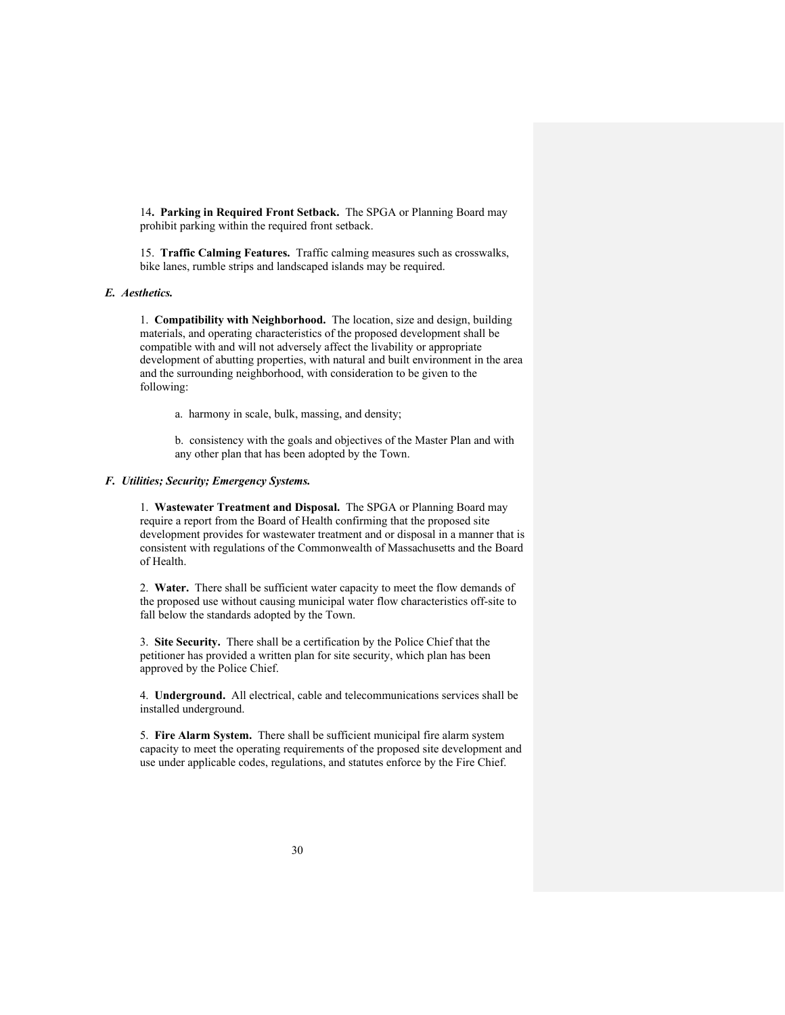14**. Parking in Required Front Setback.** The SPGA or Planning Board may prohibit parking within the required front setback.

15. **Traffic Calming Features.** Traffic calming measures such as crosswalks, bike lanes, rumble strips and landscaped islands may be required.

## *E. Aesthetics.*

1. **Compatibility with Neighborhood.** The location, size and design, building materials, and operating characteristics of the proposed development shall be compatible with and will not adversely affect the livability or appropriate development of abutting properties, with natural and built environment in the area and the surrounding neighborhood, with consideration to be given to the following:

a. harmony in scale, bulk, massing, and density;

b. consistency with the goals and objectives of the Master Plan and with any other plan that has been adopted by the Town.

#### *F. Utilities; Security; Emergency Systems.*

1. **Wastewater Treatment and Disposal.** The SPGA or Planning Board may require a report from the Board of Health confirming that the proposed site development provides for wastewater treatment and or disposal in a manner that is consistent with regulations of the Commonwealth of Massachusetts and the Board of Health.

2. **Water.** There shall be sufficient water capacity to meet the flow demands of the proposed use without causing municipal water flow characteristics off-site to fall below the standards adopted by the Town.

3. **Site Security.** There shall be a certification by the Police Chief that the petitioner has provided a written plan for site security, which plan has been approved by the Police Chief.

4. **Underground.** All electrical, cable and telecommunications services shall be installed underground.

5. **Fire Alarm System.** There shall be sufficient municipal fire alarm system capacity to meet the operating requirements of the proposed site development and use under applicable codes, regulations, and statutes enforce by the Fire Chief.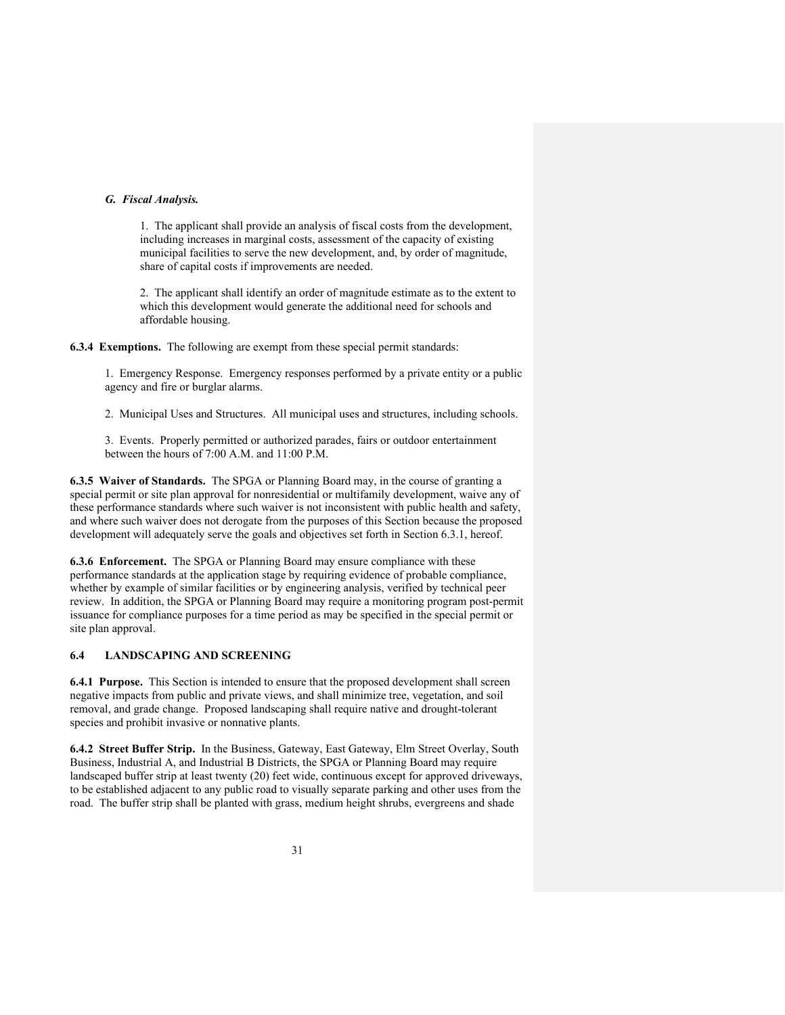## *G. Fiscal Analysis.*

1. The applicant shall provide an analysis of fiscal costs from the development, including increases in marginal costs, assessment of the capacity of existing municipal facilities to serve the new development, and, by order of magnitude, share of capital costs if improvements are needed.

2. The applicant shall identify an order of magnitude estimate as to the extent to which this development would generate the additional need for schools and affordable housing.

**6.3.4 Exemptions.** The following are exempt from these special permit standards:

1. Emergency Response. Emergency responses performed by a private entity or a public agency and fire or burglar alarms.

2. Municipal Uses and Structures. All municipal uses and structures, including schools.

3. Events. Properly permitted or authorized parades, fairs or outdoor entertainment between the hours of 7:00 A.M. and 11:00 P.M.

**6.3.5 Waiver of Standards.** The SPGA or Planning Board may, in the course of granting a special permit or site plan approval for nonresidential or multifamily development, waive any of these performance standards where such waiver is not inconsistent with public health and safety, and where such waiver does not derogate from the purposes of this Section because the proposed development will adequately serve the goals and objectives set forth in Section 6.3.1, hereof.

**6.3.6 Enforcement.** The SPGA or Planning Board may ensure compliance with these performance standards at the application stage by requiring evidence of probable compliance, whether by example of similar facilities or by engineering analysis, verified by technical peer review. In addition, the SPGA or Planning Board may require a monitoring program post-permit issuance for compliance purposes for a time period as may be specified in the special permit or site plan approval.

# **6.4 LANDSCAPING AND SCREENING**

**6.4.1 Purpose.** This Section is intended to ensure that the proposed development shall screen negative impacts from public and private views, and shall minimize tree, vegetation, and soil removal, and grade change. Proposed landscaping shall require native and drought-tolerant species and prohibit invasive or nonnative plants.

**6.4.2 Street Buffer Strip.** In the Business, Gateway, East Gateway, Elm Street Overlay, South Business, Industrial A, and Industrial B Districts, the SPGA or Planning Board may require landscaped buffer strip at least twenty (20) feet wide, continuous except for approved driveways, to be established adjacent to any public road to visually separate parking and other uses from the road. The buffer strip shall be planted with grass, medium height shrubs, evergreens and shade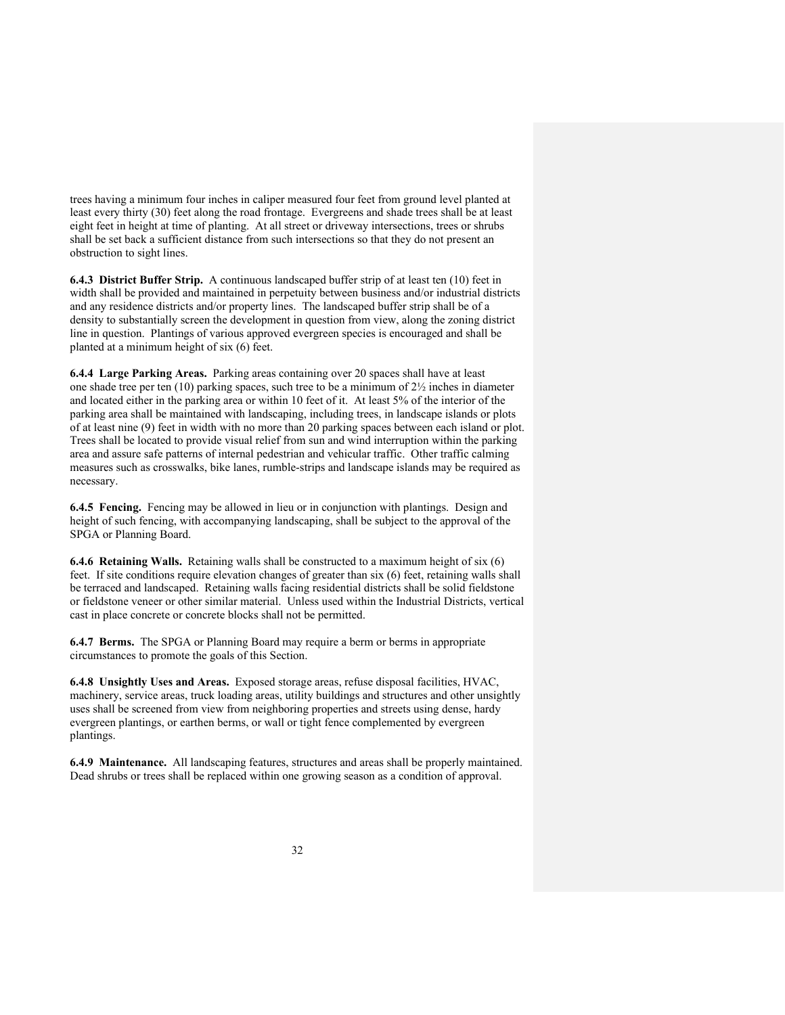trees having a minimum four inches in caliper measured four feet from ground level planted at least every thirty (30) feet along the road frontage. Evergreens and shade trees shall be at least eight feet in height at time of planting. At all street or driveway intersections, trees or shrubs shall be set back a sufficient distance from such intersections so that they do not present an obstruction to sight lines.

**6.4.3 District Buffer Strip.** A continuous landscaped buffer strip of at least ten (10) feet in width shall be provided and maintained in perpetuity between business and/or industrial districts and any residence districts and/or property lines. The landscaped buffer strip shall be of a density to substantially screen the development in question from view, along the zoning district line in question. Plantings of various approved evergreen species is encouraged and shall be planted at a minimum height of six (6) feet.

**6.4.4 Large Parking Areas.** Parking areas containing over 20 spaces shall have at least one shade tree per ten (10) parking spaces, such tree to be a minimum of 2½ inches in diameter and located either in the parking area or within 10 feet of it. At least 5% of the interior of the parking area shall be maintained with landscaping, including trees, in landscape islands or plots of at least nine (9) feet in width with no more than 20 parking spaces between each island or plot. Trees shall be located to provide visual relief from sun and wind interruption within the parking area and assure safe patterns of internal pedestrian and vehicular traffic. Other traffic calming measures such as crosswalks, bike lanes, rumble-strips and landscape islands may be required as necessary.

**6.4.5 Fencing.** Fencing may be allowed in lieu or in conjunction with plantings. Design and height of such fencing, with accompanying landscaping, shall be subject to the approval of the SPGA or Planning Board.

**6.4.6 Retaining Walls.** Retaining walls shall be constructed to a maximum height of six (6) feet. If site conditions require elevation changes of greater than six (6) feet, retaining walls shall be terraced and landscaped. Retaining walls facing residential districts shall be solid fieldstone or fieldstone veneer or other similar material. Unless used within the Industrial Districts, vertical cast in place concrete or concrete blocks shall not be permitted.

**6.4.7 Berms.** The SPGA or Planning Board may require a berm or berms in appropriate circumstances to promote the goals of this Section.

**6.4.8 Unsightly Uses and Areas.** Exposed storage areas, refuse disposal facilities, HVAC, machinery, service areas, truck loading areas, utility buildings and structures and other unsightly uses shall be screened from view from neighboring properties and streets using dense, hardy evergreen plantings, or earthen berms, or wall or tight fence complemented by evergreen plantings.

**6.4.9 Maintenance.** All landscaping features, structures and areas shall be properly maintained. Dead shrubs or trees shall be replaced within one growing season as a condition of approval.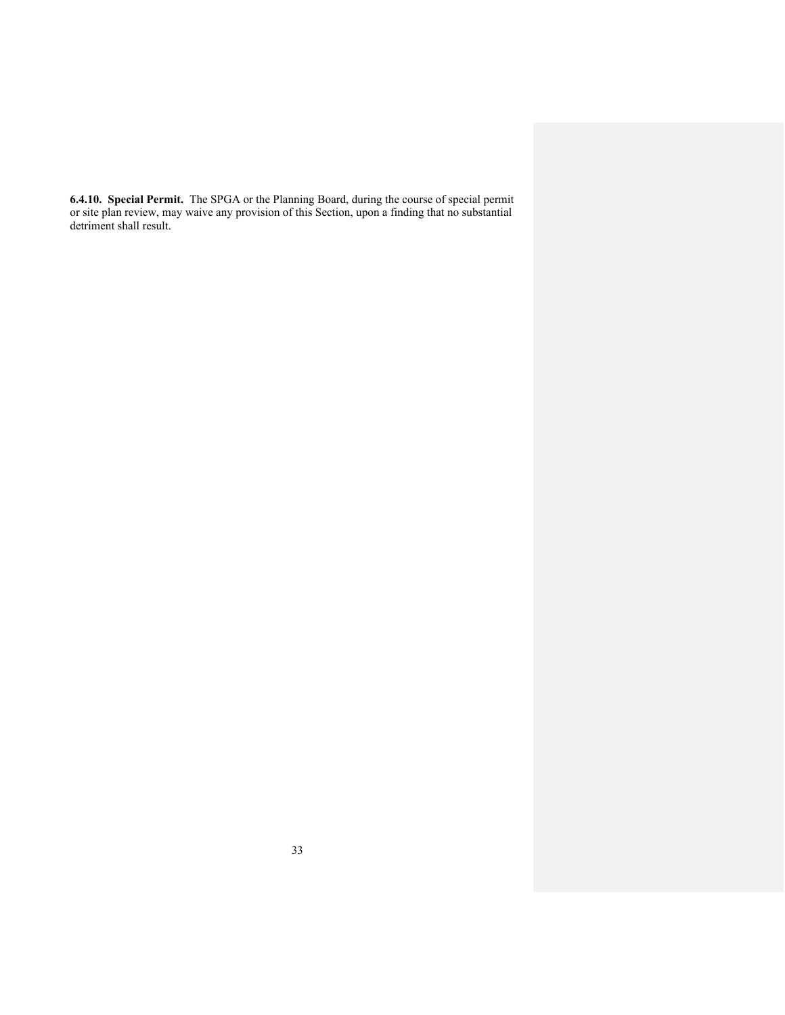**6.4.10. Special Permit.** The SPGA or the Planning Board, during the course of special permit or site plan review, may waive any provision of this Section, upon a finding that no substantial detriment shall result.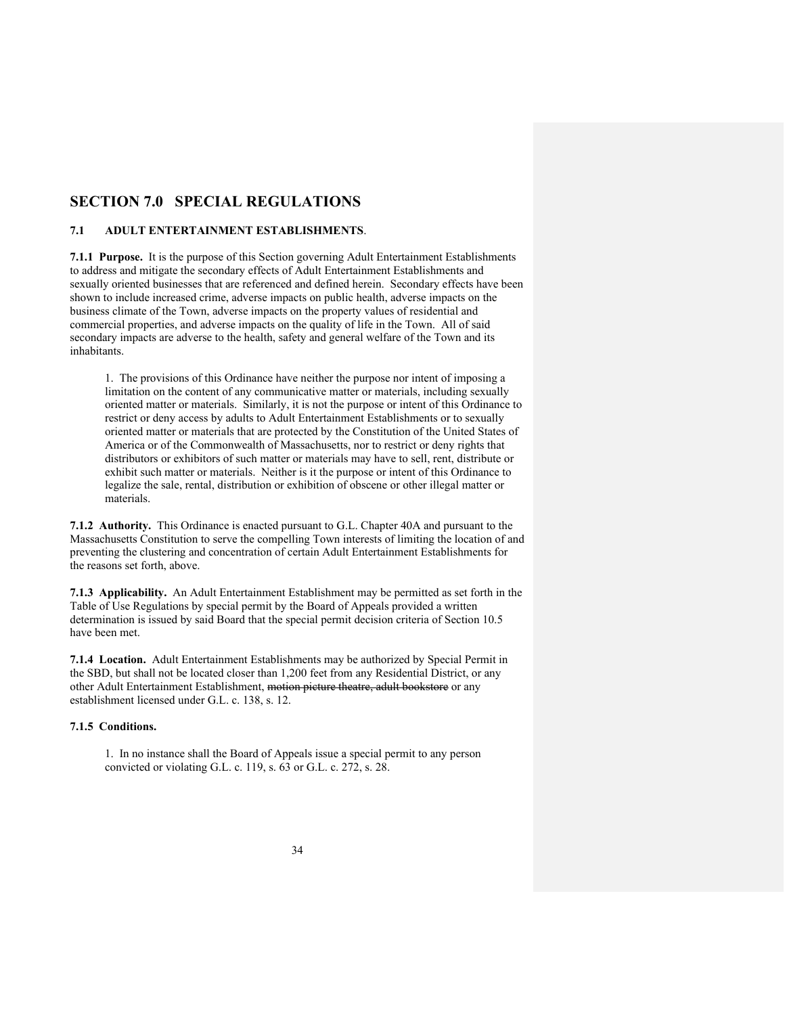# **SECTION 7.0 SPECIAL REGULATIONS**

### **7.1 ADULT ENTERTAINMENT ESTABLISHMENTS**.

**7.1.1 Purpose.** It is the purpose of this Section governing Adult Entertainment Establishments to address and mitigate the secondary effects of Adult Entertainment Establishments and sexually oriented businesses that are referenced and defined herein. Secondary effects have been shown to include increased crime, adverse impacts on public health, adverse impacts on the business climate of the Town, adverse impacts on the property values of residential and commercial properties, and adverse impacts on the quality of life in the Town. All of said secondary impacts are adverse to the health, safety and general welfare of the Town and its inhabitants.

1. The provisions of this Ordinance have neither the purpose nor intent of imposing a limitation on the content of any communicative matter or materials, including sexually oriented matter or materials. Similarly, it is not the purpose or intent of this Ordinance to restrict or deny access by adults to Adult Entertainment Establishments or to sexually oriented matter or materials that are protected by the Constitution of the United States of America or of the Commonwealth of Massachusetts, nor to restrict or deny rights that distributors or exhibitors of such matter or materials may have to sell, rent, distribute or exhibit such matter or materials. Neither is it the purpose or intent of this Ordinance to legalize the sale, rental, distribution or exhibition of obscene or other illegal matter or materials.

**7.1.2 Authority.** This Ordinance is enacted pursuant to G.L. Chapter 40A and pursuant to the Massachusetts Constitution to serve the compelling Town interests of limiting the location of and preventing the clustering and concentration of certain Adult Entertainment Establishments for the reasons set forth, above.

**7.1.3 Applicability.** An Adult Entertainment Establishment may be permitted as set forth in the Table of Use Regulations by special permit by the Board of Appeals provided a written determination is issued by said Board that the special permit decision criteria of Section 10.5 have been met.

**7.1.4 Location.** Adult Entertainment Establishments may be authorized by Special Permit in the SBD, but shall not be located closer than 1,200 feet from any Residential District, or any other Adult Entertainment Establishment, motion picture theatre, adult bookstore or any establishment licensed under G.L. c. 138, s. 12.

### **7.1.5 Conditions.**

1. In no instance shall the Board of Appeals issue a special permit to any person convicted or violating G.L. c. 119, s. 63 or G.L. c. 272, s. 28.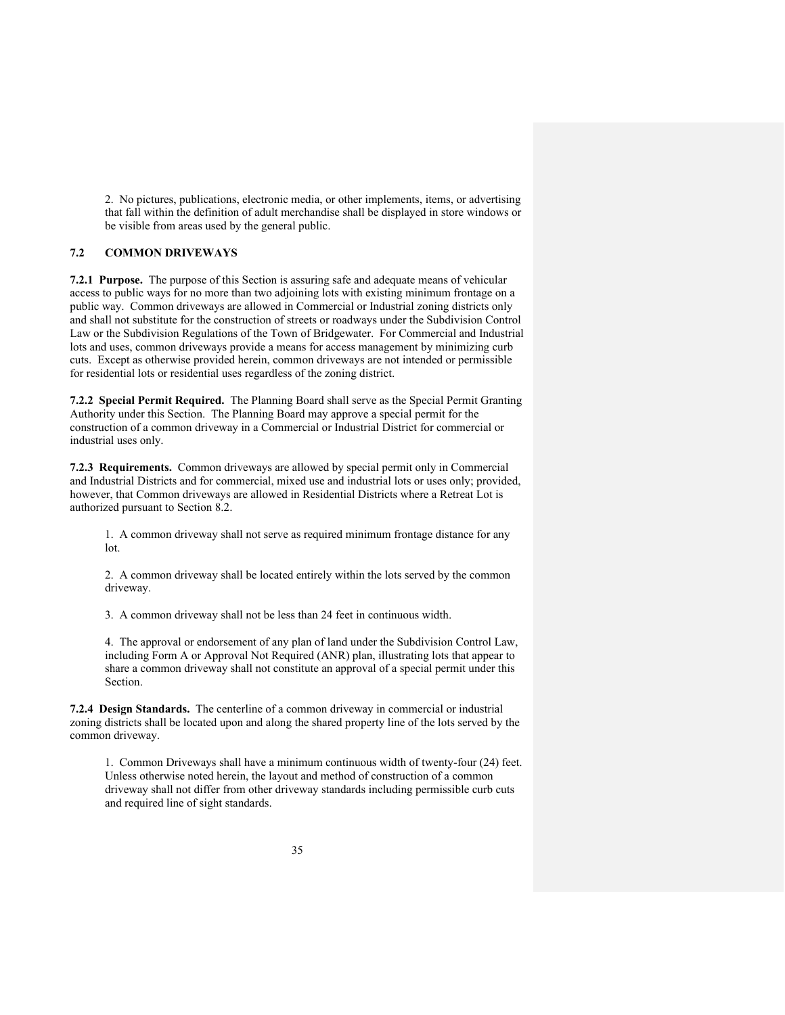2. No pictures, publications, electronic media, or other implements, items, or advertising that fall within the definition of adult merchandise shall be displayed in store windows or be visible from areas used by the general public.

### **7.2 COMMON DRIVEWAYS**

**7.2.1 Purpose.** The purpose of this Section is assuring safe and adequate means of vehicular access to public ways for no more than two adjoining lots with existing minimum frontage on a public way. Common driveways are allowed in Commercial or Industrial zoning districts only and shall not substitute for the construction of streets or roadways under the Subdivision Control Law or the Subdivision Regulations of the Town of Bridgewater. For Commercial and Industrial lots and uses, common driveways provide a means for access management by minimizing curb cuts. Except as otherwise provided herein, common driveways are not intended or permissible for residential lots or residential uses regardless of the zoning district.

**7.2.2 Special Permit Required.** The Planning Board shall serve as the Special Permit Granting Authority under this Section. The Planning Board may approve a special permit for the construction of a common driveway in a Commercial or Industrial District for commercial or industrial uses only.

**7.2.3 Requirements.** Common driveways are allowed by special permit only in Commercial and Industrial Districts and for commercial, mixed use and industrial lots or uses only; provided, however, that Common driveways are allowed in Residential Districts where a Retreat Lot is authorized pursuant to Section 8.2.

1. A common driveway shall not serve as required minimum frontage distance for any lot.

2. A common driveway shall be located entirely within the lots served by the common driveway.

3. A common driveway shall not be less than 24 feet in continuous width.

4. The approval or endorsement of any plan of land under the Subdivision Control Law, including Form A or Approval Not Required (ANR) plan, illustrating lots that appear to share a common driveway shall not constitute an approval of a special permit under this Section.

**7.2.4 Design Standards.** The centerline of a common driveway in commercial or industrial zoning districts shall be located upon and along the shared property line of the lots served by the common driveway.

1. Common Driveways shall have a minimum continuous width of twenty-four (24) feet. Unless otherwise noted herein, the layout and method of construction of a common driveway shall not differ from other driveway standards including permissible curb cuts and required line of sight standards.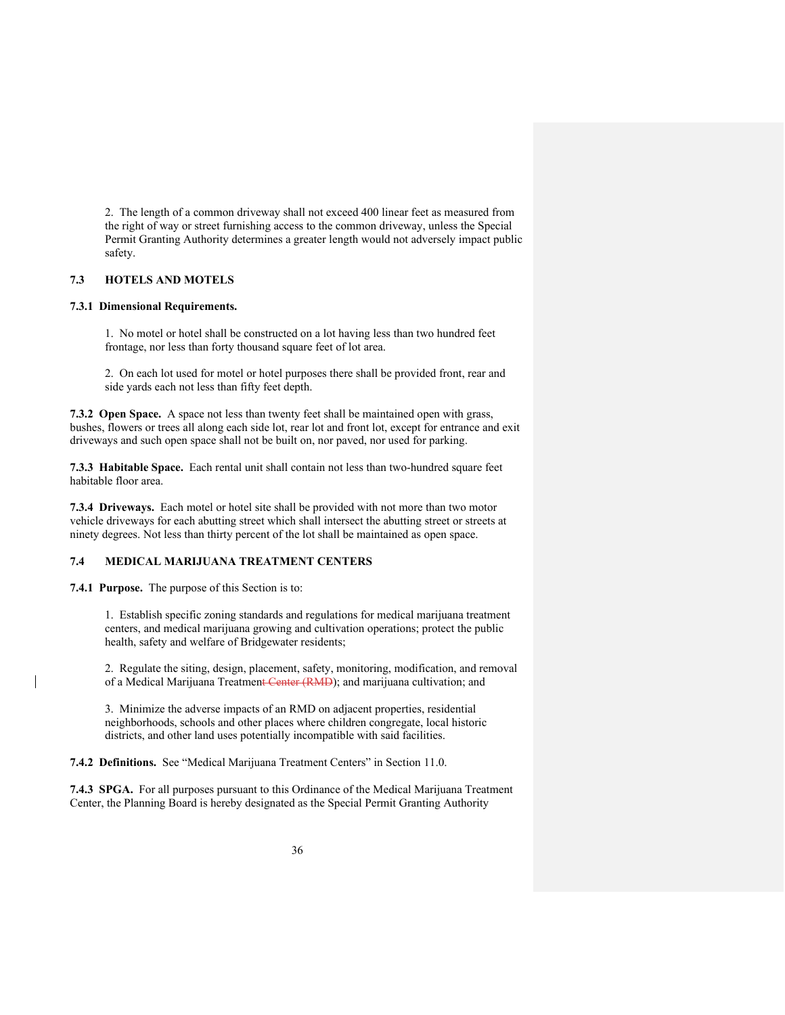2. The length of a common driveway shall not exceed 400 linear feet as measured from the right of way or street furnishing access to the common driveway, unless the Special Permit Granting Authority determines a greater length would not adversely impact public safety.

### **7.3 HOTELS AND MOTELS**

#### **7.3.1 Dimensional Requirements.**

1. No motel or hotel shall be constructed on a lot having less than two hundred feet frontage, nor less than forty thousand square feet of lot area.

2. On each lot used for motel or hotel purposes there shall be provided front, rear and side yards each not less than fifty feet depth.

**7.3.2 Open Space.** A space not less than twenty feet shall be maintained open with grass, bushes, flowers or trees all along each side lot, rear lot and front lot, except for entrance and exit driveways and such open space shall not be built on, nor paved, nor used for parking.

**7.3.3 Habitable Space.** Each rental unit shall contain not less than two-hundred square feet habitable floor area.

**7.3.4 Driveways.** Each motel or hotel site shall be provided with not more than two motor vehicle driveways for each abutting street which shall intersect the abutting street or streets at ninety degrees. Not less than thirty percent of the lot shall be maintained as open space.

## **7.4 MEDICAL MARIJUANA TREATMENT CENTERS**

**7.4.1 Purpose.** The purpose of this Section is to:

1. Establish specific zoning standards and regulations for medical marijuana treatment centers, and medical marijuana growing and cultivation operations; protect the public health, safety and welfare of Bridgewater residents;

2. Regulate the siting, design, placement, safety, monitoring, modification, and removal of a Medical Marijuana Treatment Center (RMD); and marijuana cultivation; and

3. Minimize the adverse impacts of an RMD on adjacent properties, residential neighborhoods, schools and other places where children congregate, local historic districts, and other land uses potentially incompatible with said facilities.

**7.4.2 Definitions.** See "Medical Marijuana Treatment Centers" in Section 11.0.

**7.4.3 SPGA.** For all purposes pursuant to this Ordinance of the Medical Marijuana Treatment Center, the Planning Board is hereby designated as the Special Permit Granting Authority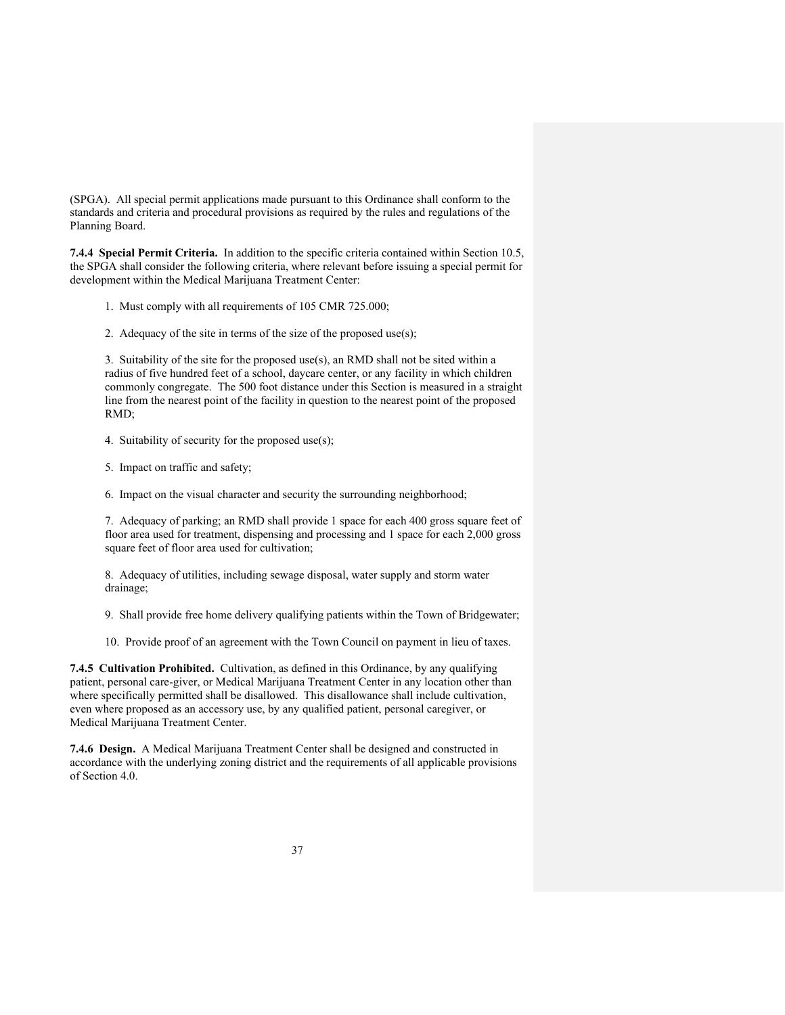(SPGA). All special permit applications made pursuant to this Ordinance shall conform to the standards and criteria and procedural provisions as required by the rules and regulations of the Planning Board.

**7.4.4 Special Permit Criteria.** In addition to the specific criteria contained within Section 10.5, the SPGA shall consider the following criteria, where relevant before issuing a special permit for development within the Medical Marijuana Treatment Center:

- 1. Must comply with all requirements of 105 CMR 725.000;
- 2. Adequacy of the site in terms of the size of the proposed use(s);

3. Suitability of the site for the proposed use(s), an RMD shall not be sited within a radius of five hundred feet of a school, daycare center, or any facility in which children commonly congregate. The 500 foot distance under this Section is measured in a straight line from the nearest point of the facility in question to the nearest point of the proposed RMD;

- 4. Suitability of security for the proposed use(s);
- 5. Impact on traffic and safety;
- 6. Impact on the visual character and security the surrounding neighborhood;

7. Adequacy of parking; an RMD shall provide 1 space for each 400 gross square feet of floor area used for treatment, dispensing and processing and 1 space for each 2,000 gross square feet of floor area used for cultivation;

8. Adequacy of utilities, including sewage disposal, water supply and storm water drainage;

9. Shall provide free home delivery qualifying patients within the Town of Bridgewater;

10. Provide proof of an agreement with the Town Council on payment in lieu of taxes.

**7.4.5 Cultivation Prohibited.** Cultivation, as defined in this Ordinance, by any qualifying patient, personal care-giver, or Medical Marijuana Treatment Center in any location other than where specifically permitted shall be disallowed. This disallowance shall include cultivation, even where proposed as an accessory use, by any qualified patient, personal caregiver, or Medical Marijuana Treatment Center.

**7.4.6 Design.** A Medical Marijuana Treatment Center shall be designed and constructed in accordance with the underlying zoning district and the requirements of all applicable provisions of Section 4.0.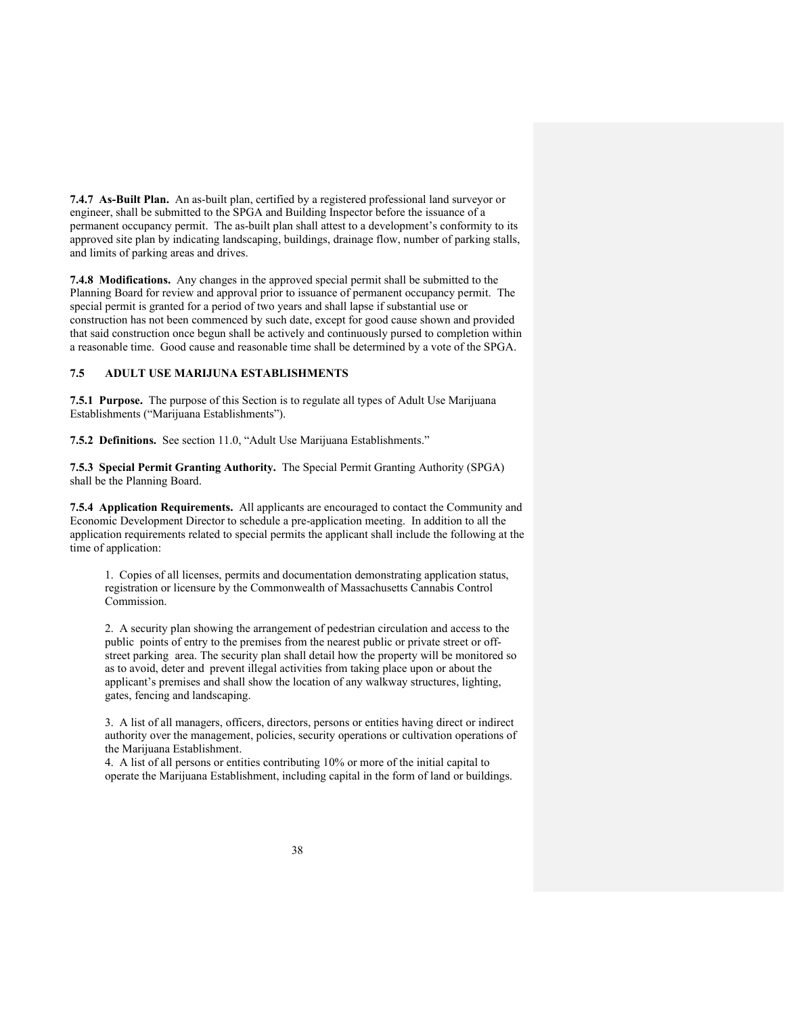**7.4.7 As-Built Plan.** An as-built plan, certified by a registered professional land surveyor or engineer, shall be submitted to the SPGA and Building Inspector before the issuance of a permanent occupancy permit. The as-built plan shall attest to a development's conformity to its approved site plan by indicating landscaping, buildings, drainage flow, number of parking stalls, and limits of parking areas and drives.

**7.4.8 Modifications.** Any changes in the approved special permit shall be submitted to the Planning Board for review and approval prior to issuance of permanent occupancy permit. The special permit is granted for a period of two years and shall lapse if substantial use or construction has not been commenced by such date, except for good cause shown and provided that said construction once begun shall be actively and continuously pursed to completion within a reasonable time. Good cause and reasonable time shall be determined by a vote of the SPGA.

### **7.5 ADULT USE MARIJUNA ESTABLISHMENTS**

**7.5.1 Purpose.** The purpose of this Section is to regulate all types of Adult Use Marijuana Establishments ("Marijuana Establishments").

**7.5.2 Definitions.** See section 11.0, "Adult Use Marijuana Establishments."

**7.5.3 Special Permit Granting Authority.** The Special Permit Granting Authority (SPGA) shall be the Planning Board.

**7.5.4 Application Requirements.** All applicants are encouraged to contact the Community and Economic Development Director to schedule a pre-application meeting. In addition to all the application requirements related to special permits the applicant shall include the following at the time of application:

1. Copies of all licenses, permits and documentation demonstrating application status, registration or licensure by the Commonwealth of Massachusetts Cannabis Control Commission.

2. A security plan showing the arrangement of pedestrian circulation and access to the public points of entry to the premises from the nearest public or private street or offstreet parking area. The security plan shall detail how the property will be monitored so as to avoid, deter and prevent illegal activities from taking place upon or about the applicant's premises and shall show the location of any walkway structures, lighting, gates, fencing and landscaping.

3. A list of all managers, officers, directors, persons or entities having direct or indirect authority over the management, policies, security operations or cultivation operations of the Marijuana Establishment.

4. A list of all persons or entities contributing 10% or more of the initial capital to operate the Marijuana Establishment, including capital in the form of land or buildings.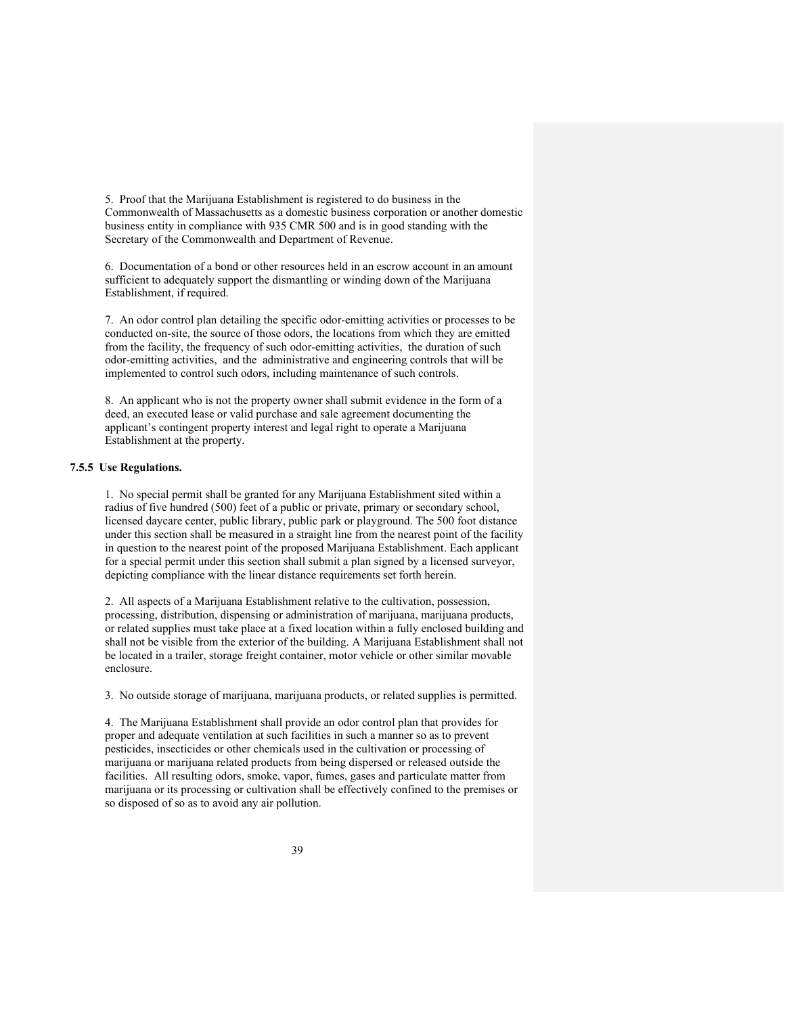5. Proof that the Marijuana Establishment is registered to do business in the Commonwealth of Massachusetts as a domestic business corporation or another domestic business entity in compliance with 935 CMR 500 and is in good standing with the Secretary of the Commonwealth and Department of Revenue.

6. Documentation of a bond or other resources held in an escrow account in an amount sufficient to adequately support the dismantling or winding down of the Marijuana Establishment, if required.

7. An odor control plan detailing the specific odor-emitting activities or processes to be conducted on-site, the source of those odors, the locations from which they are emitted from the facility, the frequency of such odor-emitting activities, the duration of such odor-emitting activities, and the administrative and engineering controls that will be implemented to control such odors, including maintenance of such controls.

8. An applicant who is not the property owner shall submit evidence in the form of a deed, an executed lease or valid purchase and sale agreement documenting the applicant's contingent property interest and legal right to operate a Marijuana Establishment at the property.

### **7.5.5 Use Regulations.**

1. No special permit shall be granted for any Marijuana Establishment sited within a radius of five hundred (500) feet of a public or private, primary or secondary school, licensed daycare center, public library, public park or playground. The 500 foot distance under this section shall be measured in a straight line from the nearest point of the facility in question to the nearest point of the proposed Marijuana Establishment. Each applicant for a special permit under this section shall submit a plan signed by a licensed surveyor, depicting compliance with the linear distance requirements set forth herein.

2. All aspects of a Marijuana Establishment relative to the cultivation, possession, processing, distribution, dispensing or administration of marijuana, marijuana products, or related supplies must take place at a fixed location within a fully enclosed building and shall not be visible from the exterior of the building. A Marijuana Establishment shall not be located in a trailer, storage freight container, motor vehicle or other similar movable enclosure.

3. No outside storage of marijuana, marijuana products, or related supplies is permitted.

4. The Marijuana Establishment shall provide an odor control plan that provides for proper and adequate ventilation at such facilities in such a manner so as to prevent pesticides, insecticides or other chemicals used in the cultivation or processing of marijuana or marijuana related products from being dispersed or released outside the facilities. All resulting odors, smoke, vapor, fumes, gases and particulate matter from marijuana or its processing or cultivation shall be effectively confined to the premises or so disposed of so as to avoid any air pollution.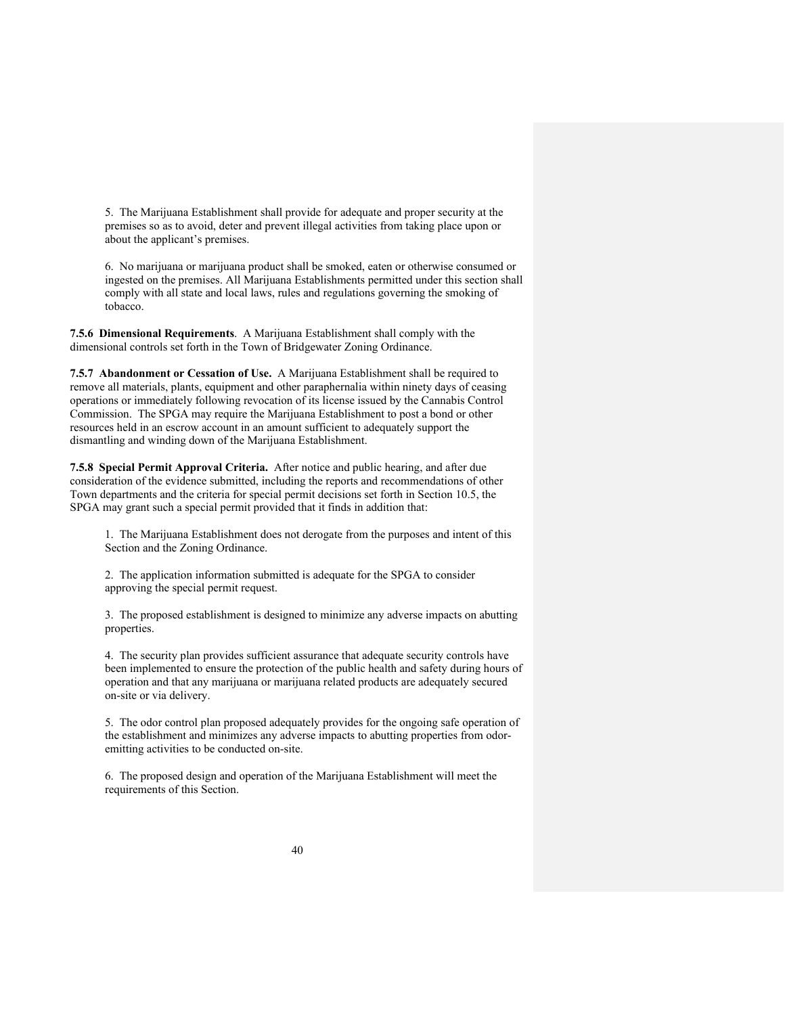5. The Marijuana Establishment shall provide for adequate and proper security at the premises so as to avoid, deter and prevent illegal activities from taking place upon or about the applicant's premises.

6. No marijuana or marijuana product shall be smoked, eaten or otherwise consumed or ingested on the premises. All Marijuana Establishments permitted under this section shall comply with all state and local laws, rules and regulations governing the smoking of tobacco.

**7.5.6 Dimensional Requirements**. A Marijuana Establishment shall comply with the dimensional controls set forth in the Town of Bridgewater Zoning Ordinance.

**7.5.7 Abandonment or Cessation of Use.** A Marijuana Establishment shall be required to remove all materials, plants, equipment and other paraphernalia within ninety days of ceasing operations or immediately following revocation of its license issued by the Cannabis Control Commission. The SPGA may require the Marijuana Establishment to post a bond or other resources held in an escrow account in an amount sufficient to adequately support the dismantling and winding down of the Marijuana Establishment.

**7.5.8 Special Permit Approval Criteria.** After notice and public hearing, and after due consideration of the evidence submitted, including the reports and recommendations of other Town departments and the criteria for special permit decisions set forth in Section 10.5, the SPGA may grant such a special permit provided that it finds in addition that:

1. The Marijuana Establishment does not derogate from the purposes and intent of this Section and the Zoning Ordinance.

2. The application information submitted is adequate for the SPGA to consider approving the special permit request.

3. The proposed establishment is designed to minimize any adverse impacts on abutting properties.

4. The security plan provides sufficient assurance that adequate security controls have been implemented to ensure the protection of the public health and safety during hours of operation and that any marijuana or marijuana related products are adequately secured on-site or via delivery.

5. The odor control plan proposed adequately provides for the ongoing safe operation of the establishment and minimizes any adverse impacts to abutting properties from odoremitting activities to be conducted on-site.

6. The proposed design and operation of the Marijuana Establishment will meet the requirements of this Section.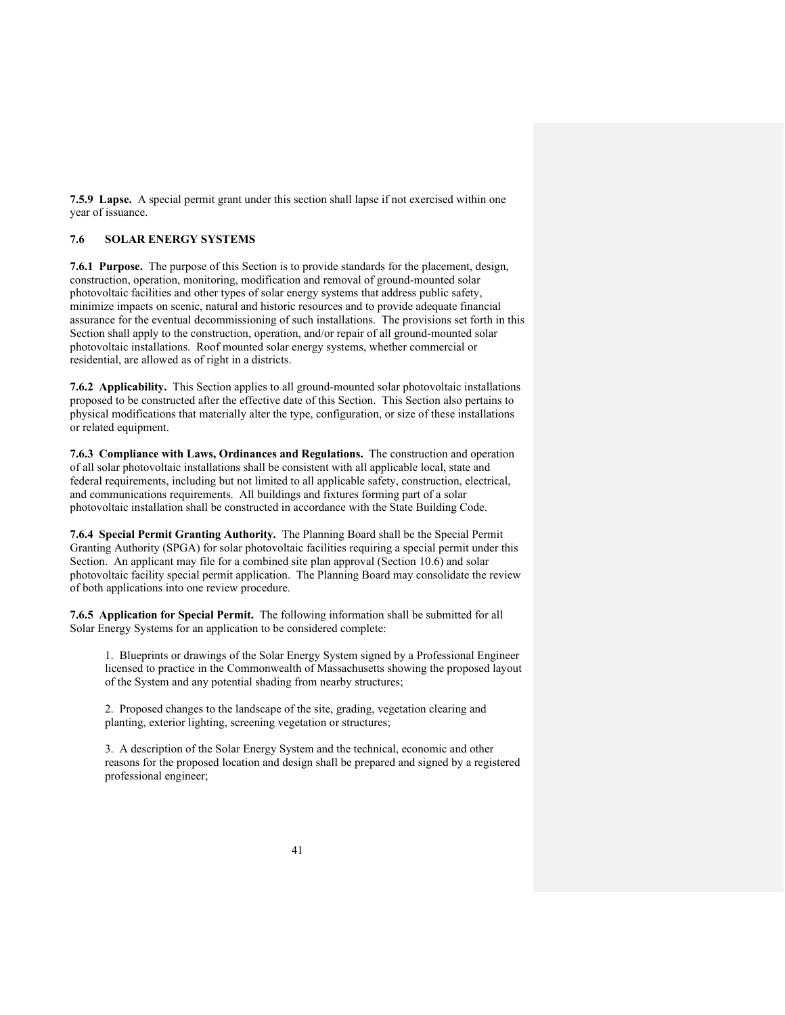**7.5.9 Lapse.** A special permit grant under this section shall lapse if not exercised within one year of issuance.

### **7.6 SOLAR ENERGY SYSTEMS**

**7.6.1 Purpose.** The purpose of this Section is to provide standards for the placement, design, construction, operation, monitoring, modification and removal of ground-mounted solar photovoltaic facilities and other types of solar energy systems that address public safety, minimize impacts on scenic, natural and historic resources and to provide adequate financial assurance for the eventual decommissioning of such installations. The provisions set forth in this Section shall apply to the construction, operation, and/or repair of all ground-mounted solar photovoltaic installations. Roof mounted solar energy systems, whether commercial or residential, are allowed as of right in a districts.

**7.6.2 Applicability.** This Section applies to all ground-mounted solar photovoltaic installations proposed to be constructed after the effective date of this Section. This Section also pertains to physical modifications that materially alter the type, configuration, or size of these installations or related equipment.

**7.6.3 Compliance with Laws, Ordinances and Regulations.** The construction and operation of all solar photovoltaic installations shall be consistent with all applicable local, state and federal requirements, including but not limited to all applicable safety, construction, electrical, and communications requirements. All buildings and fixtures forming part of a solar photovoltaic installation shall be constructed in accordance with the State Building Code.

**7.6.4 Special Permit Granting Authority.** The Planning Board shall be the Special Permit Granting Authority (SPGA) for solar photovoltaic facilities requiring a special permit under this Section. An applicant may file for a combined site plan approval (Section 10.6) and solar photovoltaic facility special permit application. The Planning Board may consolidate the review of both applications into one review procedure.

**7.6.5 Application for Special Permit.** The following information shall be submitted for all Solar Energy Systems for an application to be considered complete:

1. Blueprints or drawings of the Solar Energy System signed by a Professional Engineer licensed to practice in the Commonwealth of Massachusetts showing the proposed layout of the System and any potential shading from nearby structures;

2. Proposed changes to the landscape of the site, grading, vegetation clearing and planting, exterior lighting, screening vegetation or structures;

3. A description of the Solar Energy System and the technical, economic and other reasons for the proposed location and design shall be prepared and signed by a registered professional engineer;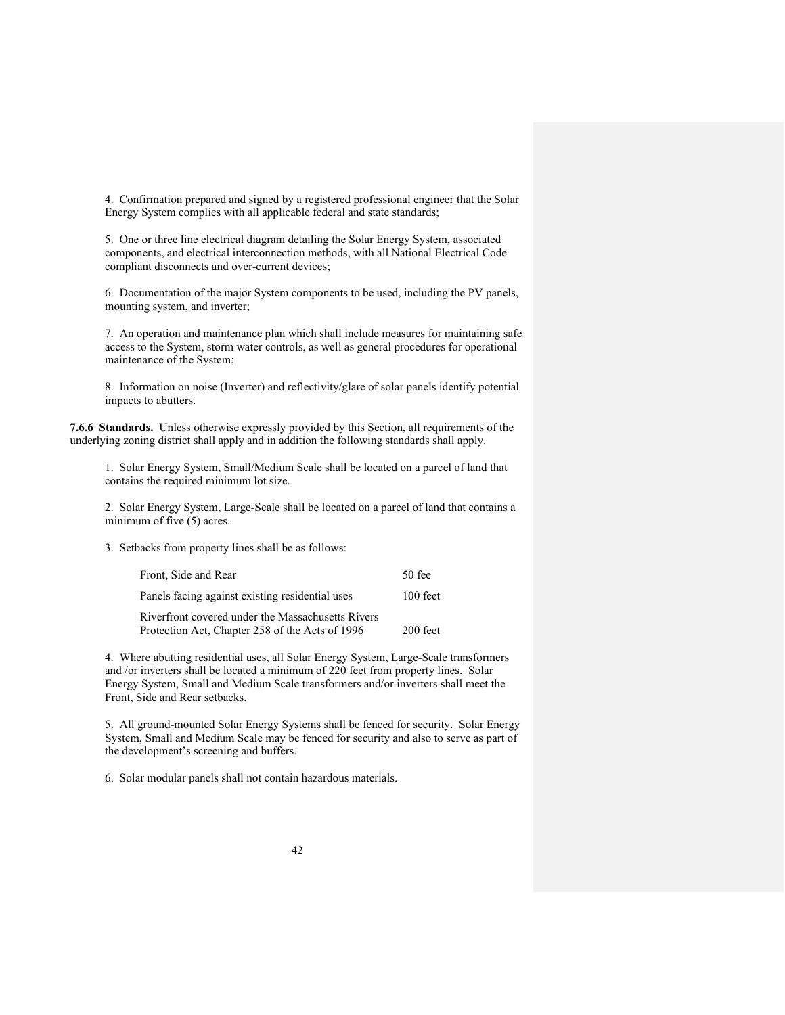4. Confirmation prepared and signed by a registered professional engineer that the Solar Energy System complies with all applicable federal and state standards;

5. One or three line electrical diagram detailing the Solar Energy System, associated components, and electrical interconnection methods, with all National Electrical Code compliant disconnects and over-current devices;

6. Documentation of the major System components to be used, including the PV panels, mounting system, and inverter;

7. An operation and maintenance plan which shall include measures for maintaining safe access to the System, storm water controls, as well as general procedures for operational maintenance of the System;

8. Information on noise (Inverter) and reflectivity/glare of solar panels identify potential impacts to abutters.

**7.6.6 Standards.** Unless otherwise expressly provided by this Section, all requirements of the underlying zoning district shall apply and in addition the following standards shall apply.

1. Solar Energy System, Small/Medium Scale shall be located on a parcel of land that contains the required minimum lot size.

2. Solar Energy System, Large-Scale shall be located on a parcel of land that contains a minimum of five (5) acres.

3. Setbacks from property lines shall be as follows:

| Front, Side and Rear                              | $50$ fee   |
|---------------------------------------------------|------------|
| Panels facing against existing residential uses   | $100$ feet |
| Riverfront covered under the Massachusetts Rivers |            |
| Protection Act, Chapter 258 of the Acts of 1996   | 200 feet   |

4. Where abutting residential uses, all Solar Energy System, Large-Scale transformers and /or inverters shall be located a minimum of 220 feet from property lines. Solar Energy System, Small and Medium Scale transformers and/or inverters shall meet the Front, Side and Rear setbacks.

5. All ground-mounted Solar Energy Systems shall be fenced for security. Solar Energy System, Small and Medium Scale may be fenced for security and also to serve as part of the development's screening and buffers.

6. Solar modular panels shall not contain hazardous materials.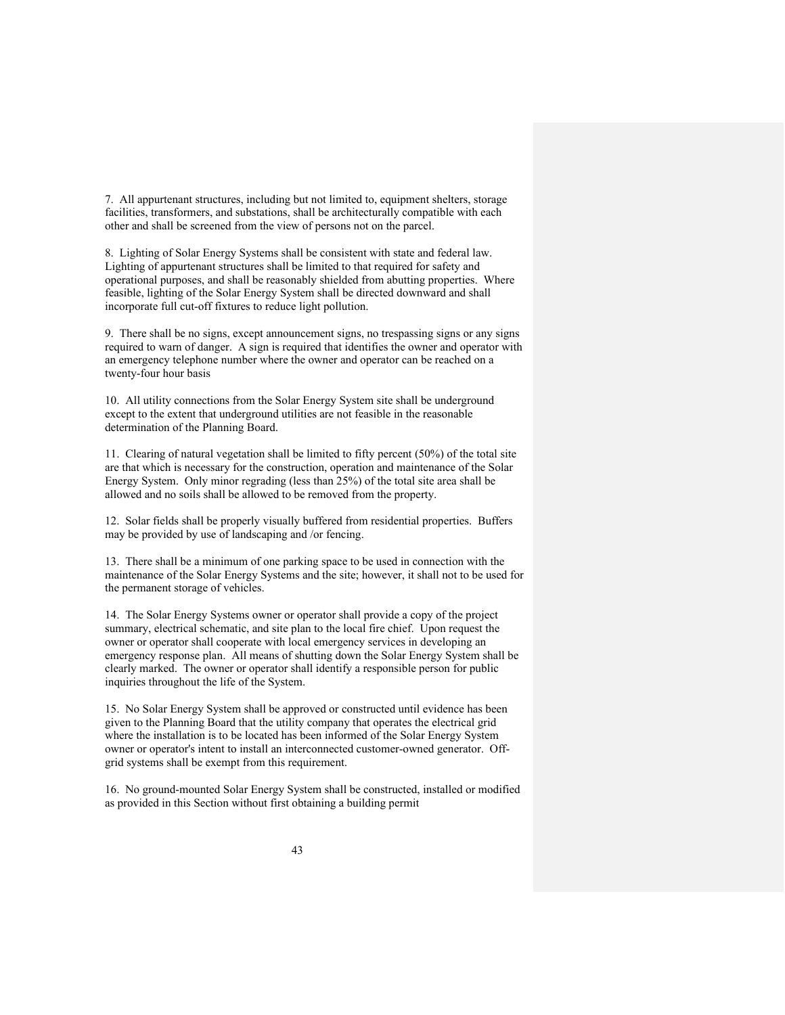7. All appurtenant structures, including but not limited to, equipment shelters, storage facilities, transformers, and substations, shall be architecturally compatible with each other and shall be screened from the view of persons not on the parcel.

8. Lighting of Solar Energy Systems shall be consistent with state and federal law. Lighting of appurtenant structures shall be limited to that required for safety and operational purposes, and shall be reasonably shielded from abutting properties. Where feasible, lighting of the Solar Energy System shall be directed downward and shall incorporate full cut-off fixtures to reduce light pollution.

9. There shall be no signs, except announcement signs, no trespassing signs or any signs required to warn of danger. A sign is required that identifies the owner and operator with an emergency telephone number where the owner and operator can be reached on a twenty-four hour basis

10. All utility connections from the Solar Energy System site shall be underground except to the extent that underground utilities are not feasible in the reasonable determination of the Planning Board.

11. Clearing of natural vegetation shall be limited to fifty percent (50%) of the total site are that which is necessary for the construction, operation and maintenance of the Solar Energy System. Only minor regrading (less than 25%) of the total site area shall be allowed and no soils shall be allowed to be removed from the property.

12. Solar fields shall be properly visually buffered from residential properties. Buffers may be provided by use of landscaping and /or fencing.

13. There shall be a minimum of one parking space to be used in connection with the maintenance of the Solar Energy Systems and the site; however, it shall not to be used for the permanent storage of vehicles.

14. The Solar Energy Systems owner or operator shall provide a copy of the project summary, electrical schematic, and site plan to the local fire chief. Upon request the owner or operator shall cooperate with local emergency services in developing an emergency response plan. All means of shutting down the Solar Energy System shall be clearly marked. The owner or operator shall identify a responsible person for public inquiries throughout the life of the System.

15. No Solar Energy System shall be approved or constructed until evidence has been given to the Planning Board that the utility company that operates the electrical grid where the installation is to be located has been informed of the Solar Energy System owner or operator's intent to install an interconnected customer-owned generator. Offgrid systems shall be exempt from this requirement.

16. No ground-mounted Solar Energy System shall be constructed, installed or modified as provided in this Section without first obtaining a building permit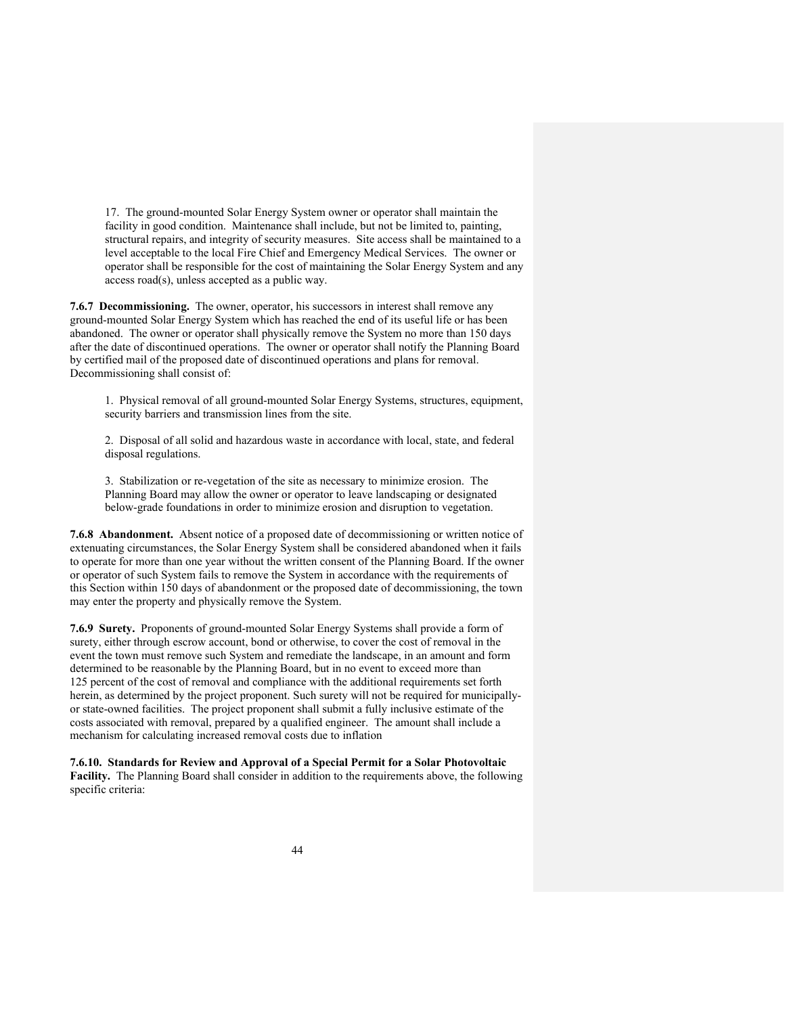17. The ground-mounted Solar Energy System owner or operator shall maintain the facility in good condition. Maintenance shall include, but not be limited to, painting, structural repairs, and integrity of security measures. Site access shall be maintained to a level acceptable to the local Fire Chief and Emergency Medical Services. The owner or operator shall be responsible for the cost of maintaining the Solar Energy System and any access road(s), unless accepted as a public way.

**7.6.7 Decommissioning.** The owner, operator, his successors in interest shall remove any ground-mounted Solar Energy System which has reached the end of its useful life or has been abandoned. The owner or operator shall physically remove the System no more than 150 days after the date of discontinued operations. The owner or operator shall notify the Planning Board by certified mail of the proposed date of discontinued operations and plans for removal. Decommissioning shall consist of:

1. Physical removal of all ground-mounted Solar Energy Systems, structures, equipment, security barriers and transmission lines from the site.

2. Disposal of all solid and hazardous waste in accordance with local, state, and federal disposal regulations.

3. Stabilization or re-vegetation of the site as necessary to minimize erosion. The Planning Board may allow the owner or operator to leave landscaping or designated below-grade foundations in order to minimize erosion and disruption to vegetation.

**7.6.8 Abandonment.** Absent notice of a proposed date of decommissioning or written notice of extenuating circumstances, the Solar Energy System shall be considered abandoned when it fails to operate for more than one year without the written consent of the Planning Board. If the owner or operator of such System fails to remove the System in accordance with the requirements of this Section within 150 days of abandonment or the proposed date of decommissioning, the town may enter the property and physically remove the System.

**7.6.9 Surety.** Proponents of ground-mounted Solar Energy Systems shall provide a form of surety, either through escrow account, bond or otherwise, to cover the cost of removal in the event the town must remove such System and remediate the landscape, in an amount and form determined to be reasonable by the Planning Board, but in no event to exceed more than 125 percent of the cost of removal and compliance with the additional requirements set forth herein, as determined by the project proponent. Such surety will not be required for municipallyor state-owned facilities. The project proponent shall submit a fully inclusive estimate of the costs associated with removal, prepared by a qualified engineer. The amount shall include a mechanism for calculating increased removal costs due to inflation

**7.6.10. Standards for Review and Approval of a Special Permit for a Solar Photovoltaic Facility.** The Planning Board shall consider in addition to the requirements above, the following specific criteria: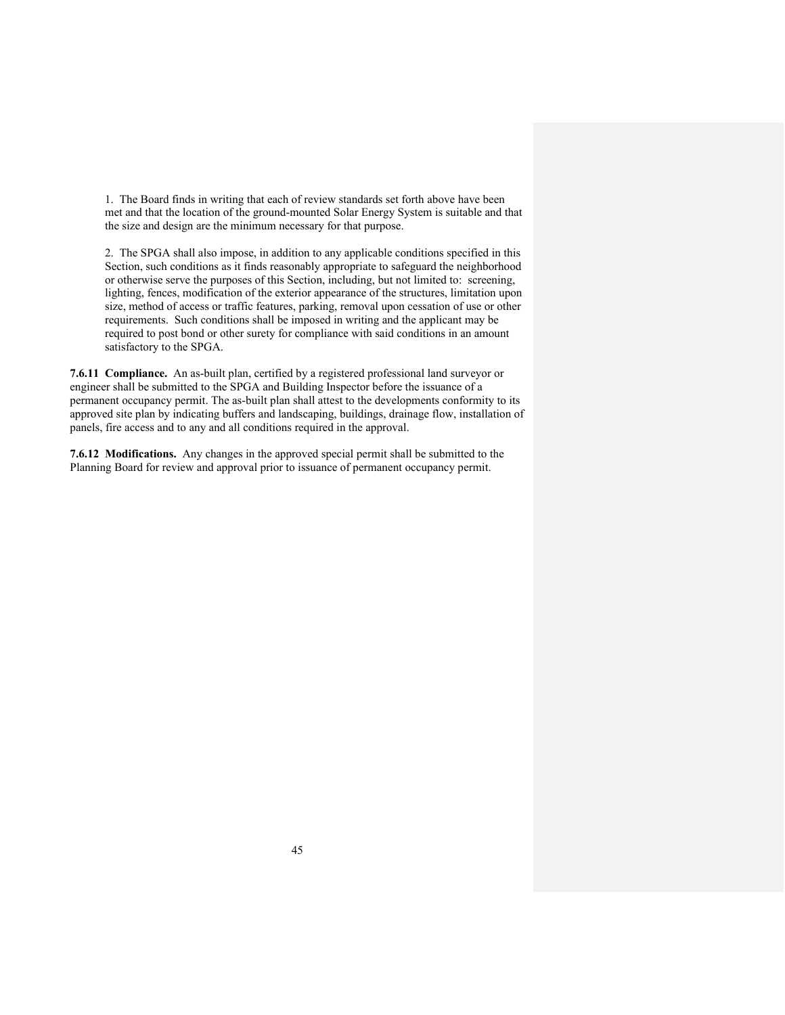1. The Board finds in writing that each of review standards set forth above have been met and that the location of the ground-mounted Solar Energy System is suitable and that the size and design are the minimum necessary for that purpose.

2. The SPGA shall also impose, in addition to any applicable conditions specified in this Section, such conditions as it finds reasonably appropriate to safeguard the neighborhood or otherwise serve the purposes of this Section, including, but not limited to: screening, lighting, fences, modification of the exterior appearance of the structures, limitation upon size, method of access or traffic features, parking, removal upon cessation of use or other requirements. Such conditions shall be imposed in writing and the applicant may be required to post bond or other surety for compliance with said conditions in an amount satisfactory to the SPGA.

**7.6.11 Compliance.** An as-built plan, certified by a registered professional land surveyor or engineer shall be submitted to the SPGA and Building Inspector before the issuance of a permanent occupancy permit. The as-built plan shall attest to the developments conformity to its approved site plan by indicating buffers and landscaping, buildings, drainage flow, installation of panels, fire access and to any and all conditions required in the approval.

**7.6.12 Modifications.** Any changes in the approved special permit shall be submitted to the Planning Board for review and approval prior to issuance of permanent occupancy permit.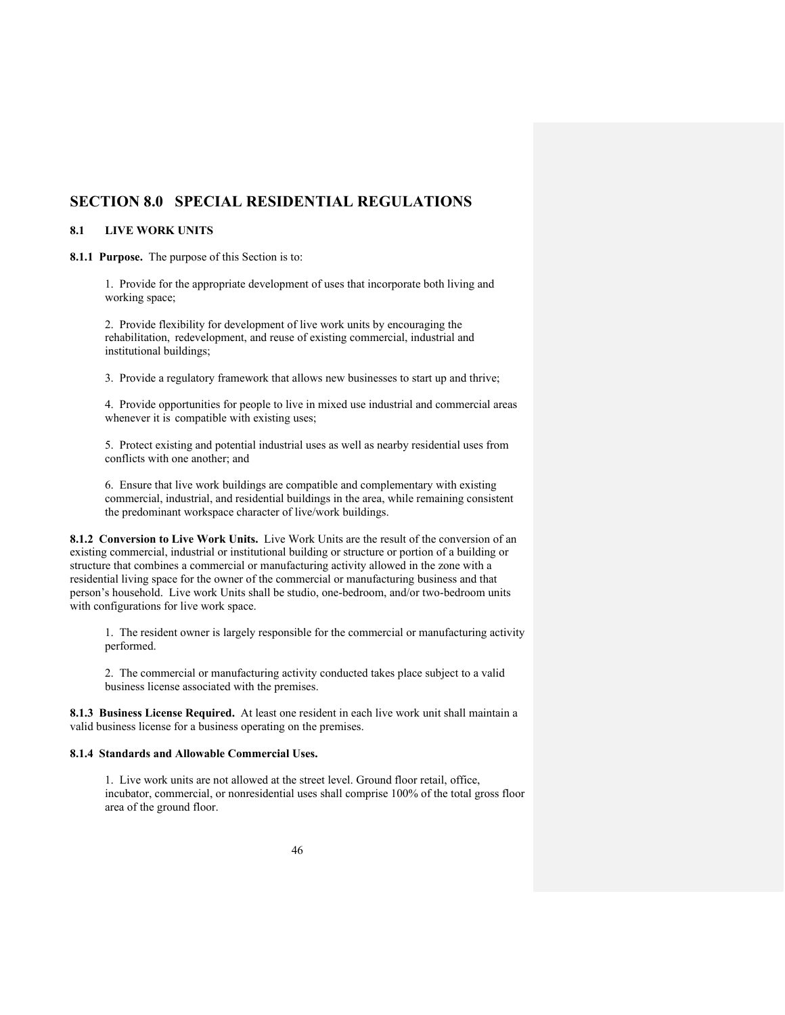## **SECTION 8.0 SPECIAL RESIDENTIAL REGULATIONS**

### **8.1 LIVE WORK UNITS**

**8.1.1 Purpose.** The purpose of this Section is to:

1. Provide for the appropriate development of uses that incorporate both living and working space;

2. Provide flexibility for development of live work units by encouraging the rehabilitation, redevelopment, and reuse of existing commercial, industrial and institutional buildings;

3. Provide a regulatory framework that allows new businesses to start up and thrive;

4. Provide opportunities for people to live in mixed use industrial and commercial areas whenever it is compatible with existing uses;

5. Protect existing and potential industrial uses as well as nearby residential uses from conflicts with one another; and

6. Ensure that live work buildings are compatible and complementary with existing commercial, industrial, and residential buildings in the area, while remaining consistent the predominant workspace character of live/work buildings.

**8.1.2 Conversion to Live Work Units.** Live Work Units are the result of the conversion of an existing commercial, industrial or institutional building or structure or portion of a building or structure that combines a commercial or manufacturing activity allowed in the zone with a residential living space for the owner of the commercial or manufacturing business and that person's household. Live work Units shall be studio, one-bedroom, and/or two-bedroom units with configurations for live work space.

1. The resident owner is largely responsible for the commercial or manufacturing activity performed.

2. The commercial or manufacturing activity conducted takes place subject to a valid business license associated with the premises.

**8.1.3 Business License Required.** At least one resident in each live work unit shall maintain a valid business license for a business operating on the premises.

### **8.1.4 Standards and Allowable Commercial Uses.**

1. Live work units are not allowed at the street level. Ground floor retail, office, incubator, commercial, or nonresidential uses shall comprise 100% of the total gross floor area of the ground floor.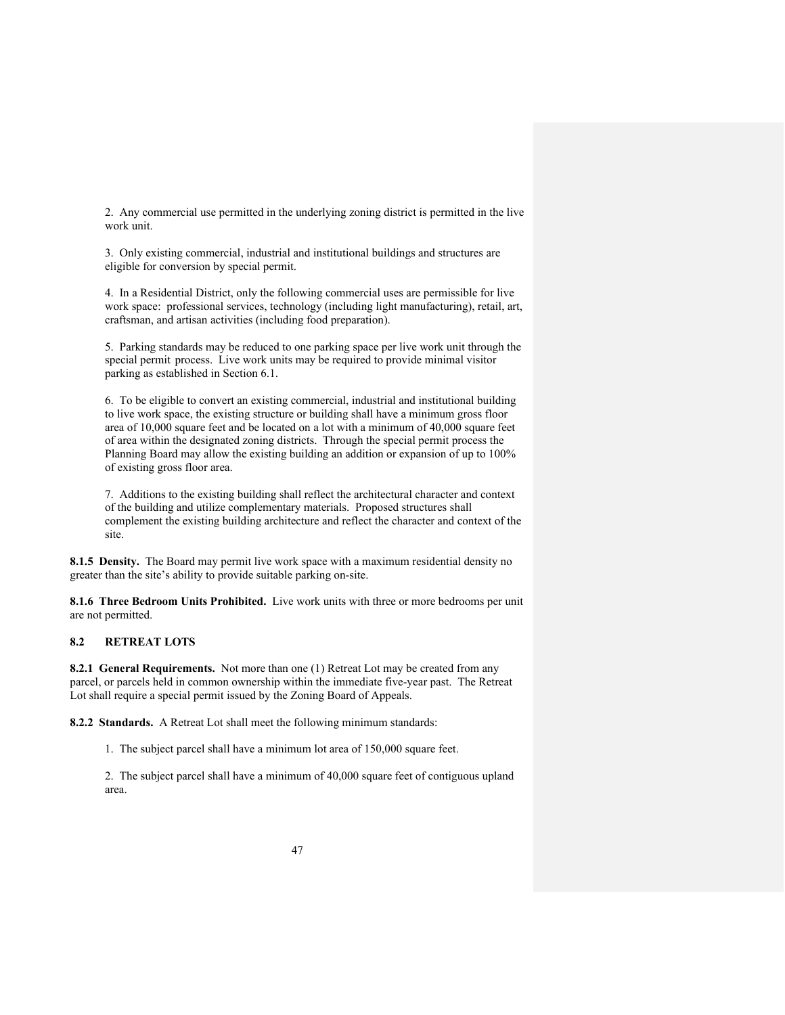2. Any commercial use permitted in the underlying zoning district is permitted in the live work unit.

3. Only existing commercial, industrial and institutional buildings and structures are eligible for conversion by special permit.

4. In a Residential District, only the following commercial uses are permissible for live work space: professional services, technology (including light manufacturing), retail, art, craftsman, and artisan activities (including food preparation).

5. Parking standards may be reduced to one parking space per live work unit through the special permit process. Live work units may be required to provide minimal visitor parking as established in Section 6.1.

6. To be eligible to convert an existing commercial, industrial and institutional building to live work space, the existing structure or building shall have a minimum gross floor area of 10,000 square feet and be located on a lot with a minimum of 40,000 square feet of area within the designated zoning districts. Through the special permit process the Planning Board may allow the existing building an addition or expansion of up to 100% of existing gross floor area.

7. Additions to the existing building shall reflect the architectural character and context of the building and utilize complementary materials. Proposed structures shall complement the existing building architecture and reflect the character and context of the site.

**8.1.5 Density.** The Board may permit live work space with a maximum residential density no greater than the site's ability to provide suitable parking on-site.

**8.1.6 Three Bedroom Units Prohibited.** Live work units with three or more bedrooms per unit are not permitted.

### **8.2 RETREAT LOTS**

**8.2.1 General Requirements.** Not more than one (1) Retreat Lot may be created from any parcel, or parcels held in common ownership within the immediate five-year past. The Retreat Lot shall require a special permit issued by the Zoning Board of Appeals.

**8.2.2 Standards.** A Retreat Lot shall meet the following minimum standards:

1. The subject parcel shall have a minimum lot area of 150,000 square feet.

2. The subject parcel shall have a minimum of 40,000 square feet of contiguous upland area.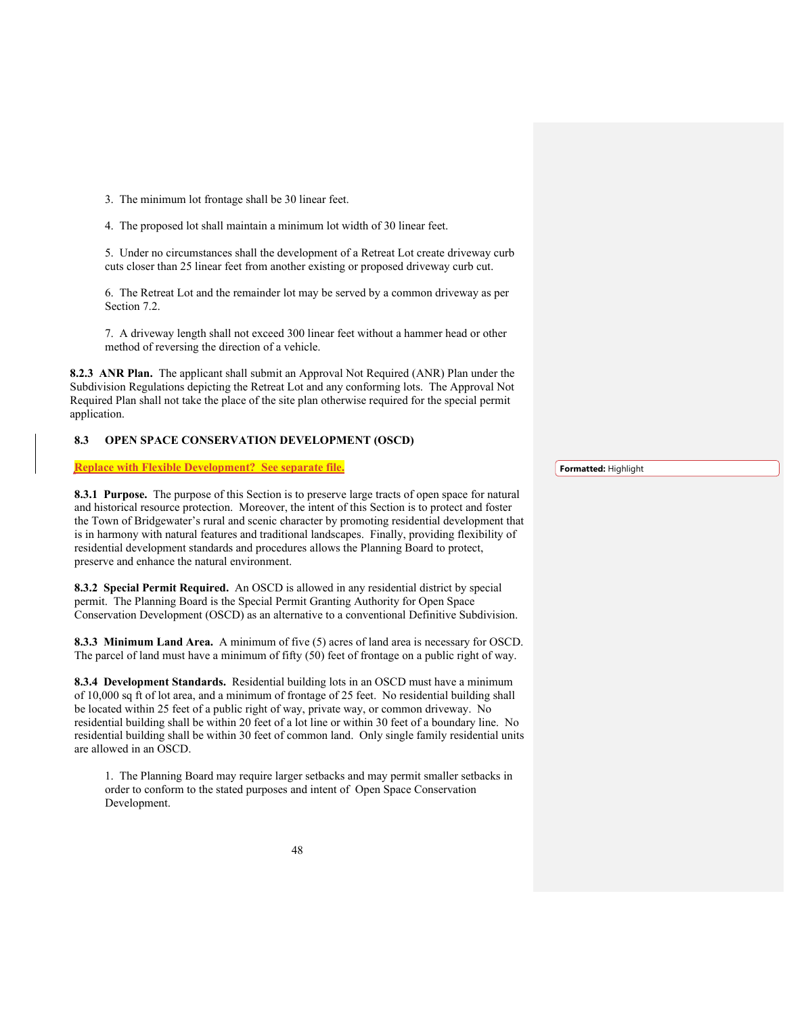3. The minimum lot frontage shall be 30 linear feet.

4. The proposed lot shall maintain a minimum lot width of 30 linear feet.

5. Under no circumstances shall the development of a Retreat Lot create driveway curb cuts closer than 25 linear feet from another existing or proposed driveway curb cut.

6. The Retreat Lot and the remainder lot may be served by a common driveway as per Section 7.2.

7. A driveway length shall not exceed 300 linear feet without a hammer head or other method of reversing the direction of a vehicle.

**8.2.3 ANR Plan.** The applicant shall submit an Approval Not Required (ANR) Plan under the Subdivision Regulations depicting the Retreat Lot and any conforming lots. The Approval Not Required Plan shall not take the place of the site plan otherwise required for the special permit application.

### **8.3 OPEN SPACE CONSERVATION DEVELOPMENT (OSCD)**

**Replace with Flexible Development? See separate file.**

**8.3.1 Purpose.** The purpose of this Section is to preserve large tracts of open space for natural and historical resource protection. Moreover, the intent of this Section is to protect and foster the Town of Bridgewater's rural and scenic character by promoting residential development that is in harmony with natural features and traditional landscapes. Finally, providing flexibility of residential development standards and procedures allows the Planning Board to protect, preserve and enhance the natural environment.

**8.3.2 Special Permit Required.** An OSCD is allowed in any residential district by special permit. The Planning Board is the Special Permit Granting Authority for Open Space Conservation Development (OSCD) as an alternative to a conventional Definitive Subdivision.

**8.3.3 Minimum Land Area.** A minimum of five (5) acres of land area is necessary for OSCD. The parcel of land must have a minimum of fifty (50) feet of frontage on a public right of way.

**8.3.4 Development Standards.** Residential building lots in an OSCD must have a minimum of 10,000 sq ft of lot area, and a minimum of frontage of 25 feet. No residential building shall be located within 25 feet of a public right of way, private way, or common driveway. No residential building shall be within 20 feet of a lot line or within 30 feet of a boundary line. No residential building shall be within 30 feet of common land. Only single family residential units are allowed in an OSCD.

1. The Planning Board may require larger setbacks and may permit smaller setbacks in order to conform to the stated purposes and intent of Open Space Conservation Development.

**Formatted:** Highlight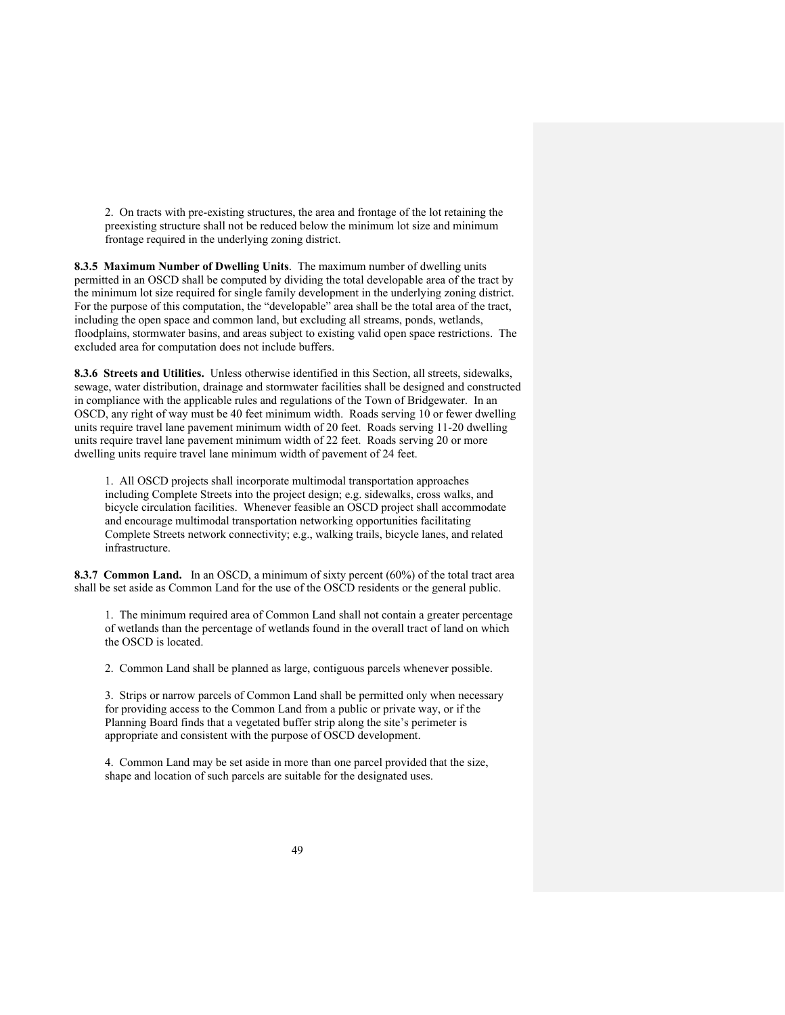2. On tracts with pre-existing structures, the area and frontage of the lot retaining the preexisting structure shall not be reduced below the minimum lot size and minimum frontage required in the underlying zoning district.

**8.3.5 Maximum Number of Dwelling Units**. The maximum number of dwelling units permitted in an OSCD shall be computed by dividing the total developable area of the tract by the minimum lot size required for single family development in the underlying zoning district. For the purpose of this computation, the "developable" area shall be the total area of the tract, including the open space and common land, but excluding all streams, ponds, wetlands, floodplains, stormwater basins, and areas subject to existing valid open space restrictions. The excluded area for computation does not include buffers.

**8.3.6 Streets and Utilities.** Unless otherwise identified in this Section, all streets, sidewalks, sewage, water distribution, drainage and stormwater facilities shall be designed and constructed in compliance with the applicable rules and regulations of the Town of Bridgewater. In an OSCD, any right of way must be 40 feet minimum width. Roads serving 10 or fewer dwelling units require travel lane pavement minimum width of 20 feet. Roads serving 11-20 dwelling units require travel lane pavement minimum width of 22 feet. Roads serving 20 or more dwelling units require travel lane minimum width of pavement of 24 feet.

1. All OSCD projects shall incorporate multimodal transportation approaches including Complete Streets into the project design; e.g. sidewalks, cross walks, and bicycle circulation facilities. Whenever feasible an OSCD project shall accommodate and encourage multimodal transportation networking opportunities facilitating Complete Streets network connectivity; e.g., walking trails, bicycle lanes, and related infrastructure.

**8.3.7 Common Land.** In an OSCD, a minimum of sixty percent (60%) of the total tract area shall be set aside as Common Land for the use of the OSCD residents or the general public.

1. The minimum required area of Common Land shall not contain a greater percentage of wetlands than the percentage of wetlands found in the overall tract of land on which the OSCD is located.

2. Common Land shall be planned as large, contiguous parcels whenever possible.

3. Strips or narrow parcels of Common Land shall be permitted only when necessary for providing access to the Common Land from a public or private way, or if the Planning Board finds that a vegetated buffer strip along the site's perimeter is appropriate and consistent with the purpose of OSCD development.

4. Common Land may be set aside in more than one parcel provided that the size, shape and location of such parcels are suitable for the designated uses.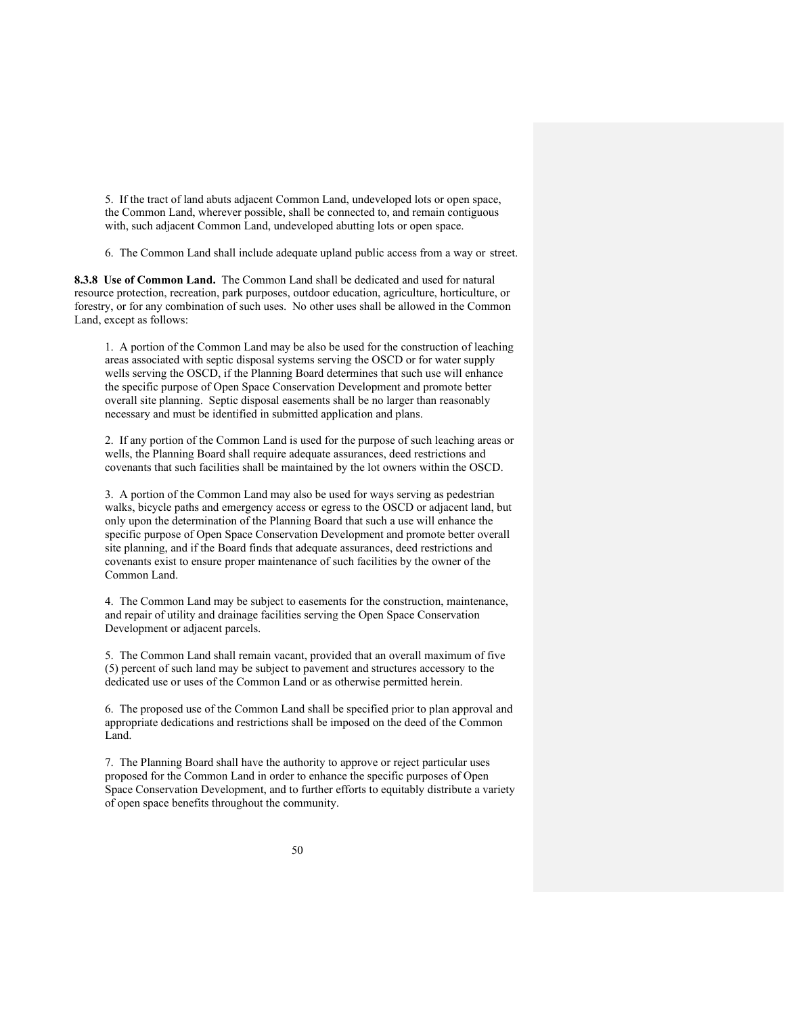5. If the tract of land abuts adjacent Common Land, undeveloped lots or open space, the Common Land, wherever possible, shall be connected to, and remain contiguous with, such adjacent Common Land, undeveloped abutting lots or open space.

6. The Common Land shall include adequate upland public access from a way or street.

**8.3.8 Use of Common Land.** The Common Land shall be dedicated and used for natural resource protection, recreation, park purposes, outdoor education, agriculture, horticulture, or forestry, or for any combination of such uses. No other uses shall be allowed in the Common Land, except as follows:

1. A portion of the Common Land may be also be used for the construction of leaching areas associated with septic disposal systems serving the OSCD or for water supply wells serving the OSCD, if the Planning Board determines that such use will enhance the specific purpose of Open Space Conservation Development and promote better overall site planning. Septic disposal easements shall be no larger than reasonably necessary and must be identified in submitted application and plans.

2. If any portion of the Common Land is used for the purpose of such leaching areas or wells, the Planning Board shall require adequate assurances, deed restrictions and covenants that such facilities shall be maintained by the lot owners within the OSCD.

3. A portion of the Common Land may also be used for ways serving as pedestrian walks, bicycle paths and emergency access or egress to the OSCD or adjacent land, but only upon the determination of the Planning Board that such a use will enhance the specific purpose of Open Space Conservation Development and promote better overall site planning, and if the Board finds that adequate assurances, deed restrictions and covenants exist to ensure proper maintenance of such facilities by the owner of the Common Land.

4. The Common Land may be subject to easements for the construction, maintenance, and repair of utility and drainage facilities serving the Open Space Conservation Development or adjacent parcels.

5. The Common Land shall remain vacant, provided that an overall maximum of five (5) percent of such land may be subject to pavement and structures accessory to the dedicated use or uses of the Common Land or as otherwise permitted herein.

6. The proposed use of the Common Land shall be specified prior to plan approval and appropriate dedications and restrictions shall be imposed on the deed of the Common Land.

7. The Planning Board shall have the authority to approve or reject particular uses proposed for the Common Land in order to enhance the specific purposes of Open Space Conservation Development, and to further efforts to equitably distribute a variety of open space benefits throughout the community.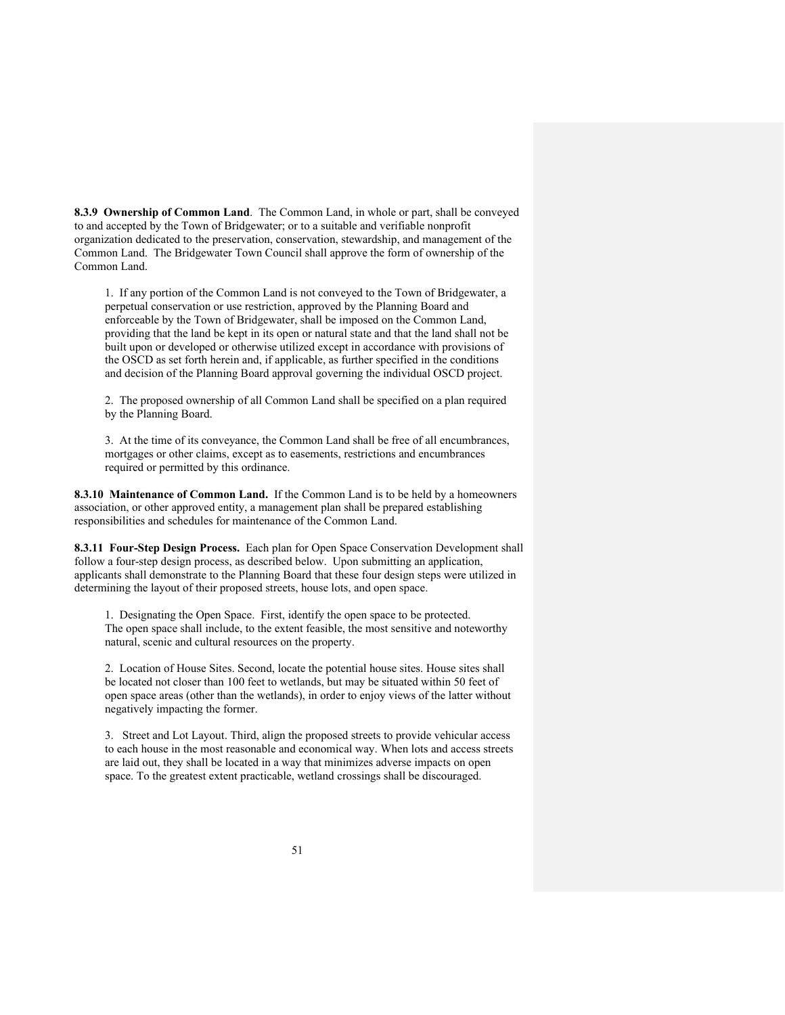**8.3.9 Ownership of Common Land**. The Common Land, in whole or part, shall be conveyed to and accepted by the Town of Bridgewater; or to a suitable and verifiable nonprofit organization dedicated to the preservation, conservation, stewardship, and management of the Common Land. The Bridgewater Town Council shall approve the form of ownership of the Common Land.

1. If any portion of the Common Land is not conveyed to the Town of Bridgewater, a perpetual conservation or use restriction, approved by the Planning Board and enforceable by the Town of Bridgewater, shall be imposed on the Common Land, providing that the land be kept in its open or natural state and that the land shall not be built upon or developed or otherwise utilized except in accordance with provisions of the OSCD as set forth herein and, if applicable, as further specified in the conditions and decision of the Planning Board approval governing the individual OSCD project.

2. The proposed ownership of all Common Land shall be specified on a plan required by the Planning Board.

3. At the time of its conveyance, the Common Land shall be free of all encumbrances, mortgages or other claims, except as to easements, restrictions and encumbrances required or permitted by this ordinance.

**8.3.10 Maintenance of Common Land.** If the Common Land is to be held by a homeowners association, or other approved entity, a management plan shall be prepared establishing responsibilities and schedules for maintenance of the Common Land.

**8.3.11 Four-Step Design Process.** Each plan for Open Space Conservation Development shall follow a four-step design process, as described below. Upon submitting an application, applicants shall demonstrate to the Planning Board that these four design steps were utilized in determining the layout of their proposed streets, house lots, and open space.

1. Designating the Open Space. First, identify the open space to be protected. The open space shall include, to the extent feasible, the most sensitive and noteworthy natural, scenic and cultural resources on the property.

2. Location of House Sites. Second, locate the potential house sites. House sites shall be located not closer than 100 feet to wetlands, but may be situated within 50 feet of open space areas (other than the wetlands), in order to enjoy views of the latter without negatively impacting the former.

3. Street and Lot Layout. Third, align the proposed streets to provide vehicular access to each house in the most reasonable and economical way. When lots and access streets are laid out, they shall be located in a way that minimizes adverse impacts on open space. To the greatest extent practicable, wetland crossings shall be discouraged.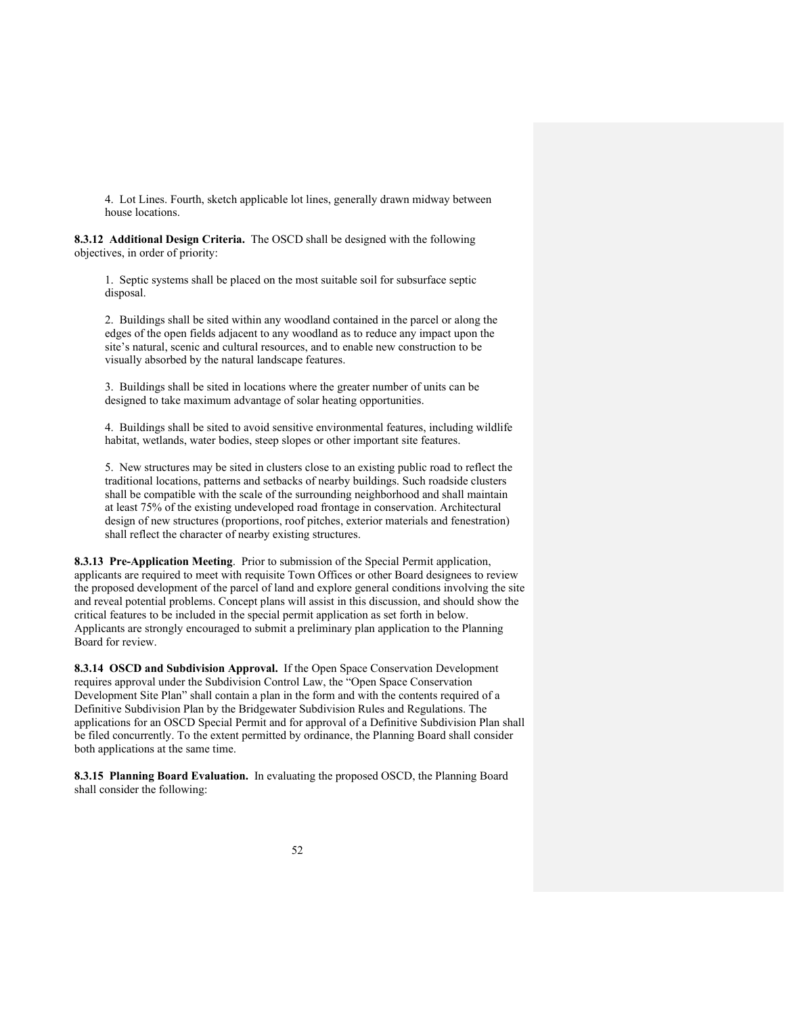4. Lot Lines. Fourth, sketch applicable lot lines, generally drawn midway between house locations.

**8.3.12 Additional Design Criteria.** The OSCD shall be designed with the following objectives, in order of priority:

1. Septic systems shall be placed on the most suitable soil for subsurface septic disposal.

2. Buildings shall be sited within any woodland contained in the parcel or along the edges of the open fields adjacent to any woodland as to reduce any impact upon the site's natural, scenic and cultural resources, and to enable new construction to be visually absorbed by the natural landscape features.

3. Buildings shall be sited in locations where the greater number of units can be designed to take maximum advantage of solar heating opportunities.

4. Buildings shall be sited to avoid sensitive environmental features, including wildlife habitat, wetlands, water bodies, steep slopes or other important site features.

5. New structures may be sited in clusters close to an existing public road to reflect the traditional locations, patterns and setbacks of nearby buildings. Such roadside clusters shall be compatible with the scale of the surrounding neighborhood and shall maintain at least 75% of the existing undeveloped road frontage in conservation. Architectural design of new structures (proportions, roof pitches, exterior materials and fenestration) shall reflect the character of nearby existing structures.

**8.3.13 Pre-Application Meeting**. Prior to submission of the Special Permit application, applicants are required to meet with requisite Town Offices or other Board designees to review the proposed development of the parcel of land and explore general conditions involving the site and reveal potential problems. Concept plans will assist in this discussion, and should show the critical features to be included in the special permit application as set forth in below. Applicants are strongly encouraged to submit a preliminary plan application to the Planning Board for review.

**8.3.14 OSCD and Subdivision Approval.** If the Open Space Conservation Development requires approval under the Subdivision Control Law, the "Open Space Conservation Development Site Plan" shall contain a plan in the form and with the contents required of a Definitive Subdivision Plan by the Bridgewater Subdivision Rules and Regulations. The applications for an OSCD Special Permit and for approval of a Definitive Subdivision Plan shall be filed concurrently. To the extent permitted by ordinance, the Planning Board shall consider both applications at the same time.

**8.3.15 Planning Board Evaluation.** In evaluating the proposed OSCD, the Planning Board shall consider the following: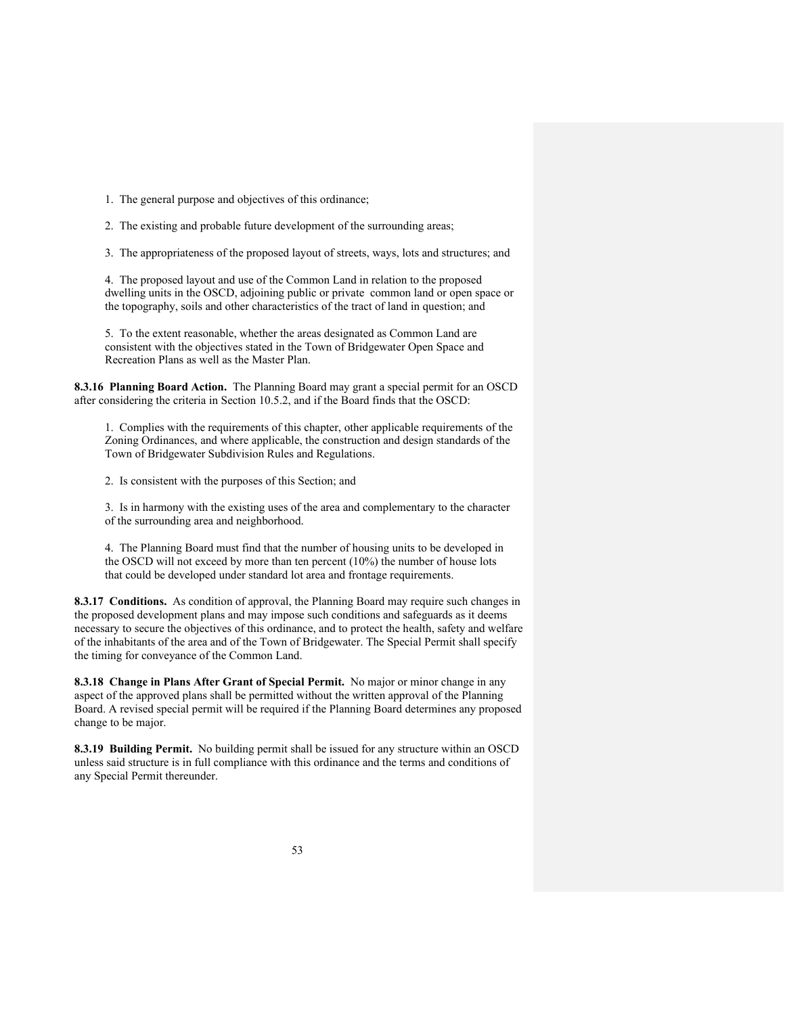- 1. The general purpose and objectives of this ordinance;
- 2. The existing and probable future development of the surrounding areas;
- 3. The appropriateness of the proposed layout of streets, ways, lots and structures; and

4. The proposed layout and use of the Common Land in relation to the proposed dwelling units in the OSCD, adjoining public or private common land or open space or the topography, soils and other characteristics of the tract of land in question; and

5. To the extent reasonable, whether the areas designated as Common Land are consistent with the objectives stated in the Town of Bridgewater Open Space and Recreation Plans as well as the Master Plan.

**8.3.16 Planning Board Action.** The Planning Board may grant a special permit for an OSCD after considering the criteria in Section 10.5.2, and if the Board finds that the OSCD:

1. Complies with the requirements of this chapter, other applicable requirements of the Zoning Ordinances, and where applicable, the construction and design standards of the Town of Bridgewater Subdivision Rules and Regulations.

2. Is consistent with the purposes of this Section; and

3. Is in harmony with the existing uses of the area and complementary to the character of the surrounding area and neighborhood.

4. The Planning Board must find that the number of housing units to be developed in the OSCD will not exceed by more than ten percent (10%) the number of house lots that could be developed under standard lot area and frontage requirements.

**8.3.17 Conditions.** As condition of approval, the Planning Board may require such changes in the proposed development plans and may impose such conditions and safeguards as it deems necessary to secure the objectives of this ordinance, and to protect the health, safety and welfare of the inhabitants of the area and of the Town of Bridgewater. The Special Permit shall specify the timing for conveyance of the Common Land.

**8.3.18 Change in Plans After Grant of Special Permit.** No major or minor change in any aspect of the approved plans shall be permitted without the written approval of the Planning Board. A revised special permit will be required if the Planning Board determines any proposed change to be major.

**8.3.19 Building Permit.** No building permit shall be issued for any structure within an OSCD unless said structure is in full compliance with this ordinance and the terms and conditions of any Special Permit thereunder.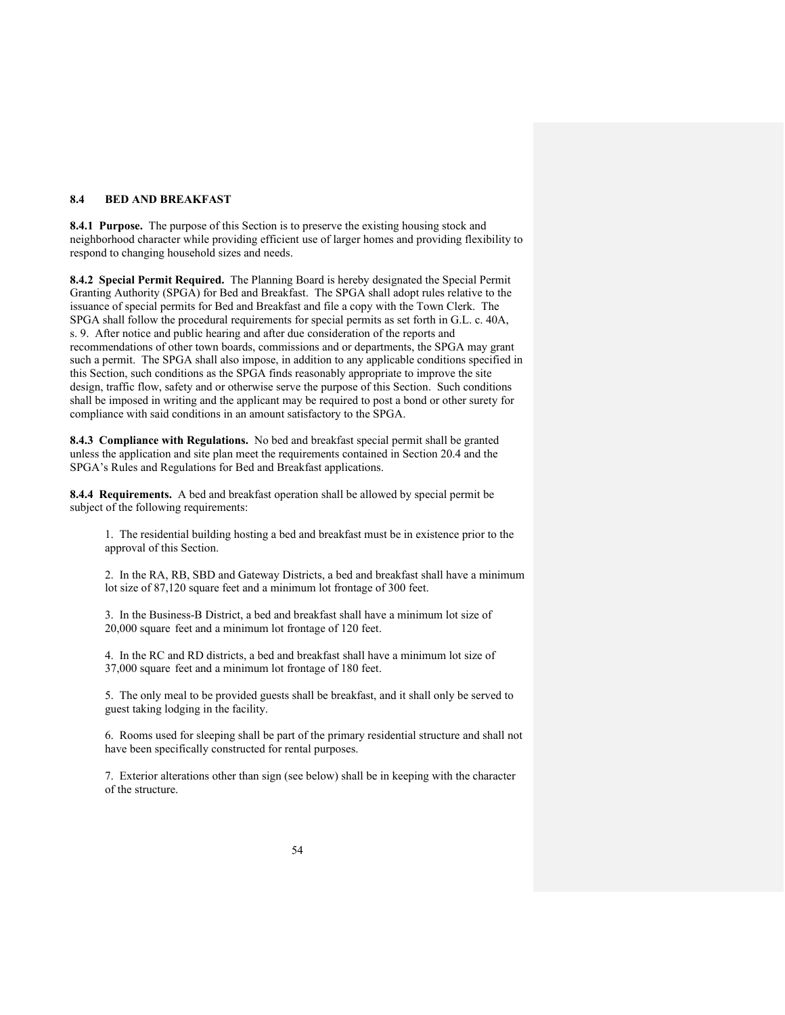### **8.4 BED AND BREAKFAST**

**8.4.1 Purpose.** The purpose of this Section is to preserve the existing housing stock and neighborhood character while providing efficient use of larger homes and providing flexibility to respond to changing household sizes and needs.

**8.4.2 Special Permit Required.** The Planning Board is hereby designated the Special Permit Granting Authority (SPGA) for Bed and Breakfast. The SPGA shall adopt rules relative to the issuance of special permits for Bed and Breakfast and file a copy with the Town Clerk. The SPGA shall follow the procedural requirements for special permits as set forth in G.L. c. 40A, s. 9. After notice and public hearing and after due consideration of the reports and recommendations of other town boards, commissions and or departments, the SPGA may grant such a permit. The SPGA shall also impose, in addition to any applicable conditions specified in this Section, such conditions as the SPGA finds reasonably appropriate to improve the site design, traffic flow, safety and or otherwise serve the purpose of this Section. Such conditions shall be imposed in writing and the applicant may be required to post a bond or other surety for compliance with said conditions in an amount satisfactory to the SPGA.

**8.4.3 Compliance with Regulations.** No bed and breakfast special permit shall be granted unless the application and site plan meet the requirements contained in Section 20.4 and the SPGA's Rules and Regulations for Bed and Breakfast applications.

**8.4.4 Requirements.** A bed and breakfast operation shall be allowed by special permit be subject of the following requirements:

1. The residential building hosting a bed and breakfast must be in existence prior to the approval of this Section.

2. In the RA, RB, SBD and Gateway Districts, a bed and breakfast shall have a minimum lot size of 87,120 square feet and a minimum lot frontage of 300 feet.

3. In the Business-B District, a bed and breakfast shall have a minimum lot size of 20,000 square feet and a minimum lot frontage of 120 feet.

4. In the RC and RD districts, a bed and breakfast shall have a minimum lot size of 37,000 square feet and a minimum lot frontage of 180 feet.

5. The only meal to be provided guests shall be breakfast, and it shall only be served to guest taking lodging in the facility.

6. Rooms used for sleeping shall be part of the primary residential structure and shall not have been specifically constructed for rental purposes.

7. Exterior alterations other than sign (see below) shall be in keeping with the character of the structure.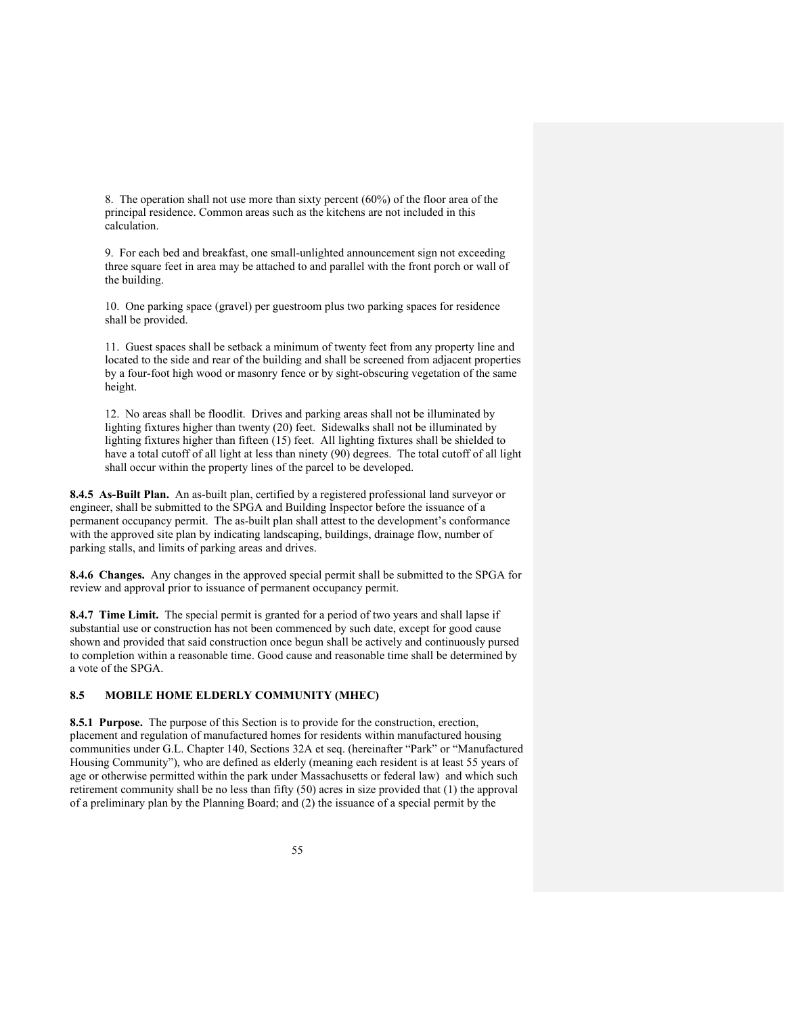8. The operation shall not use more than sixty percent (60%) of the floor area of the principal residence. Common areas such as the kitchens are not included in this calculation.

9. For each bed and breakfast, one small-unlighted announcement sign not exceeding three square feet in area may be attached to and parallel with the front porch or wall of the building.

10. One parking space (gravel) per guestroom plus two parking spaces for residence shall be provided.

11. Guest spaces shall be setback a minimum of twenty feet from any property line and located to the side and rear of the building and shall be screened from adjacent properties by a four-foot high wood or masonry fence or by sight-obscuring vegetation of the same height.

12. No areas shall be floodlit. Drives and parking areas shall not be illuminated by lighting fixtures higher than twenty (20) feet. Sidewalks shall not be illuminated by lighting fixtures higher than fifteen (15) feet. All lighting fixtures shall be shielded to have a total cutoff of all light at less than ninety (90) degrees. The total cutoff of all light shall occur within the property lines of the parcel to be developed.

**8.4.5 As-Built Plan.** An as-built plan, certified by a registered professional land surveyor or engineer, shall be submitted to the SPGA and Building Inspector before the issuance of a permanent occupancy permit. The as-built plan shall attest to the development's conformance with the approved site plan by indicating landscaping, buildings, drainage flow, number of parking stalls, and limits of parking areas and drives.

**8.4.6 Changes.** Any changes in the approved special permit shall be submitted to the SPGA for review and approval prior to issuance of permanent occupancy permit.

**8.4.7 Time Limit.** The special permit is granted for a period of two years and shall lapse if substantial use or construction has not been commenced by such date, except for good cause shown and provided that said construction once begun shall be actively and continuously pursed to completion within a reasonable time. Good cause and reasonable time shall be determined by a vote of the SPGA.

### **8.5 MOBILE HOME ELDERLY COMMUNITY (MHEC)**

**8.5.1 Purpose.** The purpose of this Section is to provide for the construction, erection, placement and regulation of manufactured homes for residents within manufactured housing communities under G.L. Chapter 140, Sections 32A et seq. (hereinafter "Park" or "Manufactured Housing Community"), who are defined as elderly (meaning each resident is at least 55 years of age or otherwise permitted within the park under Massachusetts or federal law) and which such retirement community shall be no less than fifty (50) acres in size provided that (1) the approval of a preliminary plan by the Planning Board; and (2) the issuance of a special permit by the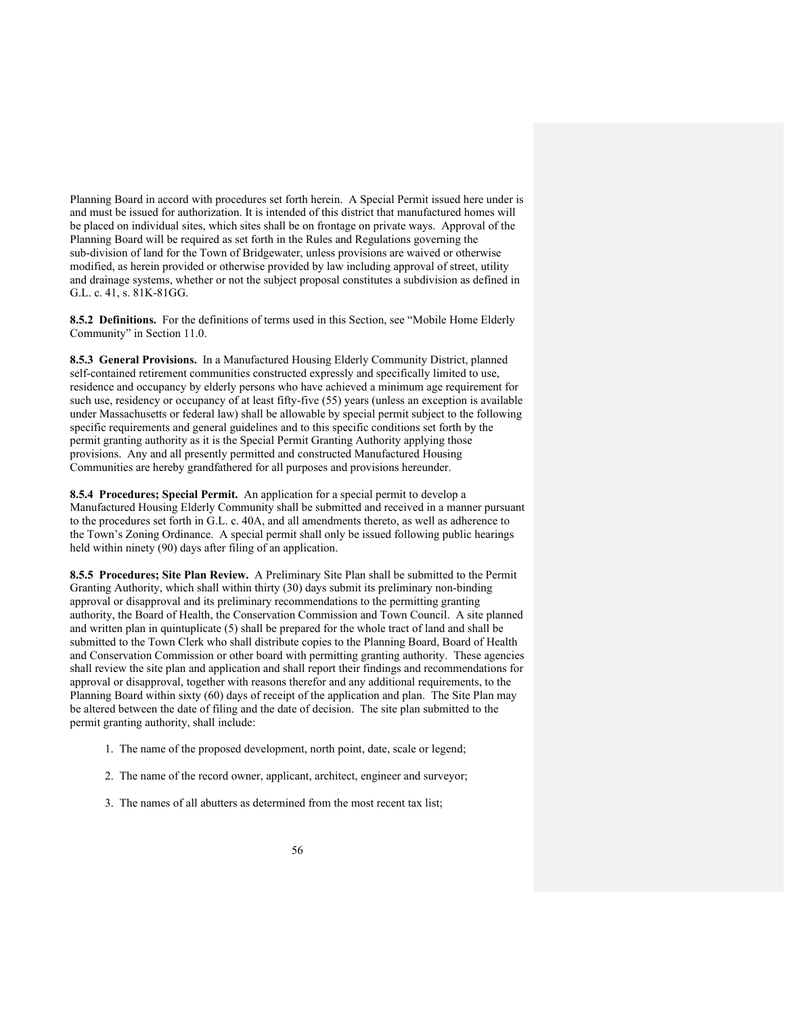Planning Board in accord with procedures set forth herein. A Special Permit issued here under is and must be issued for authorization. It is intended of this district that manufactured homes will be placed on individual sites, which sites shall be on frontage on private ways. Approval of the Planning Board will be required as set forth in the Rules and Regulations governing the sub-division of land for the Town of Bridgewater, unless provisions are waived or otherwise modified, as herein provided or otherwise provided by law including approval of street, utility and drainage systems, whether or not the subject proposal constitutes a subdivision as defined in G.L. c. 41, s. 81K-81GG.

**8.5.2 Definitions.** For the definitions of terms used in this Section, see "Mobile Home Elderly Community" in Section 11.0.

**8.5.3 General Provisions.** In a Manufactured Housing Elderly Community District, planned self-contained retirement communities constructed expressly and specifically limited to use, residence and occupancy by elderly persons who have achieved a minimum age requirement for such use, residency or occupancy of at least fifty-five (55) years (unless an exception is available under Massachusetts or federal law) shall be allowable by special permit subject to the following specific requirements and general guidelines and to this specific conditions set forth by the permit granting authority as it is the Special Permit Granting Authority applying those provisions. Any and all presently permitted and constructed Manufactured Housing Communities are hereby grandfathered for all purposes and provisions hereunder.

**8.5.4 Procedures; Special Permit.** An application for a special permit to develop a Manufactured Housing Elderly Community shall be submitted and received in a manner pursuant to the procedures set forth in G.L. c. 40A, and all amendments thereto, as well as adherence to the Town's Zoning Ordinance. A special permit shall only be issued following public hearings held within ninety (90) days after filing of an application.

**8.5.5 Procedures; Site Plan Review.** A Preliminary Site Plan shall be submitted to the Permit Granting Authority, which shall within thirty (30) days submit its preliminary non-binding approval or disapproval and its preliminary recommendations to the permitting granting authority, the Board of Health, the Conservation Commission and Town Council. A site planned and written plan in quintuplicate (5) shall be prepared for the whole tract of land and shall be submitted to the Town Clerk who shall distribute copies to the Planning Board, Board of Health and Conservation Commission or other board with permitting granting authority. These agencies shall review the site plan and application and shall report their findings and recommendations for approval or disapproval, together with reasons therefor and any additional requirements, to the Planning Board within sixty (60) days of receipt of the application and plan. The Site Plan may be altered between the date of filing and the date of decision. The site plan submitted to the permit granting authority, shall include:

- 1. The name of the proposed development, north point, date, scale or legend;
- 2. The name of the record owner, applicant, architect, engineer and surveyor;
- 3. The names of all abutters as determined from the most recent tax list;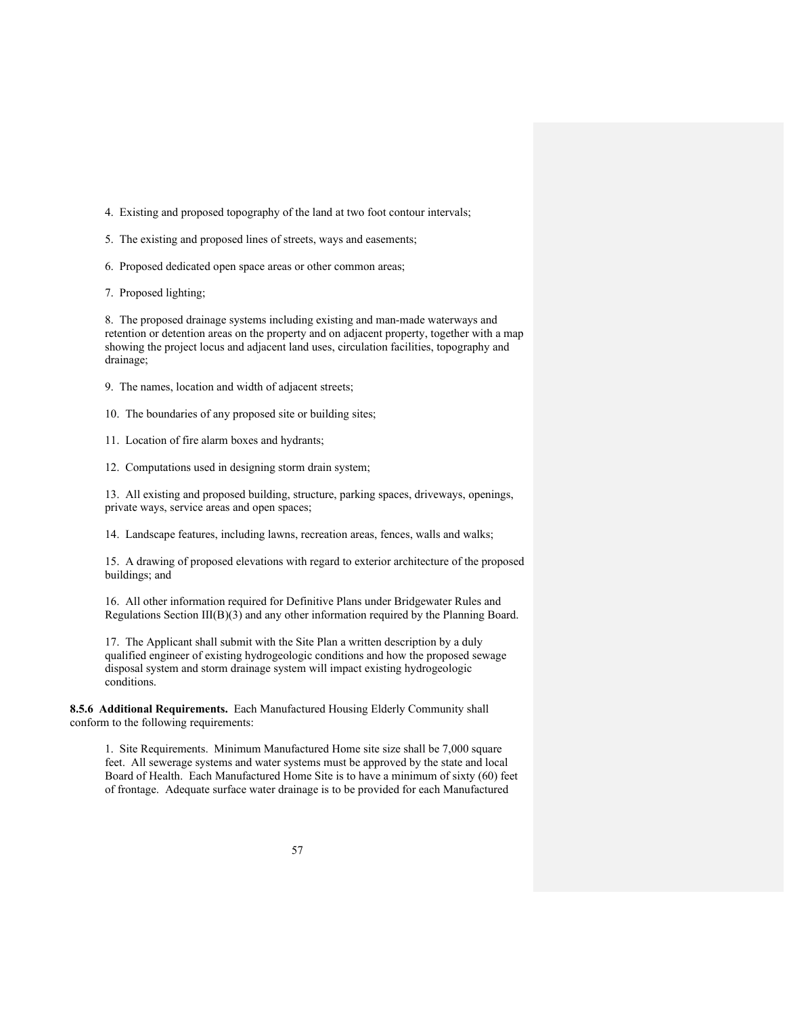- 4. Existing and proposed topography of the land at two foot contour intervals;
- 5. The existing and proposed lines of streets, ways and easements;
- 6. Proposed dedicated open space areas or other common areas;
- 7. Proposed lighting;

8. The proposed drainage systems including existing and man-made waterways and retention or detention areas on the property and on adjacent property, together with a map showing the project locus and adjacent land uses, circulation facilities, topography and drainage;

- 9. The names, location and width of adjacent streets;
- 10. The boundaries of any proposed site or building sites;
- 11. Location of fire alarm boxes and hydrants;

12. Computations used in designing storm drain system;

13. All existing and proposed building, structure, parking spaces, driveways, openings, private ways, service areas and open spaces;

14. Landscape features, including lawns, recreation areas, fences, walls and walks;

15. A drawing of proposed elevations with regard to exterior architecture of the proposed buildings; and

16. All other information required for Definitive Plans under Bridgewater Rules and Regulations Section  $III(B)(3)$  and any other information required by the Planning Board.

17. The Applicant shall submit with the Site Plan a written description by a duly qualified engineer of existing hydrogeologic conditions and how the proposed sewage disposal system and storm drainage system will impact existing hydrogeologic conditions.

**8.5.6 Additional Requirements.** Each Manufactured Housing Elderly Community shall conform to the following requirements:

1. Site Requirements. Minimum Manufactured Home site size shall be 7,000 square feet. All sewerage systems and water systems must be approved by the state and local Board of Health. Each Manufactured Home Site is to have a minimum of sixty (60) feet of frontage. Adequate surface water drainage is to be provided for each Manufactured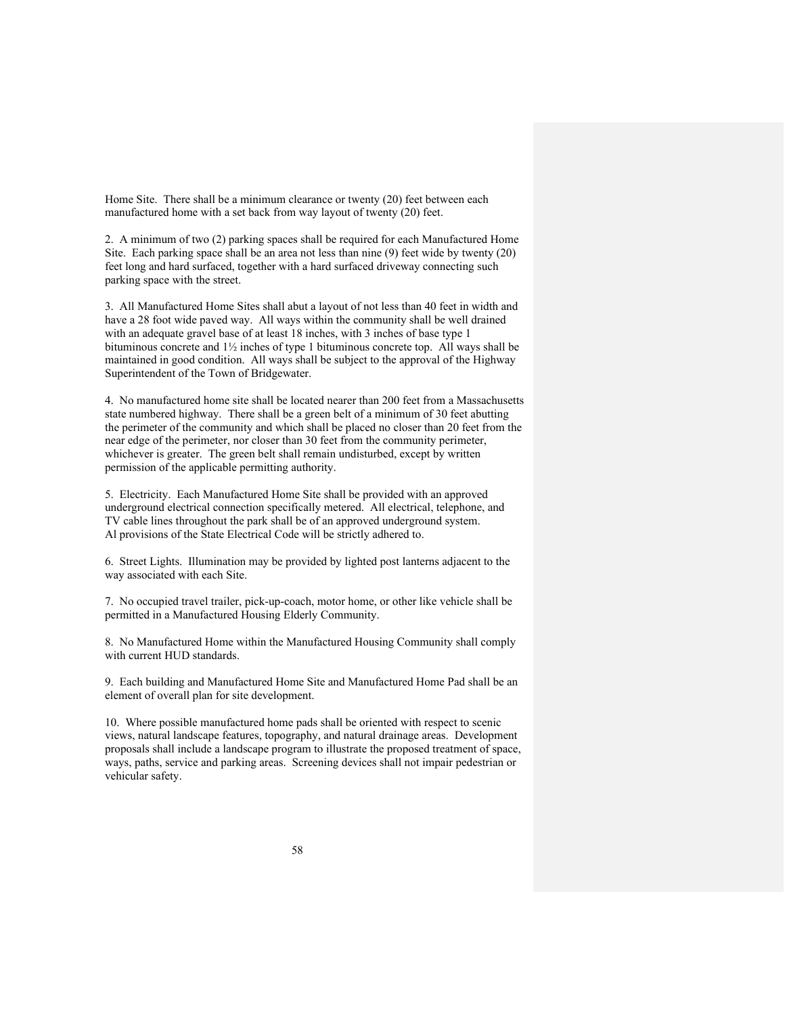Home Site. There shall be a minimum clearance or twenty (20) feet between each manufactured home with a set back from way layout of twenty (20) feet.

2. A minimum of two (2) parking spaces shall be required for each Manufactured Home Site. Each parking space shall be an area not less than nine (9) feet wide by twenty (20) feet long and hard surfaced, together with a hard surfaced driveway connecting such parking space with the street.

3. All Manufactured Home Sites shall abut a layout of not less than 40 feet in width and have a 28 foot wide paved way. All ways within the community shall be well drained with an adequate gravel base of at least 18 inches, with 3 inches of base type 1 bituminous concrete and 1½ inches of type 1 bituminous concrete top. All ways shall be maintained in good condition. All ways shall be subject to the approval of the Highway Superintendent of the Town of Bridgewater.

4. No manufactured home site shall be located nearer than 200 feet from a Massachusetts state numbered highway. There shall be a green belt of a minimum of 30 feet abutting the perimeter of the community and which shall be placed no closer than 20 feet from the near edge of the perimeter, nor closer than 30 feet from the community perimeter, whichever is greater. The green belt shall remain undisturbed, except by written permission of the applicable permitting authority.

5. Electricity. Each Manufactured Home Site shall be provided with an approved underground electrical connection specifically metered. All electrical, telephone, and TV cable lines throughout the park shall be of an approved underground system. Al provisions of the State Electrical Code will be strictly adhered to.

6. Street Lights. Illumination may be provided by lighted post lanterns adjacent to the way associated with each Site.

7. No occupied travel trailer, pick-up-coach, motor home, or other like vehicle shall be permitted in a Manufactured Housing Elderly Community.

8. No Manufactured Home within the Manufactured Housing Community shall comply with current HUD standards.

9. Each building and Manufactured Home Site and Manufactured Home Pad shall be an element of overall plan for site development.

10. Where possible manufactured home pads shall be oriented with respect to scenic views, natural landscape features, topography, and natural drainage areas. Development proposals shall include a landscape program to illustrate the proposed treatment of space, ways, paths, service and parking areas. Screening devices shall not impair pedestrian or vehicular safety.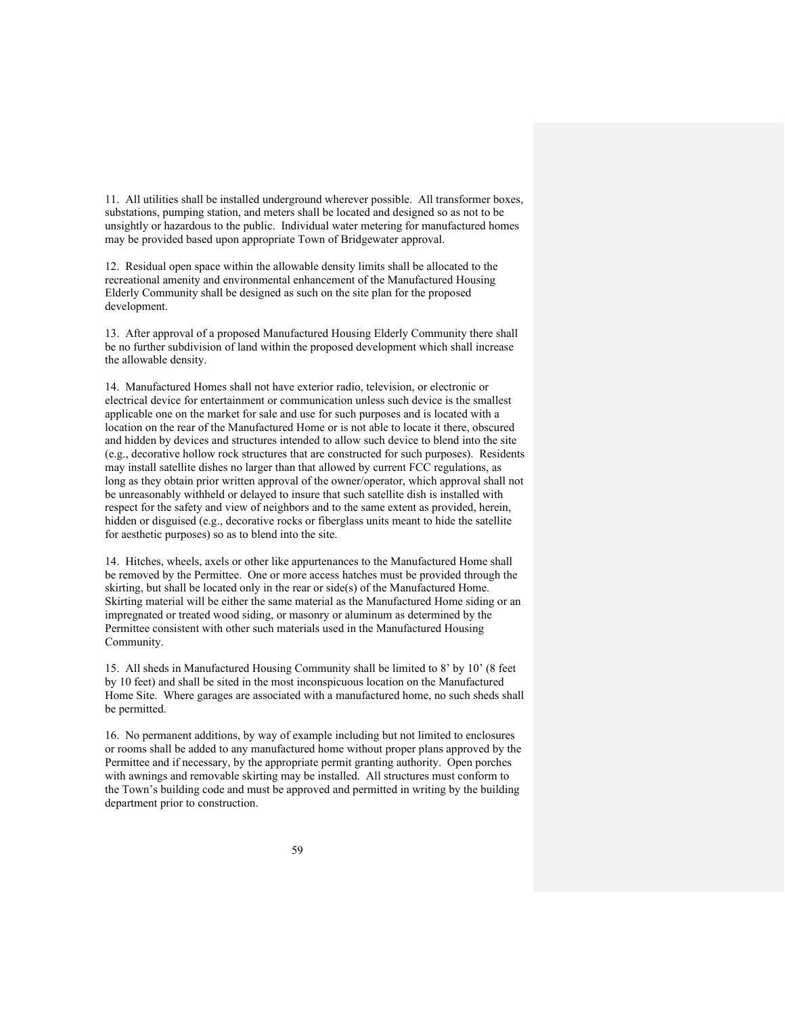11. All utilities shall be installed underground wherever possible. All transformer boxes, substations, pumping station, and meters shall be located and designed so as not to be unsightly or hazardous to the public. Individual water metering for manufactured homes may be provided based upon appropriate Town of Bridgewater approval.

12. Residual open space within the allowable density limits shall be allocated to the recreational amenity and environmental enhancement of the Manufactured Housing Elderly Community shall be designed as such on the site plan for the proposed development.

13. After approval of a proposed Manufactured Housing Elderly Community there shall be no further subdivision of land within the proposed development which shall increase the allowable density.

14. Manufactured Homes shall not have exterior radio, television, or electronic or electrical device for entertainment or communication unless such device is the smallest applicable one on the market for sale and use for such purposes and is located with a location on the rear of the Manufactured Home or is not able to locate it there, obscured and hidden by devices and structures intended to allow such device to blend into the site (e.g., decorative hollow rock structures that are constructed for such purposes). Residents may install satellite dishes no larger than that allowed by current FCC regulations, as long as they obtain prior written approval of the owner/operator, which approval shall not be unreasonably withheld or delayed to insure that such satellite dish is installed with respect for the safety and view of neighbors and to the same extent as provided, herein, hidden or disguised (e.g., decorative rocks or fiberglass units meant to hide the satellite for aesthetic purposes) so as to blend into the site.

14. Hitches, wheels, axels or other like appurtenances to the Manufactured Home shall be removed by the Permittee. One or more access hatches must be provided through the skirting, but shall be located only in the rear or side(s) of the Manufactured Home. Skirting material will be either the same material as the Manufactured Home siding or an impregnated or treated wood siding, or masonry or aluminum as determined by the Permittee consistent with other such materials used in the Manufactured Housing Community.

15. All sheds in Manufactured Housing Community shall be limited to 8' by 10' (8 feet by 10 feet) and shall be sited in the most inconspicuous location on the Manufactured Home Site. Where garages are associated with a manufactured home, no such sheds shall be permitted.

16. No permanent additions, by way of example including but not limited to enclosures or rooms shall be added to any manufactured home without proper plans approved by the Permittee and if necessary, by the appropriate permit granting authority. Open porches with awnings and removable skirting may be installed. All structures must conform to the Town's building code and must be approved and permitted in writing by the building department prior to construction.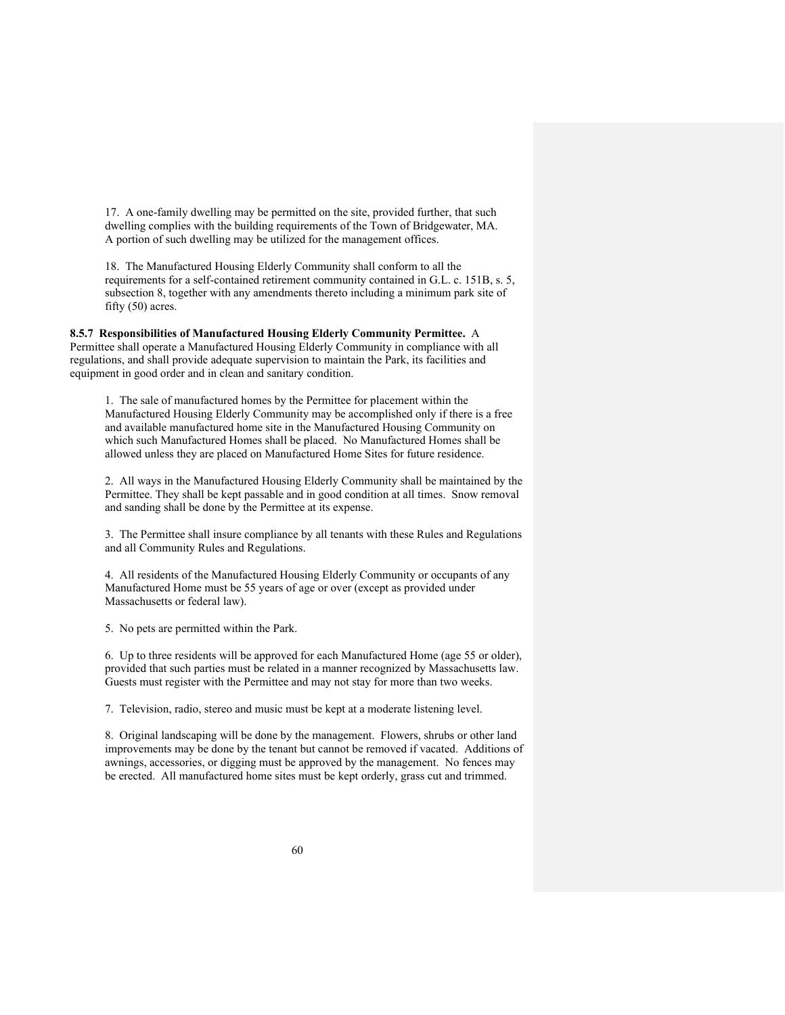17. A one-family dwelling may be permitted on the site, provided further, that such dwelling complies with the building requirements of the Town of Bridgewater, MA. A portion of such dwelling may be utilized for the management offices.

18. The Manufactured Housing Elderly Community shall conform to all the requirements for a self-contained retirement community contained in G.L. c. 151B, s. 5, subsection 8, together with any amendments thereto including a minimum park site of fifty (50) acres.

**8.5.7 Responsibilities of Manufactured Housing Elderly Community Permittee.** A Permittee shall operate a Manufactured Housing Elderly Community in compliance with all regulations, and shall provide adequate supervision to maintain the Park, its facilities and equipment in good order and in clean and sanitary condition.

1. The sale of manufactured homes by the Permittee for placement within the Manufactured Housing Elderly Community may be accomplished only if there is a free and available manufactured home site in the Manufactured Housing Community on which such Manufactured Homes shall be placed. No Manufactured Homes shall be allowed unless they are placed on Manufactured Home Sites for future residence.

2. All ways in the Manufactured Housing Elderly Community shall be maintained by the Permittee. They shall be kept passable and in good condition at all times. Snow removal and sanding shall be done by the Permittee at its expense.

3. The Permittee shall insure compliance by all tenants with these Rules and Regulations and all Community Rules and Regulations.

4. All residents of the Manufactured Housing Elderly Community or occupants of any Manufactured Home must be 55 years of age or over (except as provided under Massachusetts or federal law).

5. No pets are permitted within the Park.

6. Up to three residents will be approved for each Manufactured Home (age 55 or older), provided that such parties must be related in a manner recognized by Massachusetts law. Guests must register with the Permittee and may not stay for more than two weeks.

7. Television, radio, stereo and music must be kept at a moderate listening level.

8. Original landscaping will be done by the management. Flowers, shrubs or other land improvements may be done by the tenant but cannot be removed if vacated. Additions of awnings, accessories, or digging must be approved by the management. No fences may be erected. All manufactured home sites must be kept orderly, grass cut and trimmed.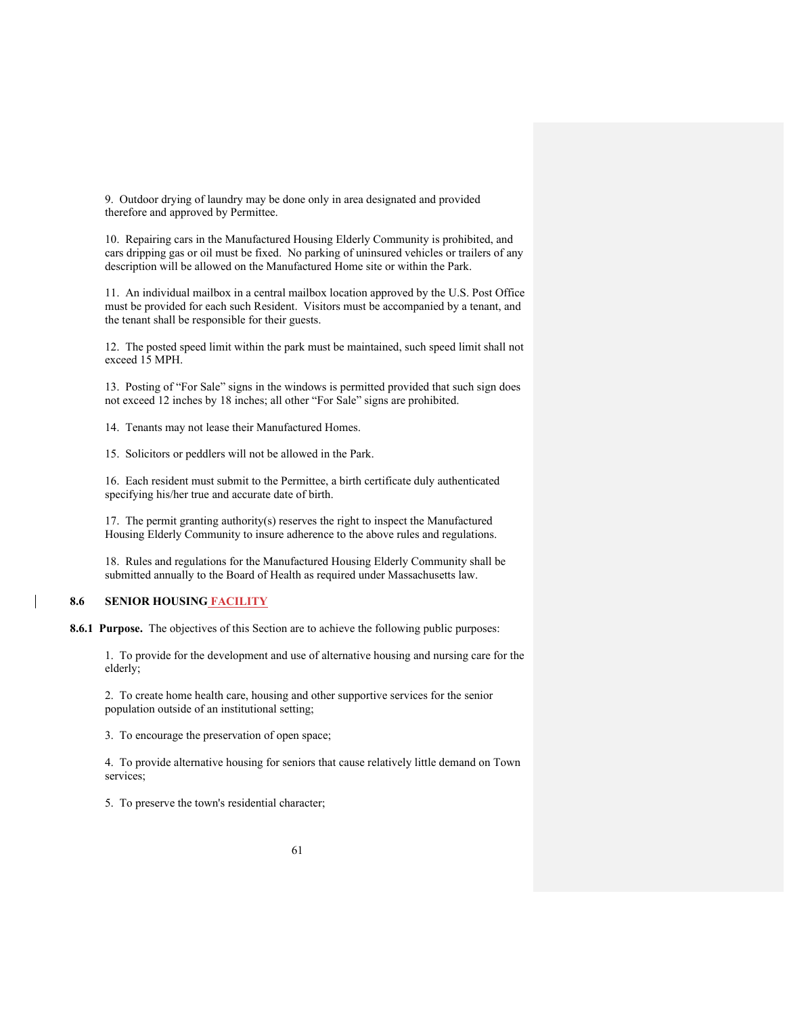9. Outdoor drying of laundry may be done only in area designated and provided therefore and approved by Permittee.

10. Repairing cars in the Manufactured Housing Elderly Community is prohibited, and cars dripping gas or oil must be fixed. No parking of uninsured vehicles or trailers of any description will be allowed on the Manufactured Home site or within the Park.

11. An individual mailbox in a central mailbox location approved by the U.S. Post Office must be provided for each such Resident. Visitors must be accompanied by a tenant, and the tenant shall be responsible for their guests.

12. The posted speed limit within the park must be maintained, such speed limit shall not exceed 15 MPH.

13. Posting of "For Sale" signs in the windows is permitted provided that such sign does not exceed 12 inches by 18 inches; all other "For Sale" signs are prohibited.

14. Tenants may not lease their Manufactured Homes.

15. Solicitors or peddlers will not be allowed in the Park.

16. Each resident must submit to the Permittee, a birth certificate duly authenticated specifying his/her true and accurate date of birth.

17. The permit granting authority(s) reserves the right to inspect the Manufactured Housing Elderly Community to insure adherence to the above rules and regulations.

18. Rules and regulations for the Manufactured Housing Elderly Community shall be submitted annually to the Board of Health as required under Massachusetts law.

### **8.6 SENIOR HOUSING FACILITY**

**8.6.1 Purpose.** The objectives of this Section are to achieve the following public purposes:

[1. T](http://ecode360.com/print/15617009#15617009)o provide for the development and use of alternative housing and nursing care for the elderly;

[2.](http://ecode360.com/print/15617010#15617010) To create home health care, housing and other supportive services for the senior population outside of an institutional setting;

[3.](http://ecode360.com/print/15617011#15617011) To encourage the preservation of open space;

[4.](http://ecode360.com/print/15617012#15617012) To provide alternative housing for seniors that cause relatively little demand on Town services;

[5.](http://ecode360.com/print/15617013#15617013) To preserve the town's residential character;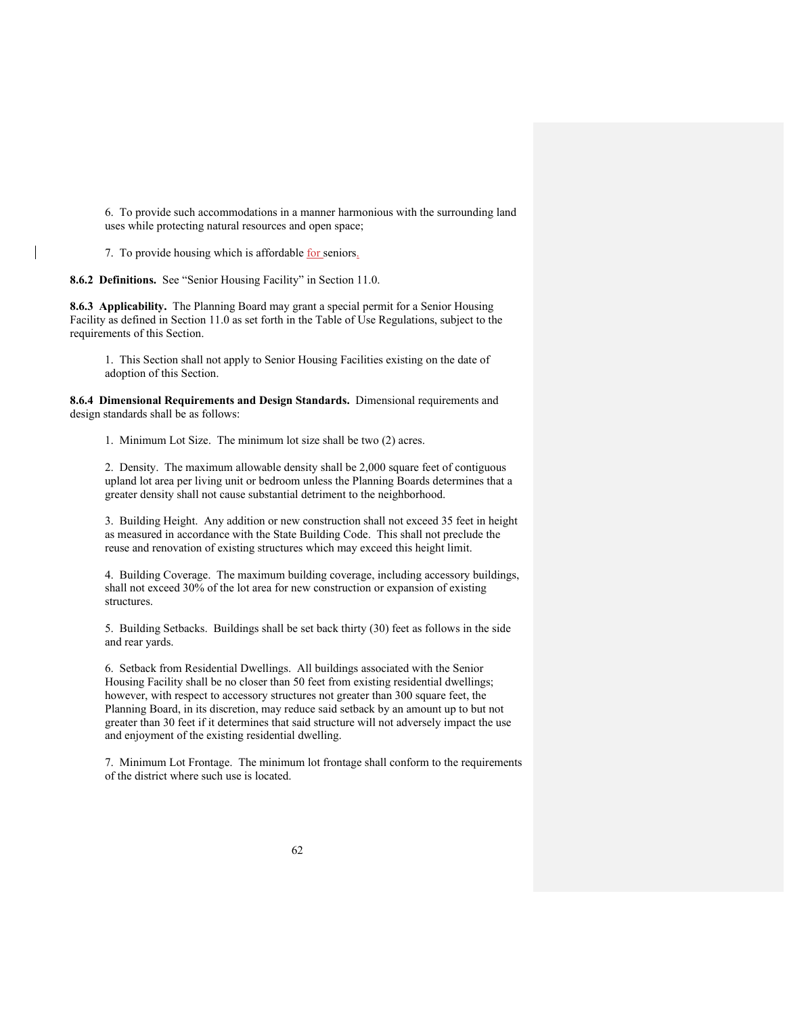[6.](http://ecode360.com/print/15617014#15617014) To provide such accommodations in a manner harmonious with the surrounding land uses while protecting natural resources and open space;

[7.](http://ecode360.com/print/15617015#15617015) To provide housing which is affordable for seniors.

**8.6.2 Definitions.** See "Senior Housing Facility" in Section 11.0.

**8.6.3 Applicability.** The Planning Board may grant a special permit for a Senior Housing Facility as defined in Section 11.0 as set forth in the Table of Use Regulations, subject to the requirements of this Section.

[1. T](http://ecode360.com/print/15617017#15617017)his Section shall not apply to Senior Housing Facilities existing on the date of adoption of this Section.

**8.6.4 [Dimensional Requirements and Design Standards.](http://ecode360.com/print/AN1471?guid=15582155&children=true#15617018)** Dimensional requirements and design standards shall be as follows:

[1.](http://ecode360.com/print/15617019#15617019) Minimum Lot Size. The minimum lot size shall be two (2) acres.

[2.](http://ecode360.com/print/15617020#15617020) Density. The maximum allowable density shall be 2,000 square feet of contiguous upland lot area per living unit or bedroom unless the Planning Boards determines that a greater density shall not cause substantial detriment to the neighborhood.

[3. B](http://ecode360.com/print/15617021#15617021)uilding Height. Any addition or new construction shall not exceed 35 feet in height as measured in accordance with the State Building Code. This shall not preclude the reuse and renovation of existing structures which may exceed this height limit.

[4. B](http://ecode360.com/print/15617022#15617022)uilding Coverage. The maximum building coverage, including accessory buildings, shall not exceed 30% of the lot area for new construction or expansion of existing structures.

[5. B](http://ecode360.com/print/15617023#15617023)uilding Setbacks. Buildings shall be set back thirty (30) feet as follows in the side and rear yards.

[6.](http://ecode360.com/print/15617024#15617024) Setback from Residential Dwellings. All buildings associated with the Senior Housing Facility shall be no closer than 50 feet from existing residential dwellings; however, with respect to accessory structures not greater than 300 square feet, the Planning Board, in its discretion, may reduce said setback by an amount up to but not greater than 30 feet if it determines that said structure will not adversely impact the use and enjoyment of the existing residential dwelling.

[7. M](http://ecode360.com/print/15617025#15617025)inimum Lot Frontage. The minimum lot frontage shall conform to the requirements of the district where such use is located.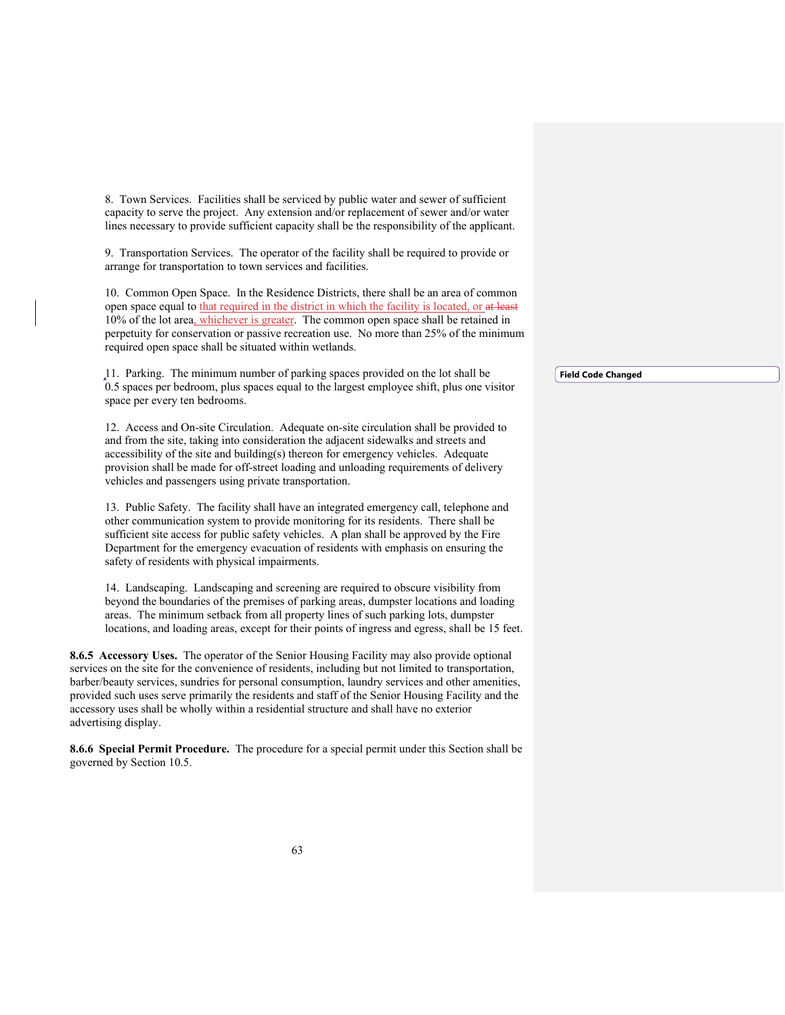[8. T](http://ecode360.com/print/15617026#15617026)own Services. Facilities shall be serviced by public water and sewer of sufficient capacity to serve the project. Any extension and/or replacement of sewer and/or water lines necessary to provide sufficient capacity shall be the responsibility of the applicant.

[9. T](http://ecode360.com/print/15617027#15617027)ransportation Services. The operator of the facility shall be required to provide or arrange for transportation to town services and facilities.

[10. C](http://ecode360.com/print/15617028#15617028)ommon Open Space. In the Residence Districts, there shall be an area of common open space equal to that required in the district in which the facility is located, or at least 10% of the lot area, whichever is greater. The common open space shall be retained in perpetuity for conservation or passive recreation use. No more than 25% of the minimum required open space shall be situated within wetlands.

[11.](http://ecode360.com/print/15617029#15617029) Parking. The minimum number of parking spaces provided on the lot shall be 0.5 spaces per bedroom, plus spaces equal to the largest employee shift, plus one visitor space per every ten bedrooms.

[12. A](http://ecode360.com/print/15617030#15617030)ccess and On-site Circulation. Adequate on-site circulation shall be provided to and from the site, taking into consideration the adjacent sidewalks and streets and accessibility of the site and building(s) thereon for emergency vehicles. Adequate provision shall be made for off-street loading and unloading requirements of delivery vehicles and passengers using private transportation.

[13.](http://ecode360.com/print/15617031#15617031) Public Safety. The facility shall have an integrated emergency call, telephone and other communication system to provide monitoring for its residents. There shall be sufficient site access for public safety vehicles. A plan shall be approved by the Fire Department for the emergency evacuation of residents with emphasis on ensuring the safety of residents with physical impairments.

[14.](http://ecode360.com/print/15617032#15617032) Landscaping. Landscaping and screening are required to obscure visibility from beyond the boundaries of the premises of parking areas, dumpster locations and loading areas. The minimum setback from all property lines of such parking lots, dumpster locations, and loading areas, except for their points of ingress and egress, shall be 15 feet.

**[8.6.5 Accessory Uses.](http://ecode360.com/print/AN1471?guid=15582155&children=true#15617047)** The operator of the Senior Housing Facility may also provide optional services on the site for the convenience of residents, including but not limited to transportation, barber/beauty services, sundries for personal consumption, laundry services and other amenities, provided such uses serve primarily the residents and staff of the Senior Housing Facility and the accessory uses shall be wholly within a residential structure and shall have no exterior advertising display.

**[8.6.6 Special Permit Procedure.](http://ecode360.com/print/AN1471?guid=15582155&children=true#15617058)** The procedure for a special permit under this Section shall be governed by Section 10.5.

**Field Code Changed**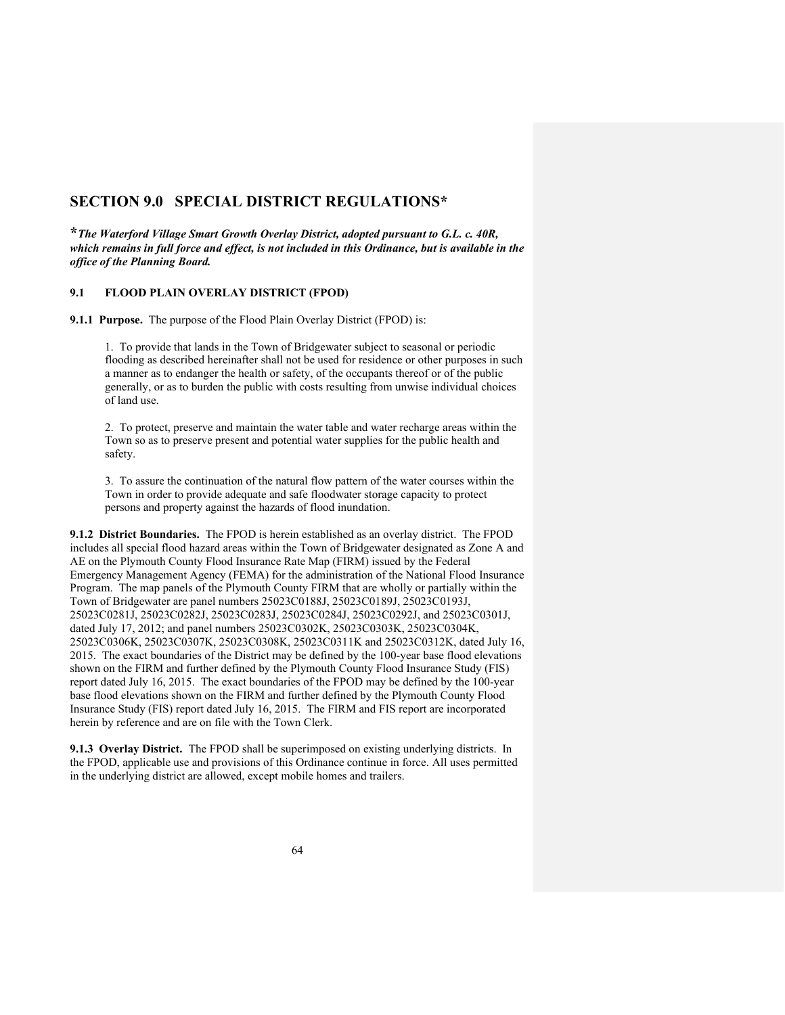## **SECTION 9.0 SPECIAL DISTRICT REGULATIONS\***

**\****The Waterford Village Smart Growth Overlay District, adopted pursuant to G.L. c. 40R, which remains in full force and effect, is not included in this Ordinance, but is available in the office of the Planning Board.*

## **9.1 FLOOD PLAIN OVERLAY DISTRICT (FPOD)**

**9.1.1 Purpose.** The purpose of the Flood Plain Overlay District (FPOD) is:

1. To provide that lands in the Town of Bridgewater subject to seasonal or periodic flooding as described hereinafter shall not be used for residence or other purposes in such a manner as to endanger the health or safety, of the occupants thereof or of the public generally, or as to burden the public with costs resulting from unwise individual choices of land use.

2. To protect, preserve and maintain the water table and water recharge areas within the Town so as to preserve present and potential water supplies for the public health and safety.

3. To assure the continuation of the natural flow pattern of the water courses within the Town in order to provide adequate and safe floodwater storage capacity to protect persons and property against the hazards of flood inundation.

**9.1.2 District Boundaries.** The FPOD is herein established as an overlay district. The FPOD includes all special flood hazard areas within the Town of Bridgewater designated as Zone A and AE on the Plymouth County Flood Insurance Rate Map (FIRM) issued by the Federal Emergency Management Agency (FEMA) for the administration of the National Flood Insurance Program. The map panels of the Plymouth County FIRM that are wholly or partially within the Town of Bridgewater are panel numbers 25023C0188J, 25023C0189J, 25023C0193J, 25023C0281J, 25023C0282J, 25023C0283J, 25023C0284J, 25023C0292J, and 25023C0301J, dated July 17, 2012; and panel numbers 25023C0302K, 25023C0303K, 25023C0304K, 25023C0306K, 25023C0307K, 25023C0308K, 25023C0311K and 25023C0312K, dated July 16, 2015. The exact boundaries of the District may be defined by the 100-year base flood elevations shown on the FIRM and further defined by the Plymouth County Flood Insurance Study (FIS) report dated July 16, 2015. The exact boundaries of the FPOD may be defined by the 100-year base flood elevations shown on the FIRM and further defined by the Plymouth County Flood Insurance Study (FIS) report dated July 16, 2015. The FIRM and FIS report are incorporated herein by reference and are on file with the Town Clerk.

**9.1.3 Overlay District.** The FPOD shall be superimposed on existing underlying districts. In the FPOD, applicable use and provisions of this Ordinance continue in force. All uses permitted in the underlying district are allowed, except mobile homes and trailers.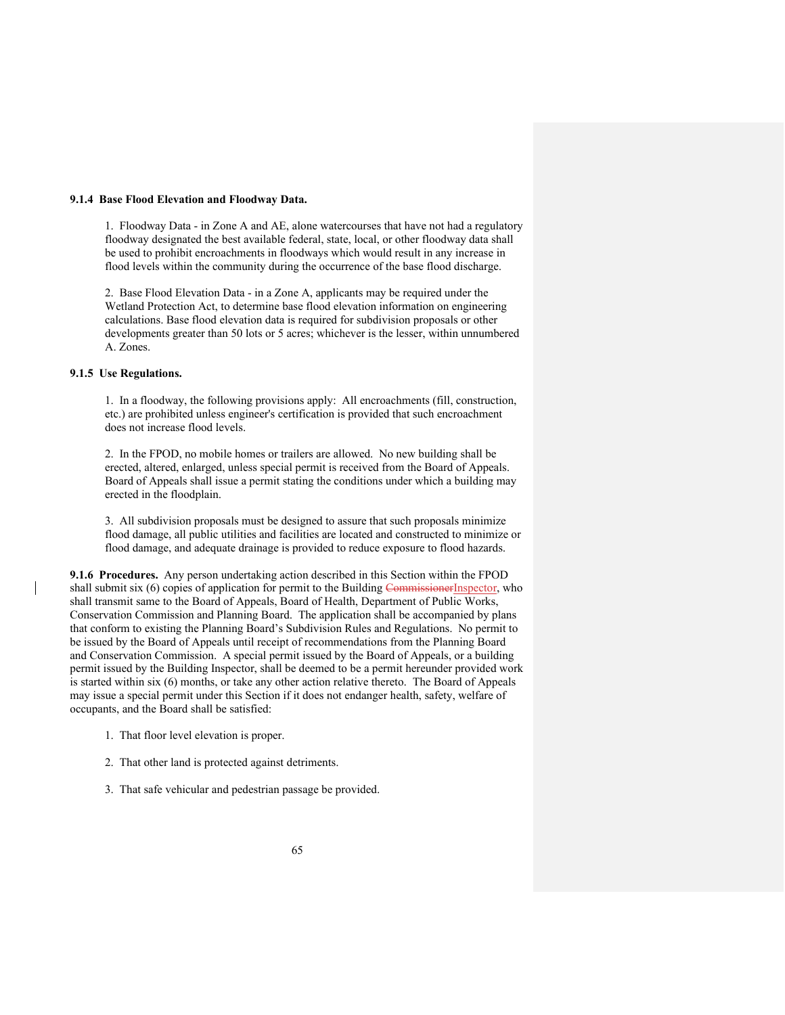#### **9.1.4 Base Flood Elevation and Floodway Data.**

1.Floodway Data - in Zone A and AE, alone watercourses that have not had a regulatory floodway designated the best available federal, state, local, or other floodway data shall be used to prohibit encroachments in floodways which would result in any increase in flood levels within the community during the occurrence of the base flood discharge.

2. Base Flood Elevation Data - in a Zone A, applicants may be required under the Wetland Protection Act, to determine base flood elevation information on engineering calculations. Base flood elevation data is required for subdivision proposals or other developments greater than 50 lots or 5 acres; whichever is the lesser, within unnumbered A. Zones.

## **9.1.5 Use Regulations.**

1. In a floodway, the following provisions apply: All encroachments (fill, construction, etc.) are prohibited unless engineer's certification is provided that such encroachment does not increase flood levels.

2. In the FPOD, no mobile homes or trailers are allowed. No new building shall be erected, altered, enlarged, unless special permit is received from the Board of Appeals. Board of Appeals shall issue a permit stating the conditions under which a building may erected in the floodplain.

3. All subdivision proposals must be designed to assure that such proposals minimize flood damage, all public utilities and facilities are located and constructed to minimize or flood damage, and adequate drainage is provided to reduce exposure to flood hazards.

**9.1.6 Procedures.** Any person undertaking action described in this Section within the FPOD shall submit six (6) copies of application for permit to the Building CommissionerInspector, who shall transmit same to the Board of Appeals, Board of Health, Department of Public Works, Conservation Commission and Planning Board. The application shall be accompanied by plans that conform to existing the Planning Board's Subdivision Rules and Regulations. No permit to be issued by the Board of Appeals until receipt of recommendations from the Planning Board and Conservation Commission. A special permit issued by the Board of Appeals, or a building permit issued by the Building Inspector, shall be deemed to be a permit hereunder provided work is started within six (6) months, or take any other action relative thereto. The Board of Appeals may issue a special permit under this Section if it does not endanger health, safety, welfare of occupants, and the Board shall be satisfied:

- 1. That floor level elevation is proper.
- 2. That other land is protected against detriments.
- 3. That safe vehicular and pedestrian passage be provided.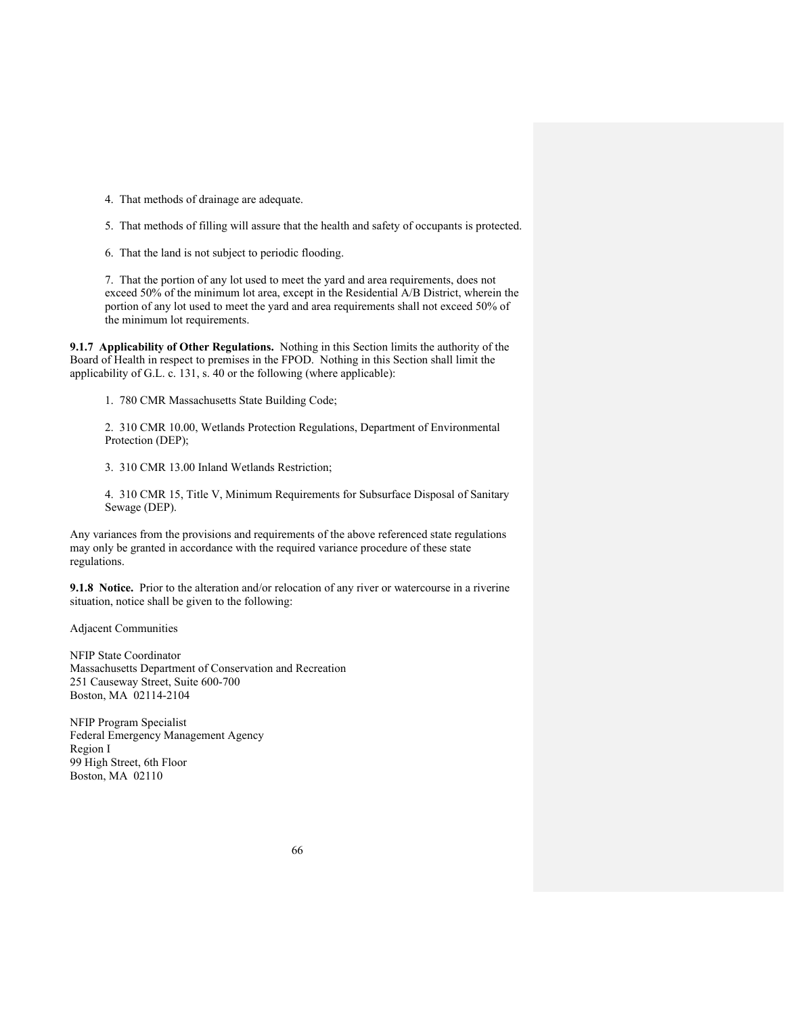- 4. That methods of drainage are adequate.
- 5. That methods of filling will assure that the health and safety of occupants is protected.
- 6. That the land is not subject to periodic flooding.

7. That the portion of any lot used to meet the yard and area requirements, does not exceed 50% of the minimum lot area, except in the Residential A/B District, wherein the portion of any lot used to meet the yard and area requirements shall not exceed 50% of the minimum lot requirements.

**9.1.7 Applicability of Other Regulations.** Nothing in this Section limits the authority of the Board of Health in respect to premises in the FPOD. Nothing in this Section shall limit the applicability of G.L. c. 131, s. 40 or the following (where applicable):

1. 780 CMR Massachusetts State Building Code;

2. 310 CMR 10.00, Wetlands Protection Regulations, Department of Environmental Protection (DEP);

3. 310 CMR 13.00 Inland Wetlands Restriction;

4. 310 CMR 15, Title V, Minimum Requirements for Subsurface Disposal of Sanitary Sewage (DEP).

Any variances from the provisions and requirements of the above referenced state regulations may only be granted in accordance with the required variance procedure of these state regulations.

**9.1.8 Notice.** Prior to the alteration and/or relocation of any river or watercourse in a riverine situation, notice shall be given to the following:

Adjacent Communities

NFIP State Coordinator Massachusetts Department of Conservation and Recreation 251 Causeway Street, Suite 600-700 Boston, MA 02114-2104

NFIP Program Specialist Federal Emergency Management Agency Region I 99 High Street, 6th Floor Boston, MA 02110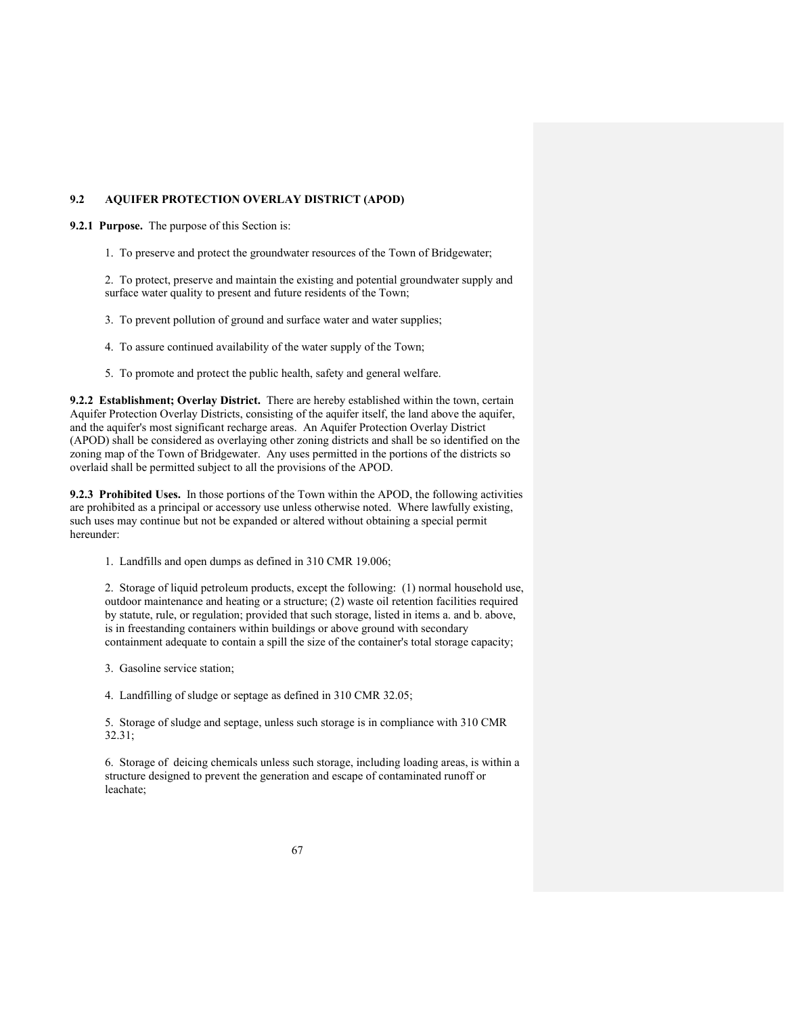### **9.2 AQUIFER PROTECTION OVERLAY DISTRICT (APOD)**

**9.2.1 Purpose.** The purpose of this Section is:

1. To preserve and protect the groundwater resources of the Town of Bridgewater;

2. To protect, preserve and maintain the existing and potential groundwater supply and surface water quality to present and future residents of the Town;

- 3. To prevent pollution of ground and surface water and water supplies;
- 4. To assure continued availability of the water supply of the Town;
- 5. To promote and protect the public health, safety and general welfare.

**9.2.2 Establishment; Overlay District.** There are hereby established within the town, certain Aquifer Protection Overlay Districts, consisting of the aquifer itself, the land above the aquifer, and the aquifer's most significant recharge areas. An Aquifer Protection Overlay District (APOD) shall be considered as overlaying other zoning districts and shall be so identified on the zoning map of the Town of Bridgewater. Any uses permitted in the portions of the districts so overlaid shall be permitted subject to all the provisions of the APOD.

**9.2.3 Prohibited Uses.** In those portions of the Town within the APOD, the following activities are prohibited as a principal or accessory use unless otherwise noted. Where lawfully existing, such uses may continue but not be expanded or altered without obtaining a special permit hereunder:

1. Landfills and open dumps as defined in 310 CMR 19.006;

2. Storage of liquid petroleum products, except the following: (1) normal household use, outdoor maintenance and heating or a structure; (2) waste oil retention facilities required by statute, rule, or regulation; provided that such storage, listed in items a. and b. above, is in freestanding containers within buildings or above ground with secondary containment adequate to contain a spill the size of the container's total storage capacity;

- 3. Gasoline service station;
- 4. Landfilling of sludge or septage as defined in 310 CMR 32.05;

5. Storage of sludge and septage, unless such storage is in compliance with 310 CMR 32.31;

6. Storage of deicing chemicals unless such storage, including loading areas, is within a structure designed to prevent the generation and escape of contaminated runoff or leachate;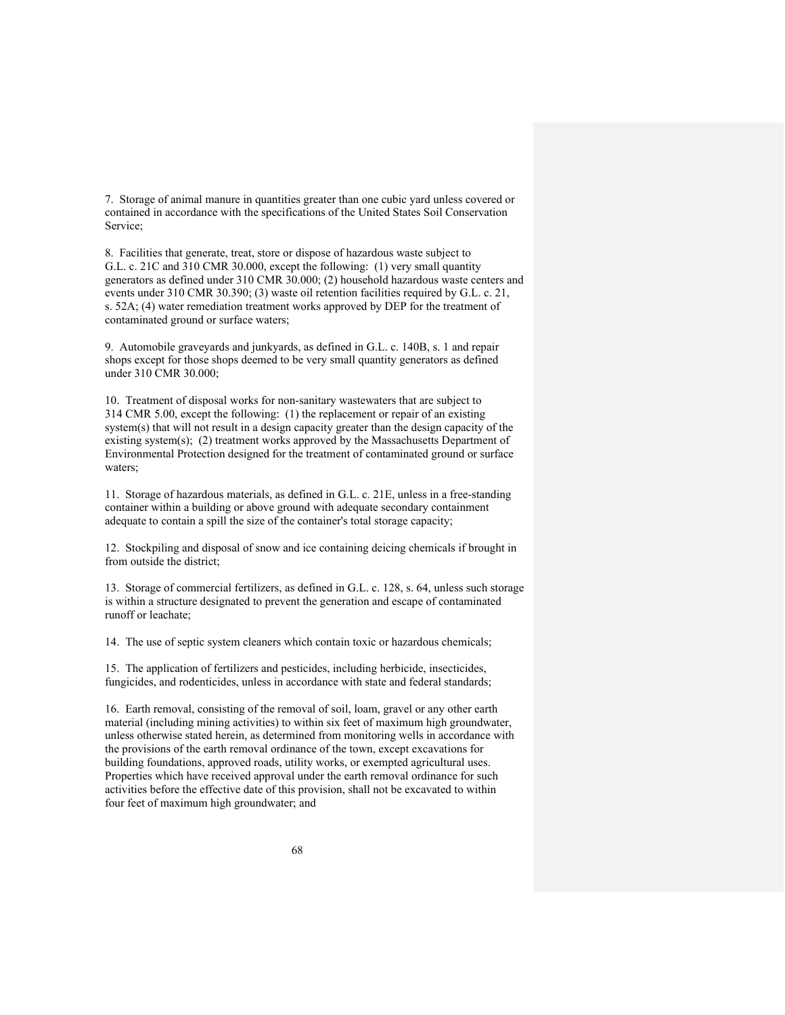7. Storage of animal manure in quantities greater than one cubic yard unless covered or contained in accordance with the specifications of the United States Soil Conservation Service;

8. Facilities that generate, treat, store or dispose of hazardous waste subject to G.L. c. 21C and 310 CMR 30.000, except the following: (1) very small quantity generators as defined under 310 CMR 30.000; (2) household hazardous waste centers and events under 310 CMR 30.390; (3) waste oil retention facilities required by G.L. c. 21, s. 52A; (4) water remediation treatment works approved by DEP for the treatment of contaminated ground or surface waters;

9. Automobile graveyards and junkyards, as defined in G.L. c. 140B, s. 1 and repair shops except for those shops deemed to be very small quantity generators as defined under 310 CMR 30.000;

10. Treatment of disposal works for non-sanitary wastewaters that are subject to 314 CMR 5.00, except the following: (1) the replacement or repair of an existing system(s) that will not result in a design capacity greater than the design capacity of the existing system(s); (2) treatment works approved by the Massachusetts Department of Environmental Protection designed for the treatment of contaminated ground or surface waters;

11. Storage of hazardous materials, as defined in G.L. c. 21E, unless in a free-standing container within a building or above ground with adequate secondary containment adequate to contain a spill the size of the container's total storage capacity;

12. Stockpiling and disposal of snow and ice containing deicing chemicals if brought in from outside the district;

13. Storage of commercial fertilizers, as defined in G.L. c. 128, s. 64, unless such storage is within a structure designated to prevent the generation and escape of contaminated runoff or leachate;

14. The use of septic system cleaners which contain toxic or hazardous chemicals;

15. The application of fertilizers and pesticides, including herbicide, insecticides, fungicides, and rodenticides, unless in accordance with state and federal standards;

16. Earth removal, consisting of the removal of soil, loam, gravel or any other earth material (including mining activities) to within six feet of maximum high groundwater, unless otherwise stated herein, as determined from monitoring wells in accordance with the provisions of the earth removal ordinance of the town, except excavations for building foundations, approved roads, utility works, or exempted agricultural uses. Properties which have received approval under the earth removal ordinance for such activities before the effective date of this provision, shall not be excavated to within four feet of maximum high groundwater; and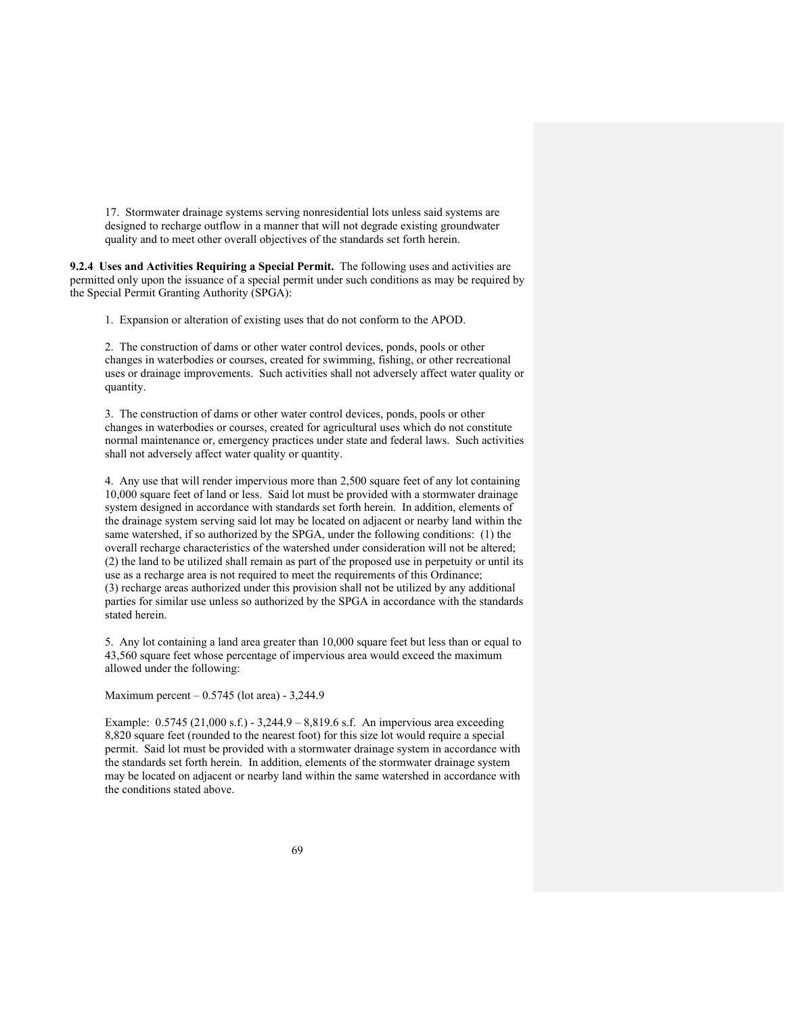17. Stormwater drainage systems serving nonresidential lots unless said systems are designed to recharge outflow in a manner that will not degrade existing groundwater quality and to meet other overall objectives of the standards set forth herein.

**9.2.4 Uses and Activities Requiring a Special Permit.** The following uses and activities are permitted only upon the issuance of a special permit under such conditions as may be required by the Special Permit Granting Authority (SPGA):

1. Expansion or alteration of existing uses that do not conform to the APOD.

2. The construction of dams or other water control devices, ponds, pools or other changes in waterbodies or courses, created for swimming, fishing, or other recreational uses or drainage improvements. Such activities shall not adversely affect water quality or quantity.

3. The construction of dams or other water control devices, ponds, pools or other changes in waterbodies or courses, created for agricultural uses which do not constitute normal maintenance or, emergency practices under state and federal laws. Such activities shall not adversely affect water quality or quantity.

4. Any use that will render impervious more than 2,500 square feet of any lot containing 10,000 square feet of land or less. Said lot must be provided with a stormwater drainage system designed in accordance with standards set forth herein. In addition, elements of the drainage system serving said lot may be located on adjacent or nearby land within the same watershed, if so authorized by the SPGA, under the following conditions: (1) the overall recharge characteristics of the watershed under consideration will not be altered; (2) the land to be utilized shall remain as part of the proposed use in perpetuity or until its use as a recharge area is not required to meet the requirements of this Ordinance; (3) recharge areas authorized under this provision shall not be utilized by any additional parties for similar use unless so authorized by the SPGA in accordance with the standards stated herein.

5. Any lot containing a land area greater than 10,000 square feet but less than or equal to 43,560 square feet whose percentage of impervious area would exceed the maximum allowed under the following:

Maximum percent – 0.5745 (lot area) - 3,244.9

Example: 0.5745 (21,000 s.f.) - 3,244.9 – 8,819.6 s.f. An impervious area exceeding 8,820 square feet (rounded to the nearest foot) for this size lot would require a special permit. Said lot must be provided with a stormwater drainage system in accordance with the standards set forth herein. In addition, elements of the stormwater drainage system may be located on adjacent or nearby land within the same watershed in accordance with the conditions stated above.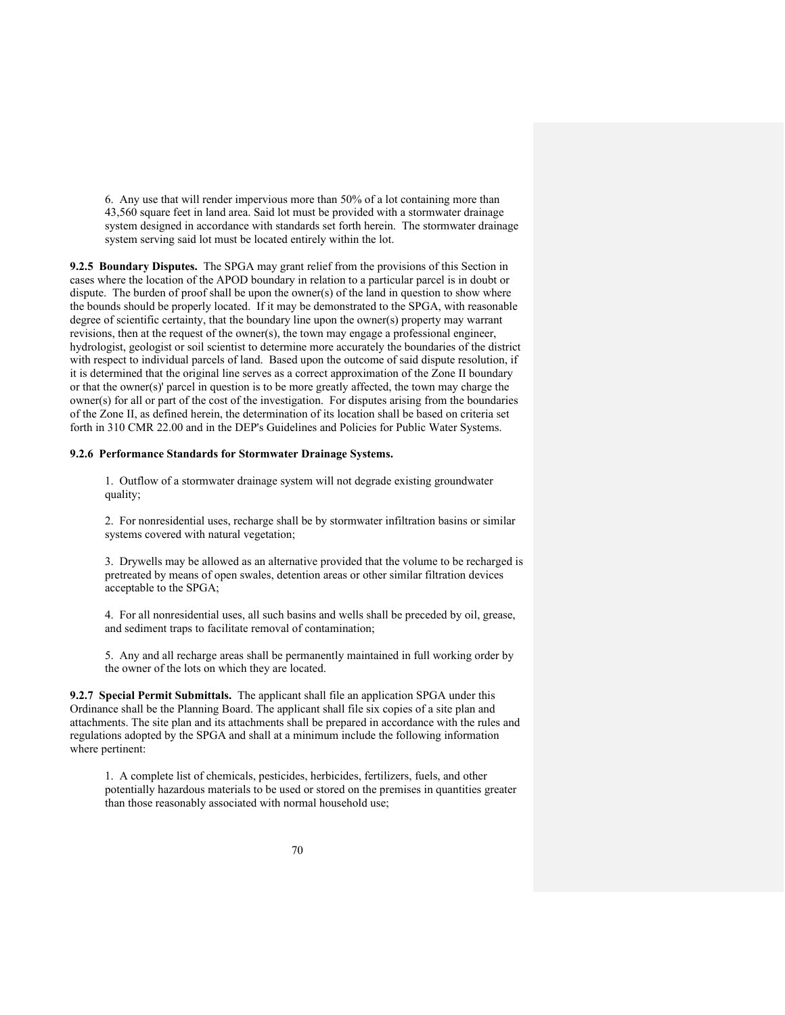6. Any use that will render impervious more than 50% of a lot containing more than 43,560 square feet in land area. Said lot must be provided with a stormwater drainage system designed in accordance with standards set forth herein. The stormwater drainage system serving said lot must be located entirely within the lot.

**9.2.5 Boundary Disputes.** The SPGA may grant relief from the provisions of this Section in cases where the location of the APOD boundary in relation to a particular parcel is in doubt or dispute. The burden of proof shall be upon the owner(s) of the land in question to show where the bounds should be properly located. If it may be demonstrated to the SPGA, with reasonable degree of scientific certainty, that the boundary line upon the owner(s) property may warrant revisions, then at the request of the owner(s), the town may engage a professional engineer, hydrologist, geologist or soil scientist to determine more accurately the boundaries of the district with respect to individual parcels of land. Based upon the outcome of said dispute resolution, if it is determined that the original line serves as a correct approximation of the Zone II boundary or that the owner(s)' parcel in question is to be more greatly affected, the town may charge the owner(s) for all or part of the cost of the investigation. For disputes arising from the boundaries of the Zone II, as defined herein, the determination of its location shall be based on criteria set forth in 310 CMR 22.00 and in the DEP's Guidelines and Policies for Public Water Systems.

### **9.2.6 Performance Standards for Stormwater Drainage Systems.**

1. Outflow of a stormwater drainage system will not degrade existing groundwater quality;

2. For nonresidential uses, recharge shall be by stormwater infiltration basins or similar systems covered with natural vegetation;

3. Drywells may be allowed as an alternative provided that the volume to be recharged is pretreated by means of open swales, detention areas or other similar filtration devices acceptable to the SPGA;

4. For all nonresidential uses, all such basins and wells shall be preceded by oil, grease, and sediment traps to facilitate removal of contamination;

5. Any and all recharge areas shall be permanently maintained in full working order by the owner of the lots on which they are located.

**9.2.7 Special Permit Submittals.** The applicant shall file an application SPGA under this Ordinance shall be the Planning Board. The applicant shall file six copies of a site plan and attachments. The site plan and its attachments shall be prepared in accordance with the rules and regulations adopted by the SPGA and shall at a minimum include the following information where pertinent:

1. A complete list of chemicals, pesticides, herbicides, fertilizers, fuels, and other potentially hazardous materials to be used or stored on the premises in quantities greater than those reasonably associated with normal household use;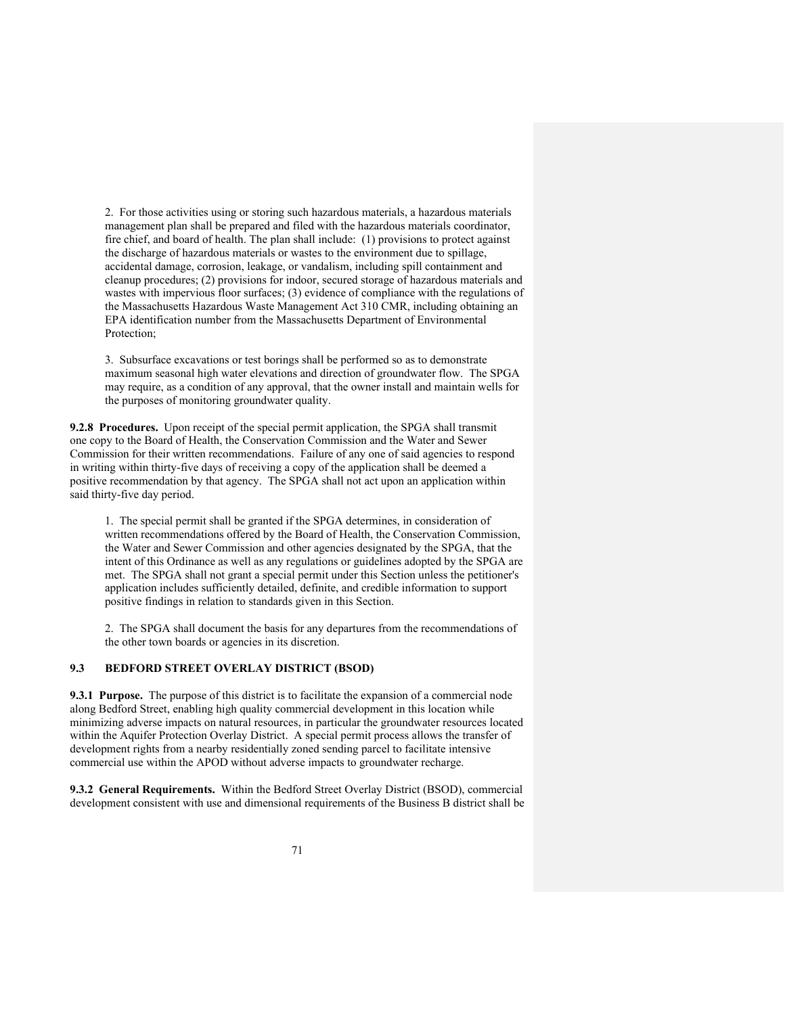2. For those activities using or storing such hazardous materials, a hazardous materials management plan shall be prepared and filed with the hazardous materials coordinator, fire chief, and board of health. The plan shall include: (1) provisions to protect against the discharge of hazardous materials or wastes to the environment due to spillage, accidental damage, corrosion, leakage, or vandalism, including spill containment and cleanup procedures; (2) provisions for indoor, secured storage of hazardous materials and wastes with impervious floor surfaces; (3) evidence of compliance with the regulations of the Massachusetts Hazardous Waste Management Act 310 CMR, including obtaining an EPA identification number from the Massachusetts Department of Environmental Protection;

3. Subsurface excavations or test borings shall be performed so as to demonstrate maximum seasonal high water elevations and direction of groundwater flow. The SPGA may require, as a condition of any approval, that the owner install and maintain wells for the purposes of monitoring groundwater quality.

**9.2.8 Procedures.** Upon receipt of the special permit application, the SPGA shall transmit one copy to the Board of Health, the Conservation Commission and the Water and Sewer Commission for their written recommendations. Failure of any one of said agencies to respond in writing within thirty-five days of receiving a copy of the application shall be deemed a positive recommendation by that agency. The SPGA shall not act upon an application within said thirty-five day period.

1. The special permit shall be granted if the SPGA determines, in consideration of written recommendations offered by the Board of Health, the Conservation Commission, the Water and Sewer Commission and other agencies designated by the SPGA, that the intent of this Ordinance as well as any regulations or guidelines adopted by the SPGA are met. The SPGA shall not grant a special permit under this Section unless the petitioner's application includes sufficiently detailed, definite, and credible information to support positive findings in relation to standards given in this Section.

2. The SPGA shall document the basis for any departures from the recommendations of the other town boards or agencies in its discretion.

# **9.3 BEDFORD STREET OVERLAY DISTRICT (BSOD)**

**9.3.1 Purpose.** The purpose of this district is to facilitate the expansion of a commercial node along Bedford Street, enabling high quality commercial development in this location while minimizing adverse impacts on natural resources, in particular the groundwater resources located within the Aquifer Protection Overlay District. A special permit process allows the transfer of development rights from a nearby residentially zoned sending parcel to facilitate intensive commercial use within the APOD without adverse impacts to groundwater recharge.

**9.3.2 General Requirements.** Within the Bedford Street Overlay District (BSOD), commercial development consistent with use and dimensional requirements of the Business B district shall be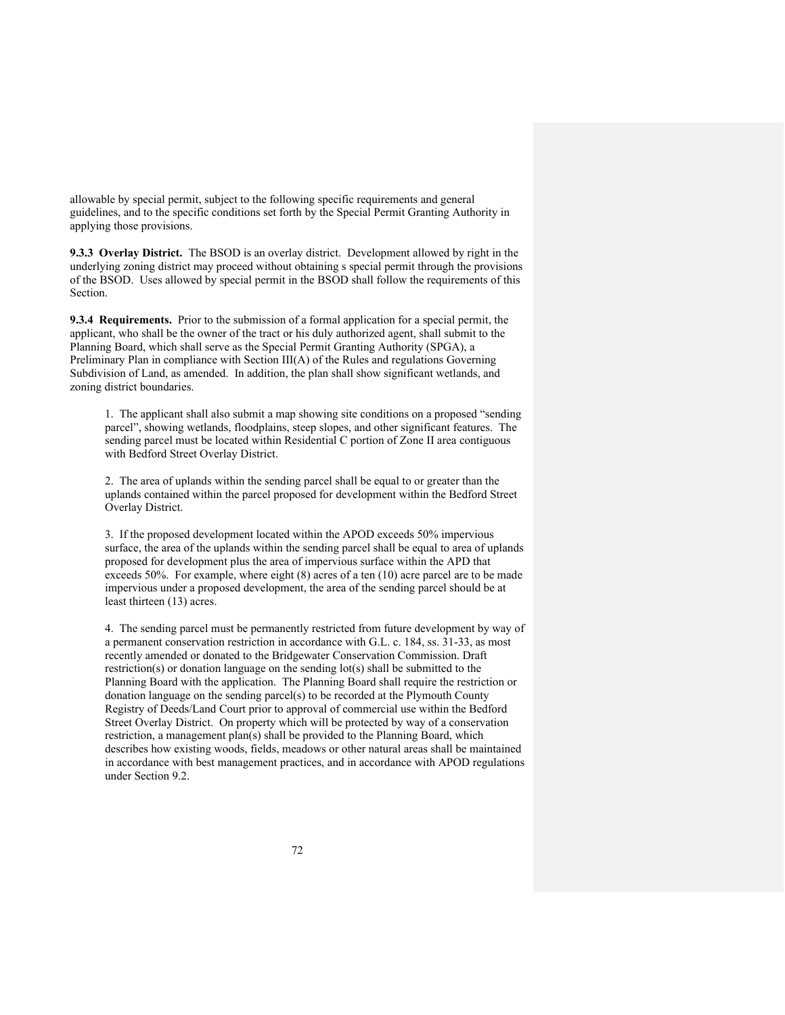allowable by special permit, subject to the following specific requirements and general guidelines, and to the specific conditions set forth by the Special Permit Granting Authority in applying those provisions.

**9.3.3 Overlay District.** The BSOD is an overlay district. Development allowed by right in the underlying zoning district may proceed without obtaining s special permit through the provisions of the BSOD. Uses allowed by special permit in the BSOD shall follow the requirements of this Section.

**9.3.4 Requirements.** Prior to the submission of a formal application for a special permit, the applicant, who shall be the owner of the tract or his duly authorized agent, shall submit to the Planning Board, which shall serve as the Special Permit Granting Authority (SPGA), a Preliminary Plan in compliance with Section III(A) of the Rules and regulations Governing Subdivision of Land, as amended. In addition, the plan shall show significant wetlands, and zoning district boundaries.

1. The applicant shall also submit a map showing site conditions on a proposed "sending parcel", showing wetlands, floodplains, steep slopes, and other significant features. The sending parcel must be located within Residential C portion of Zone II area contiguous with Bedford Street Overlay District.

2. The area of uplands within the sending parcel shall be equal to or greater than the uplands contained within the parcel proposed for development within the Bedford Street Overlay District.

3. If the proposed development located within the APOD exceeds 50% impervious surface, the area of the uplands within the sending parcel shall be equal to area of uplands proposed for development plus the area of impervious surface within the APD that exceeds 50%. For example, where eight (8) acres of a ten (10) acre parcel are to be made impervious under a proposed development, the area of the sending parcel should be at least thirteen (13) acres.

4. The sending parcel must be permanently restricted from future development by way of a permanent conservation restriction in accordance with G.L. c. 184, ss. 31-33, as most recently amended or donated to the Bridgewater Conservation Commission. Draft restriction(s) or donation language on the sending lot(s) shall be submitted to the Planning Board with the application. The Planning Board shall require the restriction or donation language on the sending parcel(s) to be recorded at the Plymouth County Registry of Deeds/Land Court prior to approval of commercial use within the Bedford Street Overlay District. On property which will be protected by way of a conservation restriction, a management plan(s) shall be provided to the Planning Board, which describes how existing woods, fields, meadows or other natural areas shall be maintained in accordance with best management practices, and in accordance with APOD regulations under Section 9.2.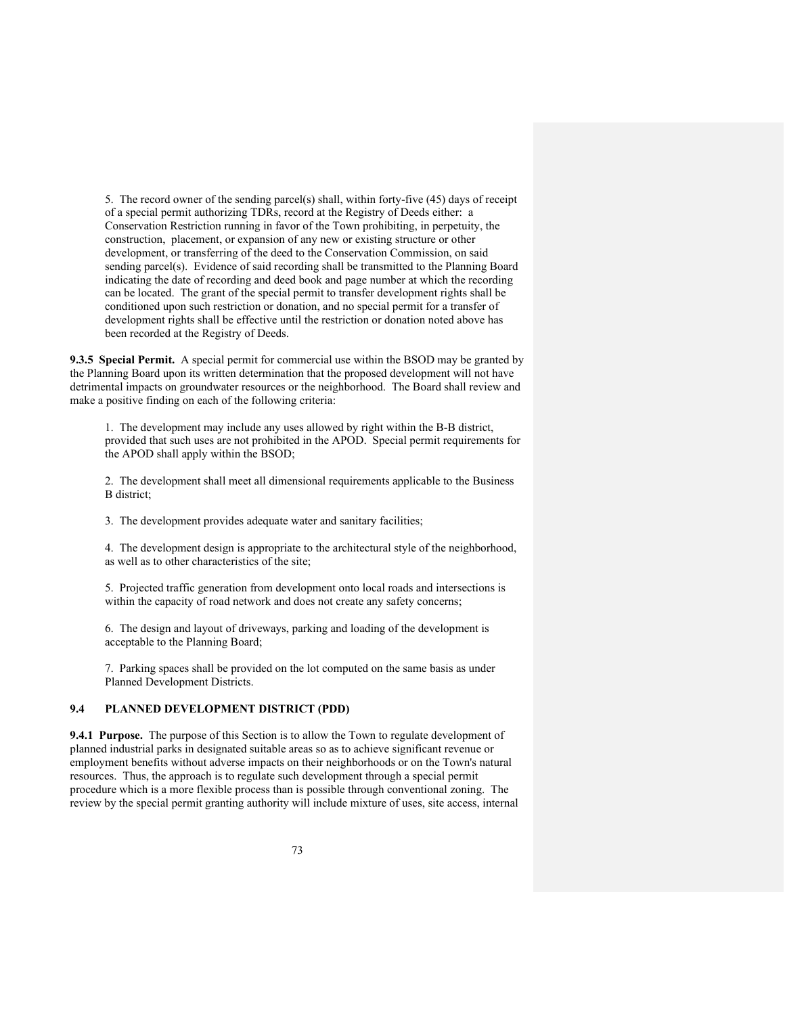5. The record owner of the sending parcel(s) shall, within forty-five (45) days of receipt of a special permit authorizing TDRs, record at the Registry of Deeds either: a Conservation Restriction running in favor of the Town prohibiting, in perpetuity, the construction, placement, or expansion of any new or existing structure or other development, or transferring of the deed to the Conservation Commission, on said sending parcel(s). Evidence of said recording shall be transmitted to the Planning Board indicating the date of recording and deed book and page number at which the recording can be located. The grant of the special permit to transfer development rights shall be conditioned upon such restriction or donation, and no special permit for a transfer of development rights shall be effective until the restriction or donation noted above has been recorded at the Registry of Deeds.

**9.3.5 Special Permit.** A special permit for commercial use within the BSOD may be granted by the Planning Board upon its written determination that the proposed development will not have detrimental impacts on groundwater resources or the neighborhood. The Board shall review and make a positive finding on each of the following criteria:

1. The development may include any uses allowed by right within the B-B district, provided that such uses are not prohibited in the APOD. Special permit requirements for the APOD shall apply within the BSOD;

2. The development shall meet all dimensional requirements applicable to the Business B district;

3. The development provides adequate water and sanitary facilities;

4. The development design is appropriate to the architectural style of the neighborhood, as well as to other characteristics of the site;

5. Projected traffic generation from development onto local roads and intersections is within the capacity of road network and does not create any safety concerns;

6. The design and layout of driveways, parking and loading of the development is acceptable to the Planning Board;

7. Parking spaces shall be provided on the lot computed on the same basis as under Planned Development Districts.

## **9.4 PLANNED DEVELOPMENT DISTRICT (PDD)**

**9.4.1 Purpose.** The purpose of this Section is to allow the Town to regulate development of planned industrial parks in designated suitable areas so as to achieve significant revenue or employment benefits without adverse impacts on their neighborhoods or on the Town's natural resources. Thus, the approach is to regulate such development through a special permit procedure which is a more flexible process than is possible through conventional zoning. The review by the special permit granting authority will include mixture of uses, site access, internal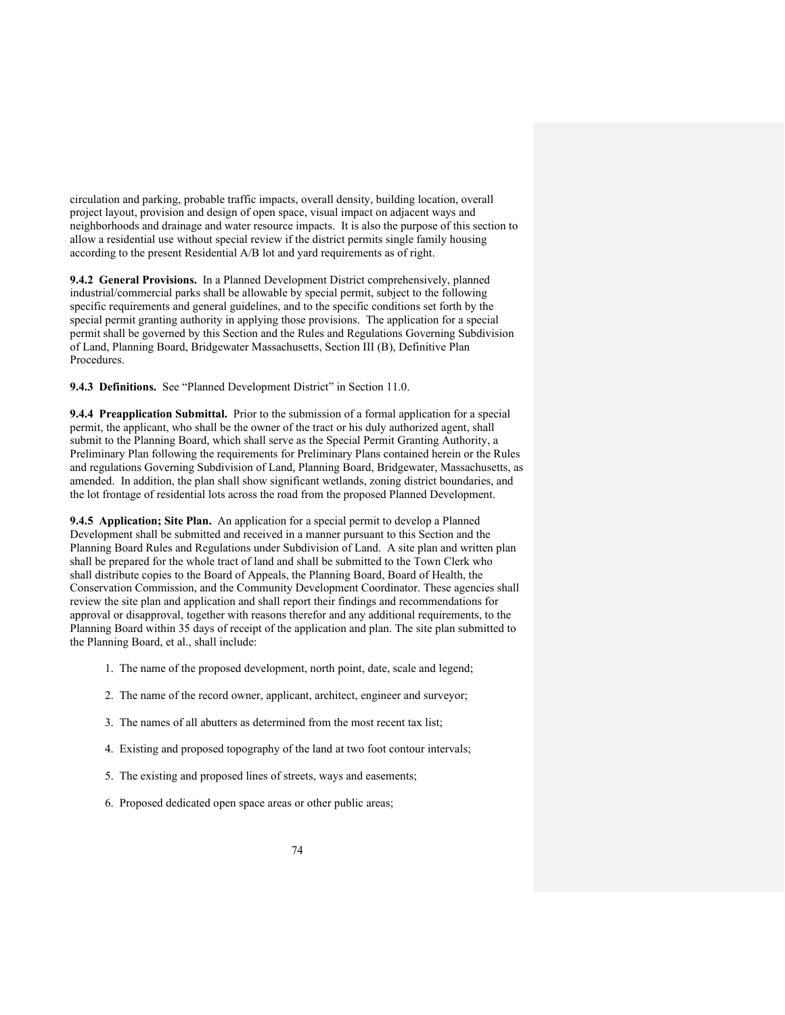circulation and parking, probable traffic impacts, overall density, building location, overall project layout, provision and design of open space, visual impact on adjacent ways and neighborhoods and drainage and water resource impacts. It is also the purpose of this section to allow a residential use without special review if the district permits single family housing according to the present Residential A/B lot and yard requirements as of right.

**9.4.2 General Provisions.** In a Planned Development District comprehensively, planned industrial/commercial parks shall be allowable by special permit, subject to the following specific requirements and general guidelines, and to the specific conditions set forth by the special permit granting authority in applying those provisions. The application for a special permit shall be governed by this Section and the Rules and Regulations Governing Subdivision of Land, Planning Board, Bridgewater Massachusetts, Section III (B), Definitive Plan Procedures.

**9.4.3 Definitions.** See "Planned Development District" in Section 11.0.

**9.4.4 Preapplication Submittal.** Prior to the submission of a formal application for a special permit, the applicant, who shall be the owner of the tract or his duly authorized agent, shall submit to the Planning Board, which shall serve as the Special Permit Granting Authority, a Preliminary Plan following the requirements for Preliminary Plans contained herein or the Rules and regulations Governing Subdivision of Land, Planning Board, Bridgewater, Massachusetts, as amended. In addition, the plan shall show significant wetlands, zoning district boundaries, and the lot frontage of residential lots across the road from the proposed Planned Development.

**9.4.5 Application; Site Plan.** An application for a special permit to develop a Planned Development shall be submitted and received in a manner pursuant to this Section and the Planning Board Rules and Regulations under Subdivision of Land. A site plan and written plan shall be prepared for the whole tract of land and shall be submitted to the Town Clerk who shall distribute copies to the Board of Appeals, the Planning Board, Board of Health, the Conservation Commission, and the Community Development Coordinator. These agencies shall review the site plan and application and shall report their findings and recommendations for approval or disapproval, together with reasons therefor and any additional requirements, to the Planning Board within 35 days of receipt of the application and plan. The site plan submitted to the Planning Board, et al., shall include:

- 1. The name of the proposed development, north point, date, scale and legend;
- 2. The name of the record owner, applicant, architect, engineer and surveyor;
- 3. The names of all abutters as determined from the most recent tax list;
- 4. Existing and proposed topography of the land at two foot contour intervals;
- 5. The existing and proposed lines of streets, ways and easements;
- 6. Proposed dedicated open space areas or other public areas;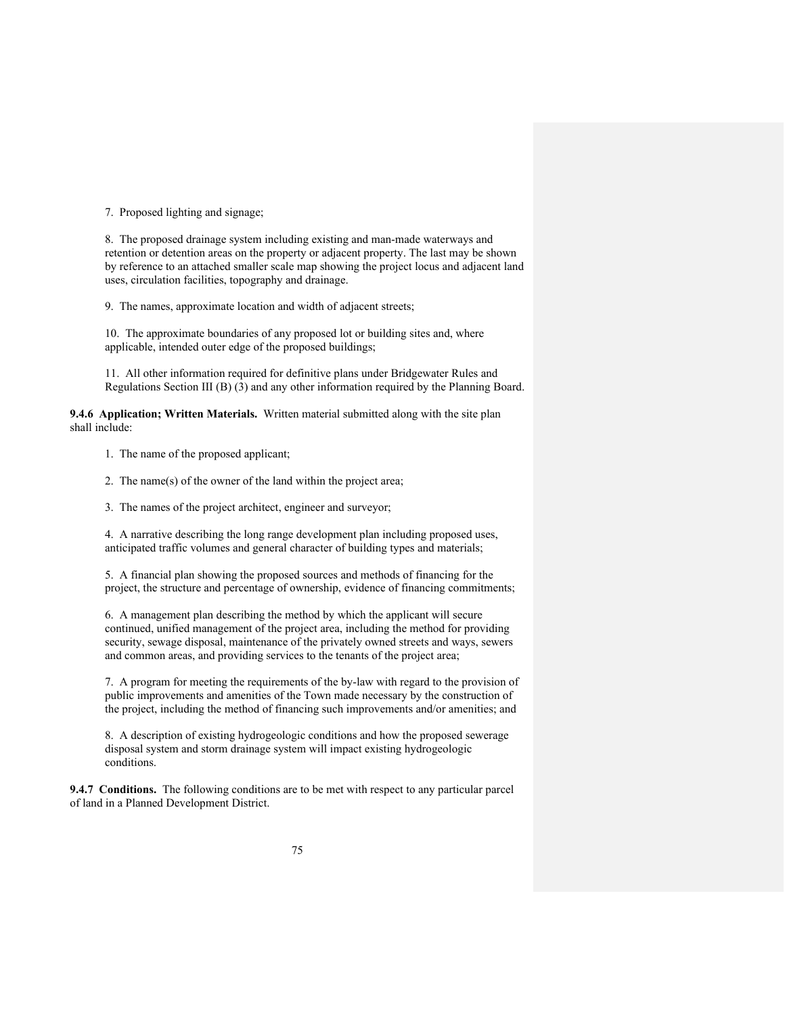7. Proposed lighting and signage;

8. The proposed drainage system including existing and man-made waterways and retention or detention areas on the property or adjacent property. The last may be shown by reference to an attached smaller scale map showing the project locus and adjacent land uses, circulation facilities, topography and drainage.

9. The names, approximate location and width of adjacent streets;

10. The approximate boundaries of any proposed lot or building sites and, where applicable, intended outer edge of the proposed buildings;

11. All other information required for definitive plans under Bridgewater Rules and Regulations Section III (B) (3) and any other information required by the Planning Board.

**9.4.6 Application; Written Materials.** Written material submitted along with the site plan shall include:

1. The name of the proposed applicant;

2. The name(s) of the owner of the land within the project area;

3. The names of the project architect, engineer and surveyor;

4. A narrative describing the long range development plan including proposed uses, anticipated traffic volumes and general character of building types and materials;

5. A financial plan showing the proposed sources and methods of financing for the project, the structure and percentage of ownership, evidence of financing commitments;

6. A management plan describing the method by which the applicant will secure continued, unified management of the project area, including the method for providing security, sewage disposal, maintenance of the privately owned streets and ways, sewers and common areas, and providing services to the tenants of the project area;

7. A program for meeting the requirements of the by-law with regard to the provision of public improvements and amenities of the Town made necessary by the construction of the project, including the method of financing such improvements and/or amenities; and

8. A description of existing hydrogeologic conditions and how the proposed sewerage disposal system and storm drainage system will impact existing hydrogeologic conditions.

**9.4.7 Conditions.** The following conditions are to be met with respect to any particular parcel of land in a Planned Development District.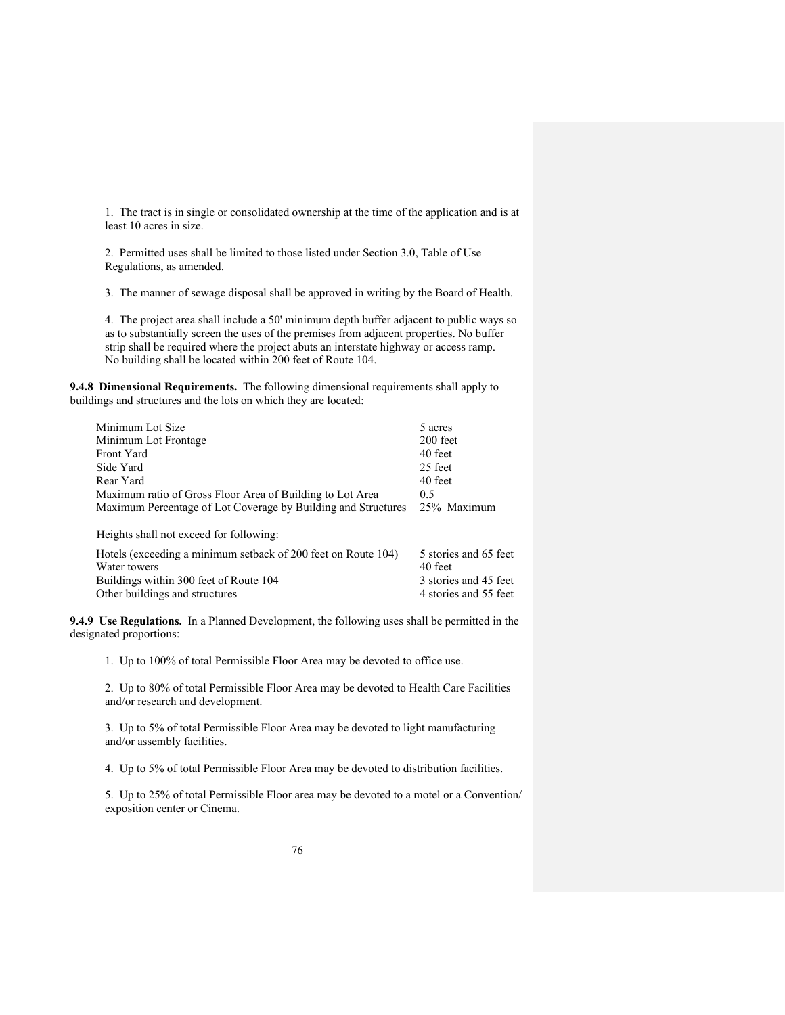1. The tract is in single or consolidated ownership at the time of the application and is at least 10 acres in size.

2. Permitted uses shall be limited to those listed under Section 3.0, Table of Use Regulations, as amended.

3. The manner of sewage disposal shall be approved in writing by the Board of Health.

4. The project area shall include a 50' minimum depth buffer adjacent to public ways so as to substantially screen the uses of the premises from adjacent properties. No buffer strip shall be required where the project abuts an interstate highway or access ramp. No building shall be located within 200 feet of Route 104.

**9.4.8 Dimensional Requirements.** The following dimensional requirements shall apply to buildings and structures and the lots on which they are located:

| Minimum Lot Size                                                          | 5 acres               |
|---------------------------------------------------------------------------|-----------------------|
| Minimum Lot Frontage                                                      | 200 feet              |
| Front Yard                                                                | 40 feet               |
| Side Yard                                                                 | 25 feet               |
| Rear Yard                                                                 | 40 feet               |
| Maximum ratio of Gross Floor Area of Building to Lot Area                 | 0.5                   |
| Maximum Percentage of Lot Coverage by Building and Structures 25% Maximum |                       |
| Heights shall not exceed for following:                                   |                       |
| Hotels (exceeding a minimum setback of 200 feet on Route 104)             | 5 stories and 65 feet |
| Water towers                                                              | 40 feet               |
| Buildings within 300 feet of Route 104                                    | 3 stories and 45 feet |
| Other buildings and structures                                            | 4 stories and 55 feet |

**9.4.9 Use Regulations.** In a Planned Development, the following uses shall be permitted in the designated proportions:

1. Up to 100% of total Permissible Floor Area may be devoted to office use.

2. Up to 80% of total Permissible Floor Area may be devoted to Health Care Facilities and/or research and development.

3. Up to 5% of total Permissible Floor Area may be devoted to light manufacturing and/or assembly facilities.

4. Up to 5% of total Permissible Floor Area may be devoted to distribution facilities.

5. Up to 25% of total Permissible Floor area may be devoted to a motel or a Convention/ exposition center or Cinema.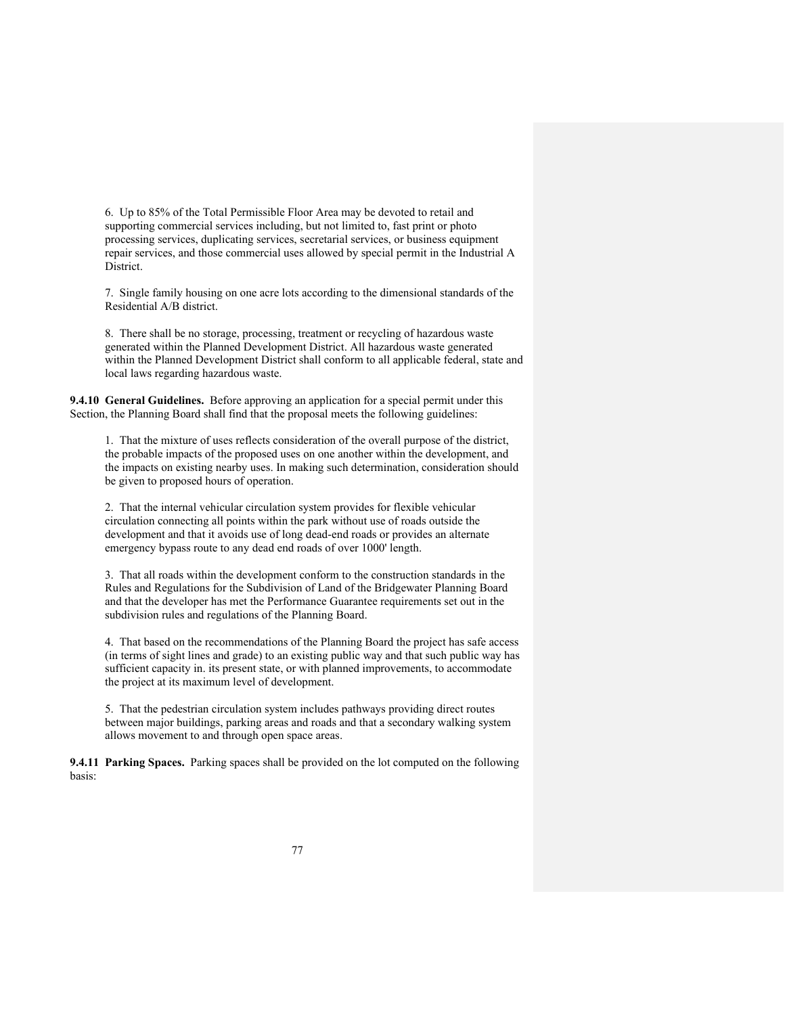6. Up to 85% of the Total Permissible Floor Area may be devoted to retail and supporting commercial services including, but not limited to, fast print or photo processing services, duplicating services, secretarial services, or business equipment repair services, and those commercial uses allowed by special permit in the Industrial A District.

7. Single family housing on one acre lots according to the dimensional standards of the Residential A/B district.

8. There shall be no storage, processing, treatment or recycling of hazardous waste generated within the Planned Development District. All hazardous waste generated within the Planned Development District shall conform to all applicable federal, state and local laws regarding hazardous waste.

**9.4.10 General Guidelines.** Before approving an application for a special permit under this Section, the Planning Board shall find that the proposal meets the following guidelines:

1. That the mixture of uses reflects consideration of the overall purpose of the district, the probable impacts of the proposed uses on one another within the development, and the impacts on existing nearby uses. In making such determination, consideration should be given to proposed hours of operation.

2. That the internal vehicular circulation system provides for flexible vehicular circulation connecting all points within the park without use of roads outside the development and that it avoids use of long dead-end roads or provides an alternate emergency bypass route to any dead end roads of over 1000' length.

3. That all roads within the development conform to the construction standards in the Rules and Regulations for the Subdivision of Land of the Bridgewater Planning Board and that the developer has met the Performance Guarantee requirements set out in the subdivision rules and regulations of the Planning Board.

4. That based on the recommendations of the Planning Board the project has safe access (in terms of sight lines and grade) to an existing public way and that such public way has sufficient capacity in. its present state, or with planned improvements, to accommodate the project at its maximum level of development.

5. That the pedestrian circulation system includes pathways providing direct routes between major buildings, parking areas and roads and that a secondary walking system allows movement to and through open space areas.

**9.4.11 Parking Spaces.** Parking spaces shall be provided on the lot computed on the following basis: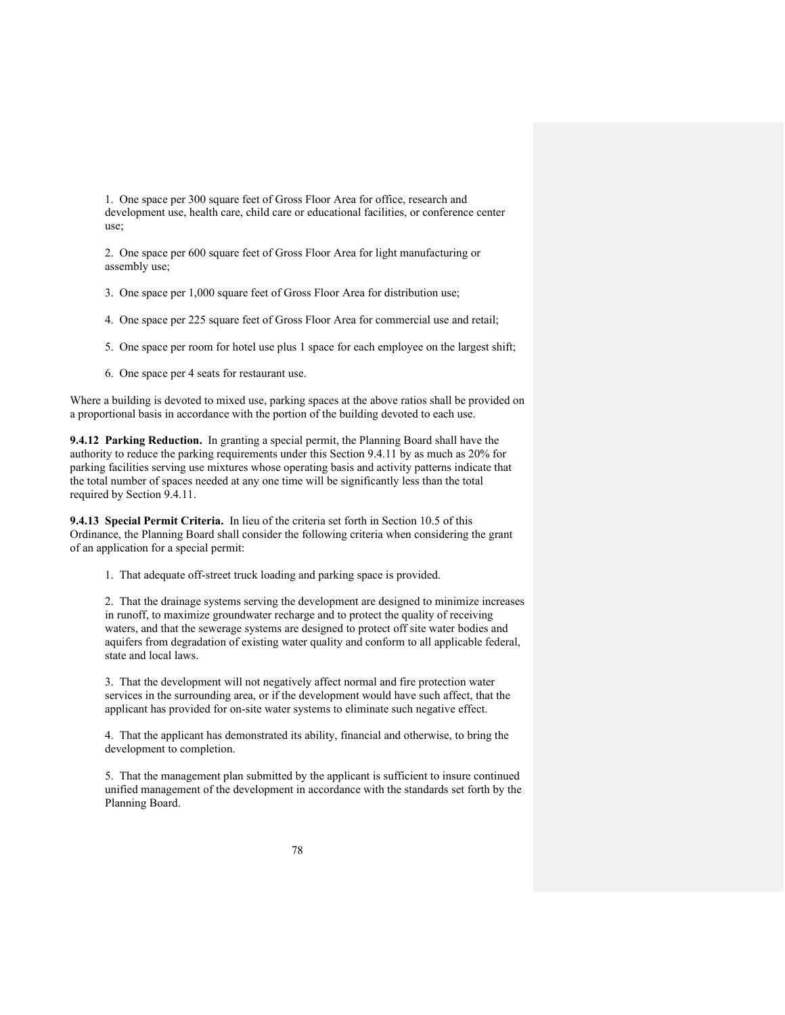1. One space per 300 square feet of Gross Floor Area for office, research and development use, health care, child care or educational facilities, or conference center use;

2. One space per 600 square feet of Gross Floor Area for light manufacturing or assembly use;

3. One space per 1,000 square feet of Gross Floor Area for distribution use;

4. One space per 225 square feet of Gross Floor Area for commercial use and retail;

5. One space per room for hotel use plus 1 space for each employee on the largest shift;

6. One space per 4 seats for restaurant use.

Where a building is devoted to mixed use, parking spaces at the above ratios shall be provided on a proportional basis in accordance with the portion of the building devoted to each use.

**9.4.12 Parking Reduction.** In granting a special permit, the Planning Board shall have the authority to reduce the parking requirements under this Section 9.4.11 by as much as 20% for parking facilities serving use mixtures whose operating basis and activity patterns indicate that the total number of spaces needed at any one time will be significantly less than the total required by Section 9.4.11.

**9.4.13 Special Permit Criteria.** In lieu of the criteria set forth in Section 10.5 of this Ordinance, the Planning Board shall consider the following criteria when considering the grant of an application for a special permit:

1. That adequate off-street truck loading and parking space is provided.

2. That the drainage systems serving the development are designed to minimize increases in runoff, to maximize groundwater recharge and to protect the quality of receiving waters, and that the sewerage systems are designed to protect off site water bodies and aquifers from degradation of existing water quality and conform to all applicable federal, state and local laws.

3. That the development will not negatively affect normal and fire protection water services in the surrounding area, or if the development would have such affect, that the applicant has provided for on-site water systems to eliminate such negative effect.

4. That the applicant has demonstrated its ability, financial and otherwise, to bring the development to completion.

5. That the management plan submitted by the applicant is sufficient to insure continued unified management of the development in accordance with the standards set forth by the Planning Board.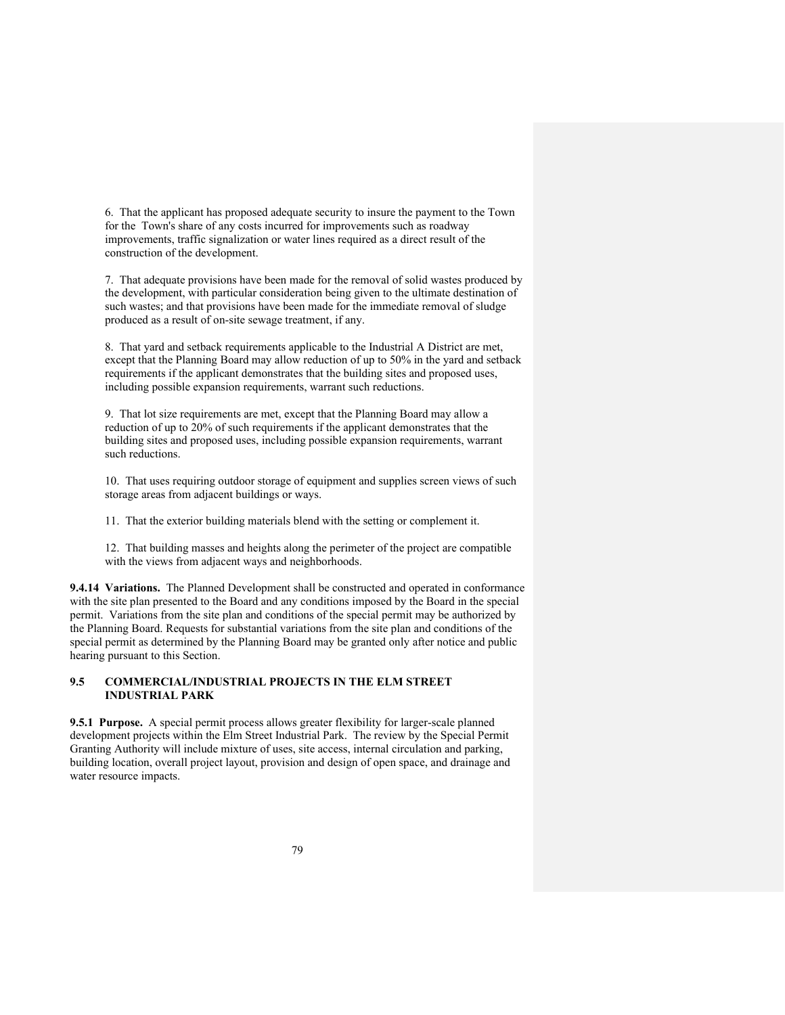6. That the applicant has proposed adequate security to insure the payment to the Town for the Town's share of any costs incurred for improvements such as roadway improvements, traffic signalization or water lines required as a direct result of the construction of the development.

7. That adequate provisions have been made for the removal of solid wastes produced by the development, with particular consideration being given to the ultimate destination of such wastes; and that provisions have been made for the immediate removal of sludge produced as a result of on-site sewage treatment, if any.

8. That yard and setback requirements applicable to the Industrial A District are met, except that the Planning Board may allow reduction of up to 50% in the yard and setback requirements if the applicant demonstrates that the building sites and proposed uses, including possible expansion requirements, warrant such reductions.

9. That lot size requirements are met, except that the Planning Board may allow a reduction of up to 20% of such requirements if the applicant demonstrates that the building sites and proposed uses, including possible expansion requirements, warrant such reductions.

10. That uses requiring outdoor storage of equipment and supplies screen views of such storage areas from adjacent buildings or ways.

11. That the exterior building materials blend with the setting or complement it.

12. That building masses and heights along the perimeter of the project are compatible with the views from adjacent ways and neighborhoods.

**9.4.14 Variations.** The Planned Development shall be constructed and operated in conformance with the site plan presented to the Board and any conditions imposed by the Board in the special permit. Variations from the site plan and conditions of the special permit may be authorized by the Planning Board. Requests for substantial variations from the site plan and conditions of the special permit as determined by the Planning Board may be granted only after notice and public hearing pursuant to this Section.

# **9.5 COMMERCIAL/INDUSTRIAL PROJECTS IN THE ELM STREET INDUSTRIAL PARK**

**9.5.1 Purpose.** A special permit process allows greater flexibility for larger-scale planned development projects within the Elm Street Industrial Park. The review by the Special Permit Granting Authority will include mixture of uses, site access, internal circulation and parking, building location, overall project layout, provision and design of open space, and drainage and water resource impacts.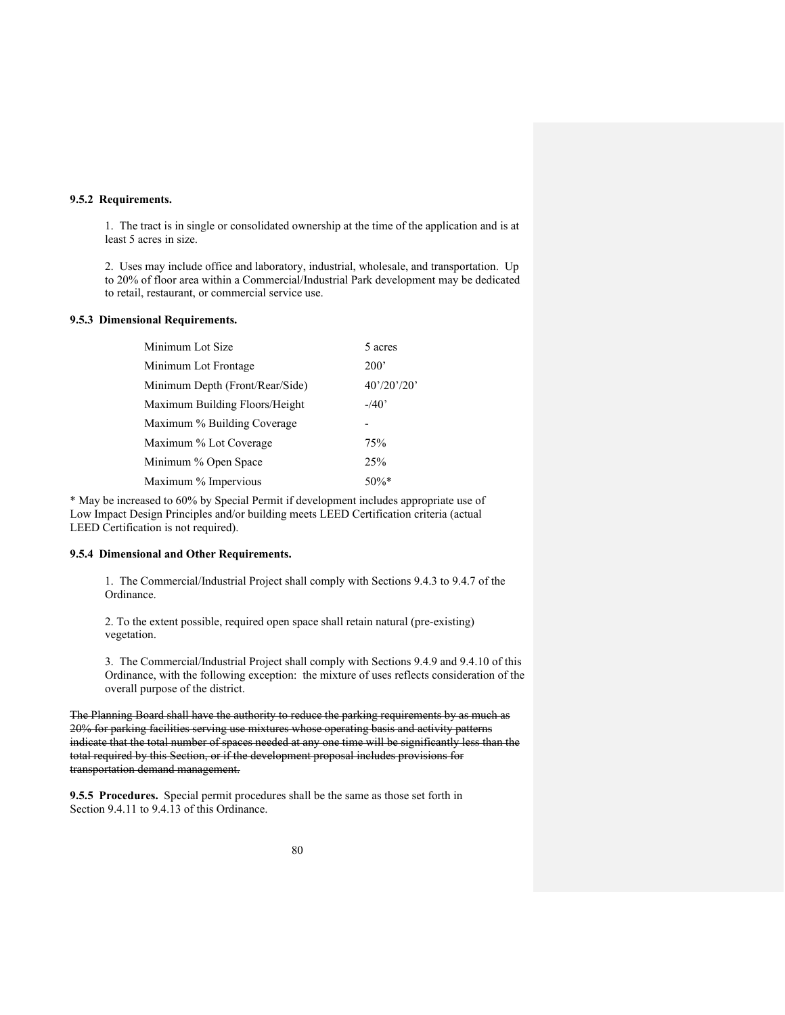### **9.5.2 Requirements.**

1. The tract is in single or consolidated ownership at the time of the application and is at least 5 acres in size.

2. Uses may include office and laboratory, industrial, wholesale, and transportation. Up to 20% of floor area within a Commercial/Industrial Park development may be dedicated to retail, restaurant, or commercial service use.

## **9.5.3 Dimensional Requirements.**

| Minimum Lot Size                | 5 acres     |
|---------------------------------|-------------|
| Minimum Lot Frontage            | 200'        |
| Minimum Depth (Front/Rear/Side) | 40'/20'/20' |
| Maximum Building Floors/Height  | $-40'$      |
| Maximum % Building Coverage     |             |
| Maximum % Lot Coverage          | 75%         |
| Minimum % Open Space            | 25%         |
| Maximum % Impervious            | $50\%$ *    |

\* May be increased to 60% by Special Permit if development includes appropriate use of Low Impact Design Principles and/or building meets LEED Certification criteria (actual LEED Certification is not required).

#### **9.5.4 Dimensional and Other Requirements.**

1. The Commercial/Industrial Project shall comply with Sections 9.4.3 to 9.4.7 of the Ordinance.

2. To the extent possible, required open space shall retain natural (pre-existing) vegetation.

3. The Commercial/Industrial Project shall comply with Sections 9.4.9 and 9.4.10 of this Ordinance, with the following exception: the mixture of uses reflects consideration of the overall purpose of the district.

The Planning Board shall have the authority to reduce the parking requirements by as much as 20% for parking facilities serving use mixtures whose operating basis and activity patterns indicate that the total number of spaces needed at any one time will be significantly less than the total required by this Section, or if the development proposal includes provisions for transportation demand management.

**9.5.5 Procedures.** Special permit procedures shall be the same as those set forth in Section 9.4.11 to 9.4.13 of this Ordinance.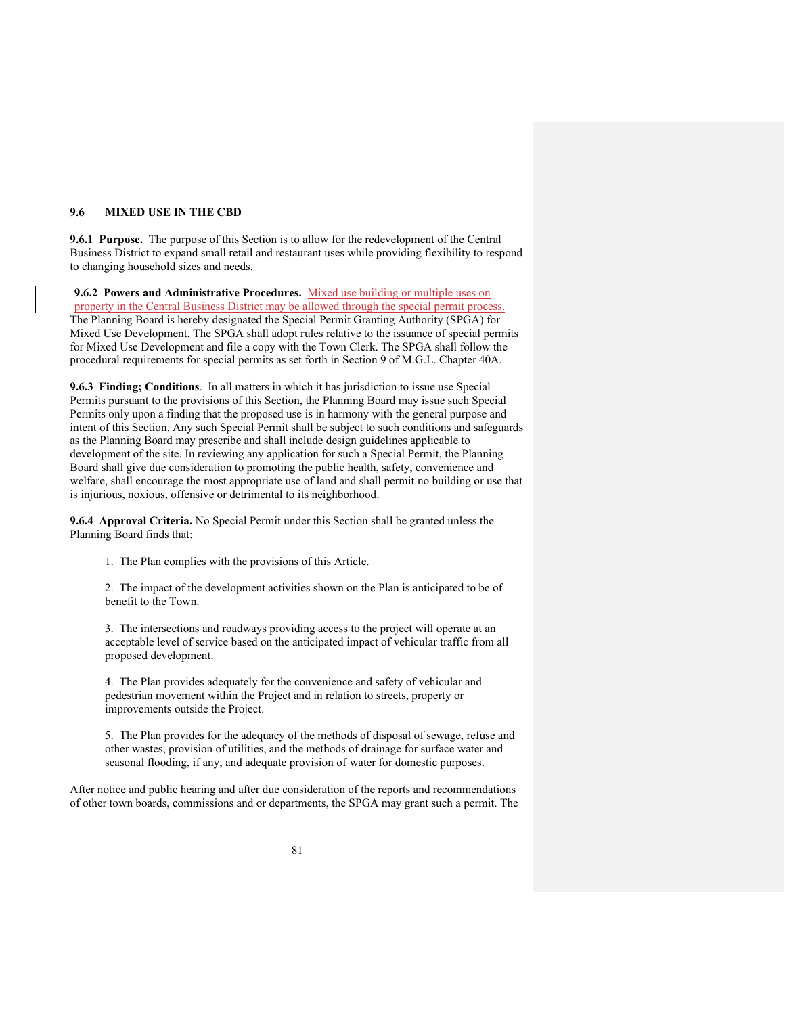### **9.6 MIXED USE IN THE CBD**

**9.6.1 Purpose.** The purpose of this Section is to allow for the redevelopment of the Central Business District to expand small retail and restaurant uses while providing flexibility to respond to changing household sizes and needs.

**9.6.2 Powers and Administrative Procedures.** Mixed use building or multiple uses on property in the Central Business District may be allowed through the special permit process. The Planning Board is hereby designated the Special Permit Granting Authority (SPGA) for Mixed Use Development. The SPGA shall adopt rules relative to the issuance of special permits for Mixed Use Development and file a copy with the Town Clerk. The SPGA shall follow the procedural requirements for special permits as set forth in Section 9 of M.G.L. Chapter 40A.

**9.6.3 Finding; Conditions**. In all matters in which it has jurisdiction to issue use Special Permits pursuant to the provisions of this Section, the Planning Board may issue such Special Permits only upon a finding that the proposed use is in harmony with the general purpose and intent of this Section. Any such Special Permit shall be subject to such conditions and safeguards as the Planning Board may prescribe and shall include design guidelines applicable to development of the site. In reviewing any application for such a Special Permit, the Planning Board shall give due consideration to promoting the public health, safety, convenience and welfare, shall encourage the most appropriate use of land and shall permit no building or use that is injurious, noxious, offensive or detrimental to its neighborhood.

**9.6.4 Approval Criteria.** No Special Permit under this Section shall be granted unless the Planning Board finds that:

1. The Plan complies with the provisions of this Article.

2. The impact of the development activities shown on the Plan is anticipated to be of benefit to the Town.

3. The intersections and roadways providing access to the project will operate at an acceptable level of service based on the anticipated impact of vehicular traffic from all proposed development.

4. The Plan provides adequately for the convenience and safety of vehicular and pedestrian movement within the Project and in relation to streets, property or improvements outside the Project.

5. The Plan provides for the adequacy of the methods of disposal of sewage, refuse and other wastes, provision of utilities, and the methods of drainage for surface water and seasonal flooding, if any, and adequate provision of water for domestic purposes.

After notice and public hearing and after due consideration of the reports and recommendations of other town boards, commissions and or departments, the SPGA may grant such a permit. The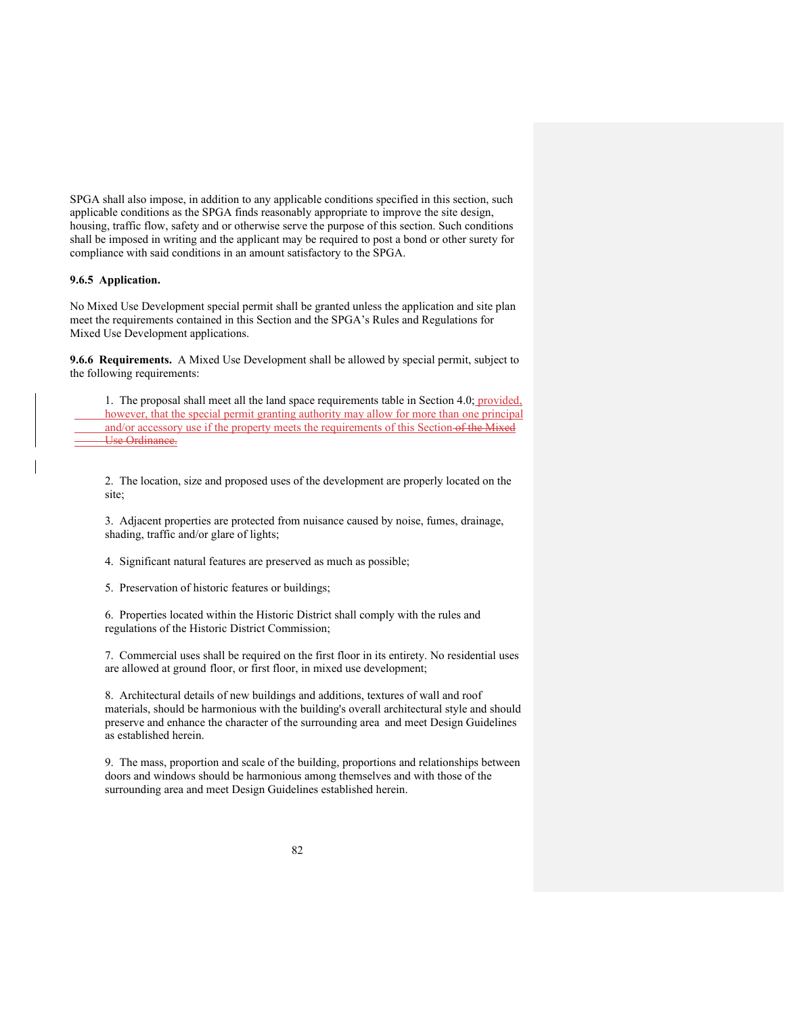SPGA shall also impose, in addition to any applicable conditions specified in this section, such applicable conditions as the SPGA finds reasonably appropriate to improve the site design, housing, traffic flow, safety and or otherwise serve the purpose of this section. Such conditions shall be imposed in writing and the applicant may be required to post a bond or other surety for compliance with said conditions in an amount satisfactory to the SPGA.

### **9.6.5 Application.**

No Mixed Use Development special permit shall be granted unless the application and site plan meet the requirements contained in this Section and the SPGA's Rules and Regulations for Mixed Use Development applications.

**9.6.6 Requirements.** A Mixed Use Development shall be allowed by special permit, subject to the following requirements:

1. The proposal shall meet all the land space requirements table in Section 4.0; provided, however, that the special permit granting authority may allow for more than one principal and/or accessory use if the property meets the requirements of this Section of the Mixed Use Ordinance.

2. The location, size and proposed uses of the development are properly located on the site;

3. Adjacent properties are protected from nuisance caused by noise, fumes, drainage, shading, traffic and/or glare of lights;

4. Significant natural features are preserved as much as possible;

5. Preservation of historic features or buildings;

6. Properties located within the Historic District shall comply with the rules and regulations of the Historic District Commission;

7. Commercial uses shall be required on the first floor in its entirety. No residential uses are allowed at ground floor, or first floor, in mixed use development;

8. Architectural details of new buildings and additions, textures of wall and roof materials, should be harmonious with the building's overall architectural style and should preserve and enhance the character of the surrounding area and meet Design Guidelines as established herein.

9. The mass, proportion and scale of the building, proportions and relationships between doors and windows should be harmonious among themselves and with those of the surrounding area and meet Design Guidelines established herein.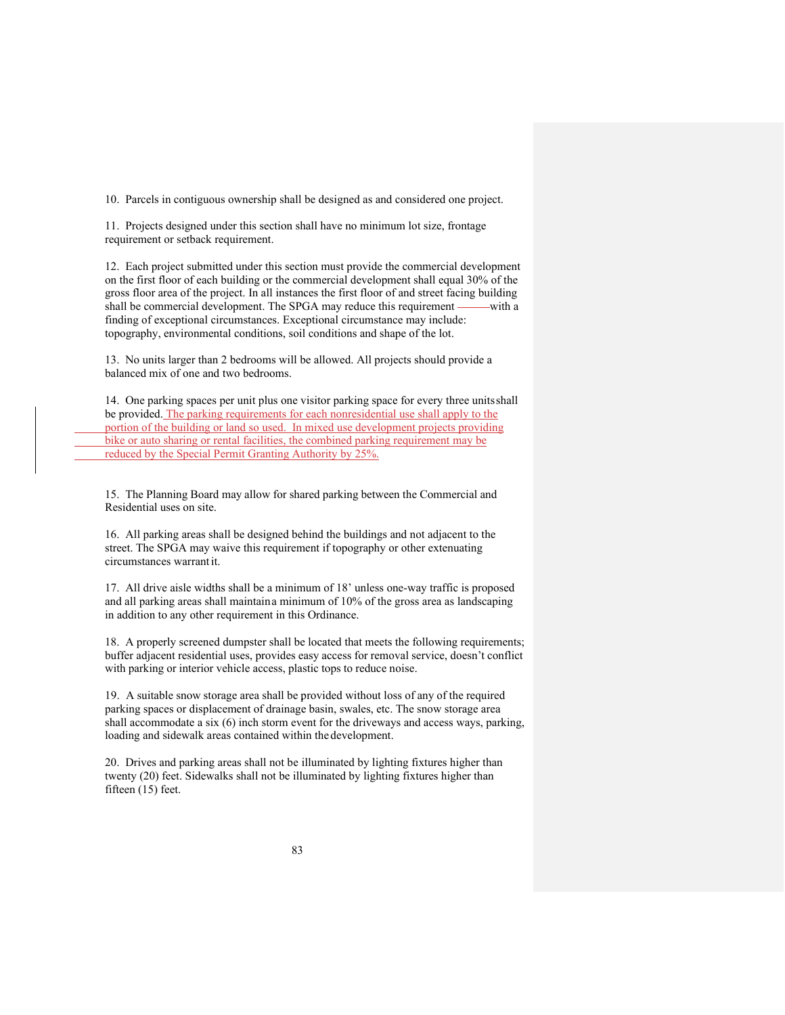10. Parcels in contiguous ownership shall be designed as and considered one project.

11. Projects designed under this section shall have no minimum lot size, frontage requirement or setback requirement.

12. Each project submitted under this section must provide the commercial development on the first floor of each building or the commercial development shall equal 30% of the gross floor area of the project. In all instances the first floor of and street facing building shall be commercial development. The SPGA may reduce this requirement ——with a finding of exceptional circumstances. Exceptional circumstance may include: topography, environmental conditions, soil conditions and shape of the lot.

13. No units larger than 2 bedrooms will be allowed. All projects should provide a balanced mix of one and two bedrooms.

14. One parking spaces per unit plus one visitor parking space for every three unitsshall be provided. The parking requirements for each nonresidential use shall apply to the portion of the building or land so used. In mixed use development projects providing bike or auto sharing or rental facilities, the combined parking requirement may be reduced by the Special Permit Granting Authority by 25%.

15. The Planning Board may allow for shared parking between the Commercial and Residential uses on site.

16. All parking areas shall be designed behind the buildings and not adjacent to the street. The SPGA may waive this requirement if topography or other extenuating circumstances warrantit.

17. All drive aisle widths shall be a minimum of 18' unless one-way traffic is proposed and all parking areas shall maintaina minimum of 10% of the gross area as landscaping in addition to any other requirement in this Ordinance.

18. A properly screened dumpster shall be located that meets the following requirements; buffer adjacent residential uses, provides easy access for removal service, doesn't conflict with parking or interior vehicle access, plastic tops to reduce noise.

19. A suitable snow storage area shall be provided without loss of any of the required parking spaces or displacement of drainage basin, swales, etc. The snow storage area shall accommodate a six (6) inch storm event for the driveways and access ways, parking, loading and sidewalk areas contained within the development.

20. Drives and parking areas shall not be illuminated by lighting fixtures higher than twenty (20) feet. Sidewalks shall not be illuminated by lighting fixtures higher than fifteen (15) feet.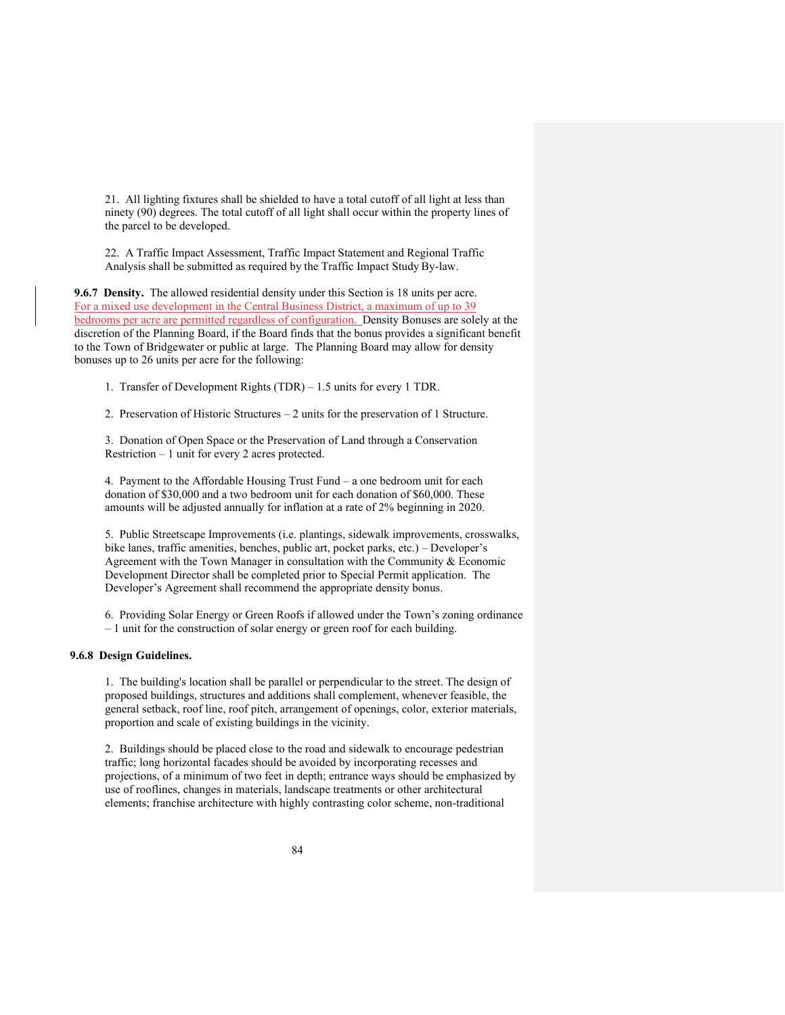21. All lighting fixtures shall be shielded to have a total cutoff of all light at less than ninety (90) degrees. The total cutoff of all light shall occur within the property lines of the parcel to be developed.

22. A Traffic Impact Assessment, Traffic Impact Statement and Regional Traffic Analysis shall be submitted as required by the Traffic Impact Study By-law.

**9.6.7 Density.** The allowed residential density under this Section is 18 units per acre. For a mixed use development in the Central Business District, a maximum of up to 39 bedrooms per acre are permitted regardless of configuration. Density Bonuses are solely at the discretion of the Planning Board, if the Board finds that the bonus provides a significant benefit to the Town of Bridgewater or public at large. The Planning Board may allow for density bonuses up to 26 units per acre for the following:

1. Transfer of Development Rights (TDR) – 1.5 units for every 1 TDR.

2. Preservation of Historic Structures – 2 units for the preservation of 1 Structure.

3. Donation of Open Space or the Preservation of Land through a Conservation Restriction – 1 unit for every 2 acres protected.

4. Payment to the Affordable Housing Trust Fund – a one bedroom unit for each donation of \$30,000 and a two bedroom unit for each donation of \$60,000. These amounts will be adjusted annually for inflation at a rate of 2% beginning in 2020.

5. Public Streetscape Improvements (i.e. plantings, sidewalk improvements, crosswalks, bike lanes, traffic amenities, benches, public art, pocket parks, etc.) – Developer's Agreement with the Town Manager in consultation with the Community & Economic Development Director shall be completed prior to Special Permit application. The Developer's Agreement shall recommend the appropriate density bonus.

6. Providing Solar Energy or Green Roofs if allowed under the Town's zoning ordinance – 1 unit for the construction of solar energy or green roof for each building.

### **9.6.8 Design Guidelines.**

1. The building's location shall be parallel or perpendicular to the street. The design of proposed buildings, structures and additions shall complement, whenever feasible, the general setback, roof line, roof pitch, arrangement of openings, color, exterior materials, proportion and scale of existing buildings in the vicinity.

2. Buildings should be placed close to the road and sidewalk to encourage pedestrian traffic; long horizontal facades should be avoided by incorporating recesses and projections, of a minimum of two feet in depth; entrance ways should be emphasized by use of rooflines, changes in materials, landscape treatments or other architectural elements; franchise architecture with highly contrasting color scheme, non-traditional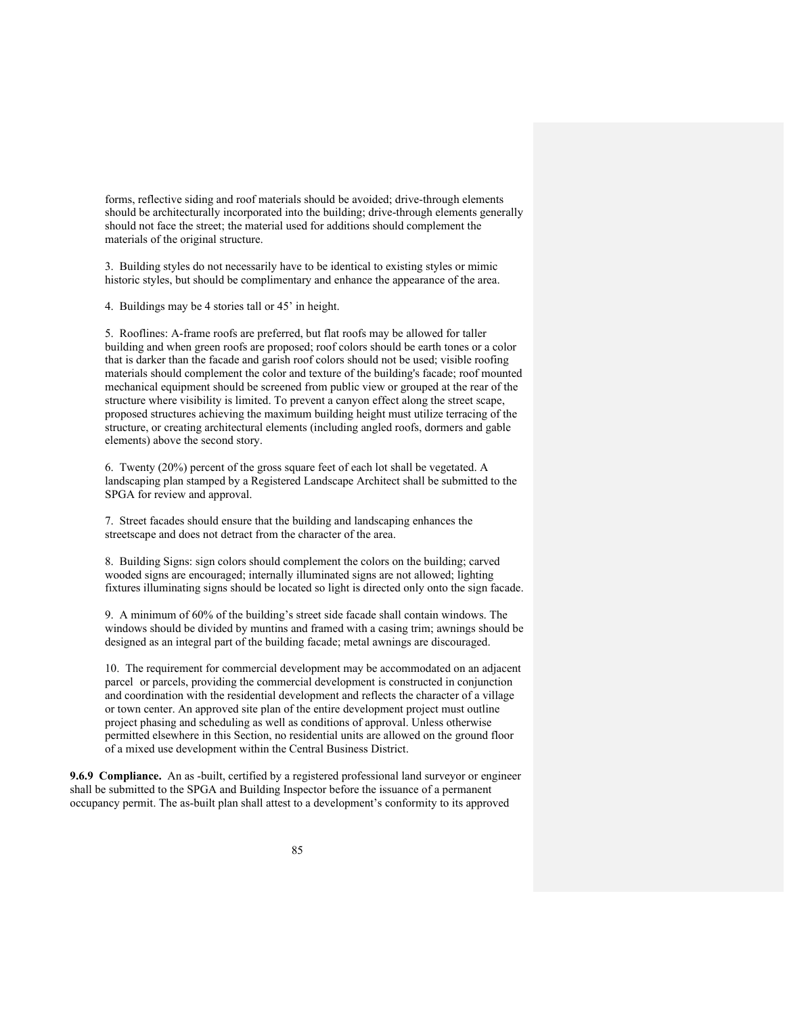forms, reflective siding and roof materials should be avoided; drive-through elements should be architecturally incorporated into the building; drive-through elements generally should not face the street; the material used for additions should complement the materials of the original structure.

3. Building styles do not necessarily have to be identical to existing styles or mimic historic styles, but should be complimentary and enhance the appearance of the area.

4. Buildings may be 4 stories tall or 45' in height.

5. Rooflines: A-frame roofs are preferred, but flat roofs may be allowed for taller building and when green roofs are proposed; roof colors should be earth tones or a color that is darker than the facade and garish roof colors should not be used; visible roofing materials should complement the color and texture of the building's facade; roof mounted mechanical equipment should be screened from public view or grouped at the rear of the structure where visibility is limited. To prevent a canyon effect along the street scape, proposed structures achieving the maximum building height must utilize terracing of the structure, or creating architectural elements (including angled roofs, dormers and gable elements) above the second story.

6. Twenty (20%) percent of the gross square feet of each lot shall be vegetated. A landscaping plan stamped by a Registered Landscape Architect shall be submitted to the SPGA for review and approval.

7. Street facades should ensure that the building and landscaping enhances the streetscape and does not detract from the character of the area.

8. Building Signs: sign colors should complement the colors on the building; carved wooded signs are encouraged; internally illuminated signs are not allowed; lighting fixtures illuminating signs should be located so light is directed only onto the sign facade.

9. A minimum of 60% of the building's street side facade shall contain windows. The windows should be divided by muntins and framed with a casing trim; awnings should be designed as an integral part of the building facade; metal awnings are discouraged.

10. The requirement for commercial development may be accommodated on an adjacent parcel or parcels, providing the commercial development is constructed in conjunction and coordination with the residential development and reflects the character of a village or town center. An approved site plan of the entire development project must outline project phasing and scheduling as well as conditions of approval. Unless otherwise permitted elsewhere in this Section, no residential units are allowed on the ground floor of a mixed use development within the Central Business District.

**9.6.9 Compliance.** An as -built, certified by a registered professional land surveyor or engineer shall be submitted to the SPGA and Building Inspector before the issuance of a permanent occupancy permit. The as-built plan shall attest to a development's conformity to its approved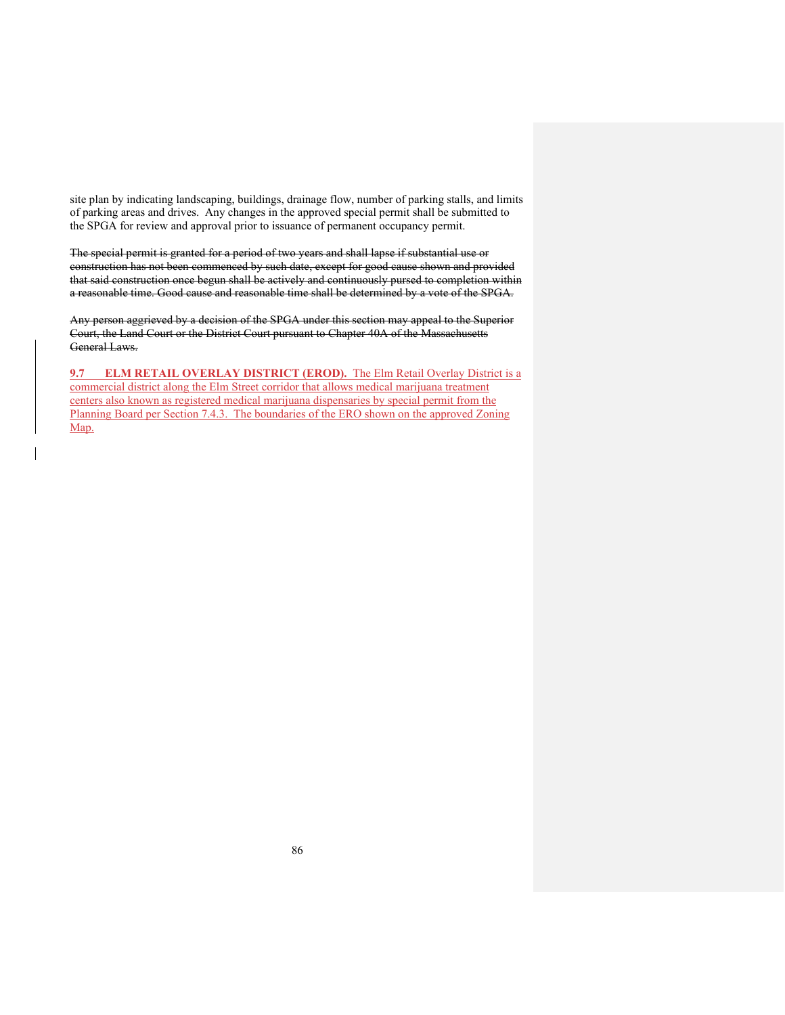site plan by indicating landscaping, buildings, drainage flow, number of parking stalls, and limits of parking areas and drives. Any changes in the approved special permit shall be submitted to the SPGA for review and approval prior to issuance of permanent occupancy permit.

The special permit is granted for a period of two years and shall lapse if substantial use or construction has not been commenced by such date, except for good cause shown and provided that said construction once begun shall be actively and continuously pursed to completion within a reasonable time. Good cause and reasonable time shall be determined by a vote of the SPGA.

Any person aggrieved by a decision of the SPGA under this section may appeal to the Superior Court, the Land Court or the District Court pursuant to Chapter 40A of the Massachusetts General Laws.

**9.7 ELM RETAIL OVERLAY DISTRICT (EROD).** The Elm Retail Overlay District is a commercial district along the Elm Street corridor that allows medical marijuana treatment centers also known as registered medical marijuana dispensaries by special permit from the Planning Board per Section 7.4.3. The boundaries of the ERO shown on the approved Zoning Map.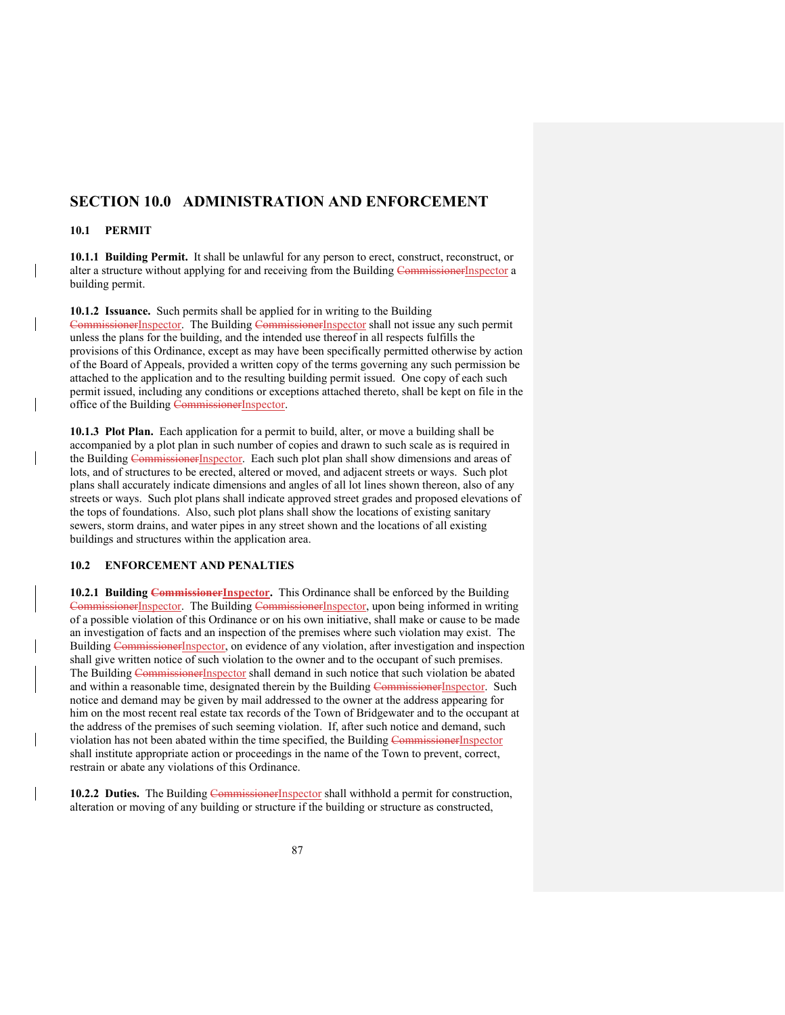# **SECTION 10.0 ADMINISTRATION AND ENFORCEMENT**

### **10.1 PERMIT**

 $\overline{\phantom{a}}$ 

**10.1.1 Building Permit.** It shall be unlawful for any person to erect, construct, reconstruct, or alter a structure without applying for and receiving from the Building CommissionerInspector a building permit.

**10.1.2 Issuance.** Such permits shall be applied for in writing to the Building CommissionerInspector. The Building CommissionerInspector shall not issue any such permit unless the plans for the building, and the intended use thereof in all respects fulfills the provisions of this Ordinance, except as may have been specifically permitted otherwise by action of the Board of Appeals, provided a written copy of the terms governing any such permission be attached to the application and to the resulting building permit issued. One copy of each such permit issued, including any conditions or exceptions attached thereto, shall be kept on file in the office of the Building CommissionerInspector.

**10.1.3 Plot Plan.** Each application for a permit to build, alter, or move a building shall be accompanied by a plot plan in such number of copies and drawn to such scale as is required in the Building CommissionerInspector. Each such plot plan shall show dimensions and areas of lots, and of structures to be erected, altered or moved, and adjacent streets or ways. Such plot plans shall accurately indicate dimensions and angles of all lot lines shown thereon, also of any streets or ways. Such plot plans shall indicate approved street grades and proposed elevations of the tops of foundations. Also, such plot plans shall show the locations of existing sanitary sewers, storm drains, and water pipes in any street shown and the locations of all existing buildings and structures within the application area.

## **10.2 ENFORCEMENT AND PENALTIES**

10.2.1 Building **Commissioner Inspector**. This Ordinance shall be enforced by the Building CommissionerInspector. The Building CommissionerInspector, upon being informed in writing of a possible violation of this Ordinance or on his own initiative, shall make or cause to be made an investigation of facts and an inspection of the premises where such violation may exist. The Building CommissionerInspector, on evidence of any violation, after investigation and inspection shall give written notice of such violation to the owner and to the occupant of such premises. The Building CommissionerInspector shall demand in such notice that such violation be abated and within a reasonable time, designated therein by the Building CommissionerInspector. Such notice and demand may be given by mail addressed to the owner at the address appearing for him on the most recent real estate tax records of the Town of Bridgewater and to the occupant at the address of the premises of such seeming violation. If, after such notice and demand, such violation has not been abated within the time specified, the Building CommissionerInspector shall institute appropriate action or proceedings in the name of the Town to prevent, correct, restrain or abate any violations of this Ordinance.

**10.2.2 Duties.** The Building Commissioner Inspector shall withhold a permit for construction, alteration or moving of any building or structure if the building or structure as constructed,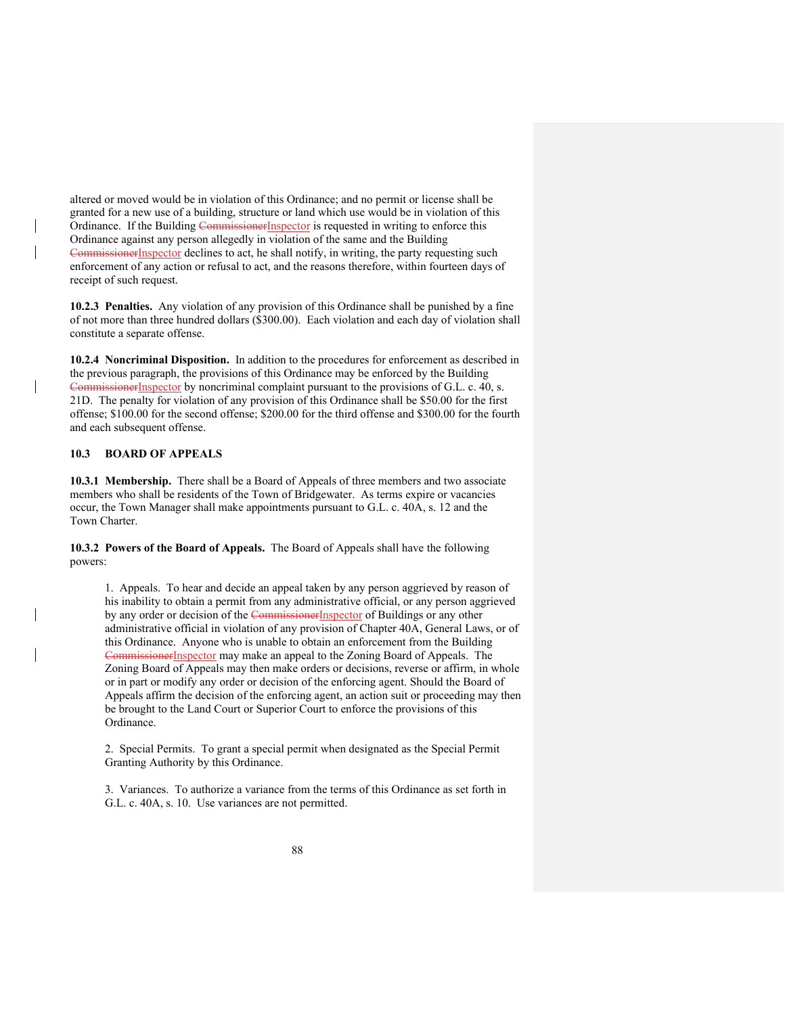altered or moved would be in violation of this Ordinance; and no permit or license shall be granted for a new use of a building, structure or land which use would be in violation of this Ordinance. If the Building CommissionerInspector is requested in writing to enforce this Ordinance against any person allegedly in violation of the same and the Building CommissionerInspector declines to act, he shall notify, in writing, the party requesting such enforcement of any action or refusal to act, and the reasons therefore, within fourteen days of receipt of such request.

**10.2.3 Penalties.** Any violation of any provision of this Ordinance shall be punished by a fine of not more than three hundred dollars (\$300.00). Each violation and each day of violation shall constitute a separate offense.

**10.2.4 Noncriminal Disposition.** In addition to the procedures for enforcement as described in the previous paragraph, the provisions of this Ordinance may be enforced by the Building CommissionerInspector by noncriminal complaint pursuant to the provisions of G.L. c. 40, s. 21D. The penalty for violation of any provision of this Ordinance shall be \$50.00 for the first offense; \$100.00 for the second offense; \$200.00 for the third offense and \$300.00 for the fourth and each subsequent offense.

## **10.3 BOARD OF APPEALS**

**10.3.1 Membership.** There shall be a Board of Appeals of three members and two associate members who shall be residents of the Town of Bridgewater. As terms expire or vacancies occur, the Town Manager shall make appointments pursuant to G.L. c. 40A, s. 12 and the Town Charter.

**10.3.2 Powers of the Board of Appeals.** The Board of Appeals shall have the following powers:

1. Appeals. To hear and decide an appeal taken by any person aggrieved by reason of his inability to obtain a permit from any administrative official, or any person aggrieved by any order or decision of the CommissionerInspector of Buildings or any other administrative official in violation of any provision of Chapter 40A, General Laws, or of this Ordinance. Anyone who is unable to obtain an enforcement from the Building CommissionerInspector may make an appeal to the Zoning Board of Appeals. The Zoning Board of Appeals may then make orders or decisions, reverse or affirm, in whole or in part or modify any order or decision of the enforcing agent. Should the Board of Appeals affirm the decision of the enforcing agent, an action suit or proceeding may then be brought to the Land Court or Superior Court to enforce the provisions of this Ordinance.

2. Special Permits. To grant a special permit when designated as the Special Permit Granting Authority by this Ordinance.

3. Variances. To authorize a variance from the terms of this Ordinance as set forth in G.L. c. 40A, s. 10. Use variances are not permitted.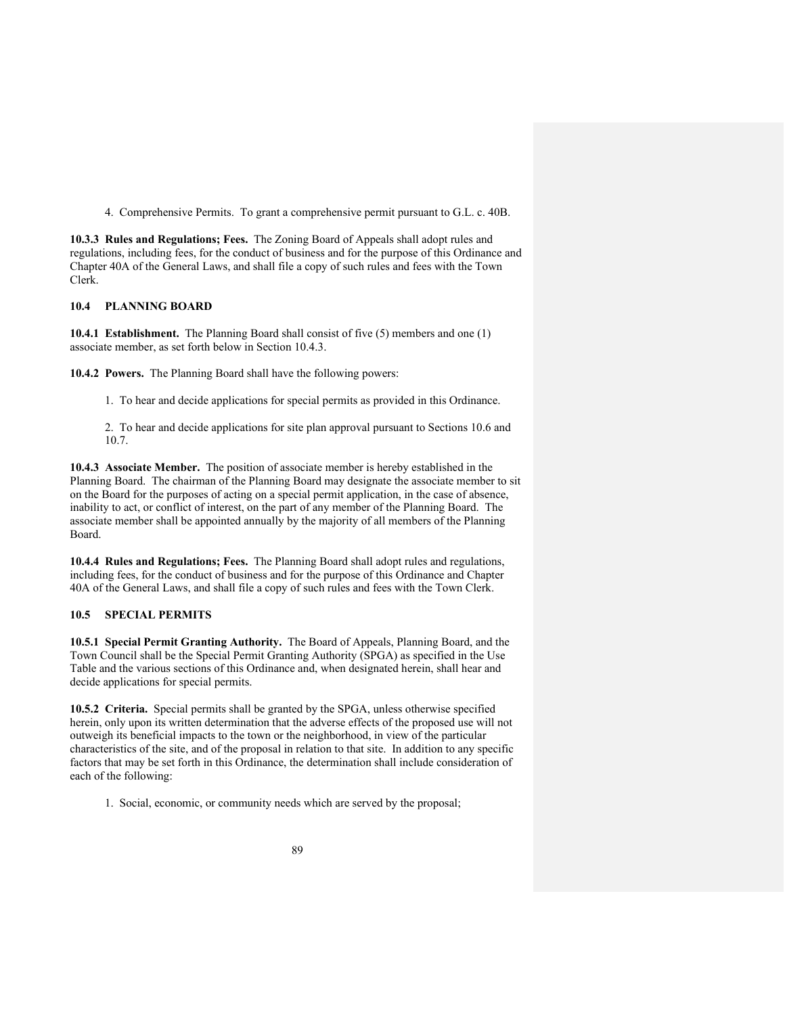4. Comprehensive Permits. To grant a comprehensive permit pursuant to G.L. c. 40B.

**10.3.3 Rules and Regulations; Fees.** The Zoning Board of Appeals shall adopt rules and regulations, including fees, for the conduct of business and for the purpose of this Ordinance and Chapter 40A of the General Laws, and shall file a copy of such rules and fees with the Town Clerk.

## **10.4 PLANNING BOARD**

**10.4.1 Establishment.** The Planning Board shall consist of five (5) members and one (1) associate member, as set forth below in Section 10.4.3.

**10.4.2 Powers.** The Planning Board shall have the following powers:

1. To hear and decide applications for special permits as provided in this Ordinance.

2. To hear and decide applications for site plan approval pursuant to Sections 10.6 and 10.7.

**10.4.3 Associate Member.** The position of associate member is hereby established in the Planning Board. The chairman of the Planning Board may designate the associate member to sit on the Board for the purposes of acting on a special permit application, in the case of absence, inability to act, or conflict of interest, on the part of any member of the Planning Board. The associate member shall be appointed annually by the majority of all members of the Planning Board.

**10.4.4 Rules and Regulations; Fees.** The Planning Board shall adopt rules and regulations, including fees, for the conduct of business and for the purpose of this Ordinance and Chapter 40A of the General Laws, and shall file a copy of such rules and fees with the Town Clerk.

#### **10.5 SPECIAL PERMITS**

**10.5.1 Special Permit Granting Authority.** The Board of Appeals, Planning Board, and the Town Council shall be the Special Permit Granting Authority (SPGA) as specified in the Use Table and the various sections of this Ordinance and, when designated herein, shall hear and decide applications for special permits.

**10.5.2 Criteria.** Special permits shall be granted by the SPGA, unless otherwise specified herein, only upon its written determination that the adverse effects of the proposed use will not outweigh its beneficial impacts to the town or the neighborhood, in view of the particular characteristics of the site, and of the proposal in relation to that site. In addition to any specific factors that may be set forth in this Ordinance, the determination shall include consideration of each of the following:

1. Social, economic, or community needs which are served by the proposal;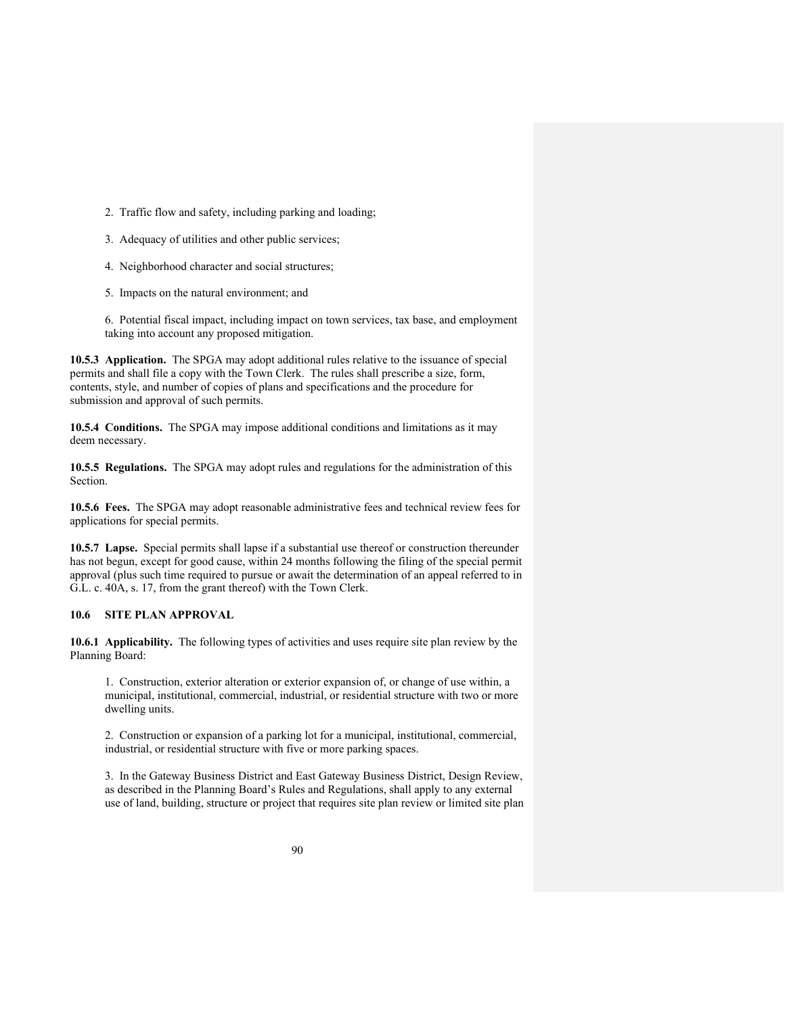- 2. Traffic flow and safety, including parking and loading;
- 3. Adequacy of utilities and other public services;
- 4. Neighborhood character and social structures;
- 5. Impacts on the natural environment; and

6. Potential fiscal impact, including impact on town services, tax base, and employment taking into account any proposed mitigation.

**10.5.3 Application.** The SPGA may adopt additional rules relative to the issuance of special permits and shall file a copy with the Town Clerk. The rules shall prescribe a size, form, contents, style, and number of copies of plans and specifications and the procedure for submission and approval of such permits.

**10.5.4 Conditions.** The SPGA may impose additional conditions and limitations as it may deem necessary.

**10.5.5 Regulations.** The SPGA may adopt rules and regulations for the administration of this Section.

**10.5.6 Fees.** The SPGA may adopt reasonable administrative fees and technical review fees for applications for special permits.

**10.5.7 Lapse.** Special permits shall lapse if a substantial use thereof or construction thereunder has not begun, except for good cause, within 24 months following the filing of the special permit approval (plus such time required to pursue or await the determination of an appeal referred to in G.L. c. 40A, s. 17, from the grant thereof) with the Town Clerk.

### **10.6 SITE PLAN APPROVAL**

**10.6.1 Applicability.** The following types of activities and uses require site plan review by the Planning Board:

1. Construction, exterior alteration or exterior expansion of, or change of use within, a municipal, institutional, commercial, industrial, or residential structure with two or more dwelling units.

2. Construction or expansion of a parking lot for a municipal, institutional, commercial, industrial, or residential structure with five or more parking spaces.

3. In the Gateway Business District and East Gateway Business District, Design Review, as described in the Planning Board's Rules and Regulations, shall apply to any external use of land, building, structure or project that requires site plan review or limited site plan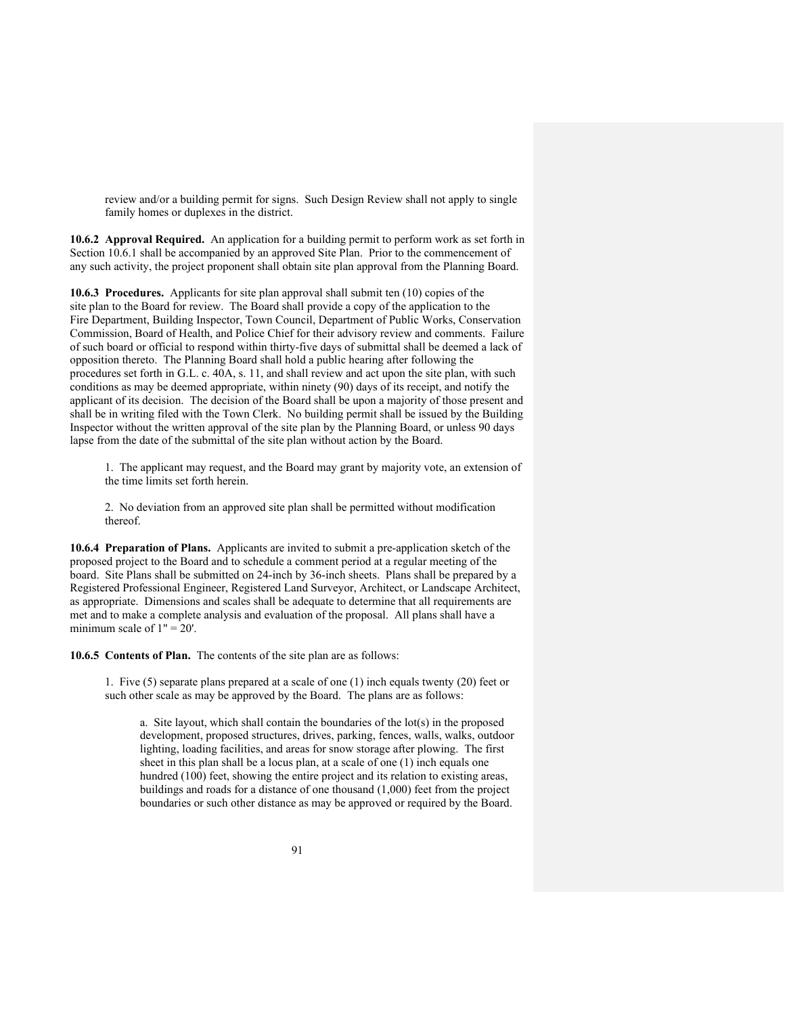review and/or a building permit for signs. Such Design Review shall not apply to single family homes or duplexes in the district.

**10.6.2 Approval Required.** An application for a building permit to perform work as set forth in Section 10.6.1 shall be accompanied by an approved Site Plan. Prior to the commencement of any such activity, the project proponent shall obtain site plan approval from the Planning Board.

**10.6.3 Procedures.** Applicants for site plan approval shall submit ten (10) copies of the site plan to the Board for review. The Board shall provide a copy of the application to the Fire Department, Building Inspector, Town Council, Department of Public Works, Conservation Commission, Board of Health, and Police Chief for their advisory review and comments. Failure of such board or official to respond within thirty-five days of submittal shall be deemed a lack of opposition thereto. The Planning Board shall hold a public hearing after following the procedures set forth in G.L. c. 40A, s. 11, and shall review and act upon the site plan, with such conditions as may be deemed appropriate, within ninety (90) days of its receipt, and notify the applicant of its decision. The decision of the Board shall be upon a majority of those present and shall be in writing filed with the Town Clerk. No building permit shall be issued by the Building Inspector without the written approval of the site plan by the Planning Board, or unless 90 days lapse from the date of the submittal of the site plan without action by the Board.

1. The applicant may request, and the Board may grant by majority vote, an extension of the time limits set forth herein.

2. No deviation from an approved site plan shall be permitted without modification thereof.

**10.6.4 Preparation of Plans.** Applicants are invited to submit a pre-application sketch of the proposed project to the Board and to schedule a comment period at a regular meeting of the board. Site Plans shall be submitted on 24-inch by 36-inch sheets. Plans shall be prepared by a Registered Professional Engineer, Registered Land Surveyor, Architect, or Landscape Architect, as appropriate. Dimensions and scales shall be adequate to determine that all requirements are met and to make a complete analysis and evaluation of the proposal. All plans shall have a minimum scale of  $1" = 20'$ .

**10.6.5 Contents of Plan.** The contents of the site plan are as follows:

1. Five (5) separate plans prepared at a scale of one (1) inch equals twenty (20) feet or such other scale as may be approved by the Board. The plans are as follows:

a. Site layout, which shall contain the boundaries of the lot(s) in the proposed development, proposed structures, drives, parking, fences, walls, walks, outdoor lighting, loading facilities, and areas for snow storage after plowing. The first sheet in this plan shall be a locus plan, at a scale of one  $(1)$  inch equals one hundred (100) feet, showing the entire project and its relation to existing areas, buildings and roads for a distance of one thousand (1,000) feet from the project boundaries or such other distance as may be approved or required by the Board.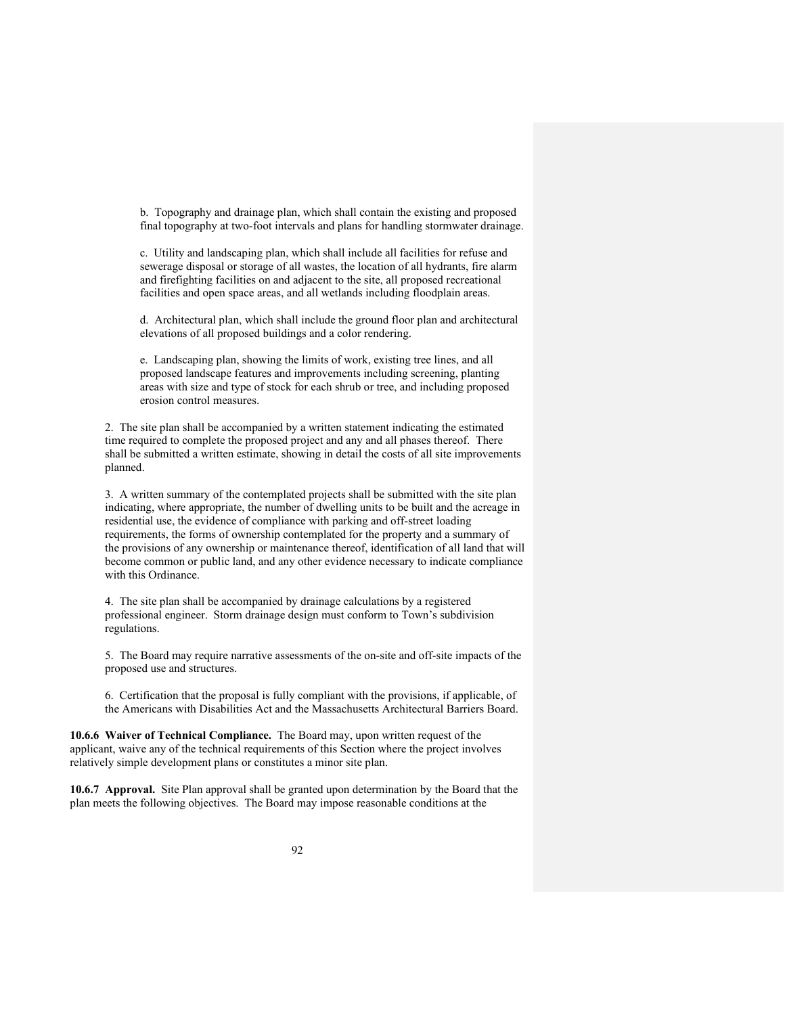b. Topography and drainage plan, which shall contain the existing and proposed final topography at two-foot intervals and plans for handling stormwater drainage.

c. Utility and landscaping plan, which shall include all facilities for refuse and sewerage disposal or storage of all wastes, the location of all hydrants, fire alarm and firefighting facilities on and adjacent to the site, all proposed recreational facilities and open space areas, and all wetlands including floodplain areas.

d. Architectural plan, which shall include the ground floor plan and architectural elevations of all proposed buildings and a color rendering.

e. Landscaping plan, showing the limits of work, existing tree lines, and all proposed landscape features and improvements including screening, planting areas with size and type of stock for each shrub or tree, and including proposed erosion control measures.

2. The site plan shall be accompanied by a written statement indicating the estimated time required to complete the proposed project and any and all phases thereof. There shall be submitted a written estimate, showing in detail the costs of all site improvements planned.

3. A written summary of the contemplated projects shall be submitted with the site plan indicating, where appropriate, the number of dwelling units to be built and the acreage in residential use, the evidence of compliance with parking and off-street loading requirements, the forms of ownership contemplated for the property and a summary of the provisions of any ownership or maintenance thereof, identification of all land that will become common or public land, and any other evidence necessary to indicate compliance with this Ordinance.

4. The site plan shall be accompanied by drainage calculations by a registered professional engineer. Storm drainage design must conform to Town's subdivision regulations.

5. The Board may require narrative assessments of the on-site and off-site impacts of the proposed use and structures.

6. Certification that the proposal is fully compliant with the provisions, if applicable, of the Americans with Disabilities Act and the Massachusetts Architectural Barriers Board.

**10.6.6 Waiver of Technical Compliance.** The Board may, upon written request of the applicant, waive any of the technical requirements of this Section where the project involves relatively simple development plans or constitutes a minor site plan.

**10.6.7 Approval.** Site Plan approval shall be granted upon determination by the Board that the plan meets the following objectives. The Board may impose reasonable conditions at the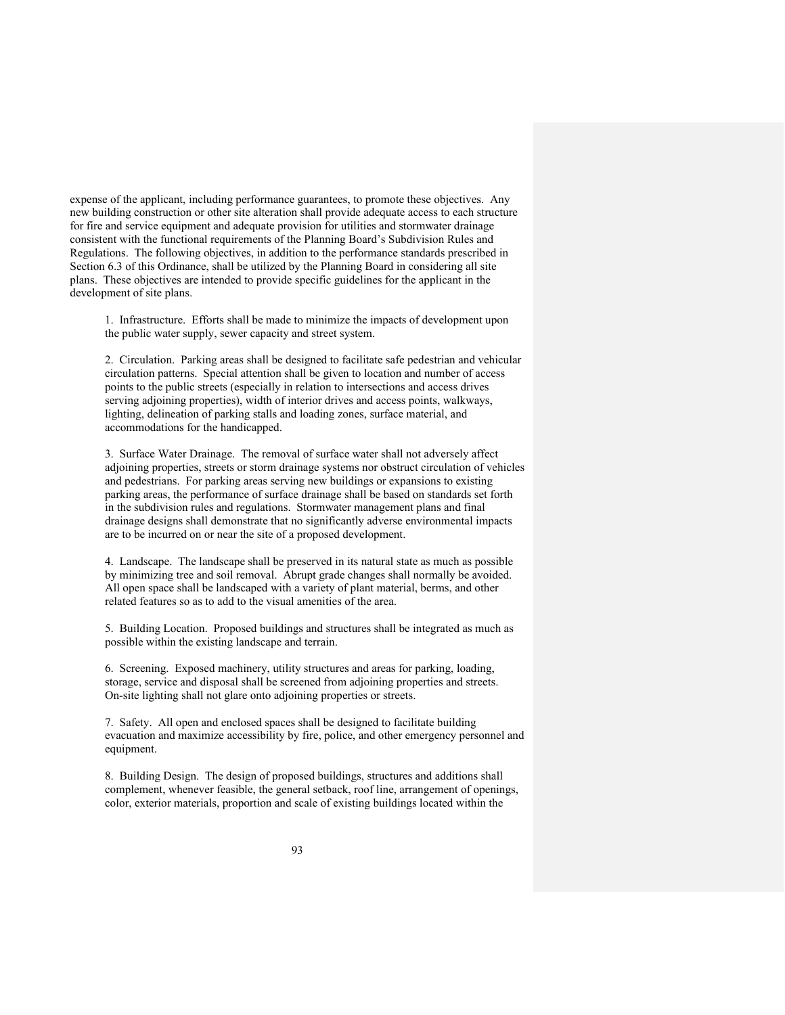expense of the applicant, including performance guarantees, to promote these objectives. Any new building construction or other site alteration shall provide adequate access to each structure for fire and service equipment and adequate provision for utilities and stormwater drainage consistent with the functional requirements of the Planning Board's Subdivision Rules and Regulations. The following objectives, in addition to the performance standards prescribed in Section 6.3 of this Ordinance, shall be utilized by the Planning Board in considering all site plans. These objectives are intended to provide specific guidelines for the applicant in the development of site plans.

1. Infrastructure. Efforts shall be made to minimize the impacts of development upon the public water supply, sewer capacity and street system.

2. Circulation. Parking areas shall be designed to facilitate safe pedestrian and vehicular circulation patterns. Special attention shall be given to location and number of access points to the public streets (especially in relation to intersections and access drives serving adjoining properties), width of interior drives and access points, walkways, lighting, delineation of parking stalls and loading zones, surface material, and accommodations for the handicapped.

3. Surface Water Drainage. The removal of surface water shall not adversely affect adjoining properties, streets or storm drainage systems nor obstruct circulation of vehicles and pedestrians. For parking areas serving new buildings or expansions to existing parking areas, the performance of surface drainage shall be based on standards set forth in the subdivision rules and regulations. Stormwater management plans and final drainage designs shall demonstrate that no significantly adverse environmental impacts are to be incurred on or near the site of a proposed development.

4. Landscape. The landscape shall be preserved in its natural state as much as possible by minimizing tree and soil removal. Abrupt grade changes shall normally be avoided. All open space shall be landscaped with a variety of plant material, berms, and other related features so as to add to the visual amenities of the area.

5. Building Location. Proposed buildings and structures shall be integrated as much as possible within the existing landscape and terrain.

6. Screening. Exposed machinery, utility structures and areas for parking, loading, storage, service and disposal shall be screened from adjoining properties and streets. On-site lighting shall not glare onto adjoining properties or streets.

7. Safety. All open and enclosed spaces shall be designed to facilitate building evacuation and maximize accessibility by fire, police, and other emergency personnel and equipment.

8. Building Design. The design of proposed buildings, structures and additions shall complement, whenever feasible, the general setback, roof line, arrangement of openings, color, exterior materials, proportion and scale of existing buildings located within the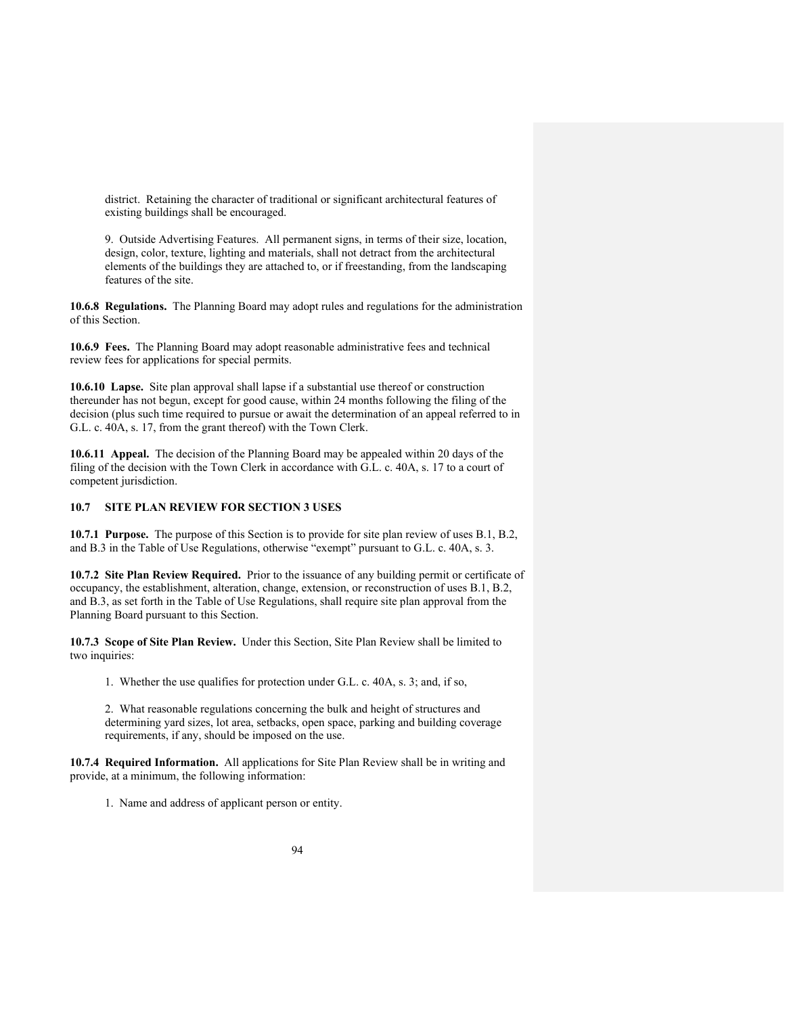district. Retaining the character of traditional or significant architectural features of existing buildings shall be encouraged.

9. Outside Advertising Features. All permanent signs, in terms of their size, location, design, color, texture, lighting and materials, shall not detract from the architectural elements of the buildings they are attached to, or if freestanding, from the landscaping features of the site.

**10.6.8 Regulations.** The Planning Board may adopt rules and regulations for the administration of this Section.

**10.6.9 Fees.** The Planning Board may adopt reasonable administrative fees and technical review fees for applications for special permits.

**10.6.10 Lapse.** Site plan approval shall lapse if a substantial use thereof or construction thereunder has not begun, except for good cause, within 24 months following the filing of the decision (plus such time required to pursue or await the determination of an appeal referred to in G.L. c. 40A, s. 17, from the grant thereof) with the Town Clerk.

**10.6.11 Appeal.** The decision of the Planning Board may be appealed within 20 days of the filing of the decision with the Town Clerk in accordance with G.L. c. 40A, s. 17 to a court of competent jurisdiction.

## **10.7 SITE PLAN REVIEW FOR SECTION 3 USES**

**10.7.1 Purpose.** The purpose of this Section is to provide for site plan review of uses B.1, B.2, and B.3 in the Table of Use Regulations, otherwise "exempt" pursuant to G.L. c. 40A, s. 3.

**10.7.2 Site Plan Review Required.** Prior to the issuance of any building permit or certificate of occupancy, the establishment, alteration, change, extension, or reconstruction of uses B.1, B.2, and B.3, as set forth in the Table of Use Regulations, shall require site plan approval from the Planning Board pursuant to this Section.

**10.7.3 Scope of Site Plan Review.** Under this Section, Site Plan Review shall be limited to two inquiries:

1. Whether the use qualifies for protection under G.L. c. 40A, s. 3; and, if so,

2. What reasonable regulations concerning the bulk and height of structures and determining yard sizes, lot area, setbacks, open space, parking and building coverage requirements, if any, should be imposed on the use.

**10.7.4 Required Information.** All applications for Site Plan Review shall be in writing and provide, at a minimum, the following information:

1. Name and address of applicant person or entity.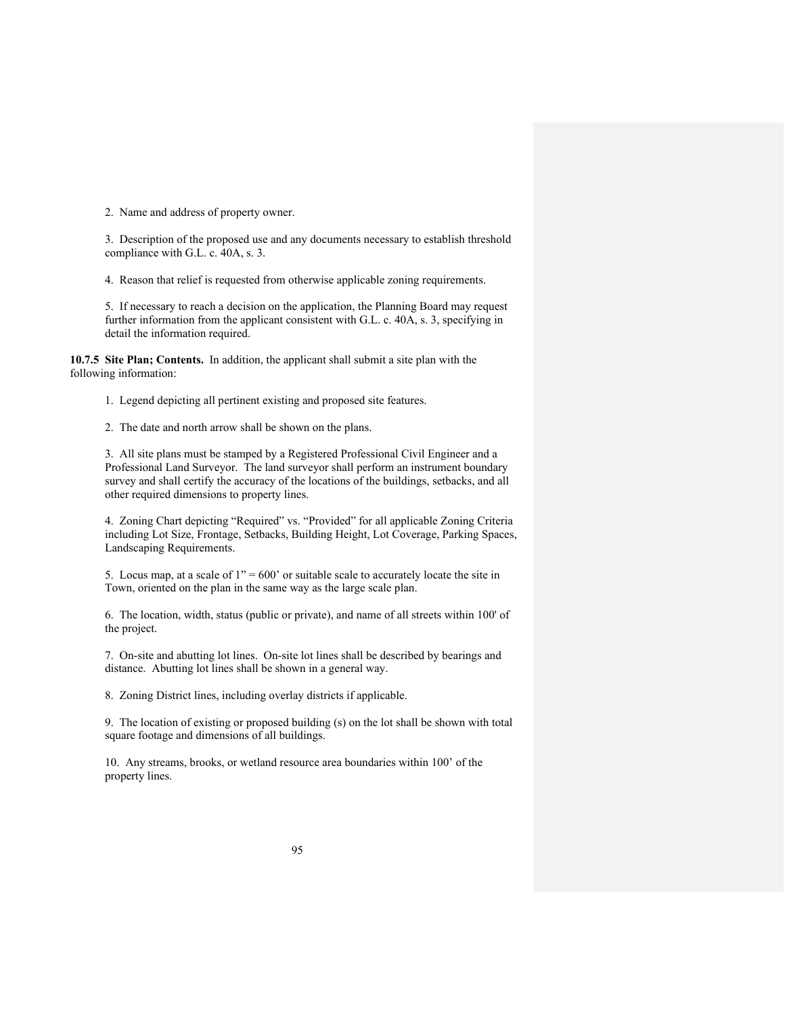2. Name and address of property owner.

3. Description of the proposed use and any documents necessary to establish threshold compliance with G.L. c. 40A, s. 3.

4. Reason that relief is requested from otherwise applicable zoning requirements.

5. If necessary to reach a decision on the application, the Planning Board may request further information from the applicant consistent with G.L. c. 40A, s. 3, specifying in detail the information required.

**10.7.5 Site Plan; Contents.** In addition, the applicant shall submit a site plan with the following information:

1. Legend depicting all pertinent existing and proposed site features.

2. The date and north arrow shall be shown on the plans.

3. All site plans must be stamped by a Registered Professional Civil Engineer and a Professional Land Surveyor. The land surveyor shall perform an instrument boundary survey and shall certify the accuracy of the locations of the buildings, setbacks, and all other required dimensions to property lines.

4. Zoning Chart depicting "Required" vs. "Provided" for all applicable Zoning Criteria including Lot Size, Frontage, Setbacks, Building Height, Lot Coverage, Parking Spaces, Landscaping Requirements.

5. Locus map, at a scale of  $1" = 600'$  or suitable scale to accurately locate the site in Town, oriented on the plan in the same way as the large scale plan.

6. The location, width, status (public or private), and name of all streets within 100' of the project.

7. On-site and abutting lot lines. On-site lot lines shall be described by bearings and distance. Abutting lot lines shall be shown in a general way.

8. Zoning District lines, including overlay districts if applicable.

9. The location of existing or proposed building (s) on the lot shall be shown with total square footage and dimensions of all buildings.

10. Any streams, brooks, or wetland resource area boundaries within 100' of the property lines.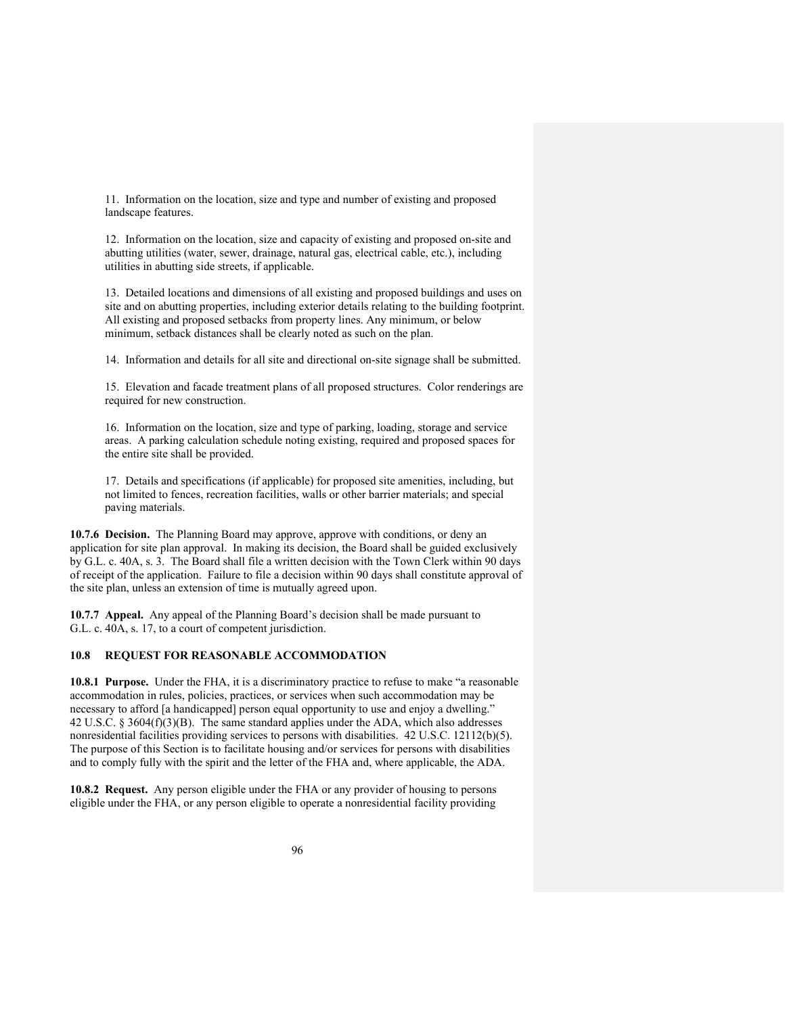11. Information on the location, size and type and number of existing and proposed landscape features.

12. Information on the location, size and capacity of existing and proposed on-site and abutting utilities (water, sewer, drainage, natural gas, electrical cable, etc.), including utilities in abutting side streets, if applicable.

13. Detailed locations and dimensions of all existing and proposed buildings and uses on site and on abutting properties, including exterior details relating to the building footprint. All existing and proposed setbacks from property lines. Any minimum, or below minimum, setback distances shall be clearly noted as such on the plan.

14. Information and details for all site and directional on-site signage shall be submitted.

15. Elevation and facade treatment plans of all proposed structures. Color renderings are required for new construction.

16. Information on the location, size and type of parking, loading, storage and service areas. A parking calculation schedule noting existing, required and proposed spaces for the entire site shall be provided.

17. Details and specifications (if applicable) for proposed site amenities, including, but not limited to fences, recreation facilities, walls or other barrier materials; and special paving materials.

**10.7.6 Decision.** The Planning Board may approve, approve with conditions, or deny an application for site plan approval. In making its decision, the Board shall be guided exclusively by G.L. c. 40A, s. 3. The Board shall file a written decision with the Town Clerk within 90 days of receipt of the application. Failure to file a decision within 90 days shall constitute approval of the site plan, unless an extension of time is mutually agreed upon.

**10.7.7 Appeal.** Any appeal of the Planning Board's decision shall be made pursuant to G.L. c. 40A, s. 17, to a court of competent jurisdiction.

## **10.8 REQUEST FOR REASONABLE ACCOMMODATION**

**10.8.1 Purpose.** Under the FHA, it is a discriminatory practice to refuse to make "a reasonable accommodation in rules, policies, practices, or services when such accommodation may be necessary to afford [a handicapped] person equal opportunity to use and enjoy a dwelling." 42 U.S.C. § 3604(f)(3)(B). The same standard applies under the ADA, which also addresses nonresidential facilities providing services to persons with disabilities. 42 U.S.C. 12112(b)(5). The purpose of this Section is to facilitate housing and/or services for persons with disabilities and to comply fully with the spirit and the letter of the FHA and, where applicable, the ADA.

**10.8.2 Request.** Any person eligible under the FHA or any provider of housing to persons eligible under the FHA, or any person eligible to operate a nonresidential facility providing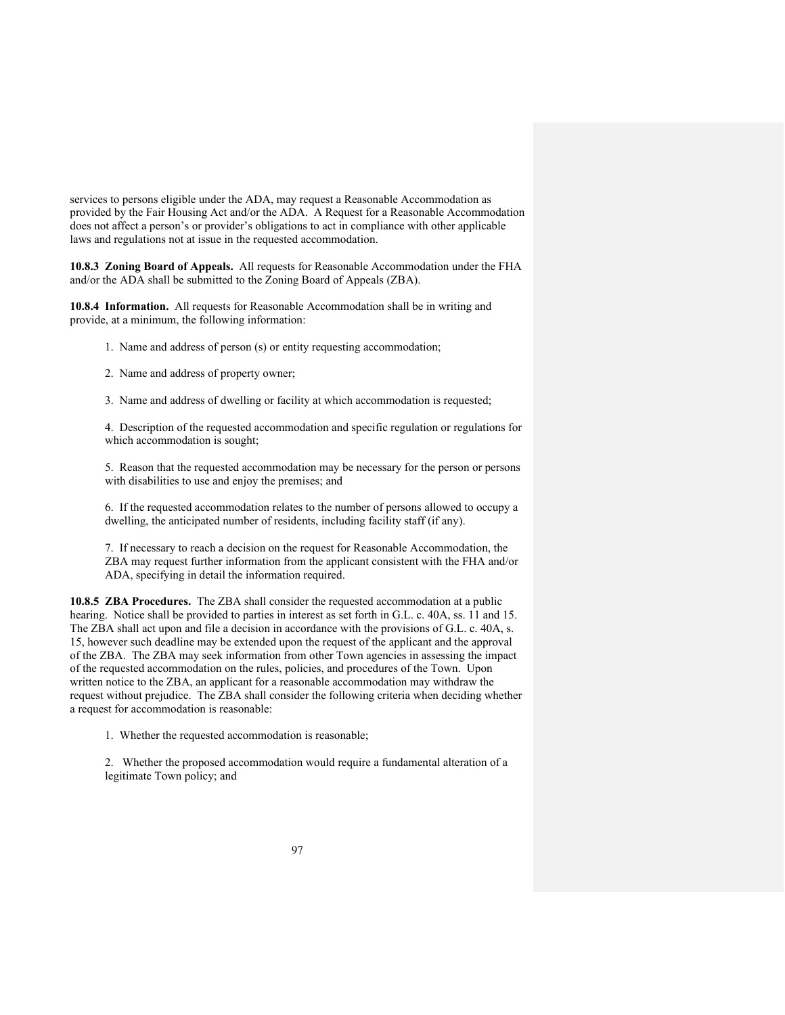services to persons eligible under the ADA, may request a Reasonable Accommodation as provided by the Fair Housing Act and/or the ADA. A Request for a Reasonable Accommodation does not affect a person's or provider's obligations to act in compliance with other applicable laws and regulations not at issue in the requested accommodation.

**10.8.3 Zoning Board of Appeals.** All requests for Reasonable Accommodation under the FHA and/or the ADA shall be submitted to the Zoning Board of Appeals (ZBA).

**10.8.4 Information.** All requests for Reasonable Accommodation shall be in writing and provide, at a minimum, the following information:

- 1. Name and address of person (s) or entity requesting accommodation;
- 2. Name and address of property owner;
- 3. Name and address of dwelling or facility at which accommodation is requested;

4. Description of the requested accommodation and specific regulation or regulations for which accommodation is sought;

5. Reason that the requested accommodation may be necessary for the person or persons with disabilities to use and enjoy the premises; and

6. If the requested accommodation relates to the number of persons allowed to occupy a dwelling, the anticipated number of residents, including facility staff (if any).

7. If necessary to reach a decision on the request for Reasonable Accommodation, the ZBA may request further information from the applicant consistent with the FHA and/or ADA, specifying in detail the information required.

**10.8.5 ZBA Procedures.** The ZBA shall consider the requested accommodation at a public hearing. Notice shall be provided to parties in interest as set forth in G.L. c. 40A, ss. 11 and 15. The ZBA shall act upon and file a decision in accordance with the provisions of G.L. c. 40A, s. 15, however such deadline may be extended upon the request of the applicant and the approval of the ZBA. The ZBA may seek information from other Town agencies in assessing the impact of the requested accommodation on the rules, policies, and procedures of the Town. Upon written notice to the ZBA, an applicant for a reasonable accommodation may withdraw the request without prejudice. The ZBA shall consider the following criteria when deciding whether a request for accommodation is reasonable:

1. Whether the requested accommodation is reasonable;

2. Whether the proposed accommodation would require a fundamental alteration of a legitimate Town policy; and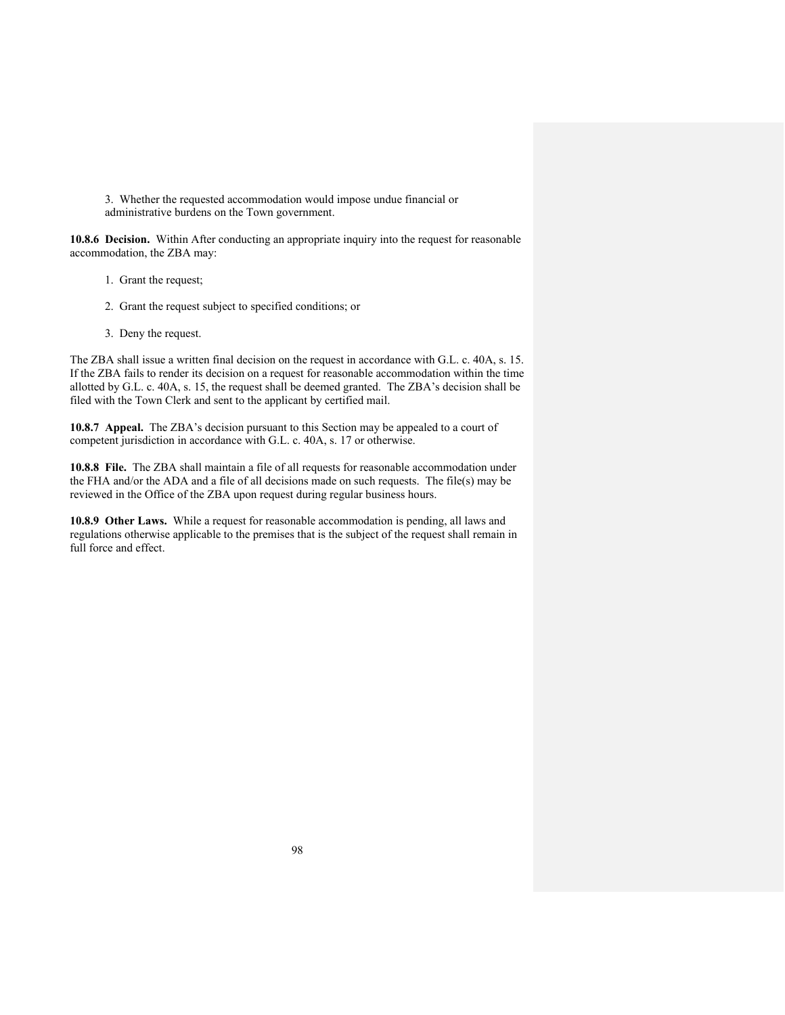3. Whether the requested accommodation would impose undue financial or administrative burdens on the Town government.

**10.8.6 Decision.** Within After conducting an appropriate inquiry into the request for reasonable accommodation, the ZBA may:

- 1. Grant the request;
- 2. Grant the request subject to specified conditions; or
- 3. Deny the request.

The ZBA shall issue a written final decision on the request in accordance with G.L. c. 40A, s. 15. If the ZBA fails to render its decision on a request for reasonable accommodation within the time allotted by G.L. c. 40A, s. 15, the request shall be deemed granted. The ZBA's decision shall be filed with the Town Clerk and sent to the applicant by certified mail.

**10.8.7 Appeal.** The ZBA's decision pursuant to this Section may be appealed to a court of competent jurisdiction in accordance with G.L. c. 40A, s. 17 or otherwise.

**10.8.8 File.** The ZBA shall maintain a file of all requests for reasonable accommodation under the FHA and/or the ADA and a file of all decisions made on such requests. The file(s) may be reviewed in the Office of the ZBA upon request during regular business hours.

**10.8.9 Other Laws.** While a request for reasonable accommodation is pending, all laws and regulations otherwise applicable to the premises that is the subject of the request shall remain in full force and effect.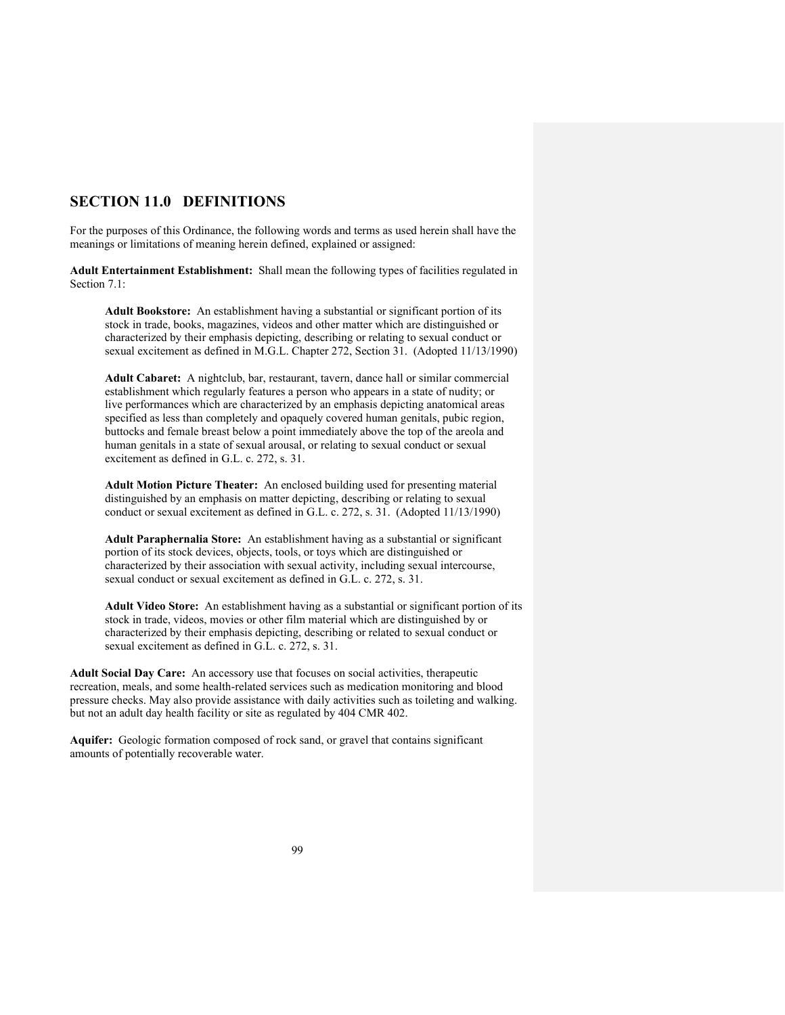# **SECTION 11.0 DEFINITIONS**

For the purposes of this Ordinance, the following words and terms as used herein shall have the meanings or limitations of meaning herein defined, explained or assigned:

**Adult Entertainment Establishment:** Shall mean the following types of facilities regulated in Section 7.1:

**Adult Bookstore:** An establishment having a substantial or significant portion of its stock in trade, books, magazines, videos and other matter which are distinguished or characterized by their emphasis depicting, describing or relating to sexual conduct or sexual excitement as defined in M.G.L. Chapter 272, Section 31. (Adopted 11/13/1990)

**Adult Cabaret:** A nightclub, bar, restaurant, tavern, dance hall or similar commercial establishment which regularly features a person who appears in a state of nudity; or live performances which are characterized by an emphasis depicting anatomical areas specified as less than completely and opaquely covered human genitals, pubic region, buttocks and female breast below a point immediately above the top of the areola and human genitals in a state of sexual arousal, or relating to sexual conduct or sexual excitement as defined in G.L. c. 272, s. 31.

**Adult Motion Picture Theater:** An enclosed building used for presenting material distinguished by an emphasis on matter depicting, describing or relating to sexual conduct or sexual excitement as defined in G.L. c. 272, s. 31. (Adopted 11/13/1990)

**Adult Paraphernalia Store:** An establishment having as a substantial or significant portion of its stock devices, objects, tools, or toys which are distinguished or characterized by their association with sexual activity, including sexual intercourse, sexual conduct or sexual excitement as defined in G.L. c. 272, s. 31.

**Adult Video Store:** An establishment having as a substantial or significant portion of its stock in trade, videos, movies or other film material which are distinguished by or characterized by their emphasis depicting, describing or related to sexual conduct or sexual excitement as defined in G.L. c. 272, s. 31.

**Adult Social Day Care:** An accessory use that focuses on social activities, therapeutic recreation, meals, and some health-related services such as medication monitoring and blood pressure checks. May also provide assistance with daily activities such as toileting and walking. but not an adult day health facility or site as regulated by 404 CMR 402.

**Aquifer:** Geologic formation composed of rock sand, or gravel that contains significant amounts of potentially recoverable water.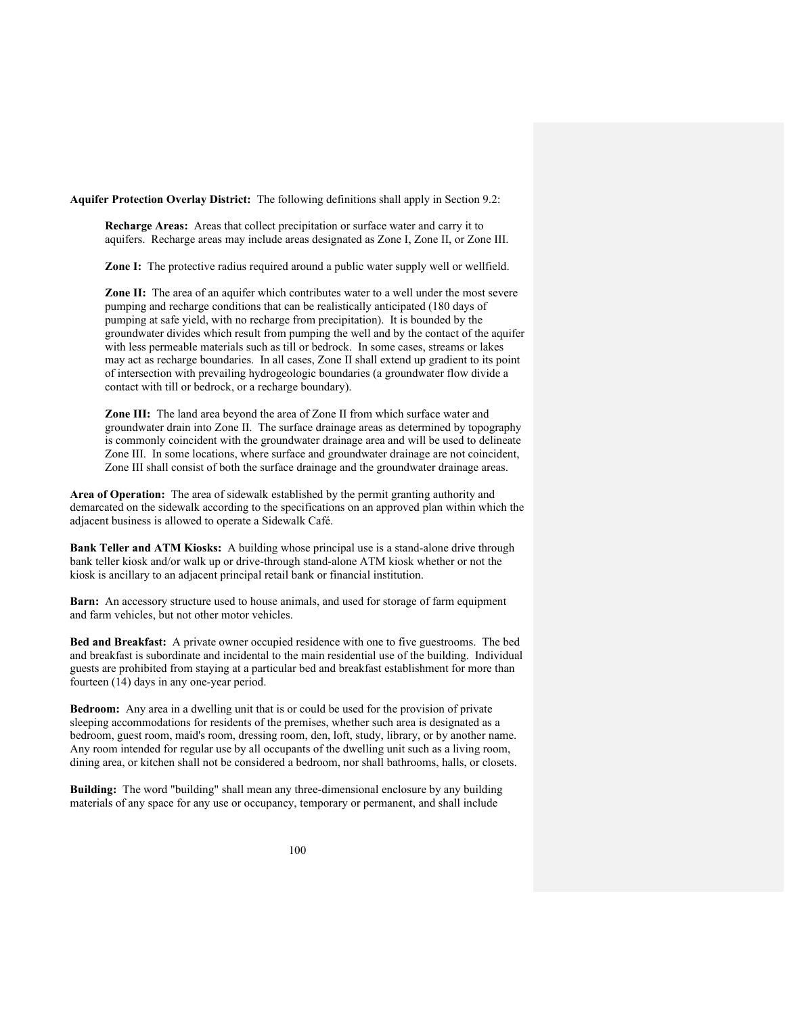**Aquifer Protection Overlay District:** The following definitions shall apply in Section 9.2:

**Recharge Areas:** Areas that collect precipitation or surface water and carry it to aquifers. Recharge areas may include areas designated as Zone I, Zone II, or Zone III.

**Zone I:** The protective radius required around a public water supply well or wellfield.

**Zone II:** The area of an aquifer which contributes water to a well under the most severe pumping and recharge conditions that can be realistically anticipated (180 days of pumping at safe yield, with no recharge from precipitation). It is bounded by the groundwater divides which result from pumping the well and by the contact of the aquifer with less permeable materials such as till or bedrock. In some cases, streams or lakes may act as recharge boundaries. In all cases, Zone II shall extend up gradient to its point of intersection with prevailing hydrogeologic boundaries (a groundwater flow divide a contact with till or bedrock, or a recharge boundary).

**Zone III:** The land area beyond the area of Zone II from which surface water and groundwater drain into Zone II. The surface drainage areas as determined by topography is commonly coincident with the groundwater drainage area and will be used to delineate Zone III. In some locations, where surface and groundwater drainage are not coincident, Zone III shall consist of both the surface drainage and the groundwater drainage areas.

**Area of Operation:** The area of sidewalk established by the permit granting authority and demarcated on the sidewalk according to the specifications on an approved plan within which the adjacent business is allowed to operate a Sidewalk Café.

**Bank Teller and ATM Kiosks:** A building whose principal use is a stand-alone drive through bank teller kiosk and/or walk up or drive-through stand-alone ATM kiosk whether or not the kiosk is ancillary to an adjacent principal retail bank or financial institution.

**Barn:** An accessory structure used to house animals, and used for storage of farm equipment and farm vehicles, but not other motor vehicles.

**Bed and Breakfast:** A private owner occupied residence with one to five guestrooms. The bed and breakfast is subordinate and incidental to the main residential use of the building. Individual guests are prohibited from staying at a particular bed and breakfast establishment for more than fourteen (14) days in any one-year period.

**Bedroom:** Any area in a dwelling unit that is or could be used for the provision of private sleeping accommodations for residents of the premises, whether such area is designated as a bedroom, guest room, maid's room, dressing room, den, loft, study, library, or by another name. Any room intended for regular use by all occupants of the dwelling unit such as a living room, dining area, or kitchen shall not be considered a bedroom, nor shall bathrooms, halls, or closets.

**Building:** The word "building" shall mean any three-dimensional enclosure by any building materials of any space for any use or occupancy, temporary or permanent, and shall include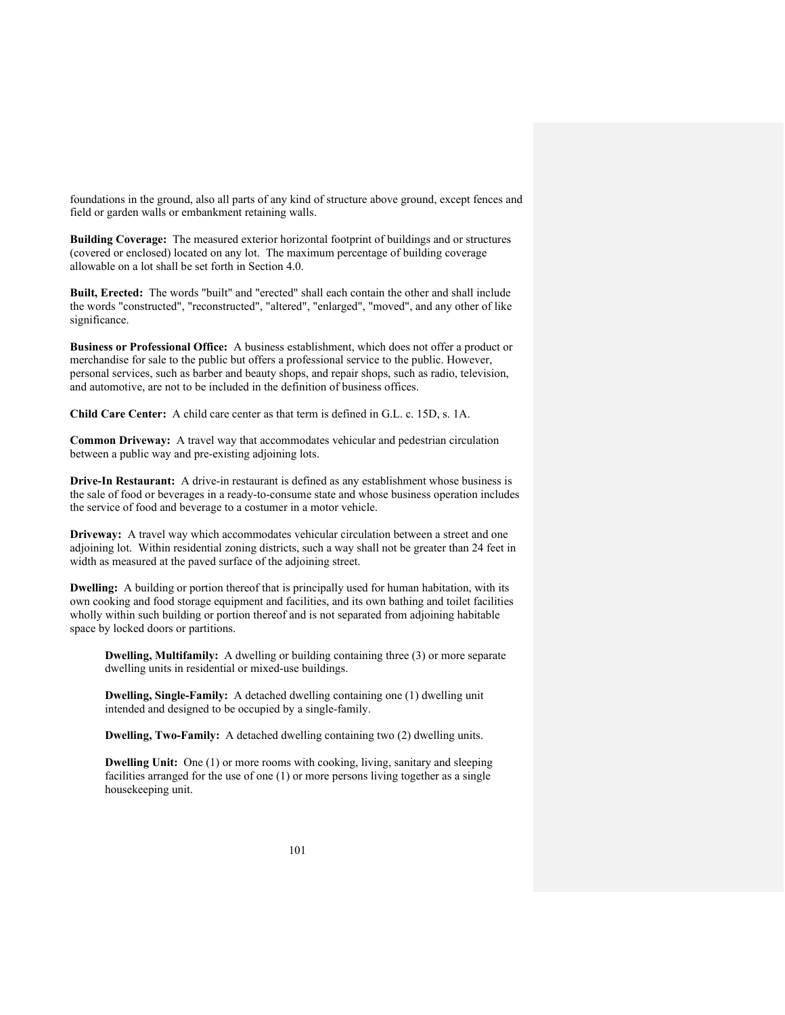foundations in the ground, also all parts of any kind of structure above ground, except fences and field or garden walls or embankment retaining walls.

**Building Coverage:** The measured exterior horizontal footprint of buildings and or structures (covered or enclosed) located on any lot. The maximum percentage of building coverage allowable on a lot shall be set forth in Section 4.0.

**Built, Erected:** The words "built" and "erected" shall each contain the other and shall include the words "constructed", "reconstructed", "altered", "enlarged", "moved", and any other of like significance.

**Business or Professional Office:** A business establishment, which does not offer a product or merchandise for sale to the public but offers a professional service to the public. However, personal services, such as barber and beauty shops, and repair shops, such as radio, television, and automotive, are not to be included in the definition of business offices.

**Child Care Center:** A child care center as that term is defined in G.L. c. 15D, s. 1A.

**Common Driveway:** A travel way that accommodates vehicular and pedestrian circulation between a public way and pre-existing adjoining lots.

**Drive-In Restaurant:** A drive-in restaurant is defined as any establishment whose business is the sale of food or beverages in a ready-to-consume state and whose business operation includes the service of food and beverage to a costumer in a motor vehicle.

**Driveway:** A travel way which accommodates vehicular circulation between a street and one adjoining lot. Within residential zoning districts, such a way shall not be greater than 24 feet in width as measured at the paved surface of the adjoining street.

**Dwelling:** A building or portion thereof that is principally used for human habitation, with its own cooking and food storage equipment and facilities, and its own bathing and toilet facilities wholly within such building or portion thereof and is not separated from adjoining habitable space by locked doors or partitions.

**Dwelling, Multifamily:** A dwelling or building containing three (3) or more separate dwelling units in residential or mixed-use buildings.

**Dwelling, Single-Family:** A detached dwelling containing one (1) dwelling unit intended and designed to be occupied by a single-family.

**Dwelling, Two-Family:** A detached dwelling containing two (2) dwelling units.

**Dwelling Unit:** One (1) or more rooms with cooking, living, sanitary and sleeping facilities arranged for the use of one (1) or more persons living together as a single housekeeping unit.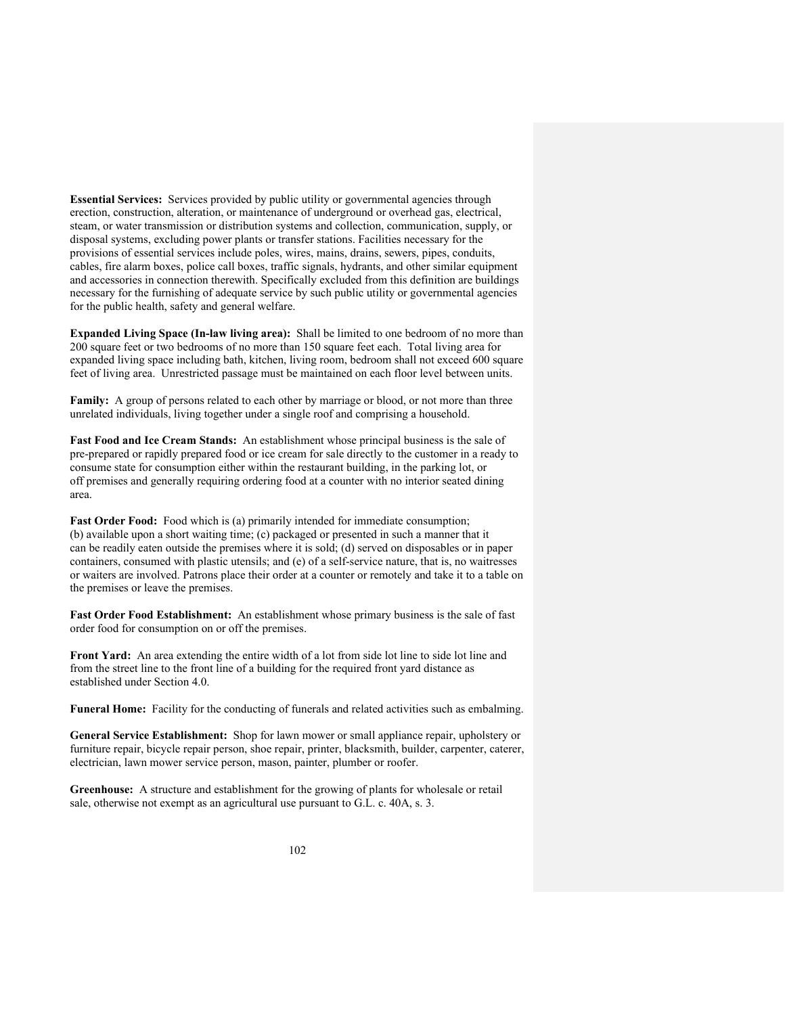**Essential Services:** Services provided by public utility or governmental agencies through erection, construction, alteration, or maintenance of underground or overhead gas, electrical, steam, or water transmission or distribution systems and collection, communication, supply, or disposal systems, excluding power plants or transfer stations. Facilities necessary for the provisions of essential services include poles, wires, mains, drains, sewers, pipes, conduits, cables, fire alarm boxes, police call boxes, traffic signals, hydrants, and other similar equipment and accessories in connection therewith. Specifically excluded from this definition are buildings necessary for the furnishing of adequate service by such public utility or governmental agencies for the public health, safety and general welfare.

**Expanded Living Space (In-law living area):** Shall be limited to one bedroom of no more than 200 square feet or two bedrooms of no more than 150 square feet each. Total living area for expanded living space including bath, kitchen, living room, bedroom shall not exceed 600 square feet of living area. Unrestricted passage must be maintained on each floor level between units.

**Family:** A group of persons related to each other by marriage or blood, or not more than three unrelated individuals, living together under a single roof and comprising a household.

**Fast Food and Ice Cream Stands:** An establishment whose principal business is the sale of pre-prepared or rapidly prepared food or ice cream for sale directly to the customer in a ready to consume state for consumption either within the restaurant building, in the parking lot, or off premises and generally requiring ordering food at a counter with no interior seated dining area.

Fast Order Food: Food which is (a) primarily intended for immediate consumption; (b) available upon a short waiting time; (c) packaged or presented in such a manner that it can be readily eaten outside the premises where it is sold; (d) served on disposables or in paper containers, consumed with plastic utensils; and (e) of a self-service nature, that is, no waitresses or waiters are involved. Patrons place their order at a counter or remotely and take it to a table on the premises or leave the premises.

**Fast Order Food Establishment:** An establishment whose primary business is the sale of fast order food for consumption on or off the premises.

**Front Yard:** An area extending the entire width of a lot from side lot line to side lot line and from the street line to the front line of a building for the required front yard distance as established under Section 4.0.

**Funeral Home:** Facility for the conducting of funerals and related activities such as embalming.

**General Service Establishment:** Shop for lawn mower or small appliance repair, upholstery or furniture repair, bicycle repair person, shoe repair, printer, blacksmith, builder, carpenter, caterer, electrician, lawn mower service person, mason, painter, plumber or roofer.

**Greenhouse:** A structure and establishment for the growing of plants for wholesale or retail sale, otherwise not exempt as an agricultural use pursuant to G.L. c. 40A, s. 3.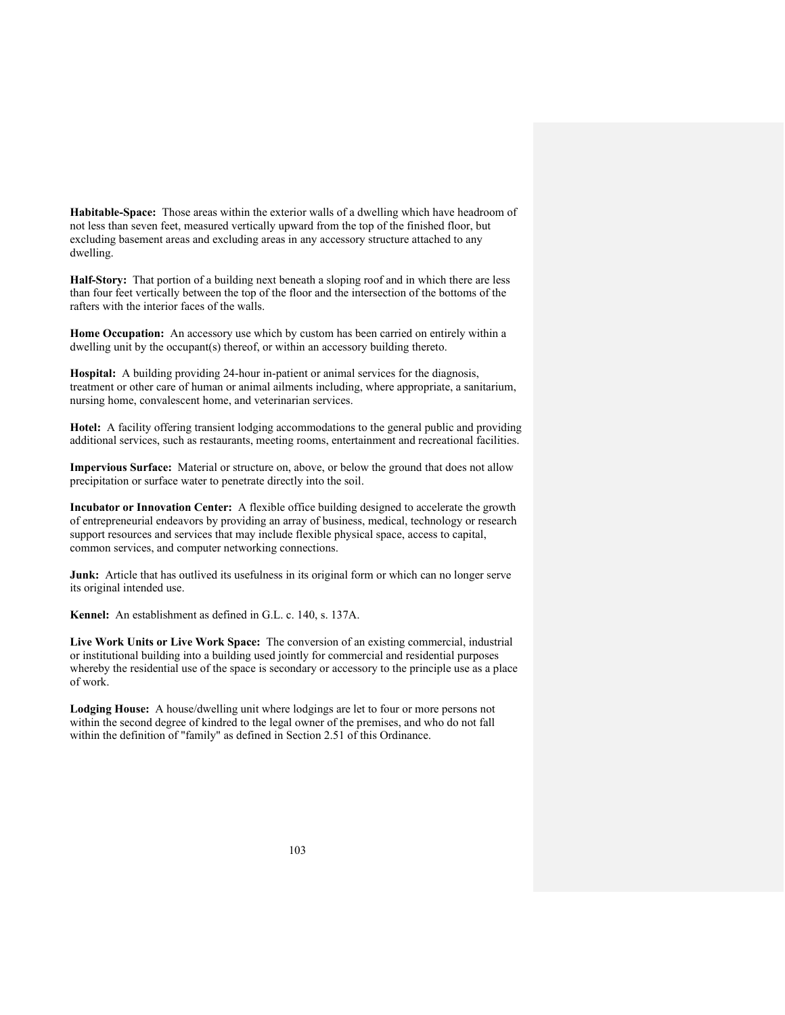**Habitable-Space:** Those areas within the exterior walls of a dwelling which have headroom of not less than seven feet, measured vertically upward from the top of the finished floor, but excluding basement areas and excluding areas in any accessory structure attached to any dwelling.

**Half-Story:** That portion of a building next beneath a sloping roof and in which there are less than four feet vertically between the top of the floor and the intersection of the bottoms of the rafters with the interior faces of the walls.

**Home Occupation:** An accessory use which by custom has been carried on entirely within a dwelling unit by the occupant(s) thereof, or within an accessory building thereto.

**Hospital:** A building providing 24-hour in-patient or animal services for the diagnosis, treatment or other care of human or animal ailments including, where appropriate, a sanitarium, nursing home, convalescent home, and veterinarian services.

**Hotel:** A facility offering transient lodging accommodations to the general public and providing additional services, such as restaurants, meeting rooms, entertainment and recreational facilities.

**Impervious Surface:** Material or structure on, above, or below the ground that does not allow precipitation or surface water to penetrate directly into the soil.

**Incubator or Innovation Center:** A flexible office building designed to accelerate the growth of entrepreneurial endeavors by providing an array of business, medical, technology or research support resources and services that may include flexible physical space, access to capital, common services, and computer networking connections.

**Junk:** Article that has outlived its usefulness in its original form or which can no longer serve its original intended use.

**Kennel:** An establishment as defined in G.L. c. 140, s. 137A.

**Live Work Units or Live Work Space:** The conversion of an existing commercial, industrial or institutional building into a building used jointly for commercial and residential purposes whereby the residential use of the space is secondary or accessory to the principle use as a place of work.

**Lodging House:** A house/dwelling unit where lodgings are let to four or more persons not within the second degree of kindred to the legal owner of the premises, and who do not fall within the definition of "family" as defined in Section 2.51 of this Ordinance.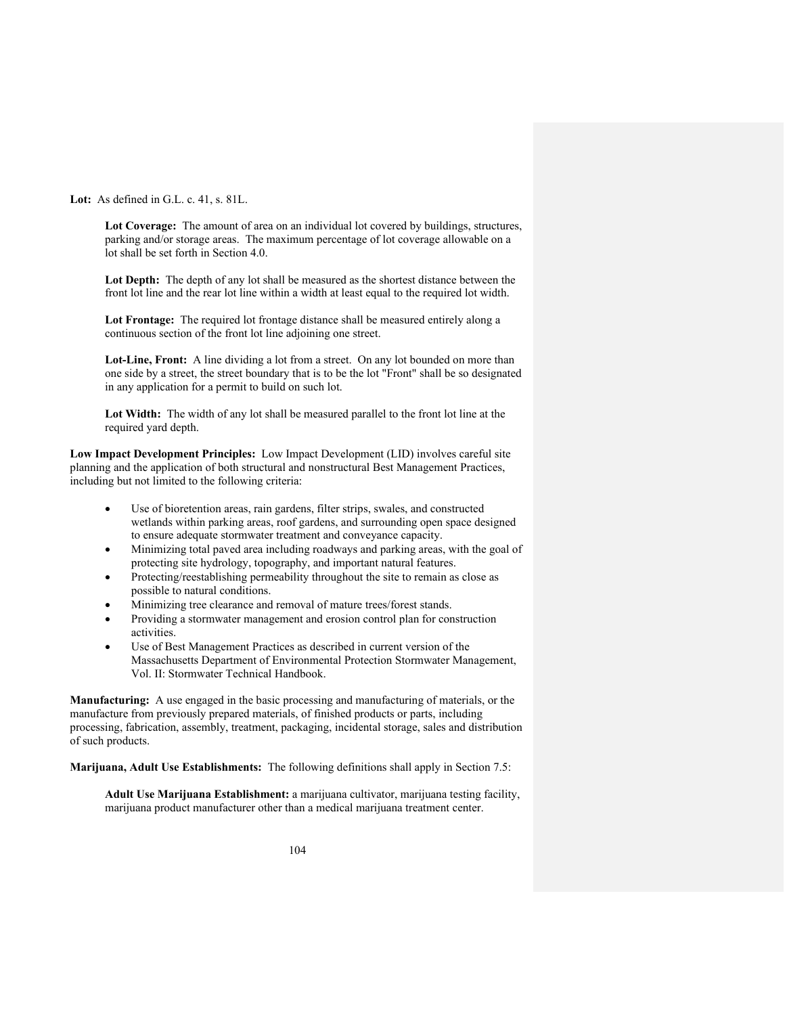**Lot:** As defined in G.L. c. 41, s. 81L.

**Lot Coverage:** The amount of area on an individual lot covered by buildings, structures, parking and/or storage areas. The maximum percentage of lot coverage allowable on a lot shall be set forth in Section 4.0.

**Lot Depth:** The depth of any lot shall be measured as the shortest distance between the front lot line and the rear lot line within a width at least equal to the required lot width.

**Lot Frontage:** The required lot frontage distance shall be measured entirely along a continuous section of the front lot line adjoining one street.

**Lot-Line, Front:** A line dividing a lot from a street. On any lot bounded on more than one side by a street, the street boundary that is to be the lot "Front" shall be so designated in any application for a permit to build on such lot.

**Lot Width:** The width of any lot shall be measured parallel to the front lot line at the required yard depth.

**Low Impact Development Principles:** Low Impact Development (LID) involves careful site planning and the application of both structural and nonstructural Best Management Practices, including but not limited to the following criteria:

- Use of bioretention areas, rain gardens, filter strips, swales, and constructed wetlands within parking areas, roof gardens, and surrounding open space designed to ensure adequate stormwater treatment and conveyance capacity.
- Minimizing total paved area including roadways and parking areas, with the goal of protecting site hydrology, topography, and important natural features.
- Protecting/reestablishing permeability throughout the site to remain as close as possible to natural conditions.
- Minimizing tree clearance and removal of mature trees/forest stands.
- Providing a stormwater management and erosion control plan for construction activities.
- Use of Best Management Practices as described in current version of the Massachusetts Department of Environmental Protection Stormwater Management, Vol. II: Stormwater Technical Handbook.

**Manufacturing:** A use engaged in the basic processing and manufacturing of materials, or the manufacture from previously prepared materials, of finished products or parts, including processing, fabrication, assembly, treatment, packaging, incidental storage, sales and distribution of such products.

**Marijuana, Adult Use Establishments:** The following definitions shall apply in Section 7.5:

**Adult Use Marijuana Establishment:** a marijuana cultivator, marijuana testing facility, marijuana product manufacturer other than a medical marijuana treatment center.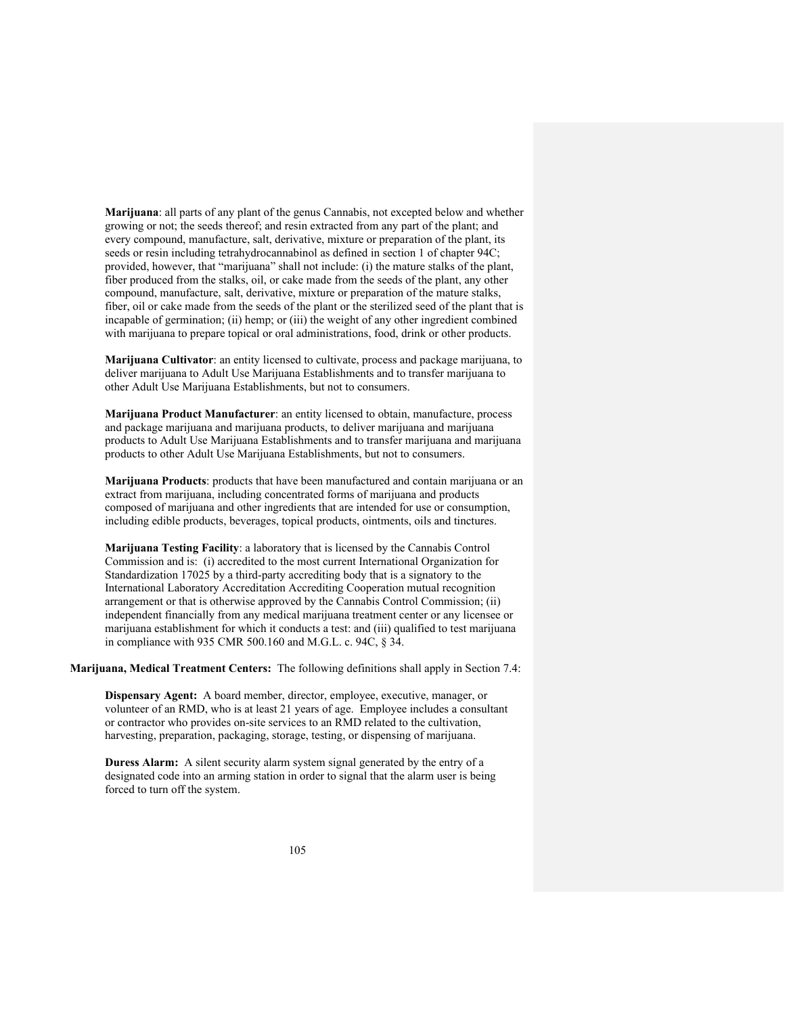**Marijuana**: all parts of any plant of the genus Cannabis, not excepted below and whether growing or not; the seeds thereof; and resin extracted from any part of the plant; and every compound, manufacture, salt, derivative, mixture or preparation of the plant, its seeds or resin including tetrahydrocannabinol as defined in section 1 of chapter 94C; provided, however, that "marijuana" shall not include: (i) the mature stalks of the plant, fiber produced from the stalks, oil, or cake made from the seeds of the plant, any other compound, manufacture, salt, derivative, mixture or preparation of the mature stalks, fiber, oil or cake made from the seeds of the plant or the sterilized seed of the plant that is incapable of germination; (ii) hemp; or (iii) the weight of any other ingredient combined with marijuana to prepare topical or oral administrations, food, drink or other products.

**Marijuana Cultivator**: an entity licensed to cultivate, process and package marijuana, to deliver marijuana to Adult Use Marijuana Establishments and to transfer marijuana to other Adult Use Marijuana Establishments, but not to consumers.

**Marijuana Product Manufacturer**: an entity licensed to obtain, manufacture, process and package marijuana and marijuana products, to deliver marijuana and marijuana products to Adult Use Marijuana Establishments and to transfer marijuana and marijuana products to other Adult Use Marijuana Establishments, but not to consumers.

**Marijuana Products**: products that have been manufactured and contain marijuana or an extract from marijuana, including concentrated forms of marijuana and products composed of marijuana and other ingredients that are intended for use or consumption, including edible products, beverages, topical products, ointments, oils and tinctures.

**Marijuana Testing Facility**: a laboratory that is licensed by the Cannabis Control Commission and is: (i) accredited to the most current International Organization for Standardization 17025 by a third-party accrediting body that is a signatory to the International Laboratory Accreditation Accrediting Cooperation mutual recognition arrangement or that is otherwise approved by the Cannabis Control Commission; (ii) independent financially from any medical marijuana treatment center or any licensee or marijuana establishment for which it conducts a test: and (iii) qualified to test marijuana in compliance with 935 CMR 500.160 and M.G.L. c. 94C, § 34.

**Marijuana, Medical Treatment Centers:** The following definitions shall apply in Section 7.4:

**Dispensary Agent:** A board member, director, employee, executive, manager, or volunteer of an RMD, who is at least 21 years of age. Employee includes a consultant or contractor who provides on-site services to an RMD related to the cultivation, harvesting, preparation, packaging, storage, testing, or dispensing of marijuana.

**Duress Alarm:** A silent security alarm system signal generated by the entry of a designated code into an arming station in order to signal that the alarm user is being forced to turn off the system.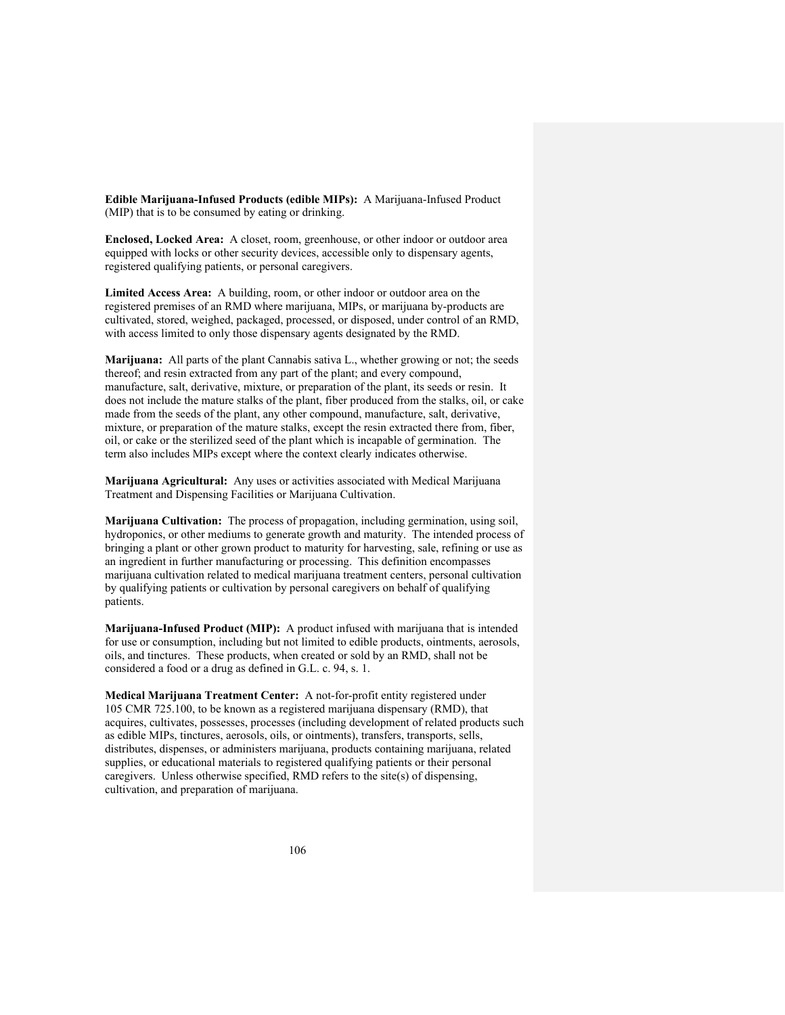**Edible Marijuana-Infused Products (edible MIPs):** A Marijuana-Infused Product (MIP) that is to be consumed by eating or drinking.

**Enclosed, Locked Area:** A closet, room, greenhouse, or other indoor or outdoor area equipped with locks or other security devices, accessible only to dispensary agents, registered qualifying patients, or personal caregivers.

**Limited Access Area:** A building, room, or other indoor or outdoor area on the registered premises of an RMD where marijuana, MIPs, or marijuana by-products are cultivated, stored, weighed, packaged, processed, or disposed, under control of an RMD, with access limited to only those dispensary agents designated by the RMD.

**Marijuana:** All parts of the plant Cannabis sativa L., whether growing or not; the seeds thereof; and resin extracted from any part of the plant; and every compound, manufacture, salt, derivative, mixture, or preparation of the plant, its seeds or resin. It does not include the mature stalks of the plant, fiber produced from the stalks, oil, or cake made from the seeds of the plant, any other compound, manufacture, salt, derivative, mixture, or preparation of the mature stalks, except the resin extracted there from, fiber, oil, or cake or the sterilized seed of the plant which is incapable of germination. The term also includes MIPs except where the context clearly indicates otherwise.

**Marijuana Agricultural:** Any uses or activities associated with Medical Marijuana Treatment and Dispensing Facilities or Marijuana Cultivation.

**Marijuana Cultivation:** The process of propagation, including germination, using soil, hydroponics, or other mediums to generate growth and maturity. The intended process of bringing a plant or other grown product to maturity for harvesting, sale, refining or use as an ingredient in further manufacturing or processing. This definition encompasses marijuana cultivation related to medical marijuana treatment centers, personal cultivation by qualifying patients or cultivation by personal caregivers on behalf of qualifying patients.

**Marijuana-Infused Product (MIP):** A product infused with marijuana that is intended for use or consumption, including but not limited to edible products, ointments, aerosols, oils, and tinctures. These products, when created or sold by an RMD, shall not be considered a food or a drug as defined in G.L. c. 94, s. 1.

**Medical Marijuana Treatment Center:** A not-for-profit entity registered under 105 CMR 725.100, to be known as a registered marijuana dispensary (RMD), that acquires, cultivates, possesses, processes (including development of related products such as edible MIPs, tinctures, aerosols, oils, or ointments), transfers, transports, sells, distributes, dispenses, or administers marijuana, products containing marijuana, related supplies, or educational materials to registered qualifying patients or their personal caregivers. Unless otherwise specified, RMD refers to the site(s) of dispensing, cultivation, and preparation of marijuana.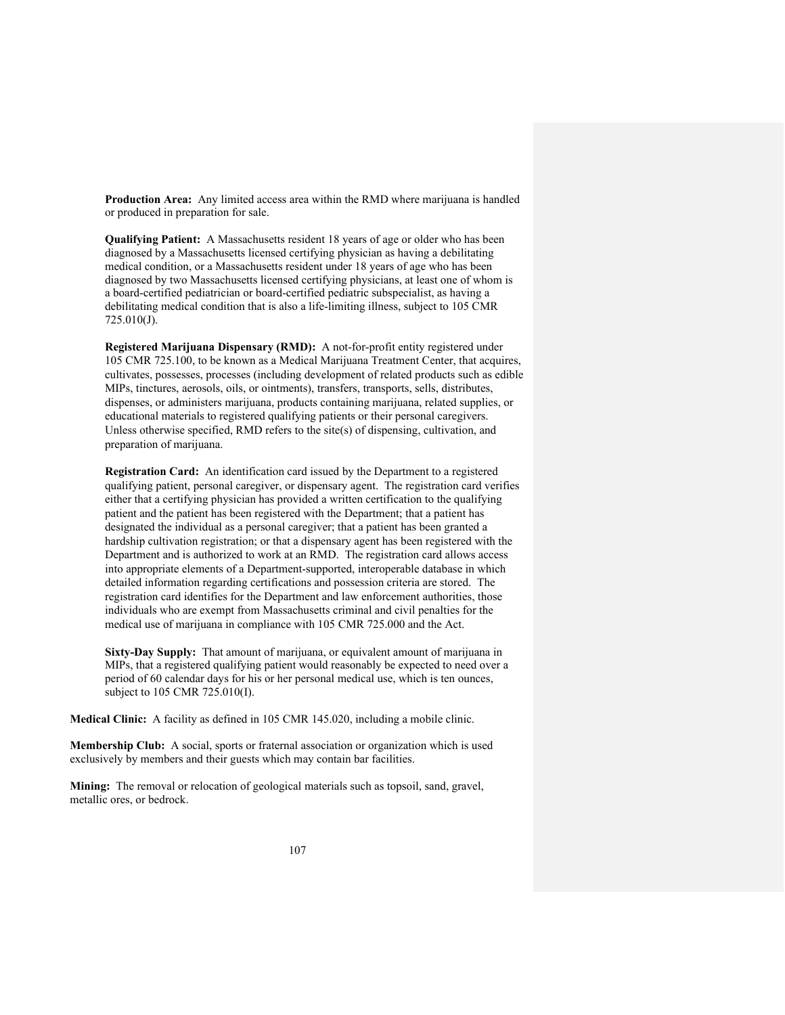**Production Area:** Any limited access area within the RMD where marijuana is handled or produced in preparation for sale.

**Qualifying Patient:** A Massachusetts resident 18 years of age or older who has been diagnosed by a Massachusetts licensed certifying physician as having a debilitating medical condition, or a Massachusetts resident under 18 years of age who has been diagnosed by two Massachusetts licensed certifying physicians, at least one of whom is a board-certified pediatrician or board-certified pediatric subspecialist, as having a debilitating medical condition that is also a life-limiting illness, subject to 105 CMR 725.010(J).

**Registered Marijuana Dispensary (RMD):** A not-for-profit entity registered under 105 CMR 725.100, to be known as a Medical Marijuana Treatment Center, that acquires, cultivates, possesses, processes (including development of related products such as edible MIPs, tinctures, aerosols, oils, or ointments), transfers, transports, sells, distributes, dispenses, or administers marijuana, products containing marijuana, related supplies, or educational materials to registered qualifying patients or their personal caregivers. Unless otherwise specified, RMD refers to the site(s) of dispensing, cultivation, and preparation of marijuana.

**Registration Card:** An identification card issued by the Department to a registered qualifying patient, personal caregiver, or dispensary agent. The registration card verifies either that a certifying physician has provided a written certification to the qualifying patient and the patient has been registered with the Department; that a patient has designated the individual as a personal caregiver; that a patient has been granted a hardship cultivation registration; or that a dispensary agent has been registered with the Department and is authorized to work at an RMD. The registration card allows access into appropriate elements of a Department-supported, interoperable database in which detailed information regarding certifications and possession criteria are stored. The registration card identifies for the Department and law enforcement authorities, those individuals who are exempt from Massachusetts criminal and civil penalties for the medical use of marijuana in compliance with 105 CMR 725.000 and the Act.

**Sixty-Day Supply:** That amount of marijuana, or equivalent amount of marijuana in MIPs, that a registered qualifying patient would reasonably be expected to need over a period of 60 calendar days for his or her personal medical use, which is ten ounces, subject to 105 CMR 725.010(I).

**Medical Clinic:** A facility as defined in 105 CMR 145.020, including a mobile clinic.

**Membership Club:** A social, sports or fraternal association or organization which is used exclusively by members and their guests which may contain bar facilities.

**Mining:** The removal or relocation of geological materials such as topsoil, sand, gravel, metallic ores, or bedrock.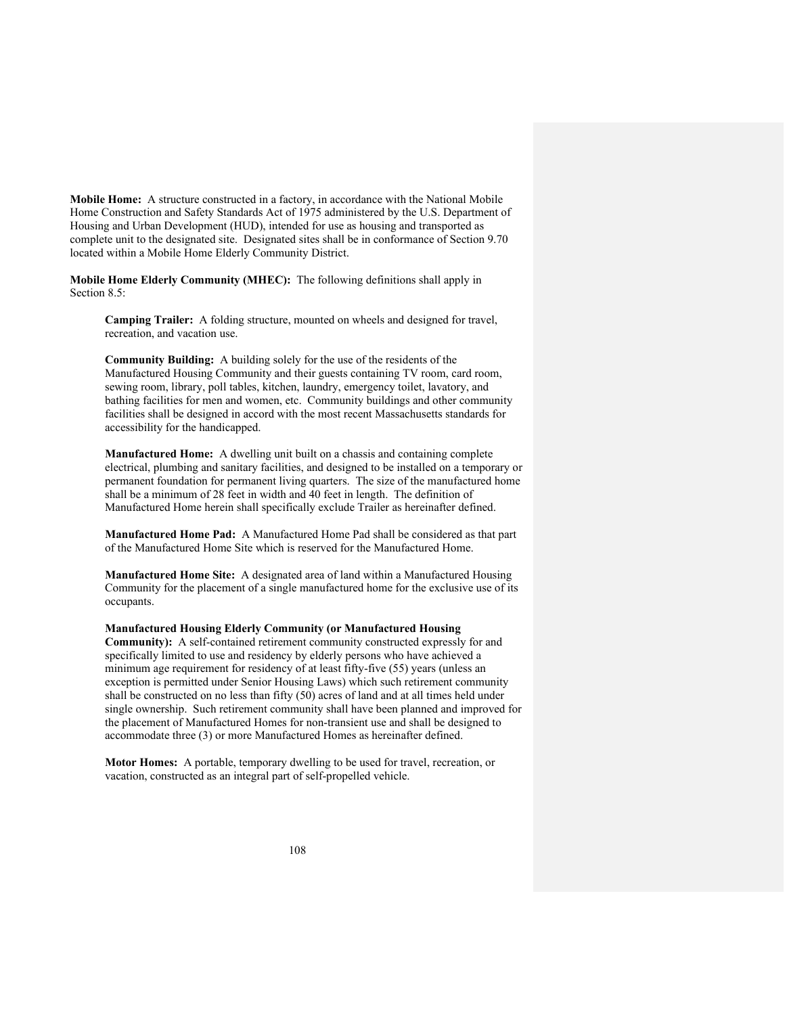**Mobile Home:** A structure constructed in a factory, in accordance with the National Mobile Home Construction and Safety Standards Act of 1975 administered by the U.S. Department of Housing and Urban Development (HUD), intended for use as housing and transported as complete unit to the designated site. Designated sites shall be in conformance of Section 9.70 located within a Mobile Home Elderly Community District.

**Mobile Home Elderly Community (MHEC):** The following definitions shall apply in Section 8.5:

**Camping Trailer:** A folding structure, mounted on wheels and designed for travel, recreation, and vacation use.

**Community Building:** A building solely for the use of the residents of the Manufactured Housing Community and their guests containing TV room, card room, sewing room, library, poll tables, kitchen, laundry, emergency toilet, lavatory, and bathing facilities for men and women, etc. Community buildings and other community facilities shall be designed in accord with the most recent Massachusetts standards for accessibility for the handicapped.

**Manufactured Home:** A dwelling unit built on a chassis and containing complete electrical, plumbing and sanitary facilities, and designed to be installed on a temporary or permanent foundation for permanent living quarters. The size of the manufactured home shall be a minimum of 28 feet in width and 40 feet in length. The definition of Manufactured Home herein shall specifically exclude Trailer as hereinafter defined.

**Manufactured Home Pad:** A Manufactured Home Pad shall be considered as that part of the Manufactured Home Site which is reserved for the Manufactured Home.

**Manufactured Home Site:** A designated area of land within a Manufactured Housing Community for the placement of a single manufactured home for the exclusive use of its occupants.

**Manufactured Housing Elderly Community (or Manufactured Housing** 

**Community):** A self-contained retirement community constructed expressly for and specifically limited to use and residency by elderly persons who have achieved a minimum age requirement for residency of at least fifty-five (55) years (unless an exception is permitted under Senior Housing Laws) which such retirement community shall be constructed on no less than fifty (50) acres of land and at all times held under single ownership. Such retirement community shall have been planned and improved for the placement of Manufactured Homes for non-transient use and shall be designed to accommodate three (3) or more Manufactured Homes as hereinafter defined.

**Motor Homes:** A portable, temporary dwelling to be used for travel, recreation, or vacation, constructed as an integral part of self-propelled vehicle.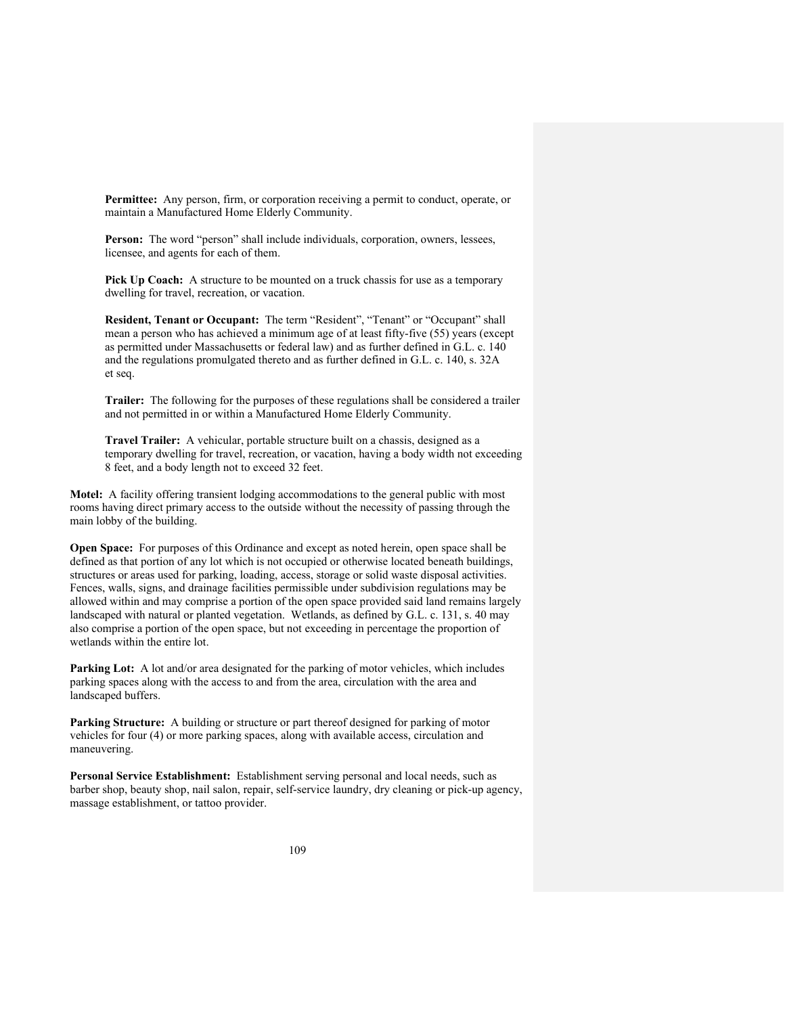**Permittee:** Any person, firm, or corporation receiving a permit to conduct, operate, or maintain a Manufactured Home Elderly Community.

**Person:** The word "person" shall include individuals, corporation, owners, lessees, licensee, and agents for each of them.

**Pick Up Coach:** A structure to be mounted on a truck chassis for use as a temporary dwelling for travel, recreation, or vacation.

**Resident, Tenant or Occupant:** The term "Resident", "Tenant" or "Occupant" shall mean a person who has achieved a minimum age of at least fifty-five (55) years (except as permitted under Massachusetts or federal law) and as further defined in G.L. c. 140 and the regulations promulgated thereto and as further defined in G.L. c. 140, s. 32A et seq.

**Trailer:** The following for the purposes of these regulations shall be considered a trailer and not permitted in or within a Manufactured Home Elderly Community.

**Travel Trailer:** A vehicular, portable structure built on a chassis, designed as a temporary dwelling for travel, recreation, or vacation, having a body width not exceeding 8 feet, and a body length not to exceed 32 feet.

**Motel:** A facility offering transient lodging accommodations to the general public with most rooms having direct primary access to the outside without the necessity of passing through the main lobby of the building.

**Open Space:** For purposes of this Ordinance and except as noted herein, open space shall be defined as that portion of any lot which is not occupied or otherwise located beneath buildings, structures or areas used for parking, loading, access, storage or solid waste disposal activities. Fences, walls, signs, and drainage facilities permissible under subdivision regulations may be allowed within and may comprise a portion of the open space provided said land remains largely landscaped with natural or planted vegetation. Wetlands, as defined by G.L. c. 131, s. 40 may also comprise a portion of the open space, but not exceeding in percentage the proportion of wetlands within the entire lot.

**Parking Lot:** A lot and/or area designated for the parking of motor vehicles, which includes parking spaces along with the access to and from the area, circulation with the area and landscaped buffers.

**Parking Structure:** A building or structure or part thereof designed for parking of motor vehicles for four (4) or more parking spaces, along with available access, circulation and maneuvering.

**Personal Service Establishment:** Establishment serving personal and local needs, such as barber shop, beauty shop, nail salon, repair, self-service laundry, dry cleaning or pick-up agency, massage establishment, or tattoo provider.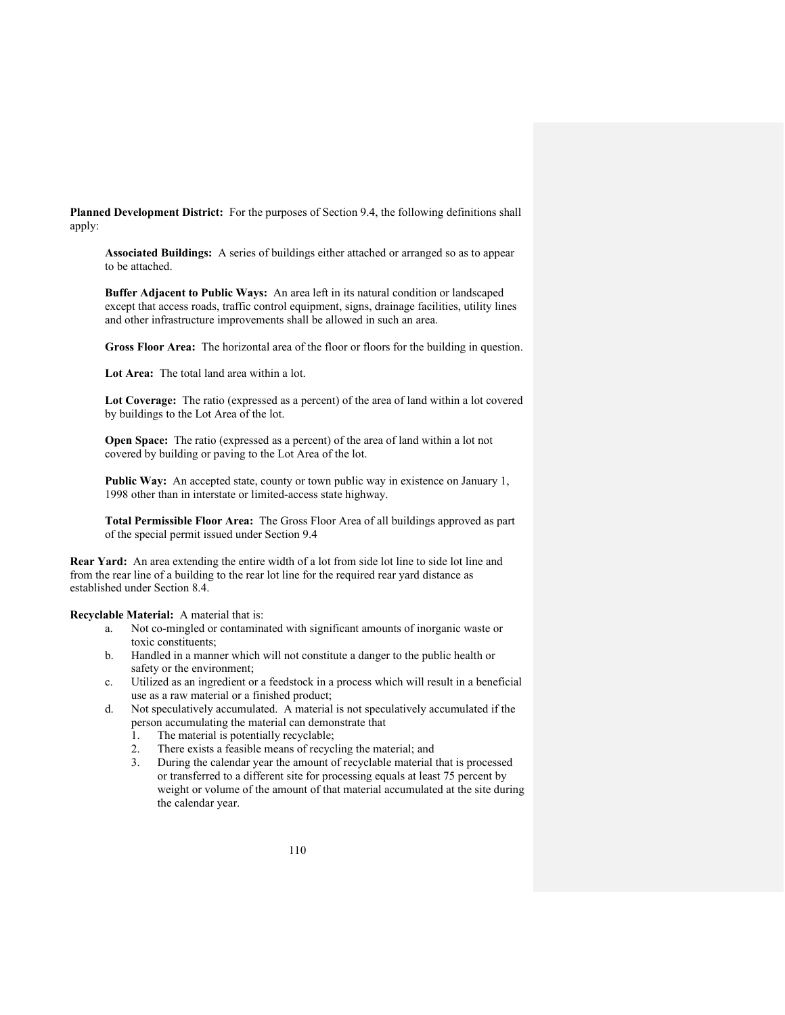**Planned Development District:** For the purposes of Section 9.4, the following definitions shall apply:

**Associated Buildings:** A series of buildings either attached or arranged so as to appear to be attached.

**Buffer Adjacent to Public Ways:** An area left in its natural condition or landscaped except that access roads, traffic control equipment, signs, drainage facilities, utility lines and other infrastructure improvements shall be allowed in such an area.

**Gross Floor Area:** The horizontal area of the floor or floors for the building in question.

**Lot Area:** The total land area within a lot.

**Lot Coverage:** The ratio (expressed as a percent) of the area of land within a lot covered by buildings to the Lot Area of the lot.

**Open Space:** The ratio (expressed as a percent) of the area of land within a lot not covered by building or paving to the Lot Area of the lot.

**Public Way:** An accepted state, county or town public way in existence on January 1, 1998 other than in interstate or limited-access state highway.

**Total Permissible Floor Area:** The Gross Floor Area of all buildings approved as part of the special permit issued under Section 9.4

**Rear Yard:** An area extending the entire width of a lot from side lot line to side lot line and from the rear line of a building to the rear lot line for the required rear yard distance as established under Section 8.4.

**Recyclable Material:** A material that is:

- a. Not co-mingled or contaminated with significant amounts of inorganic waste or toxic constituents;
- b. Handled in a manner which will not constitute a danger to the public health or safety or the environment;
- c. Utilized as an ingredient or a feedstock in a process which will result in a beneficial use as a raw material or a finished product;
- d. Not speculatively accumulated. A material is not speculatively accumulated if the person accumulating the material can demonstrate that
	- 1. The material is potentially recyclable;
	- 2. There exists a feasible means of recycling the material; and
	- 3. During the calendar year the amount of recyclable material that is processed or transferred to a different site for processing equals at least 75 percent by weight or volume of the amount of that material accumulated at the site during the calendar year.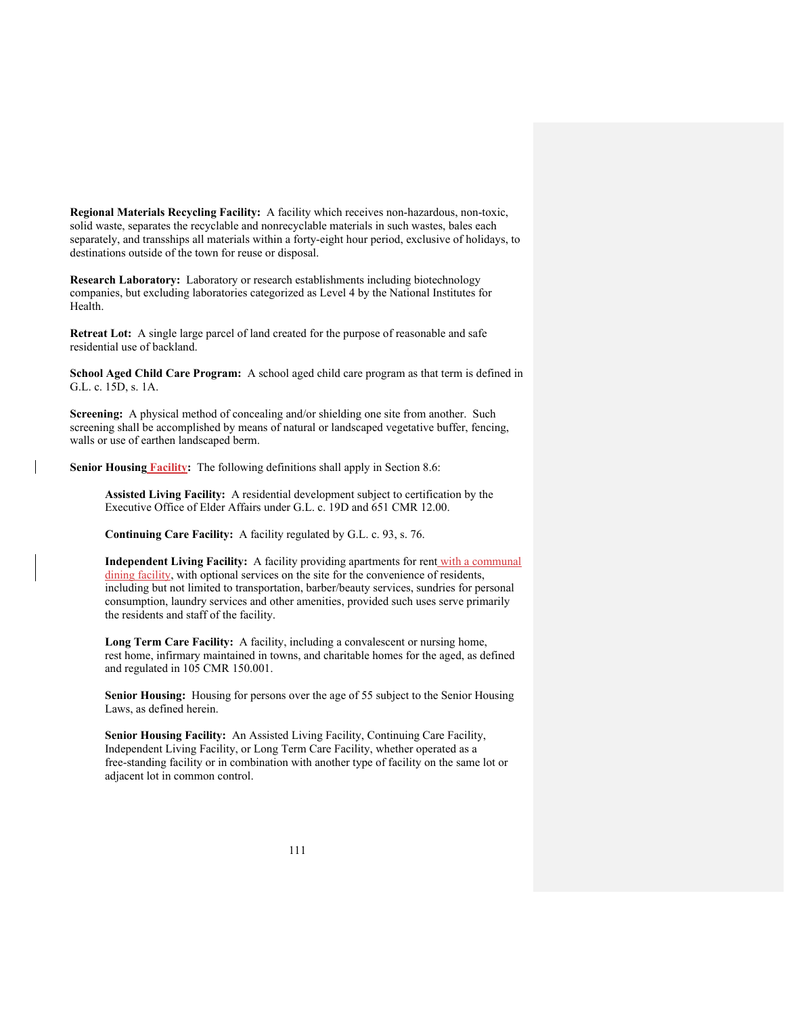**Regional Materials Recycling Facility:** A facility which receives non-hazardous, non-toxic, solid waste, separates the recyclable and nonrecyclable materials in such wastes, bales each separately, and transships all materials within a forty-eight hour period, exclusive of holidays, to destinations outside of the town for reuse or disposal.

**Research Laboratory:** Laboratory or research establishments including biotechnology companies, but excluding laboratories categorized as Level 4 by the National Institutes for Health.

**Retreat Lot:** A single large parcel of land created for the purpose of reasonable and safe residential use of backland.

**School Aged Child Care Program:** A school aged child care program as that term is defined in G.L. c. 15D, s. 1A.

**Screening:** A physical method of concealing and/or shielding one site from another. Such screening shall be accomplished by means of natural or landscaped vegetative buffer, fencing, walls or use of earthen landscaped berm.

**Senior Housing Facility:** The following definitions shall apply in Section 8.6:

**Assisted Living Facility:** A residential development subject to certification by the Executive Office of Elder Affairs under G.L. c. 19D and 651 CMR 12.00.

**Continuing Care Facility:** A facility regulated by G.L. c. 93, s. 76.

**Independent Living Facility:** A facility providing apartments for rent with a communal dining facility, with optional services on the site for the convenience of residents, including but not limited to transportation, barber/beauty services, sundries for personal consumption, laundry services and other amenities, provided such uses serve primarily the residents and staff of the facility.

**Long Term Care Facility:** A facility, including a convalescent or nursing home, rest home, infirmary maintained in towns, and charitable homes for the aged, as defined and regulated in 105 CMR 150.001.

**Senior Housing:** Housing for persons over the age of 55 subject to the Senior Housing Laws, as defined herein.

**Senior Housing Facility:** An Assisted Living Facility, Continuing Care Facility, Independent Living Facility, or Long Term Care Facility, whether operated as a free-standing facility or in combination with another type of facility on the same lot or adjacent lot in common control.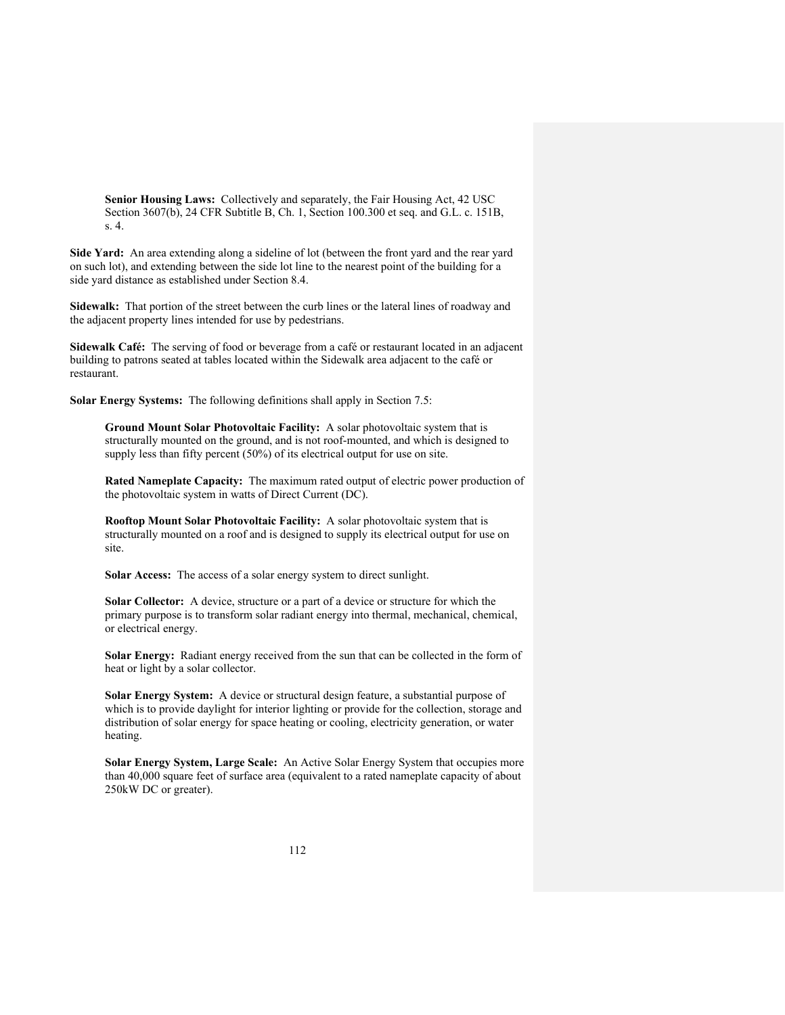**Senior Housing Laws:** Collectively and separately, the Fair Housing Act, 42 USC Section 3607(b), 24 CFR Subtitle B, Ch. 1, Section 100.300 et seq. and G.L. c. 151B, s. 4.

**Side Yard:** An area extending along a sideline of lot (between the front yard and the rear yard on such lot), and extending between the side lot line to the nearest point of the building for a side yard distance as established under Section 8.4.

**Sidewalk:** That portion of the street between the curb lines or the lateral lines of roadway and the adjacent property lines intended for use by pedestrians.

**Sidewalk Café:** The serving of food or beverage from a café or restaurant located in an adjacent building to patrons seated at tables located within the Sidewalk area adjacent to the café or restaurant.

**Solar Energy Systems:** The following definitions shall apply in Section 7.5:

**Ground Mount Solar Photovoltaic Facility:** A solar photovoltaic system that is structurally mounted on the ground, and is not roof-mounted, and which is designed to supply less than fifty percent (50%) of its electrical output for use on site.

**Rated Nameplate Capacity:** The maximum rated output of electric power production of the photovoltaic system in watts of Direct Current (DC).

**Rooftop Mount Solar Photovoltaic Facility:** A solar photovoltaic system that is structurally mounted on a roof and is designed to supply its electrical output for use on site.

**Solar Access:** The access of a solar energy system to direct sunlight.

**Solar Collector:** A device, structure or a part of a device or structure for which the primary purpose is to transform solar radiant energy into thermal, mechanical, chemical, or electrical energy.

**Solar Energy:** Radiant energy received from the sun that can be collected in the form of heat or light by a solar collector.

**Solar Energy System:** A device or structural design feature, a substantial purpose of which is to provide daylight for interior lighting or provide for the collection, storage and distribution of solar energy for space heating or cooling, electricity generation, or water heating.

**Solar Energy System, Large Scale:** An Active Solar Energy System that occupies more than 40,000 square feet of surface area (equivalent to a rated nameplate capacity of about 250kW DC or greater).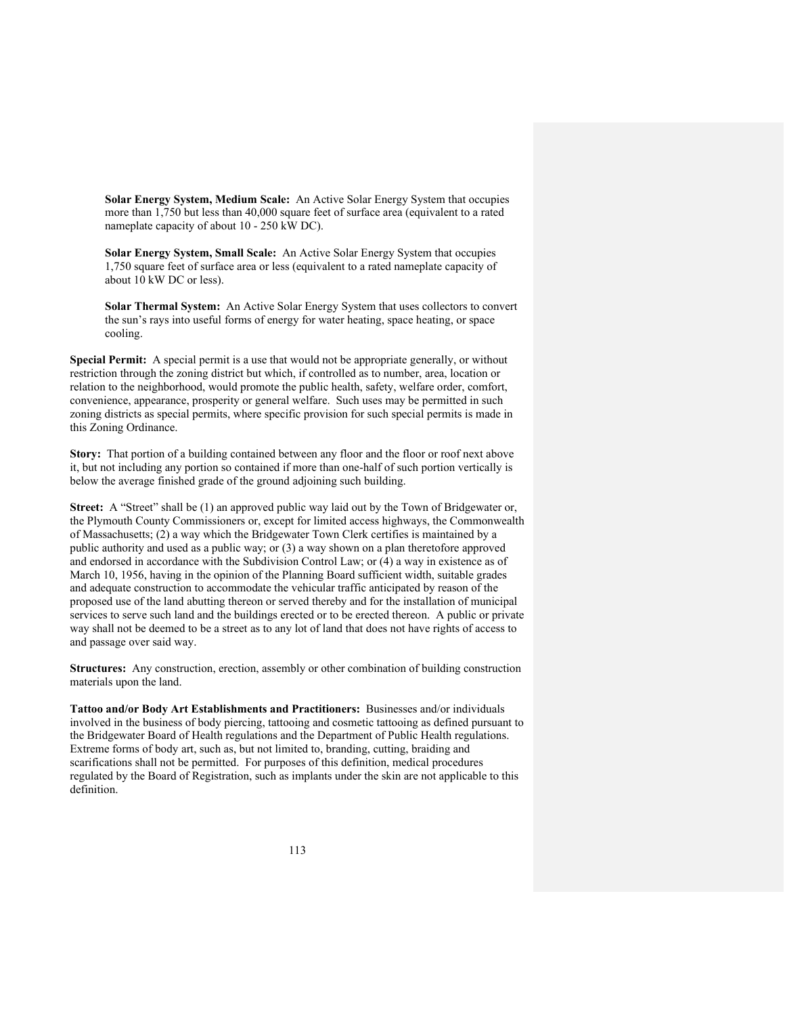**Solar Energy System, Medium Scale:** An Active Solar Energy System that occupies more than 1,750 but less than 40,000 square feet of surface area (equivalent to a rated nameplate capacity of about 10 - 250 kW DC).

**Solar Energy System, Small Scale:** An Active Solar Energy System that occupies 1,750 square feet of surface area or less (equivalent to a rated nameplate capacity of about 10 kW DC or less).

**Solar Thermal System:** An Active Solar Energy System that uses collectors to convert the sun's rays into useful forms of energy for water heating, space heating, or space cooling.

**Special Permit:** A special permit is a use that would not be appropriate generally, or without restriction through the zoning district but which, if controlled as to number, area, location or relation to the neighborhood, would promote the public health, safety, welfare order, comfort, convenience, appearance, prosperity or general welfare. Such uses may be permitted in such zoning districts as special permits, where specific provision for such special permits is made in this Zoning Ordinance.

**Story:** That portion of a building contained between any floor and the floor or roof next above it, but not including any portion so contained if more than one-half of such portion vertically is below the average finished grade of the ground adjoining such building.

**Street:** A "Street" shall be (1) an approved public way laid out by the Town of Bridgewater or, the Plymouth County Commissioners or, except for limited access highways, the Commonwealth of Massachusetts; (2) a way which the Bridgewater Town Clerk certifies is maintained by a public authority and used as a public way; or (3) a way shown on a plan theretofore approved and endorsed in accordance with the Subdivision Control Law; or (4) a way in existence as of March 10, 1956, having in the opinion of the Planning Board sufficient width, suitable grades and adequate construction to accommodate the vehicular traffic anticipated by reason of the proposed use of the land abutting thereon or served thereby and for the installation of municipal services to serve such land and the buildings erected or to be erected thereon. A public or private way shall not be deemed to be a street as to any lot of land that does not have rights of access to and passage over said way.

**Structures:** Any construction, erection, assembly or other combination of building construction materials upon the land.

**Tattoo and/or Body Art Establishments and Practitioners:** Businesses and/or individuals involved in the business of body piercing, tattooing and cosmetic tattooing as defined pursuant to the Bridgewater Board of Health regulations and the Department of Public Health regulations. Extreme forms of body art, such as, but not limited to, branding, cutting, braiding and scarifications shall not be permitted. For purposes of this definition, medical procedures regulated by the Board of Registration, such as implants under the skin are not applicable to this definition.